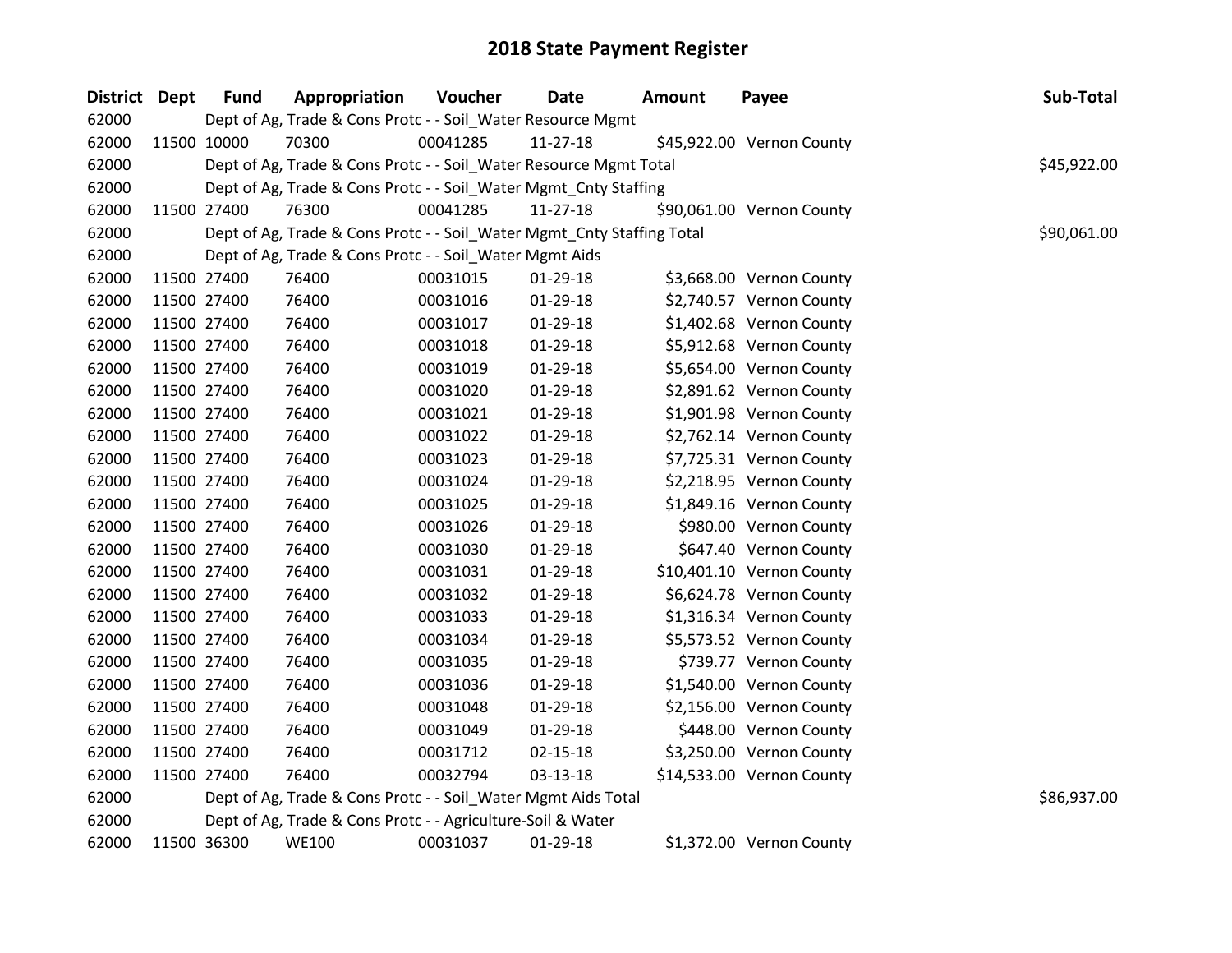| District Dept | <b>Fund</b> | Appropriation                                                          | Voucher  | <b>Date</b>    | Amount | Payee                     | Sub-Total   |
|---------------|-------------|------------------------------------------------------------------------|----------|----------------|--------|---------------------------|-------------|
| 62000         |             | Dept of Ag, Trade & Cons Protc - - Soil_Water Resource Mgmt            |          |                |        |                           |             |
| 62000         | 11500 10000 | 70300                                                                  | 00041285 | 11-27-18       |        | \$45,922.00 Vernon County |             |
| 62000         |             | Dept of Ag, Trade & Cons Protc - - Soil_Water Resource Mgmt Total      |          |                |        |                           | \$45,922.00 |
| 62000         |             | Dept of Ag, Trade & Cons Protc - - Soil_Water Mgmt_Cnty Staffing       |          |                |        |                           |             |
| 62000         | 11500 27400 | 76300                                                                  | 00041285 | 11-27-18       |        | \$90,061.00 Vernon County |             |
| 62000         |             | Dept of Ag, Trade & Cons Protc - - Soil_Water Mgmt_Cnty Staffing Total |          |                |        |                           | \$90,061.00 |
| 62000         |             | Dept of Ag, Trade & Cons Protc - - Soil_Water Mgmt Aids                |          |                |        |                           |             |
| 62000         | 11500 27400 | 76400                                                                  | 00031015 | 01-29-18       |        | \$3,668.00 Vernon County  |             |
| 62000         | 11500 27400 | 76400                                                                  | 00031016 | 01-29-18       |        | \$2,740.57 Vernon County  |             |
| 62000         | 11500 27400 | 76400                                                                  | 00031017 | 01-29-18       |        | \$1,402.68 Vernon County  |             |
| 62000         | 11500 27400 | 76400                                                                  | 00031018 | 01-29-18       |        | \$5,912.68 Vernon County  |             |
| 62000         | 11500 27400 | 76400                                                                  | 00031019 | 01-29-18       |        | \$5,654.00 Vernon County  |             |
| 62000         | 11500 27400 | 76400                                                                  | 00031020 | 01-29-18       |        | \$2,891.62 Vernon County  |             |
| 62000         | 11500 27400 | 76400                                                                  | 00031021 | 01-29-18       |        | \$1,901.98 Vernon County  |             |
| 62000         | 11500 27400 | 76400                                                                  | 00031022 | 01-29-18       |        | \$2,762.14 Vernon County  |             |
| 62000         | 11500 27400 | 76400                                                                  | 00031023 | 01-29-18       |        | \$7,725.31 Vernon County  |             |
| 62000         | 11500 27400 | 76400                                                                  | 00031024 | $01-29-18$     |        | \$2,218.95 Vernon County  |             |
| 62000         | 11500 27400 | 76400                                                                  | 00031025 | 01-29-18       |        | \$1,849.16 Vernon County  |             |
| 62000         | 11500 27400 | 76400                                                                  | 00031026 | 01-29-18       |        | \$980.00 Vernon County    |             |
| 62000         | 11500 27400 | 76400                                                                  | 00031030 | 01-29-18       |        | \$647.40 Vernon County    |             |
| 62000         | 11500 27400 | 76400                                                                  | 00031031 | 01-29-18       |        | \$10,401.10 Vernon County |             |
| 62000         | 11500 27400 | 76400                                                                  | 00031032 | 01-29-18       |        | \$6,624.78 Vernon County  |             |
| 62000         | 11500 27400 | 76400                                                                  | 00031033 | 01-29-18       |        | \$1,316.34 Vernon County  |             |
| 62000         | 11500 27400 | 76400                                                                  | 00031034 | 01-29-18       |        | \$5,573.52 Vernon County  |             |
| 62000         | 11500 27400 | 76400                                                                  | 00031035 | 01-29-18       |        | \$739.77 Vernon County    |             |
| 62000         | 11500 27400 | 76400                                                                  | 00031036 | 01-29-18       |        | \$1,540.00 Vernon County  |             |
| 62000         | 11500 27400 | 76400                                                                  | 00031048 | 01-29-18       |        | \$2,156.00 Vernon County  |             |
| 62000         | 11500 27400 | 76400                                                                  | 00031049 | 01-29-18       |        | \$448.00 Vernon County    |             |
| 62000         | 11500 27400 | 76400                                                                  | 00031712 | $02 - 15 - 18$ |        | \$3,250.00 Vernon County  |             |
| 62000         | 11500 27400 | 76400                                                                  | 00032794 | 03-13-18       |        | \$14,533.00 Vernon County |             |
| 62000         |             | Dept of Ag, Trade & Cons Protc - - Soil_Water Mgmt Aids Total          |          |                |        |                           | \$86,937.00 |
| 62000         |             | Dept of Ag, Trade & Cons Protc - - Agriculture-Soil & Water            |          |                |        |                           |             |
| 62000         | 11500 36300 | <b>WE100</b>                                                           | 00031037 | $01-29-18$     |        | \$1,372.00 Vernon County  |             |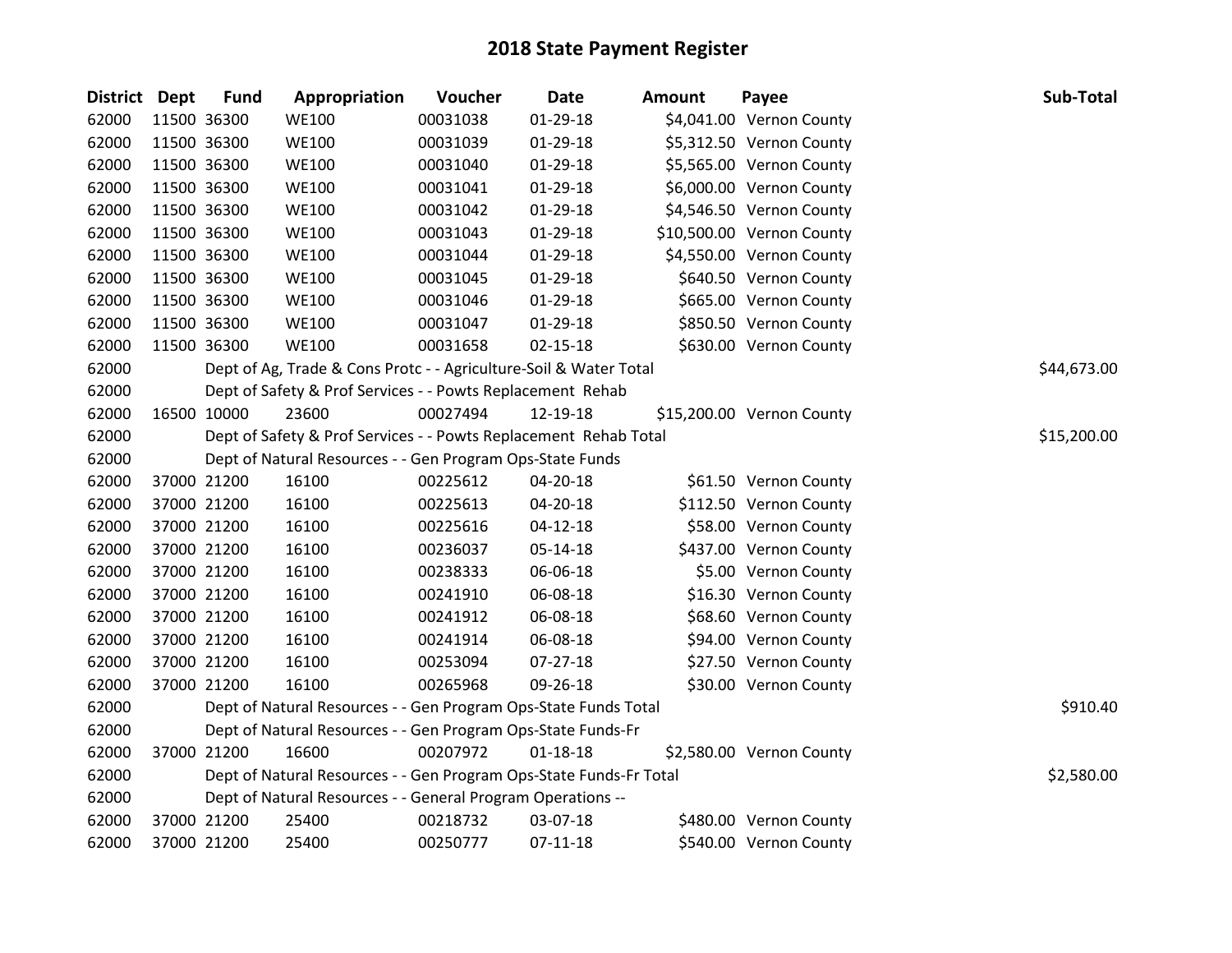| District Dept | <b>Fund</b> | Appropriation                                                      | Voucher  | <b>Date</b>    | <b>Amount</b> | Payee                     | Sub-Total   |
|---------------|-------------|--------------------------------------------------------------------|----------|----------------|---------------|---------------------------|-------------|
| 62000         | 11500 36300 | <b>WE100</b>                                                       | 00031038 | 01-29-18       |               | \$4,041.00 Vernon County  |             |
| 62000         | 11500 36300 | <b>WE100</b>                                                       | 00031039 | 01-29-18       |               | \$5,312.50 Vernon County  |             |
| 62000         | 11500 36300 | <b>WE100</b>                                                       | 00031040 | 01-29-18       |               | \$5,565.00 Vernon County  |             |
| 62000         | 11500 36300 | <b>WE100</b>                                                       | 00031041 | $01-29-18$     |               | \$6,000.00 Vernon County  |             |
| 62000         | 11500 36300 | <b>WE100</b>                                                       | 00031042 | 01-29-18       |               | \$4,546.50 Vernon County  |             |
| 62000         | 11500 36300 | <b>WE100</b>                                                       | 00031043 | 01-29-18       |               | \$10,500.00 Vernon County |             |
| 62000         | 11500 36300 | <b>WE100</b>                                                       | 00031044 | 01-29-18       |               | \$4,550.00 Vernon County  |             |
| 62000         | 11500 36300 | <b>WE100</b>                                                       | 00031045 | 01-29-18       |               | \$640.50 Vernon County    |             |
| 62000         | 11500 36300 | <b>WE100</b>                                                       | 00031046 | $01-29-18$     |               | \$665.00 Vernon County    |             |
| 62000         | 11500 36300 | <b>WE100</b>                                                       | 00031047 | 01-29-18       |               | \$850.50 Vernon County    |             |
| 62000         | 11500 36300 | <b>WE100</b>                                                       | 00031658 | $02 - 15 - 18$ |               | \$630.00 Vernon County    |             |
| 62000         |             | Dept of Ag, Trade & Cons Protc - - Agriculture-Soil & Water Total  |          |                |               |                           | \$44,673.00 |
| 62000         |             | Dept of Safety & Prof Services - - Powts Replacement Rehab         |          |                |               |                           |             |
| 62000         | 16500 10000 | 23600                                                              | 00027494 | 12-19-18       |               | \$15,200.00 Vernon County |             |
| 62000         |             | Dept of Safety & Prof Services - - Powts Replacement Rehab Total   |          |                |               |                           | \$15,200.00 |
| 62000         |             | Dept of Natural Resources - - Gen Program Ops-State Funds          |          |                |               |                           |             |
| 62000         | 37000 21200 | 16100                                                              | 00225612 | 04-20-18       |               | \$61.50 Vernon County     |             |
| 62000         | 37000 21200 | 16100                                                              | 00225613 | 04-20-18       |               | \$112.50 Vernon County    |             |
| 62000         | 37000 21200 | 16100                                                              | 00225616 | 04-12-18       |               | \$58.00 Vernon County     |             |
| 62000         | 37000 21200 | 16100                                                              | 00236037 | $05 - 14 - 18$ |               | \$437.00 Vernon County    |             |
| 62000         | 37000 21200 | 16100                                                              | 00238333 | 06-06-18       |               | \$5.00 Vernon County      |             |
| 62000         | 37000 21200 | 16100                                                              | 00241910 | 06-08-18       |               | \$16.30 Vernon County     |             |
| 62000         | 37000 21200 | 16100                                                              | 00241912 | 06-08-18       |               | \$68.60 Vernon County     |             |
| 62000         | 37000 21200 | 16100                                                              | 00241914 | 06-08-18       |               | \$94.00 Vernon County     |             |
| 62000         | 37000 21200 | 16100                                                              | 00253094 | $07 - 27 - 18$ |               | \$27.50 Vernon County     |             |
| 62000         | 37000 21200 | 16100                                                              | 00265968 | 09-26-18       |               | \$30.00 Vernon County     |             |
| 62000         |             | Dept of Natural Resources - - Gen Program Ops-State Funds Total    |          |                |               |                           | \$910.40    |
| 62000         |             | Dept of Natural Resources - - Gen Program Ops-State Funds-Fr       |          |                |               |                           |             |
| 62000         | 37000 21200 | 16600                                                              | 00207972 | $01 - 18 - 18$ |               | \$2,580.00 Vernon County  |             |
| 62000         |             | Dept of Natural Resources - - Gen Program Ops-State Funds-Fr Total |          |                |               |                           | \$2,580.00  |
| 62000         |             | Dept of Natural Resources - - General Program Operations --        |          |                |               |                           |             |
| 62000         | 37000 21200 | 25400                                                              | 00218732 | 03-07-18       |               | \$480.00 Vernon County    |             |
| 62000         | 37000 21200 | 25400                                                              | 00250777 | $07-11-18$     |               | \$540.00 Vernon County    |             |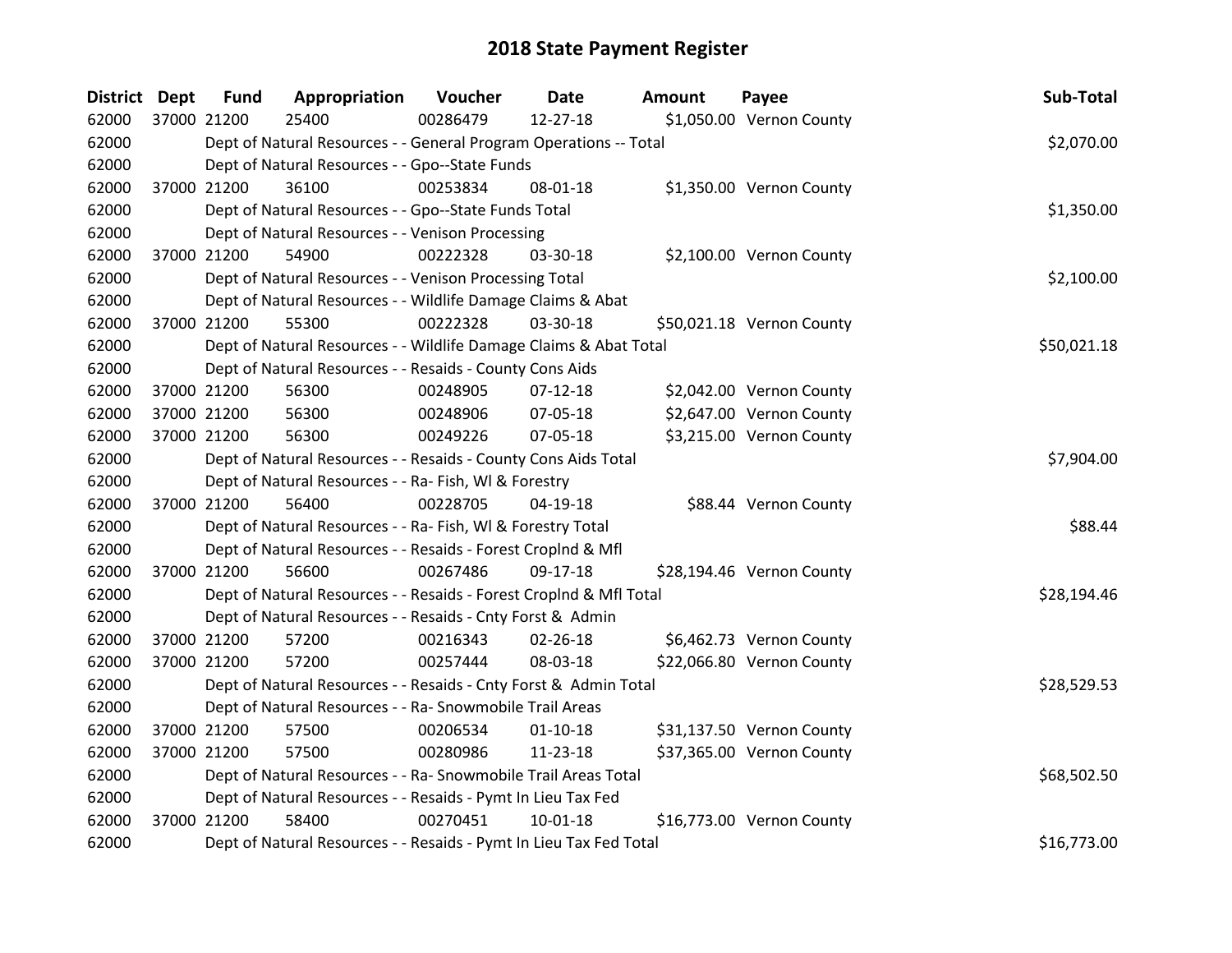| <b>District Dept</b> |             | <b>Fund</b> | Appropriation                                                      | Voucher  | <b>Date</b>    | <b>Amount</b> | Payee                     | Sub-Total   |
|----------------------|-------------|-------------|--------------------------------------------------------------------|----------|----------------|---------------|---------------------------|-------------|
| 62000                | 37000 21200 |             | 25400                                                              | 00286479 | 12-27-18       |               | \$1,050.00 Vernon County  |             |
| 62000                |             |             | Dept of Natural Resources - - General Program Operations -- Total  |          |                |               |                           | \$2,070.00  |
| 62000                |             |             | Dept of Natural Resources - - Gpo--State Funds                     |          |                |               |                           |             |
| 62000                |             | 37000 21200 | 36100                                                              | 00253834 | 08-01-18       |               | \$1,350.00 Vernon County  |             |
| 62000                |             |             | Dept of Natural Resources - - Gpo--State Funds Total               |          |                |               |                           | \$1,350.00  |
| 62000                |             |             | Dept of Natural Resources - - Venison Processing                   |          |                |               |                           |             |
| 62000                |             | 37000 21200 | 54900                                                              | 00222328 | 03-30-18       |               | \$2,100.00 Vernon County  |             |
| 62000                |             |             | Dept of Natural Resources - - Venison Processing Total             |          |                |               |                           | \$2,100.00  |
| 62000                |             |             | Dept of Natural Resources - - Wildlife Damage Claims & Abat        |          |                |               |                           |             |
| 62000                |             | 37000 21200 | 55300                                                              | 00222328 | 03-30-18       |               | \$50,021.18 Vernon County |             |
| 62000                |             |             | Dept of Natural Resources - - Wildlife Damage Claims & Abat Total  |          |                |               |                           | \$50,021.18 |
| 62000                |             |             | Dept of Natural Resources - - Resaids - County Cons Aids           |          |                |               |                           |             |
| 62000                |             | 37000 21200 | 56300                                                              | 00248905 | $07-12-18$     |               | \$2,042.00 Vernon County  |             |
| 62000                |             | 37000 21200 | 56300                                                              | 00248906 | 07-05-18       |               | \$2,647.00 Vernon County  |             |
| 62000                |             | 37000 21200 | 56300                                                              | 00249226 | 07-05-18       |               | \$3,215.00 Vernon County  |             |
| 62000                |             |             | Dept of Natural Resources - - Resaids - County Cons Aids Total     |          |                |               |                           | \$7,904.00  |
| 62000                |             |             | Dept of Natural Resources - - Ra- Fish, WI & Forestry              |          |                |               |                           |             |
| 62000                |             | 37000 21200 | 56400                                                              | 00228705 | $04-19-18$     |               | \$88.44 Vernon County     |             |
| 62000                |             |             | Dept of Natural Resources - - Ra- Fish, WI & Forestry Total        |          |                |               |                           | \$88.44     |
| 62000                |             |             | Dept of Natural Resources - - Resaids - Forest CropInd & Mfl       |          |                |               |                           |             |
| 62000                |             | 37000 21200 | 56600                                                              | 00267486 | 09-17-18       |               | \$28,194.46 Vernon County |             |
| 62000                |             |             | Dept of Natural Resources - - Resaids - Forest CropInd & Mfl Total |          |                |               |                           | \$28,194.46 |
| 62000                |             |             | Dept of Natural Resources - - Resaids - Cnty Forst & Admin         |          |                |               |                           |             |
| 62000                |             | 37000 21200 | 57200                                                              | 00216343 | 02-26-18       |               | \$6,462.73 Vernon County  |             |
| 62000                |             | 37000 21200 | 57200                                                              | 00257444 | 08-03-18       |               | \$22,066.80 Vernon County |             |
| 62000                |             |             | Dept of Natural Resources - - Resaids - Cnty Forst & Admin Total   |          |                |               |                           | \$28,529.53 |
| 62000                |             |             | Dept of Natural Resources - - Ra- Snowmobile Trail Areas           |          |                |               |                           |             |
| 62000                |             | 37000 21200 | 57500                                                              | 00206534 | $01 - 10 - 18$ |               | \$31,137.50 Vernon County |             |
| 62000                |             | 37000 21200 | 57500                                                              | 00280986 | 11-23-18       |               | \$37,365.00 Vernon County |             |
| 62000                |             |             | Dept of Natural Resources - - Ra- Snowmobile Trail Areas Total     |          |                |               |                           | \$68,502.50 |
| 62000                |             |             | Dept of Natural Resources - - Resaids - Pymt In Lieu Tax Fed       |          |                |               |                           |             |
| 62000                | 37000 21200 |             | 58400                                                              | 00270451 | $10-01-18$     |               | \$16,773.00 Vernon County |             |
| 62000                |             |             | Dept of Natural Resources - - Resaids - Pymt In Lieu Tax Fed Total |          |                |               |                           | \$16,773.00 |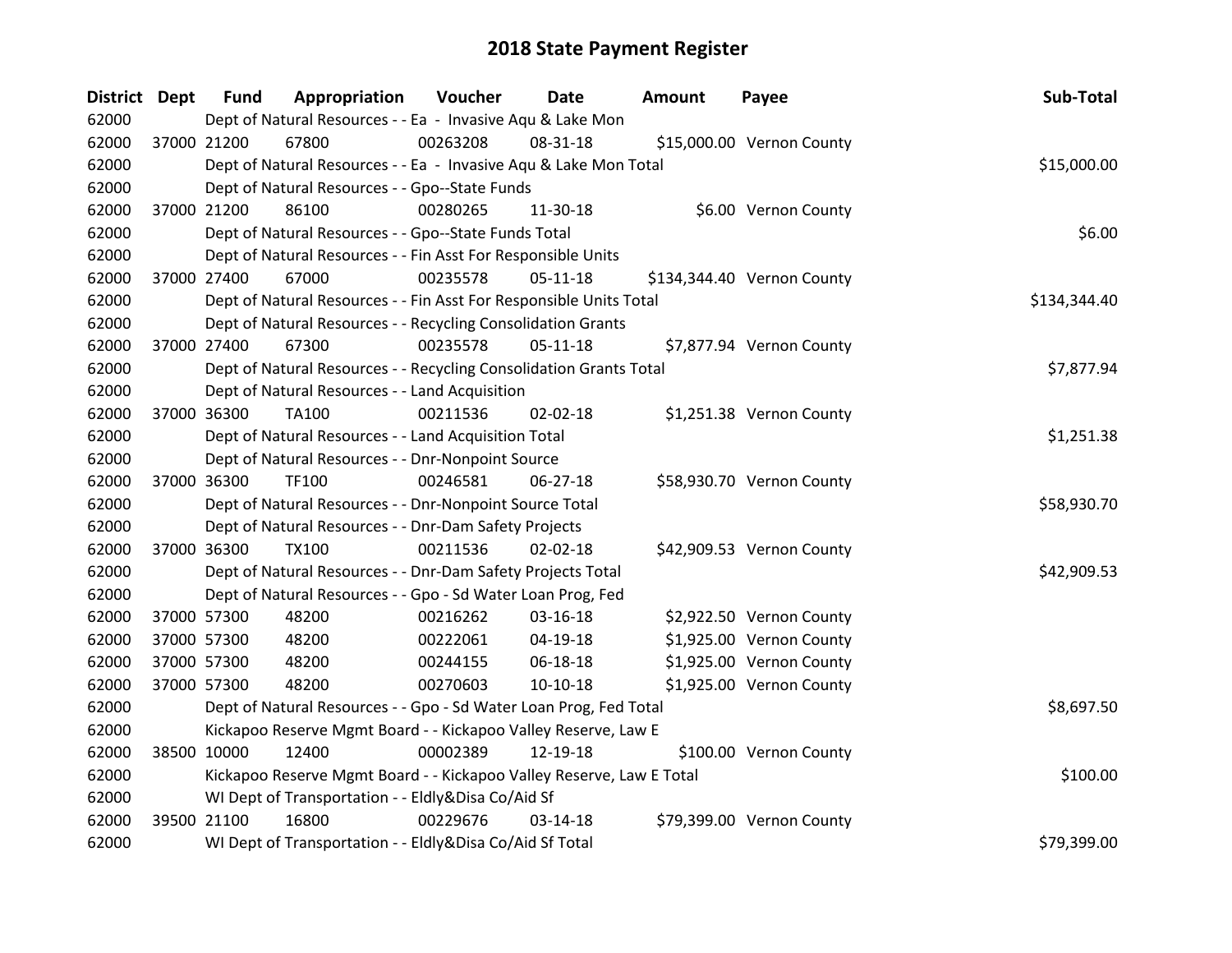| District Dept | <b>Fund</b> | Appropriation                                                        | Voucher  | Date           | <b>Amount</b> | Payee                      | Sub-Total    |
|---------------|-------------|----------------------------------------------------------------------|----------|----------------|---------------|----------------------------|--------------|
| 62000         |             | Dept of Natural Resources - - Ea - Invasive Aqu & Lake Mon           |          |                |               |                            |              |
| 62000         | 37000 21200 | 67800                                                                | 00263208 | 08-31-18       |               | \$15,000.00 Vernon County  |              |
| 62000         |             | Dept of Natural Resources - - Ea - Invasive Aqu & Lake Mon Total     |          |                |               |                            | \$15,000.00  |
| 62000         |             | Dept of Natural Resources - - Gpo--State Funds                       |          |                |               |                            |              |
| 62000         | 37000 21200 | 86100                                                                | 00280265 | 11-30-18       |               | \$6.00 Vernon County       |              |
| 62000         |             | Dept of Natural Resources - - Gpo--State Funds Total                 |          |                |               |                            | \$6.00       |
| 62000         |             | Dept of Natural Resources - - Fin Asst For Responsible Units         |          |                |               |                            |              |
| 62000         | 37000 27400 | 67000                                                                | 00235578 | $05-11-18$     |               | \$134,344.40 Vernon County |              |
| 62000         |             | Dept of Natural Resources - - Fin Asst For Responsible Units Total   |          |                |               |                            | \$134,344.40 |
| 62000         |             | Dept of Natural Resources - - Recycling Consolidation Grants         |          |                |               |                            |              |
| 62000         | 37000 27400 | 67300                                                                | 00235578 | $05-11-18$     |               | \$7,877.94 Vernon County   |              |
| 62000         |             | Dept of Natural Resources - - Recycling Consolidation Grants Total   |          |                |               |                            | \$7,877.94   |
| 62000         |             | Dept of Natural Resources - - Land Acquisition                       |          |                |               |                            |              |
| 62000         | 37000 36300 | TA100                                                                | 00211536 | $02 - 02 - 18$ |               | \$1,251.38 Vernon County   |              |
| 62000         |             | Dept of Natural Resources - - Land Acquisition Total                 |          |                |               |                            | \$1,251.38   |
| 62000         |             | Dept of Natural Resources - - Dnr-Nonpoint Source                    |          |                |               |                            |              |
| 62000         | 37000 36300 | <b>TF100</b>                                                         | 00246581 | $06 - 27 - 18$ |               | \$58,930.70 Vernon County  |              |
| 62000         |             | Dept of Natural Resources - - Dnr-Nonpoint Source Total              |          |                |               |                            | \$58,930.70  |
| 62000         |             | Dept of Natural Resources - - Dnr-Dam Safety Projects                |          |                |               |                            |              |
| 62000         | 37000 36300 | <b>TX100</b>                                                         | 00211536 | 02-02-18       |               | \$42,909.53 Vernon County  |              |
| 62000         |             | Dept of Natural Resources - - Dnr-Dam Safety Projects Total          |          |                |               |                            | \$42,909.53  |
| 62000         |             | Dept of Natural Resources - - Gpo - Sd Water Loan Prog, Fed          |          |                |               |                            |              |
| 62000         | 37000 57300 | 48200                                                                | 00216262 | 03-16-18       |               | \$2,922.50 Vernon County   |              |
| 62000         | 37000 57300 | 48200                                                                | 00222061 | 04-19-18       |               | \$1,925.00 Vernon County   |              |
| 62000         | 37000 57300 | 48200                                                                | 00244155 | 06-18-18       |               | \$1,925.00 Vernon County   |              |
| 62000         | 37000 57300 | 48200                                                                | 00270603 | $10-10-18$     |               | \$1,925.00 Vernon County   |              |
| 62000         |             | Dept of Natural Resources - - Gpo - Sd Water Loan Prog, Fed Total    |          |                |               |                            | \$8,697.50   |
| 62000         |             | Kickapoo Reserve Mgmt Board - - Kickapoo Valley Reserve, Law E       |          |                |               |                            |              |
| 62000         | 38500 10000 | 12400                                                                | 00002389 | 12-19-18       |               | \$100.00 Vernon County     |              |
| 62000         |             | Kickapoo Reserve Mgmt Board - - Kickapoo Valley Reserve, Law E Total |          |                |               |                            | \$100.00     |
| 62000         |             | WI Dept of Transportation - - Eldly&Disa Co/Aid Sf                   |          |                |               |                            |              |
| 62000         | 39500 21100 | 16800                                                                | 00229676 | 03-14-18       |               | \$79,399.00 Vernon County  |              |
| 62000         |             | WI Dept of Transportation - - Eldly&Disa Co/Aid Sf Total             |          |                |               |                            | \$79,399.00  |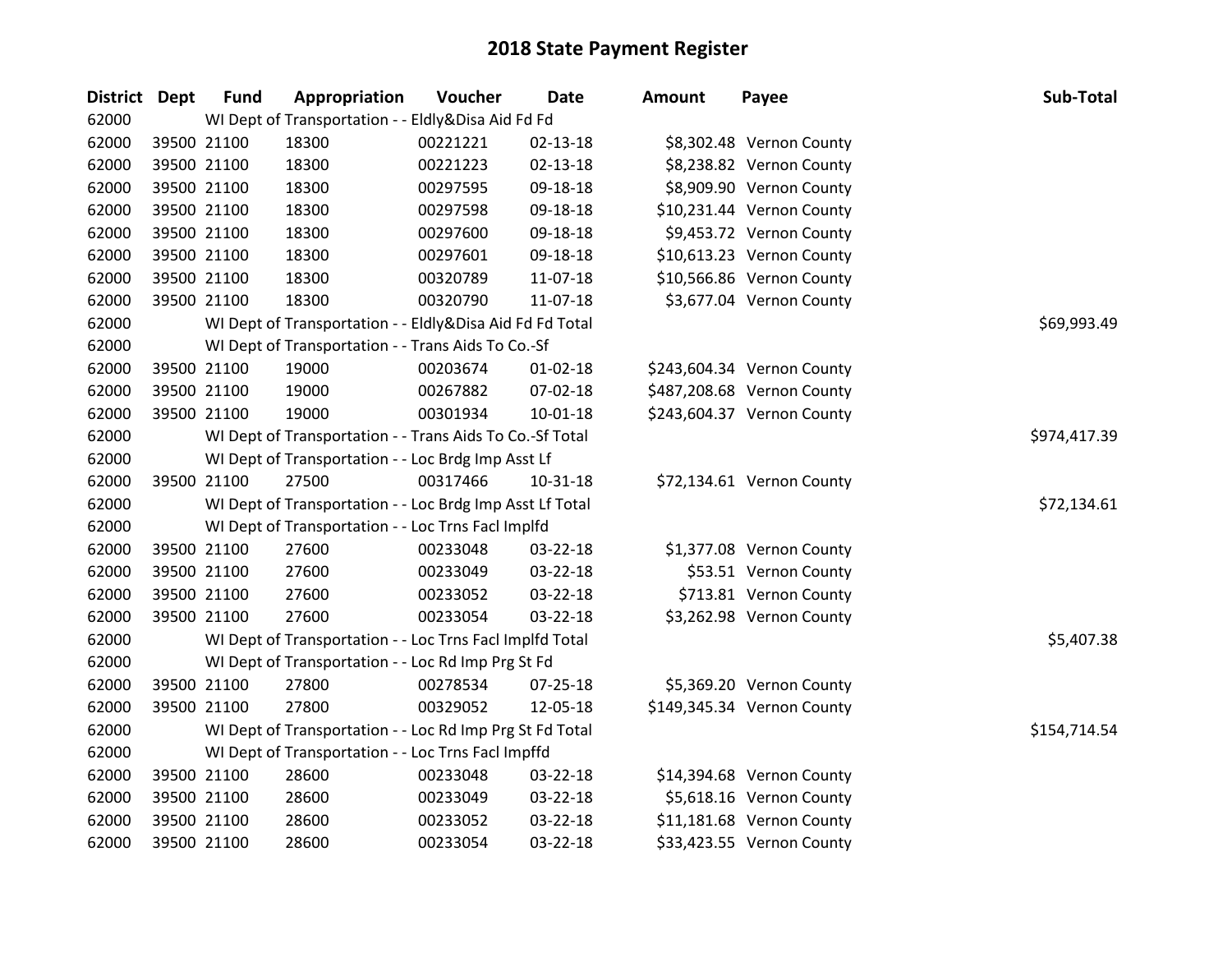| <b>District Dept</b> | <b>Fund</b> | Appropriation                                            | Voucher  | <b>Date</b>    | <b>Amount</b> | Payee                      | Sub-Total    |
|----------------------|-------------|----------------------------------------------------------|----------|----------------|---------------|----------------------------|--------------|
| 62000                |             | WI Dept of Transportation - - Eldly&Disa Aid Fd Fd       |          |                |               |                            |              |
| 62000                | 39500 21100 | 18300                                                    | 00221221 | 02-13-18       |               | \$8,302.48 Vernon County   |              |
| 62000                | 39500 21100 | 18300                                                    | 00221223 | $02 - 13 - 18$ |               | \$8,238.82 Vernon County   |              |
| 62000                | 39500 21100 | 18300                                                    | 00297595 | 09-18-18       |               | \$8,909.90 Vernon County   |              |
| 62000                | 39500 21100 | 18300                                                    | 00297598 | 09-18-18       |               | \$10,231.44 Vernon County  |              |
| 62000                | 39500 21100 | 18300                                                    | 00297600 | 09-18-18       |               | \$9,453.72 Vernon County   |              |
| 62000                | 39500 21100 | 18300                                                    | 00297601 | 09-18-18       |               | \$10,613.23 Vernon County  |              |
| 62000                | 39500 21100 | 18300                                                    | 00320789 | 11-07-18       |               | \$10,566.86 Vernon County  |              |
| 62000                | 39500 21100 | 18300                                                    | 00320790 | 11-07-18       |               | \$3,677.04 Vernon County   |              |
| 62000                |             | WI Dept of Transportation - - Eldly&Disa Aid Fd Fd Total |          |                |               |                            | \$69,993.49  |
| 62000                |             | WI Dept of Transportation - - Trans Aids To Co.-Sf       |          |                |               |                            |              |
| 62000                | 39500 21100 | 19000                                                    | 00203674 | $01 - 02 - 18$ |               | \$243,604.34 Vernon County |              |
| 62000                | 39500 21100 | 19000                                                    | 00267882 | 07-02-18       |               | \$487,208.68 Vernon County |              |
| 62000                | 39500 21100 | 19000                                                    | 00301934 | 10-01-18       |               | \$243,604.37 Vernon County |              |
| 62000                |             | WI Dept of Transportation - - Trans Aids To Co.-Sf Total |          |                |               |                            | \$974,417.39 |
| 62000                |             | WI Dept of Transportation - - Loc Brdg Imp Asst Lf       |          |                |               |                            |              |
| 62000                | 39500 21100 | 27500                                                    | 00317466 | 10-31-18       |               | \$72,134.61 Vernon County  |              |
| 62000                |             | WI Dept of Transportation - - Loc Brdg Imp Asst Lf Total |          |                |               |                            | \$72,134.61  |
| 62000                |             | WI Dept of Transportation - - Loc Trns Facl Implfd       |          |                |               |                            |              |
| 62000                | 39500 21100 | 27600                                                    | 00233048 | 03-22-18       |               | \$1,377.08 Vernon County   |              |
| 62000                | 39500 21100 | 27600                                                    | 00233049 | 03-22-18       |               | \$53.51 Vernon County      |              |
| 62000                | 39500 21100 | 27600                                                    | 00233052 | 03-22-18       |               | \$713.81 Vernon County     |              |
| 62000                | 39500 21100 | 27600                                                    | 00233054 | $03 - 22 - 18$ |               | \$3,262.98 Vernon County   |              |
| 62000                |             | WI Dept of Transportation - - Loc Trns Facl Implfd Total |          |                |               |                            | \$5,407.38   |
| 62000                |             | WI Dept of Transportation - - Loc Rd Imp Prg St Fd       |          |                |               |                            |              |
| 62000                | 39500 21100 | 27800                                                    | 00278534 | 07-25-18       |               | \$5,369.20 Vernon County   |              |
| 62000                | 39500 21100 | 27800                                                    | 00329052 | 12-05-18       |               | \$149,345.34 Vernon County |              |
| 62000                |             | WI Dept of Transportation - - Loc Rd Imp Prg St Fd Total |          |                |               |                            | \$154,714.54 |
| 62000                |             | WI Dept of Transportation - - Loc Trns Facl Impffd       |          |                |               |                            |              |
| 62000                | 39500 21100 | 28600                                                    | 00233048 | 03-22-18       |               | \$14,394.68 Vernon County  |              |
| 62000                | 39500 21100 | 28600                                                    | 00233049 | 03-22-18       |               | \$5,618.16 Vernon County   |              |
| 62000                | 39500 21100 | 28600                                                    | 00233052 | 03-22-18       |               | \$11,181.68 Vernon County  |              |
| 62000                | 39500 21100 | 28600                                                    | 00233054 | 03-22-18       |               | \$33,423.55 Vernon County  |              |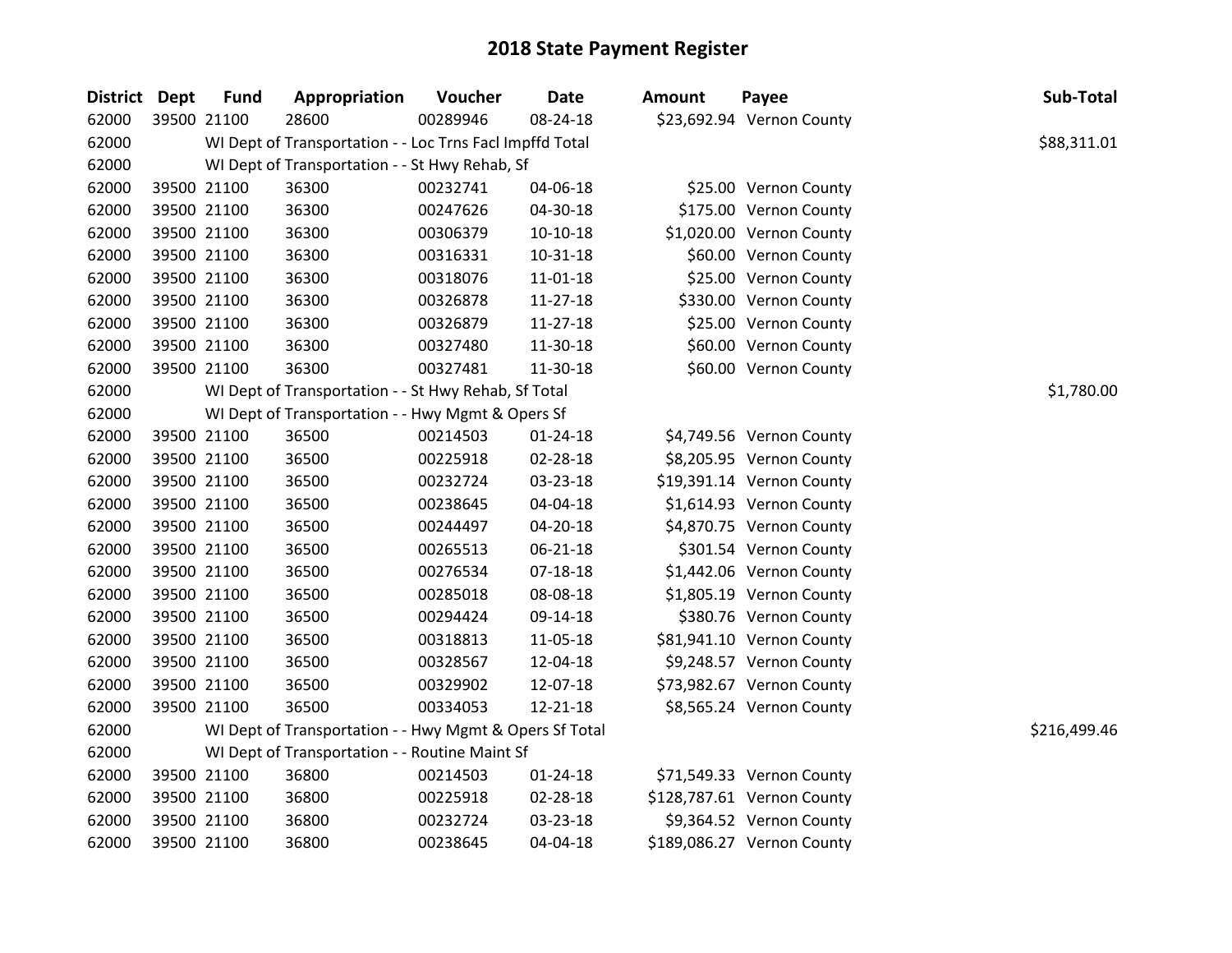| <b>District Dept</b> |             | <b>Fund</b> | Appropriation                                            | Voucher  | <b>Date</b>    | <b>Amount</b> | Payee                      | Sub-Total    |
|----------------------|-------------|-------------|----------------------------------------------------------|----------|----------------|---------------|----------------------------|--------------|
| 62000                |             | 39500 21100 | 28600                                                    | 00289946 | 08-24-18       |               | \$23,692.94 Vernon County  |              |
| 62000                |             |             | WI Dept of Transportation - - Loc Trns Facl Impffd Total |          |                |               |                            | \$88,311.01  |
| 62000                |             |             | WI Dept of Transportation - - St Hwy Rehab, Sf           |          |                |               |                            |              |
| 62000                |             | 39500 21100 | 36300                                                    | 00232741 | 04-06-18       |               | \$25.00 Vernon County      |              |
| 62000                |             | 39500 21100 | 36300                                                    | 00247626 | 04-30-18       |               | \$175.00 Vernon County     |              |
| 62000                |             | 39500 21100 | 36300                                                    | 00306379 | $10-10-18$     |               | \$1,020.00 Vernon County   |              |
| 62000                |             | 39500 21100 | 36300                                                    | 00316331 | $10 - 31 - 18$ |               | \$60.00 Vernon County      |              |
| 62000                |             | 39500 21100 | 36300                                                    | 00318076 | $11 - 01 - 18$ |               | \$25.00 Vernon County      |              |
| 62000                |             | 39500 21100 | 36300                                                    | 00326878 | 11-27-18       |               | \$330.00 Vernon County     |              |
| 62000                |             | 39500 21100 | 36300                                                    | 00326879 | 11-27-18       |               | \$25.00 Vernon County      |              |
| 62000                |             | 39500 21100 | 36300                                                    | 00327480 | 11-30-18       |               | \$60.00 Vernon County      |              |
| 62000                |             | 39500 21100 | 36300                                                    | 00327481 | 11-30-18       |               | \$60.00 Vernon County      |              |
| 62000                |             |             | WI Dept of Transportation - - St Hwy Rehab, Sf Total     |          |                |               |                            | \$1,780.00   |
| 62000                |             |             | WI Dept of Transportation - - Hwy Mgmt & Opers Sf        |          |                |               |                            |              |
| 62000                |             | 39500 21100 | 36500                                                    | 00214503 | 01-24-18       |               | \$4,749.56 Vernon County   |              |
| 62000                |             | 39500 21100 | 36500                                                    | 00225918 | 02-28-18       |               | \$8,205.95 Vernon County   |              |
| 62000                |             | 39500 21100 | 36500                                                    | 00232724 | 03-23-18       |               | \$19,391.14 Vernon County  |              |
| 62000                |             | 39500 21100 | 36500                                                    | 00238645 | 04-04-18       |               | \$1,614.93 Vernon County   |              |
| 62000                |             | 39500 21100 | 36500                                                    | 00244497 | 04-20-18       |               | \$4,870.75 Vernon County   |              |
| 62000                |             | 39500 21100 | 36500                                                    | 00265513 | 06-21-18       |               | \$301.54 Vernon County     |              |
| 62000                |             | 39500 21100 | 36500                                                    | 00276534 | $07 - 18 - 18$ |               | \$1,442.06 Vernon County   |              |
| 62000                |             | 39500 21100 | 36500                                                    | 00285018 | 08-08-18       |               | \$1,805.19 Vernon County   |              |
| 62000                |             | 39500 21100 | 36500                                                    | 00294424 | 09-14-18       |               | \$380.76 Vernon County     |              |
| 62000                |             | 39500 21100 | 36500                                                    | 00318813 | 11-05-18       |               | \$81,941.10 Vernon County  |              |
| 62000                |             | 39500 21100 | 36500                                                    | 00328567 | 12-04-18       |               | \$9,248.57 Vernon County   |              |
| 62000                |             | 39500 21100 | 36500                                                    | 00329902 | 12-07-18       |               | \$73,982.67 Vernon County  |              |
| 62000                | 39500 21100 |             | 36500                                                    | 00334053 | 12-21-18       |               | \$8,565.24 Vernon County   |              |
| 62000                |             |             | WI Dept of Transportation - - Hwy Mgmt & Opers Sf Total  |          |                |               |                            | \$216,499.46 |
| 62000                |             |             | WI Dept of Transportation - - Routine Maint Sf           |          |                |               |                            |              |
| 62000                |             | 39500 21100 | 36800                                                    | 00214503 | $01 - 24 - 18$ |               | \$71,549.33 Vernon County  |              |
| 62000                |             | 39500 21100 | 36800                                                    | 00225918 | 02-28-18       |               | \$128,787.61 Vernon County |              |
| 62000                |             | 39500 21100 | 36800                                                    | 00232724 | 03-23-18       |               | \$9,364.52 Vernon County   |              |
| 62000                | 39500 21100 |             | 36800                                                    | 00238645 | 04-04-18       |               | \$189,086.27 Vernon County |              |
|                      |             |             |                                                          |          |                |               |                            |              |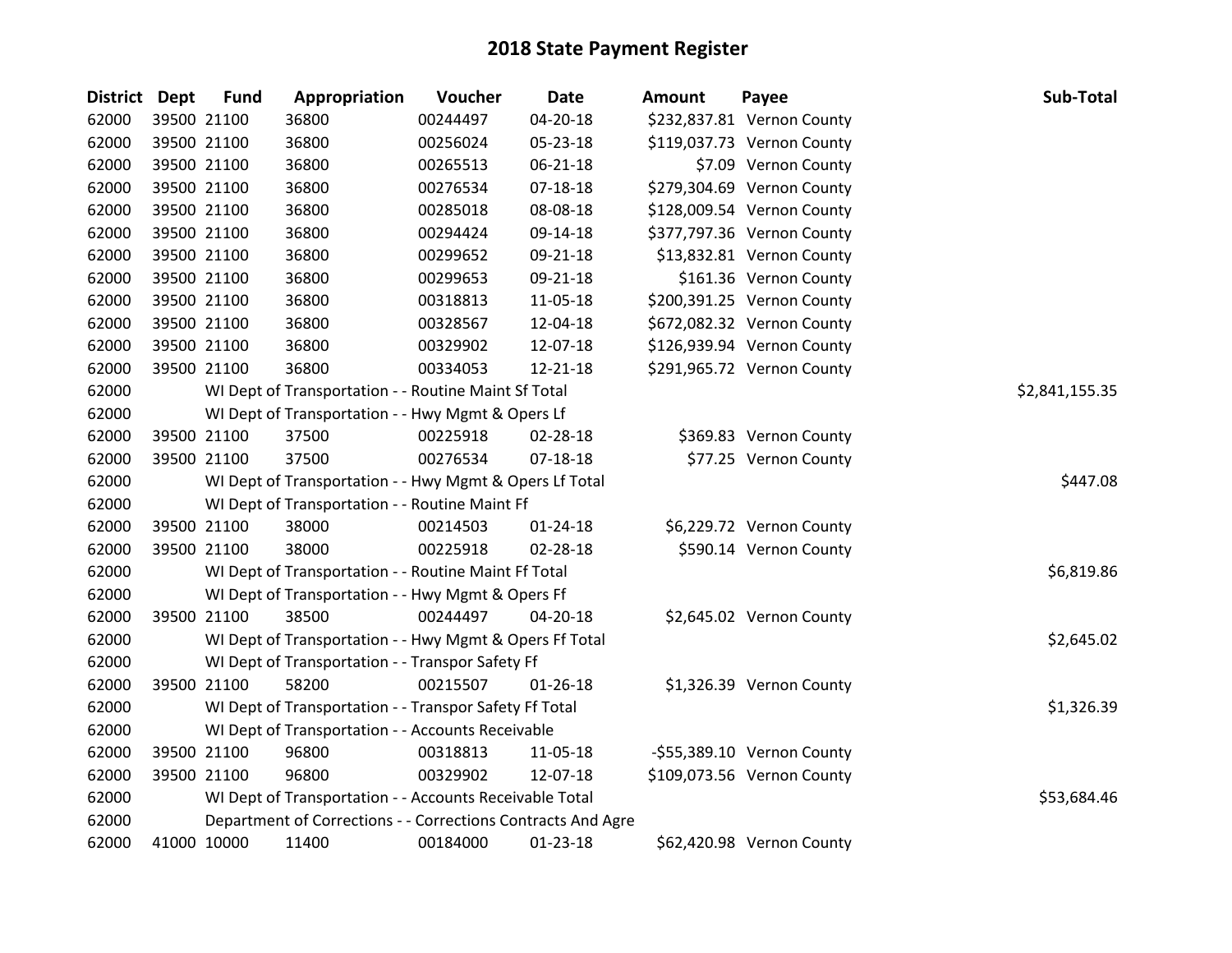| <b>District</b> | <b>Dept</b> | <b>Fund</b> | Appropriation                                                | Voucher  | <b>Date</b>    | <b>Amount</b> | Payee                      | Sub-Total      |
|-----------------|-------------|-------------|--------------------------------------------------------------|----------|----------------|---------------|----------------------------|----------------|
| 62000           |             | 39500 21100 | 36800                                                        | 00244497 | 04-20-18       |               | \$232,837.81 Vernon County |                |
| 62000           |             | 39500 21100 | 36800                                                        | 00256024 | 05-23-18       |               | \$119,037.73 Vernon County |                |
| 62000           |             | 39500 21100 | 36800                                                        | 00265513 | 06-21-18       |               | \$7.09 Vernon County       |                |
| 62000           |             | 39500 21100 | 36800                                                        | 00276534 | 07-18-18       |               | \$279,304.69 Vernon County |                |
| 62000           |             | 39500 21100 | 36800                                                        | 00285018 | 08-08-18       |               | \$128,009.54 Vernon County |                |
| 62000           |             | 39500 21100 | 36800                                                        | 00294424 | 09-14-18       |               | \$377,797.36 Vernon County |                |
| 62000           |             | 39500 21100 | 36800                                                        | 00299652 | 09-21-18       |               | \$13,832.81 Vernon County  |                |
| 62000           |             | 39500 21100 | 36800                                                        | 00299653 | 09-21-18       |               | \$161.36 Vernon County     |                |
| 62000           |             | 39500 21100 | 36800                                                        | 00318813 | 11-05-18       |               | \$200,391.25 Vernon County |                |
| 62000           |             | 39500 21100 | 36800                                                        | 00328567 | 12-04-18       |               | \$672,082.32 Vernon County |                |
| 62000           |             | 39500 21100 | 36800                                                        | 00329902 | 12-07-18       |               | \$126,939.94 Vernon County |                |
| 62000           |             | 39500 21100 | 36800                                                        | 00334053 | 12-21-18       |               | \$291,965.72 Vernon County |                |
| 62000           |             |             | WI Dept of Transportation - - Routine Maint Sf Total         |          |                |               |                            | \$2,841,155.35 |
| 62000           |             |             | WI Dept of Transportation - - Hwy Mgmt & Opers Lf            |          |                |               |                            |                |
| 62000           |             | 39500 21100 | 37500                                                        | 00225918 | 02-28-18       |               | \$369.83 Vernon County     |                |
| 62000           |             | 39500 21100 | 37500                                                        | 00276534 | 07-18-18       |               | \$77.25 Vernon County      |                |
| 62000           |             |             | WI Dept of Transportation - - Hwy Mgmt & Opers Lf Total      |          |                |               |                            | \$447.08       |
| 62000           |             |             | WI Dept of Transportation - - Routine Maint Ff               |          |                |               |                            |                |
| 62000           |             | 39500 21100 | 38000                                                        | 00214503 | $01 - 24 - 18$ |               | \$6,229.72 Vernon County   |                |
| 62000           |             | 39500 21100 | 38000                                                        | 00225918 | 02-28-18       |               | \$590.14 Vernon County     |                |
| 62000           |             |             | WI Dept of Transportation - - Routine Maint Ff Total         |          |                |               |                            | \$6,819.86     |
| 62000           |             |             | WI Dept of Transportation - - Hwy Mgmt & Opers Ff            |          |                |               |                            |                |
| 62000           |             | 39500 21100 | 38500                                                        | 00244497 | 04-20-18       |               | \$2,645.02 Vernon County   |                |
| 62000           |             |             | WI Dept of Transportation - - Hwy Mgmt & Opers Ff Total      |          |                |               |                            | \$2,645.02     |
| 62000           |             |             | WI Dept of Transportation - - Transpor Safety Ff             |          |                |               |                            |                |
| 62000           |             | 39500 21100 | 58200                                                        | 00215507 | $01 - 26 - 18$ |               | \$1,326.39 Vernon County   |                |
| 62000           |             |             | WI Dept of Transportation - - Transpor Safety Ff Total       |          |                |               |                            | \$1,326.39     |
| 62000           |             |             | WI Dept of Transportation - - Accounts Receivable            |          |                |               |                            |                |
| 62000           |             | 39500 21100 | 96800                                                        | 00318813 | 11-05-18       |               | -\$55,389.10 Vernon County |                |
| 62000           |             | 39500 21100 | 96800                                                        | 00329902 | 12-07-18       |               | \$109,073.56 Vernon County |                |
| 62000           |             |             | WI Dept of Transportation - - Accounts Receivable Total      |          |                |               |                            | \$53,684.46    |
| 62000           |             |             | Department of Corrections - - Corrections Contracts And Agre |          |                |               |                            |                |
| 62000           | 41000 10000 |             | 11400                                                        | 00184000 | 01-23-18       |               | \$62,420.98 Vernon County  |                |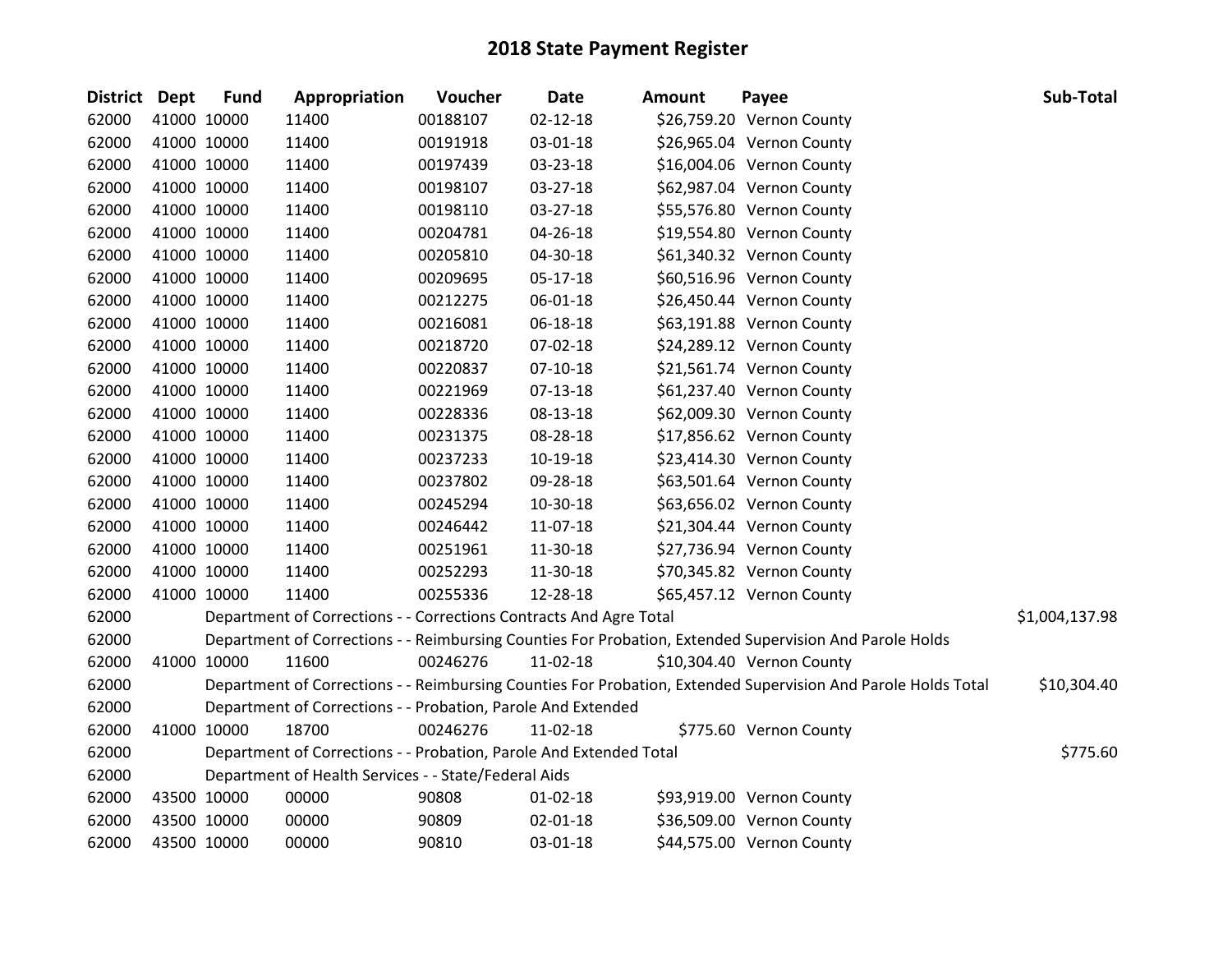| District Dept |             | <b>Fund</b> | Appropriation                                                      | Voucher  | <b>Date</b>    | <b>Amount</b> | Payee                                                                                                         | Sub-Total      |
|---------------|-------------|-------------|--------------------------------------------------------------------|----------|----------------|---------------|---------------------------------------------------------------------------------------------------------------|----------------|
| 62000         | 41000 10000 |             | 11400                                                              | 00188107 | $02 - 12 - 18$ |               | \$26,759.20 Vernon County                                                                                     |                |
| 62000         | 41000 10000 |             | 11400                                                              | 00191918 | 03-01-18       |               | \$26,965.04 Vernon County                                                                                     |                |
| 62000         | 41000 10000 |             | 11400                                                              | 00197439 | 03-23-18       |               | \$16,004.06 Vernon County                                                                                     |                |
| 62000         | 41000 10000 |             | 11400                                                              | 00198107 | 03-27-18       |               | \$62,987.04 Vernon County                                                                                     |                |
| 62000         | 41000 10000 |             | 11400                                                              | 00198110 | 03-27-18       |               | \$55,576.80 Vernon County                                                                                     |                |
| 62000         | 41000 10000 |             | 11400                                                              | 00204781 | 04-26-18       |               | \$19,554.80 Vernon County                                                                                     |                |
| 62000         | 41000 10000 |             | 11400                                                              | 00205810 | 04-30-18       |               | \$61,340.32 Vernon County                                                                                     |                |
| 62000         | 41000 10000 |             | 11400                                                              | 00209695 | 05-17-18       |               | \$60,516.96 Vernon County                                                                                     |                |
| 62000         | 41000 10000 |             | 11400                                                              | 00212275 | 06-01-18       |               | \$26,450.44 Vernon County                                                                                     |                |
| 62000         | 41000 10000 |             | 11400                                                              | 00216081 | 06-18-18       |               | \$63,191.88 Vernon County                                                                                     |                |
| 62000         | 41000 10000 |             | 11400                                                              | 00218720 | 07-02-18       |               | \$24,289.12 Vernon County                                                                                     |                |
| 62000         | 41000 10000 |             | 11400                                                              | 00220837 | 07-10-18       |               | \$21,561.74 Vernon County                                                                                     |                |
| 62000         | 41000 10000 |             | 11400                                                              | 00221969 | 07-13-18       |               | \$61,237.40 Vernon County                                                                                     |                |
| 62000         | 41000 10000 |             | 11400                                                              | 00228336 | 08-13-18       |               | \$62,009.30 Vernon County                                                                                     |                |
| 62000         | 41000 10000 |             | 11400                                                              | 00231375 | 08-28-18       |               | \$17,856.62 Vernon County                                                                                     |                |
| 62000         |             | 41000 10000 | 11400                                                              | 00237233 | 10-19-18       |               | \$23,414.30 Vernon County                                                                                     |                |
| 62000         |             | 41000 10000 | 11400                                                              | 00237802 | 09-28-18       |               | \$63,501.64 Vernon County                                                                                     |                |
| 62000         | 41000 10000 |             | 11400                                                              | 00245294 | 10-30-18       |               | \$63,656.02 Vernon County                                                                                     |                |
| 62000         | 41000 10000 |             | 11400                                                              | 00246442 | 11-07-18       |               | \$21,304.44 Vernon County                                                                                     |                |
| 62000         | 41000 10000 |             | 11400                                                              | 00251961 | 11-30-18       |               | \$27,736.94 Vernon County                                                                                     |                |
| 62000         | 41000 10000 |             | 11400                                                              | 00252293 | 11-30-18       |               | \$70,345.82 Vernon County                                                                                     |                |
| 62000         | 41000 10000 |             | 11400                                                              | 00255336 | 12-28-18       |               | \$65,457.12 Vernon County                                                                                     |                |
| 62000         |             |             | Department of Corrections - - Corrections Contracts And Agre Total |          |                |               |                                                                                                               | \$1,004,137.98 |
| 62000         |             |             |                                                                    |          |                |               | Department of Corrections - - Reimbursing Counties For Probation, Extended Supervision And Parole Holds       |                |
| 62000         | 41000 10000 |             | 11600                                                              | 00246276 | 11-02-18       |               | \$10,304.40 Vernon County                                                                                     |                |
| 62000         |             |             |                                                                    |          |                |               | Department of Corrections - - Reimbursing Counties For Probation, Extended Supervision And Parole Holds Total | \$10,304.40    |
| 62000         |             |             | Department of Corrections - - Probation, Parole And Extended       |          |                |               |                                                                                                               |                |
| 62000         | 41000 10000 |             | 18700                                                              | 00246276 | 11-02-18       |               | \$775.60 Vernon County                                                                                        |                |
| 62000         |             |             | Department of Corrections - - Probation, Parole And Extended Total |          |                |               |                                                                                                               | \$775.60       |
| 62000         |             |             | Department of Health Services - - State/Federal Aids               |          |                |               |                                                                                                               |                |
| 62000         | 43500 10000 |             | 00000                                                              | 90808    | 01-02-18       |               | \$93,919.00 Vernon County                                                                                     |                |
| 62000         | 43500 10000 |             | 00000                                                              | 90809    | 02-01-18       |               | \$36,509.00 Vernon County                                                                                     |                |
| 62000         | 43500 10000 |             | 00000                                                              | 90810    | 03-01-18       |               | \$44,575.00 Vernon County                                                                                     |                |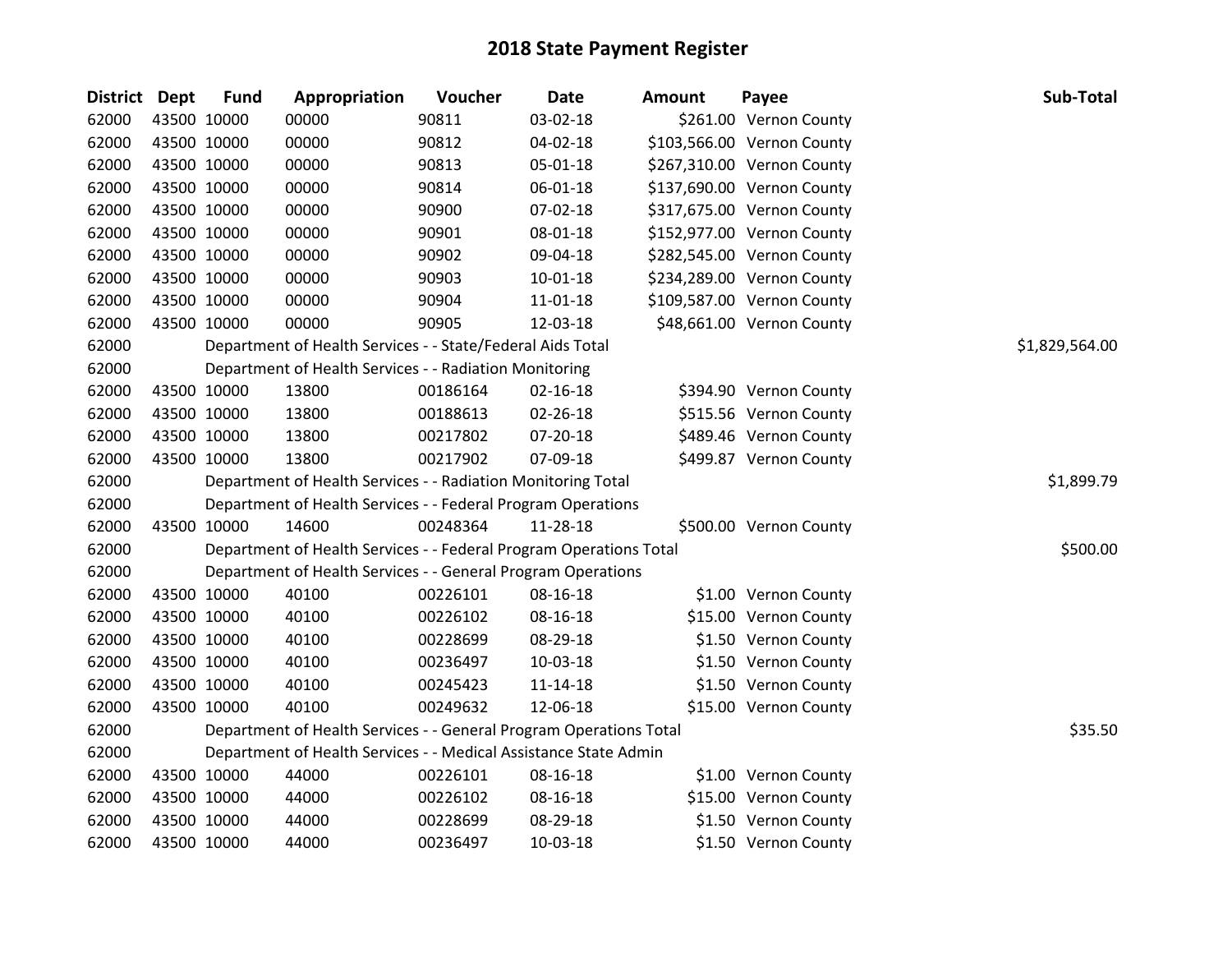| <b>District Dept</b> |             | <b>Fund</b> | Appropriation                                                      | Voucher  | <b>Date</b>    | Amount | Payee                      | Sub-Total      |
|----------------------|-------------|-------------|--------------------------------------------------------------------|----------|----------------|--------|----------------------------|----------------|
| 62000                |             | 43500 10000 | 00000                                                              | 90811    | 03-02-18       |        | \$261.00 Vernon County     |                |
| 62000                |             | 43500 10000 | 00000                                                              | 90812    | 04-02-18       |        | \$103,566.00 Vernon County |                |
| 62000                |             | 43500 10000 | 00000                                                              | 90813    | 05-01-18       |        | \$267,310.00 Vernon County |                |
| 62000                |             | 43500 10000 | 00000                                                              | 90814    | 06-01-18       |        | \$137,690.00 Vernon County |                |
| 62000                |             | 43500 10000 | 00000                                                              | 90900    | 07-02-18       |        | \$317,675.00 Vernon County |                |
| 62000                |             | 43500 10000 | 00000                                                              | 90901    | 08-01-18       |        | \$152,977.00 Vernon County |                |
| 62000                |             | 43500 10000 | 00000                                                              | 90902    | 09-04-18       |        | \$282,545.00 Vernon County |                |
| 62000                |             | 43500 10000 | 00000                                                              | 90903    | $10 - 01 - 18$ |        | \$234,289.00 Vernon County |                |
| 62000                |             | 43500 10000 | 00000                                                              | 90904    | 11-01-18       |        | \$109,587.00 Vernon County |                |
| 62000                |             | 43500 10000 | 00000                                                              | 90905    | 12-03-18       |        | \$48,661.00 Vernon County  |                |
| 62000                |             |             | Department of Health Services - - State/Federal Aids Total         |          |                |        |                            | \$1,829,564.00 |
| 62000                |             |             | Department of Health Services - - Radiation Monitoring             |          |                |        |                            |                |
| 62000                |             | 43500 10000 | 13800                                                              | 00186164 | $02 - 16 - 18$ |        | \$394.90 Vernon County     |                |
| 62000                |             | 43500 10000 | 13800                                                              | 00188613 | $02 - 26 - 18$ |        | \$515.56 Vernon County     |                |
| 62000                |             | 43500 10000 | 13800                                                              | 00217802 | 07-20-18       |        | \$489.46 Vernon County     |                |
| 62000                |             | 43500 10000 | 13800                                                              | 00217902 | 07-09-18       |        | \$499.87 Vernon County     |                |
| 62000                |             |             | Department of Health Services - - Radiation Monitoring Total       |          |                |        |                            | \$1,899.79     |
| 62000                |             |             | Department of Health Services - - Federal Program Operations       |          |                |        |                            |                |
| 62000                |             | 43500 10000 | 14600                                                              | 00248364 | 11-28-18       |        | \$500.00 Vernon County     |                |
| 62000                |             |             | Department of Health Services - - Federal Program Operations Total |          |                |        |                            | \$500.00       |
| 62000                |             |             | Department of Health Services - - General Program Operations       |          |                |        |                            |                |
| 62000                |             | 43500 10000 | 40100                                                              | 00226101 | 08-16-18       |        | \$1.00 Vernon County       |                |
| 62000                |             | 43500 10000 | 40100                                                              | 00226102 | 08-16-18       |        | \$15.00 Vernon County      |                |
| 62000                |             | 43500 10000 | 40100                                                              | 00228699 | 08-29-18       |        | \$1.50 Vernon County       |                |
| 62000                |             | 43500 10000 | 40100                                                              | 00236497 | $10-03-18$     |        | \$1.50 Vernon County       |                |
| 62000                |             | 43500 10000 | 40100                                                              | 00245423 | $11 - 14 - 18$ |        | \$1.50 Vernon County       |                |
| 62000                |             | 43500 10000 | 40100                                                              | 00249632 | 12-06-18       |        | \$15.00 Vernon County      |                |
| 62000                |             |             | Department of Health Services - - General Program Operations Total |          |                |        |                            | \$35.50        |
| 62000                |             |             | Department of Health Services - - Medical Assistance State Admin   |          |                |        |                            |                |
| 62000                |             | 43500 10000 | 44000                                                              | 00226101 | 08-16-18       |        | \$1.00 Vernon County       |                |
| 62000                |             | 43500 10000 | 44000                                                              | 00226102 | 08-16-18       |        | \$15.00 Vernon County      |                |
| 62000                |             | 43500 10000 | 44000                                                              | 00228699 | 08-29-18       |        | \$1.50 Vernon County       |                |
| 62000                | 43500 10000 |             | 44000                                                              | 00236497 | $10-03-18$     |        | \$1.50 Vernon County       |                |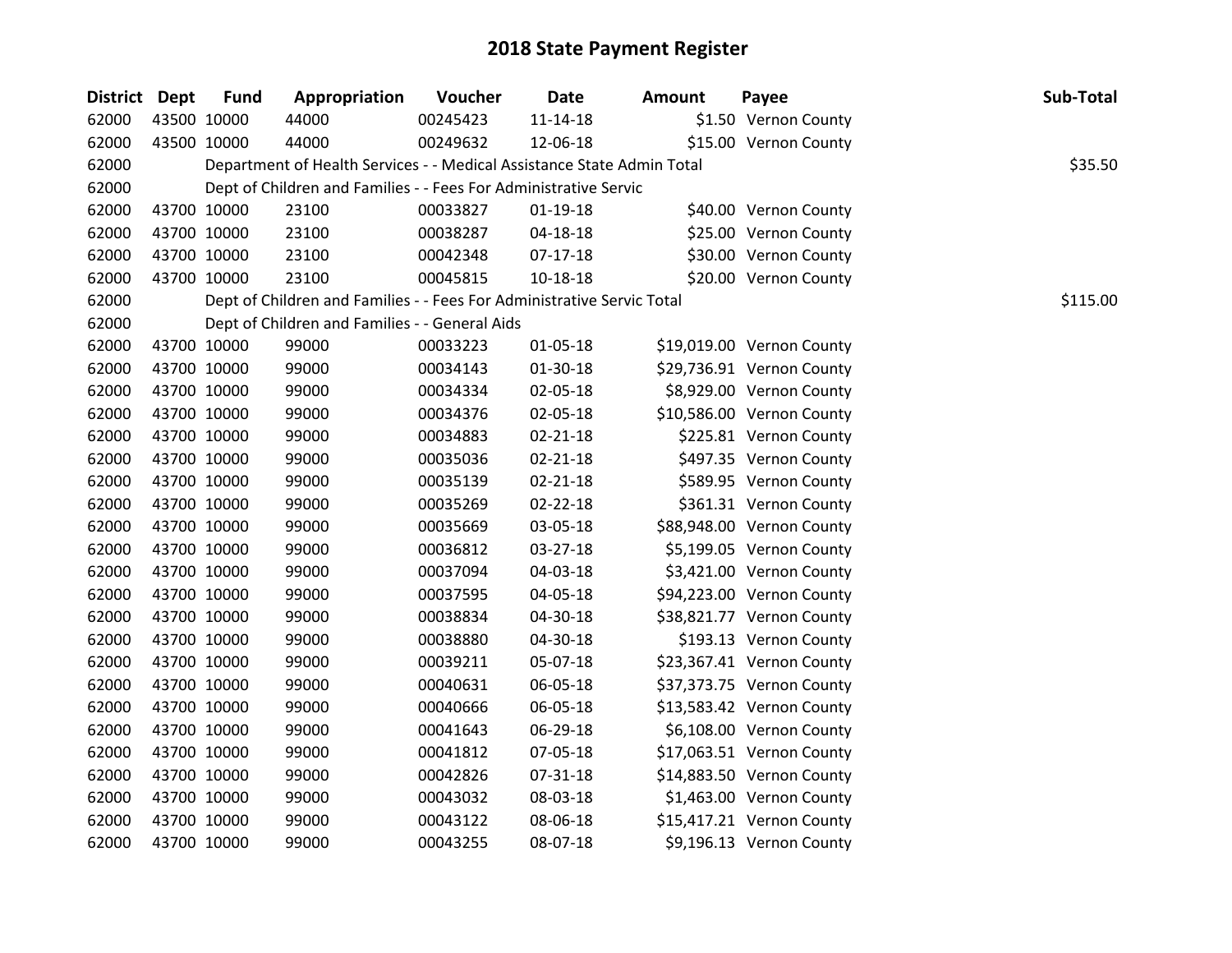| District Dept |             | <b>Fund</b> | Appropriation                                                          | Voucher  | <b>Date</b>    | <b>Amount</b> | Payee                     | Sub-Total |
|---------------|-------------|-------------|------------------------------------------------------------------------|----------|----------------|---------------|---------------------------|-----------|
| 62000         | 43500 10000 |             | 44000                                                                  | 00245423 | $11 - 14 - 18$ |               | \$1.50 Vernon County      |           |
| 62000         | 43500 10000 |             | 44000                                                                  | 00249632 | 12-06-18       |               | \$15.00 Vernon County     |           |
| 62000         |             |             | Department of Health Services - - Medical Assistance State Admin Total |          |                |               |                           | \$35.50   |
| 62000         |             |             | Dept of Children and Families - - Fees For Administrative Servic       |          |                |               |                           |           |
| 62000         |             | 43700 10000 | 23100                                                                  | 00033827 | $01-19-18$     |               | \$40.00 Vernon County     |           |
| 62000         |             | 43700 10000 | 23100                                                                  | 00038287 | 04-18-18       |               | \$25.00 Vernon County     |           |
| 62000         |             | 43700 10000 | 23100                                                                  | 00042348 | $07-17-18$     |               | \$30.00 Vernon County     |           |
| 62000         |             | 43700 10000 | 23100                                                                  | 00045815 | 10-18-18       |               | \$20.00 Vernon County     |           |
| 62000         |             |             | Dept of Children and Families - - Fees For Administrative Servic Total |          |                |               |                           | \$115.00  |
| 62000         |             |             | Dept of Children and Families - - General Aids                         |          |                |               |                           |           |
| 62000         | 43700 10000 |             | 99000                                                                  | 00033223 | $01 - 05 - 18$ |               | \$19,019.00 Vernon County |           |
| 62000         |             | 43700 10000 | 99000                                                                  | 00034143 | 01-30-18       |               | \$29,736.91 Vernon County |           |
| 62000         | 43700 10000 |             | 99000                                                                  | 00034334 | 02-05-18       |               | \$8,929.00 Vernon County  |           |
| 62000         | 43700 10000 |             | 99000                                                                  | 00034376 | 02-05-18       |               | \$10,586.00 Vernon County |           |
| 62000         | 43700 10000 |             | 99000                                                                  | 00034883 | $02 - 21 - 18$ |               | \$225.81 Vernon County    |           |
| 62000         | 43700 10000 |             | 99000                                                                  | 00035036 | $02 - 21 - 18$ |               | \$497.35 Vernon County    |           |
| 62000         | 43700 10000 |             | 99000                                                                  | 00035139 | $02 - 21 - 18$ |               | \$589.95 Vernon County    |           |
| 62000         | 43700 10000 |             | 99000                                                                  | 00035269 | 02-22-18       |               | \$361.31 Vernon County    |           |
| 62000         | 43700 10000 |             | 99000                                                                  | 00035669 | 03-05-18       |               | \$88,948.00 Vernon County |           |
| 62000         | 43700 10000 |             | 99000                                                                  | 00036812 | 03-27-18       |               | \$5,199.05 Vernon County  |           |
| 62000         | 43700 10000 |             | 99000                                                                  | 00037094 | 04-03-18       |               | \$3,421.00 Vernon County  |           |
| 62000         |             | 43700 10000 | 99000                                                                  | 00037595 | 04-05-18       |               | \$94,223.00 Vernon County |           |
| 62000         | 43700 10000 |             | 99000                                                                  | 00038834 | 04-30-18       |               | \$38,821.77 Vernon County |           |
| 62000         | 43700 10000 |             | 99000                                                                  | 00038880 | 04-30-18       |               | \$193.13 Vernon County    |           |
| 62000         | 43700 10000 |             | 99000                                                                  | 00039211 | 05-07-18       |               | \$23,367.41 Vernon County |           |
| 62000         | 43700 10000 |             | 99000                                                                  | 00040631 | 06-05-18       |               | \$37,373.75 Vernon County |           |
| 62000         | 43700 10000 |             | 99000                                                                  | 00040666 | 06-05-18       |               | \$13,583.42 Vernon County |           |
| 62000         | 43700 10000 |             | 99000                                                                  | 00041643 | 06-29-18       |               | \$6,108.00 Vernon County  |           |
| 62000         | 43700 10000 |             | 99000                                                                  | 00041812 | 07-05-18       |               | \$17,063.51 Vernon County |           |
| 62000         | 43700 10000 |             | 99000                                                                  | 00042826 | 07-31-18       |               | \$14,883.50 Vernon County |           |
| 62000         | 43700 10000 |             | 99000                                                                  | 00043032 | 08-03-18       |               | \$1,463.00 Vernon County  |           |
| 62000         | 43700 10000 |             | 99000                                                                  | 00043122 | 08-06-18       |               | \$15,417.21 Vernon County |           |
| 62000         | 43700 10000 |             | 99000                                                                  | 00043255 | 08-07-18       |               | \$9,196.13 Vernon County  |           |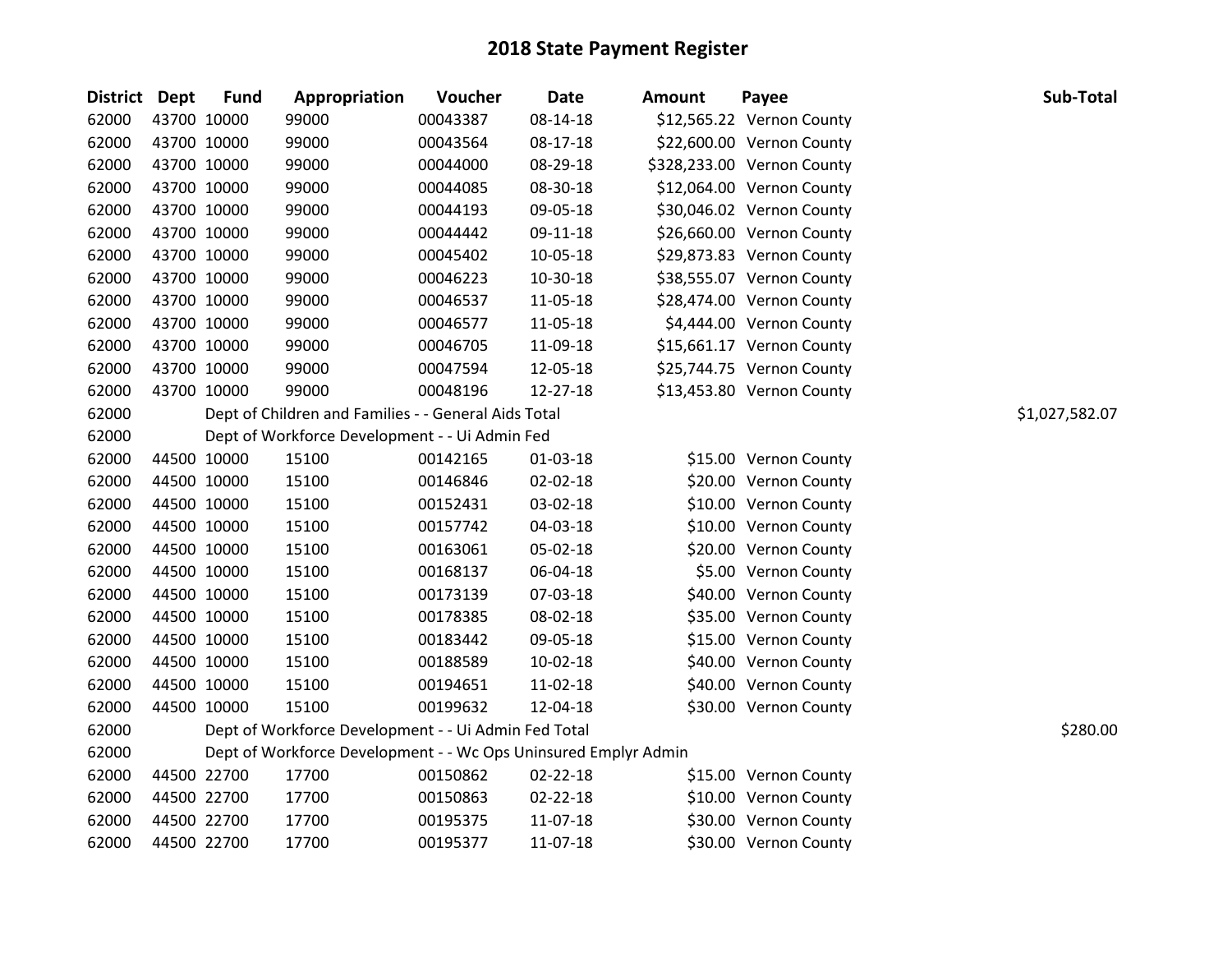| District Dept |             | <b>Fund</b> | Appropriation                                                   | Voucher  | <b>Date</b>    | <b>Amount</b> | Payee                      | Sub-Total      |
|---------------|-------------|-------------|-----------------------------------------------------------------|----------|----------------|---------------|----------------------------|----------------|
| 62000         |             | 43700 10000 | 99000                                                           | 00043387 | 08-14-18       |               | \$12,565.22 Vernon County  |                |
| 62000         |             | 43700 10000 | 99000                                                           | 00043564 | 08-17-18       |               | \$22,600.00 Vernon County  |                |
| 62000         | 43700 10000 |             | 99000                                                           | 00044000 | 08-29-18       |               | \$328,233.00 Vernon County |                |
| 62000         | 43700 10000 |             | 99000                                                           | 00044085 | 08-30-18       |               | \$12,064.00 Vernon County  |                |
| 62000         |             | 43700 10000 | 99000                                                           | 00044193 | 09-05-18       |               | \$30,046.02 Vernon County  |                |
| 62000         | 43700 10000 |             | 99000                                                           | 00044442 | 09-11-18       |               | \$26,660.00 Vernon County  |                |
| 62000         |             | 43700 10000 | 99000                                                           | 00045402 | 10-05-18       |               | \$29,873.83 Vernon County  |                |
| 62000         |             | 43700 10000 | 99000                                                           | 00046223 | 10-30-18       |               | \$38,555.07 Vernon County  |                |
| 62000         | 43700 10000 |             | 99000                                                           | 00046537 | 11-05-18       |               | \$28,474.00 Vernon County  |                |
| 62000         |             | 43700 10000 | 99000                                                           | 00046577 | 11-05-18       |               | \$4,444.00 Vernon County   |                |
| 62000         | 43700 10000 |             | 99000                                                           | 00046705 | 11-09-18       |               | \$15,661.17 Vernon County  |                |
| 62000         |             | 43700 10000 | 99000                                                           | 00047594 | 12-05-18       |               | \$25,744.75 Vernon County  |                |
| 62000         |             | 43700 10000 | 99000                                                           | 00048196 | 12-27-18       |               | \$13,453.80 Vernon County  |                |
| 62000         |             |             | Dept of Children and Families - - General Aids Total            |          |                |               |                            | \$1,027,582.07 |
| 62000         |             |             | Dept of Workforce Development - - Ui Admin Fed                  |          |                |               |                            |                |
| 62000         |             | 44500 10000 | 15100                                                           | 00142165 | 01-03-18       |               | \$15.00 Vernon County      |                |
| 62000         |             | 44500 10000 | 15100                                                           | 00146846 | $02 - 02 - 18$ |               | \$20.00 Vernon County      |                |
| 62000         |             | 44500 10000 | 15100                                                           | 00152431 | 03-02-18       |               | \$10.00 Vernon County      |                |
| 62000         |             | 44500 10000 | 15100                                                           | 00157742 | 04-03-18       |               | \$10.00 Vernon County      |                |
| 62000         |             | 44500 10000 | 15100                                                           | 00163061 | 05-02-18       |               | \$20.00 Vernon County      |                |
| 62000         |             | 44500 10000 | 15100                                                           | 00168137 | 06-04-18       |               | \$5.00 Vernon County       |                |
| 62000         |             | 44500 10000 | 15100                                                           | 00173139 | 07-03-18       |               | \$40.00 Vernon County      |                |
| 62000         | 44500 10000 |             | 15100                                                           | 00178385 | 08-02-18       |               | \$35.00 Vernon County      |                |
| 62000         |             | 44500 10000 | 15100                                                           | 00183442 | 09-05-18       |               | \$15.00 Vernon County      |                |
| 62000         |             | 44500 10000 | 15100                                                           | 00188589 | $10-02-18$     |               | \$40.00 Vernon County      |                |
| 62000         |             | 44500 10000 | 15100                                                           | 00194651 | 11-02-18       |               | \$40.00 Vernon County      |                |
| 62000         |             | 44500 10000 | 15100                                                           | 00199632 | 12-04-18       |               | \$30.00 Vernon County      |                |
| 62000         |             |             | Dept of Workforce Development - - Ui Admin Fed Total            |          |                |               |                            | \$280.00       |
| 62000         |             |             | Dept of Workforce Development - - Wc Ops Uninsured Emplyr Admin |          |                |               |                            |                |
| 62000         |             | 44500 22700 | 17700                                                           | 00150862 | $02 - 22 - 18$ |               | \$15.00 Vernon County      |                |
| 62000         |             | 44500 22700 | 17700                                                           | 00150863 | 02-22-18       |               | \$10.00 Vernon County      |                |
| 62000         |             | 44500 22700 | 17700                                                           | 00195375 | 11-07-18       |               | \$30.00 Vernon County      |                |
| 62000         | 44500 22700 |             | 17700                                                           | 00195377 | 11-07-18       |               | \$30.00 Vernon County      |                |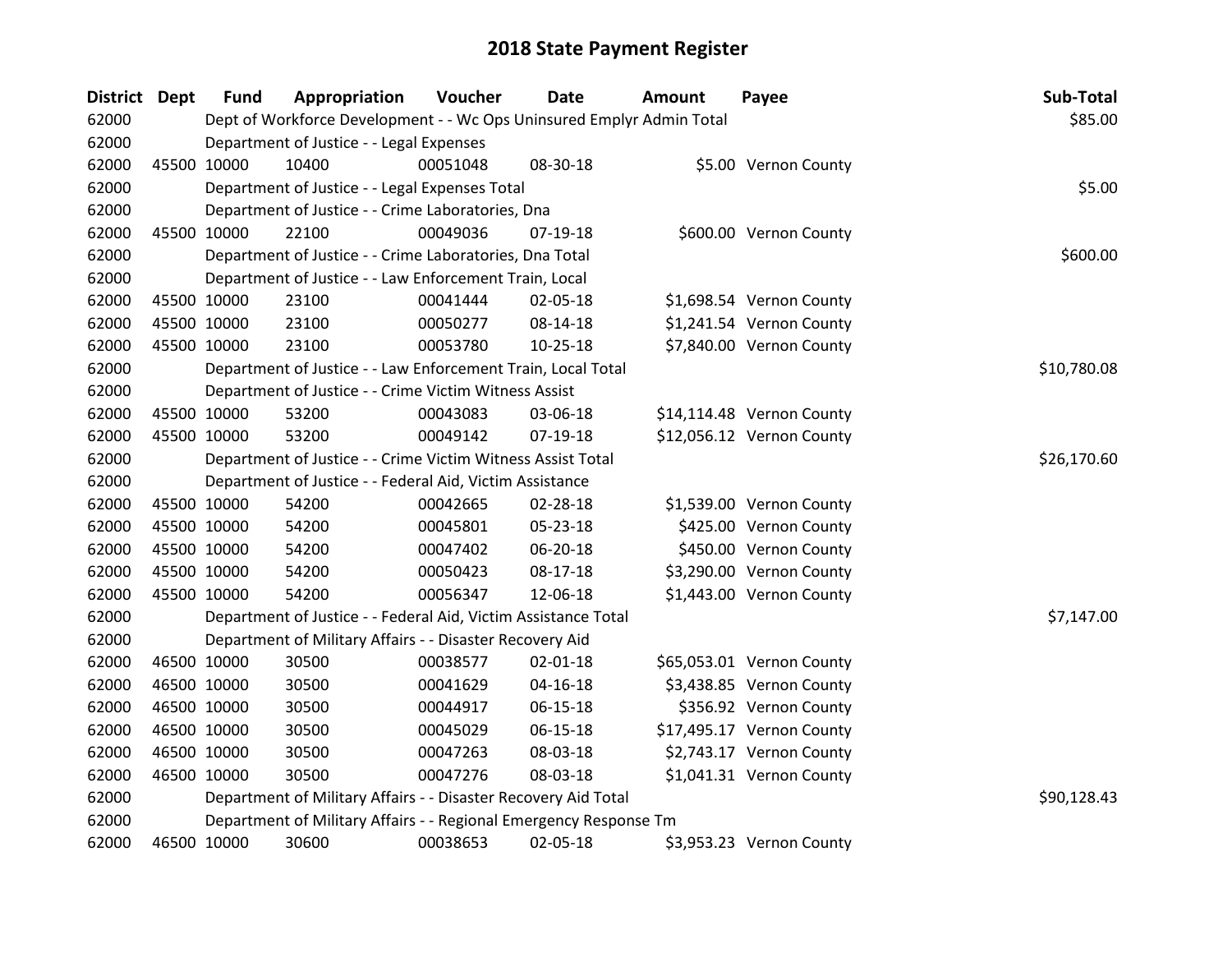| District Dept |             | <b>Fund</b> | Appropriation                                                         | Voucher  | <b>Date</b>    | <b>Amount</b> | Payee                     | Sub-Total   |
|---------------|-------------|-------------|-----------------------------------------------------------------------|----------|----------------|---------------|---------------------------|-------------|
| 62000         |             |             | Dept of Workforce Development - - Wc Ops Uninsured Emplyr Admin Total |          |                |               |                           | \$85.00     |
| 62000         |             |             | Department of Justice - - Legal Expenses                              |          |                |               |                           |             |
| 62000         |             | 45500 10000 | 10400                                                                 | 00051048 | 08-30-18       |               | \$5.00 Vernon County      |             |
| 62000         |             |             | Department of Justice - - Legal Expenses Total                        |          |                |               |                           | \$5.00      |
| 62000         |             |             | Department of Justice - - Crime Laboratories, Dna                     |          |                |               |                           |             |
| 62000         |             | 45500 10000 | 22100                                                                 | 00049036 | 07-19-18       |               | \$600.00 Vernon County    |             |
| 62000         |             |             | Department of Justice - - Crime Laboratories, Dna Total               |          |                |               |                           | \$600.00    |
| 62000         |             |             | Department of Justice - - Law Enforcement Train, Local                |          |                |               |                           |             |
| 62000         |             | 45500 10000 | 23100                                                                 | 00041444 | 02-05-18       |               | \$1,698.54 Vernon County  |             |
| 62000         |             | 45500 10000 | 23100                                                                 | 00050277 | $08 - 14 - 18$ |               | \$1,241.54 Vernon County  |             |
| 62000         |             | 45500 10000 | 23100                                                                 | 00053780 | $10 - 25 - 18$ |               | \$7,840.00 Vernon County  |             |
| 62000         |             |             | Department of Justice - - Law Enforcement Train, Local Total          |          |                |               |                           | \$10,780.08 |
| 62000         |             |             | Department of Justice - - Crime Victim Witness Assist                 |          |                |               |                           |             |
| 62000         |             | 45500 10000 | 53200                                                                 | 00043083 | 03-06-18       |               | \$14,114.48 Vernon County |             |
| 62000         |             | 45500 10000 | 53200                                                                 | 00049142 | 07-19-18       |               | \$12,056.12 Vernon County |             |
| 62000         |             |             | Department of Justice - - Crime Victim Witness Assist Total           |          |                |               |                           | \$26,170.60 |
| 62000         |             |             | Department of Justice - - Federal Aid, Victim Assistance              |          |                |               |                           |             |
| 62000         | 45500 10000 |             | 54200                                                                 | 00042665 | 02-28-18       |               | \$1,539.00 Vernon County  |             |
| 62000         |             | 45500 10000 | 54200                                                                 | 00045801 | 05-23-18       |               | \$425.00 Vernon County    |             |
| 62000         |             | 45500 10000 | 54200                                                                 | 00047402 | 06-20-18       |               | \$450.00 Vernon County    |             |
| 62000         |             | 45500 10000 | 54200                                                                 | 00050423 | $08-17-18$     |               | \$3,290.00 Vernon County  |             |
| 62000         |             | 45500 10000 | 54200                                                                 | 00056347 | 12-06-18       |               | \$1,443.00 Vernon County  |             |
| 62000         |             |             | Department of Justice - - Federal Aid, Victim Assistance Total        |          |                |               |                           | \$7,147.00  |
| 62000         |             |             | Department of Military Affairs - - Disaster Recovery Aid              |          |                |               |                           |             |
| 62000         |             | 46500 10000 | 30500                                                                 | 00038577 | 02-01-18       |               | \$65,053.01 Vernon County |             |
| 62000         |             | 46500 10000 | 30500                                                                 | 00041629 | 04-16-18       |               | \$3,438.85 Vernon County  |             |
| 62000         | 46500 10000 |             | 30500                                                                 | 00044917 | 06-15-18       |               | \$356.92 Vernon County    |             |
| 62000         |             | 46500 10000 | 30500                                                                 | 00045029 | $06 - 15 - 18$ |               | \$17,495.17 Vernon County |             |
| 62000         |             | 46500 10000 | 30500                                                                 | 00047263 | 08-03-18       |               | \$2,743.17 Vernon County  |             |
| 62000         |             | 46500 10000 | 30500                                                                 | 00047276 | 08-03-18       |               | \$1,041.31 Vernon County  |             |
| 62000         |             |             | Department of Military Affairs - - Disaster Recovery Aid Total        |          |                |               |                           | \$90,128.43 |
| 62000         |             |             | Department of Military Affairs - - Regional Emergency Response Tm     |          |                |               |                           |             |
| 62000         | 46500 10000 |             | 30600                                                                 | 00038653 | 02-05-18       |               | \$3,953.23 Vernon County  |             |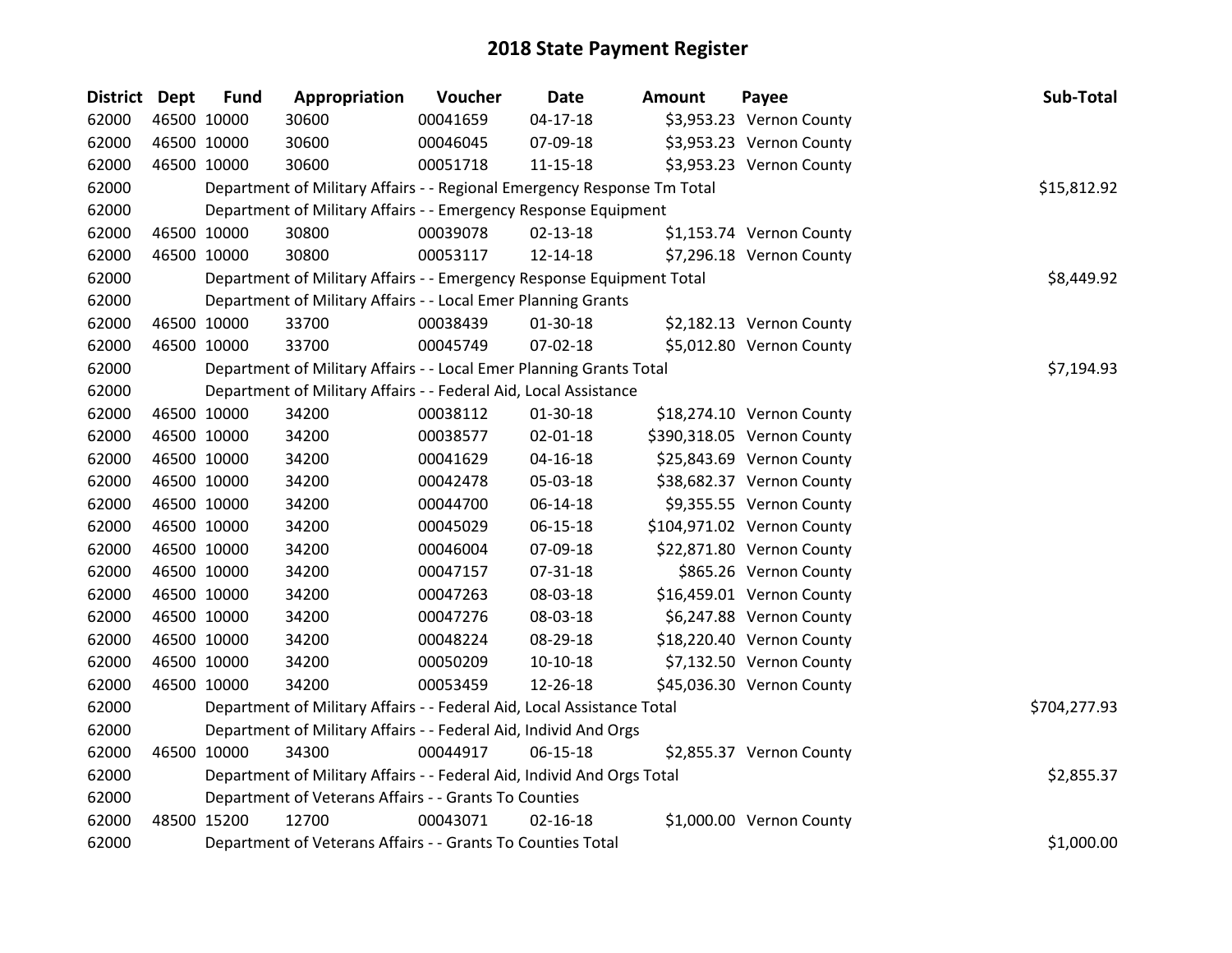| <b>District Dept</b> |             | <b>Fund</b> | Appropriation                                                           | Voucher  | Date           | <b>Amount</b> | Payee                      | Sub-Total    |
|----------------------|-------------|-------------|-------------------------------------------------------------------------|----------|----------------|---------------|----------------------------|--------------|
| 62000                | 46500 10000 |             | 30600                                                                   | 00041659 | $04 - 17 - 18$ |               | \$3,953.23 Vernon County   |              |
| 62000                | 46500 10000 |             | 30600                                                                   | 00046045 | 07-09-18       |               | \$3,953.23 Vernon County   |              |
| 62000                | 46500 10000 |             | 30600                                                                   | 00051718 | 11-15-18       |               | \$3,953.23 Vernon County   |              |
| 62000                |             |             | Department of Military Affairs - - Regional Emergency Response Tm Total |          |                |               |                            | \$15,812.92  |
| 62000                |             |             | Department of Military Affairs - - Emergency Response Equipment         |          |                |               |                            |              |
| 62000                |             | 46500 10000 | 30800                                                                   | 00039078 | 02-13-18       |               | \$1,153.74 Vernon County   |              |
| 62000                |             | 46500 10000 | 30800                                                                   | 00053117 | 12-14-18       |               | \$7,296.18 Vernon County   |              |
| 62000                |             |             | Department of Military Affairs - - Emergency Response Equipment Total   |          |                |               |                            | \$8,449.92   |
| 62000                |             |             | Department of Military Affairs - - Local Emer Planning Grants           |          |                |               |                            |              |
| 62000                | 46500 10000 |             | 33700                                                                   | 00038439 | 01-30-18       |               | \$2,182.13 Vernon County   |              |
| 62000                |             | 46500 10000 | 33700                                                                   | 00045749 | 07-02-18       |               | \$5,012.80 Vernon County   |              |
| 62000                |             |             | Department of Military Affairs - - Local Emer Planning Grants Total     |          |                |               |                            | \$7,194.93   |
| 62000                |             |             | Department of Military Affairs - - Federal Aid, Local Assistance        |          |                |               |                            |              |
| 62000                |             | 46500 10000 | 34200                                                                   | 00038112 | 01-30-18       |               | \$18,274.10 Vernon County  |              |
| 62000                |             | 46500 10000 | 34200                                                                   | 00038577 | $02 - 01 - 18$ |               | \$390,318.05 Vernon County |              |
| 62000                |             | 46500 10000 | 34200                                                                   | 00041629 | 04-16-18       |               | \$25,843.69 Vernon County  |              |
| 62000                | 46500 10000 |             | 34200                                                                   | 00042478 | 05-03-18       |               | \$38,682.37 Vernon County  |              |
| 62000                | 46500 10000 |             | 34200                                                                   | 00044700 | 06-14-18       |               | \$9,355.55 Vernon County   |              |
| 62000                | 46500 10000 |             | 34200                                                                   | 00045029 | 06-15-18       |               | \$104,971.02 Vernon County |              |
| 62000                |             | 46500 10000 | 34200                                                                   | 00046004 | 07-09-18       |               | \$22,871.80 Vernon County  |              |
| 62000                |             | 46500 10000 | 34200                                                                   | 00047157 | 07-31-18       |               | \$865.26 Vernon County     |              |
| 62000                | 46500 10000 |             | 34200                                                                   | 00047263 | 08-03-18       |               | \$16,459.01 Vernon County  |              |
| 62000                | 46500 10000 |             | 34200                                                                   | 00047276 | 08-03-18       |               | \$6,247.88 Vernon County   |              |
| 62000                |             | 46500 10000 | 34200                                                                   | 00048224 | 08-29-18       |               | \$18,220.40 Vernon County  |              |
| 62000                |             | 46500 10000 | 34200                                                                   | 00050209 | $10-10-18$     |               | \$7,132.50 Vernon County   |              |
| 62000                |             | 46500 10000 | 34200                                                                   | 00053459 | 12-26-18       |               | \$45,036.30 Vernon County  |              |
| 62000                |             |             | Department of Military Affairs - - Federal Aid, Local Assistance Total  |          |                |               |                            | \$704,277.93 |
| 62000                |             |             | Department of Military Affairs - - Federal Aid, Individ And Orgs        |          |                |               |                            |              |
| 62000                |             | 46500 10000 | 34300                                                                   | 00044917 | 06-15-18       |               | \$2,855.37 Vernon County   |              |
| 62000                |             |             | Department of Military Affairs - - Federal Aid, Individ And Orgs Total  |          |                |               |                            | \$2,855.37   |
| 62000                |             |             | Department of Veterans Affairs - - Grants To Counties                   |          |                |               |                            |              |
| 62000                | 48500 15200 |             | 12700                                                                   | 00043071 | $02 - 16 - 18$ |               | \$1,000.00 Vernon County   |              |
| 62000                |             |             | Department of Veterans Affairs - - Grants To Counties Total             |          |                |               |                            | \$1,000.00   |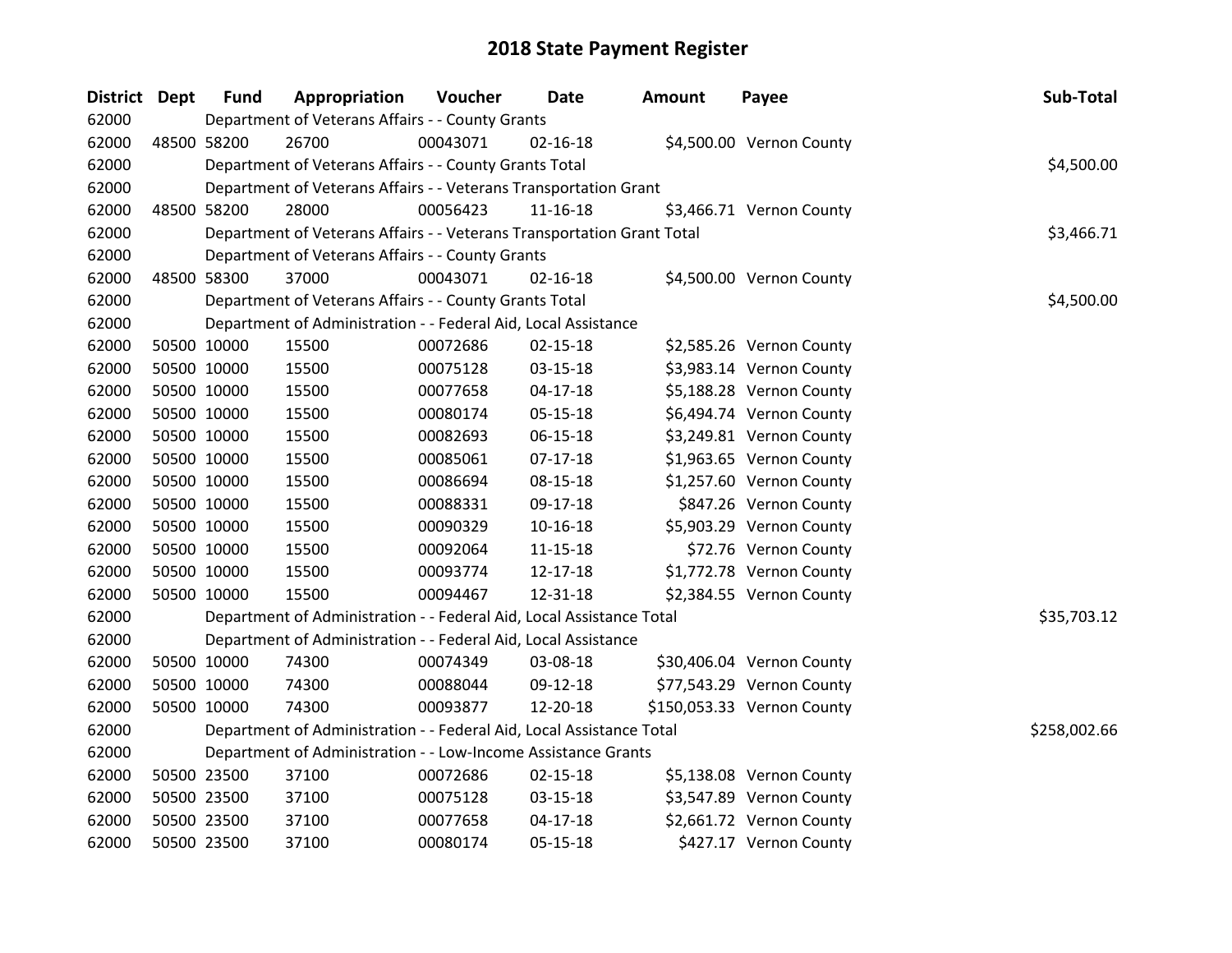| District Dept | <b>Fund</b> | Appropriation                                                          | Voucher  | Date           | <b>Amount</b> | Payee                      | Sub-Total    |
|---------------|-------------|------------------------------------------------------------------------|----------|----------------|---------------|----------------------------|--------------|
| 62000         |             | Department of Veterans Affairs - - County Grants                       |          |                |               |                            |              |
| 62000         | 48500 58200 | 26700                                                                  | 00043071 | $02 - 16 - 18$ |               | \$4,500.00 Vernon County   |              |
| 62000         |             | Department of Veterans Affairs - - County Grants Total                 |          |                |               |                            | \$4,500.00   |
| 62000         |             | Department of Veterans Affairs - - Veterans Transportation Grant       |          |                |               |                            |              |
| 62000         | 48500 58200 | 28000                                                                  | 00056423 | 11-16-18       |               | \$3,466.71 Vernon County   |              |
| 62000         |             | Department of Veterans Affairs - - Veterans Transportation Grant Total |          |                |               |                            | \$3,466.71   |
| 62000         |             | Department of Veterans Affairs - - County Grants                       |          |                |               |                            |              |
| 62000         | 48500 58300 | 37000                                                                  | 00043071 | $02 - 16 - 18$ |               | \$4,500.00 Vernon County   |              |
| 62000         |             | Department of Veterans Affairs - - County Grants Total                 |          |                |               |                            | \$4,500.00   |
| 62000         |             | Department of Administration - - Federal Aid, Local Assistance         |          |                |               |                            |              |
| 62000         | 50500 10000 | 15500                                                                  | 00072686 | $02 - 15 - 18$ |               | \$2,585.26 Vernon County   |              |
| 62000         | 50500 10000 | 15500                                                                  | 00075128 | 03-15-18       |               | \$3,983.14 Vernon County   |              |
| 62000         | 50500 10000 | 15500                                                                  | 00077658 | $04 - 17 - 18$ |               | \$5,188.28 Vernon County   |              |
| 62000         | 50500 10000 | 15500                                                                  | 00080174 | 05-15-18       |               | \$6,494.74 Vernon County   |              |
| 62000         | 50500 10000 | 15500                                                                  | 00082693 | 06-15-18       |               | \$3,249.81 Vernon County   |              |
| 62000         | 50500 10000 | 15500                                                                  | 00085061 | $07-17-18$     |               | \$1,963.65 Vernon County   |              |
| 62000         | 50500 10000 | 15500                                                                  | 00086694 | 08-15-18       |               | \$1,257.60 Vernon County   |              |
| 62000         | 50500 10000 | 15500                                                                  | 00088331 | 09-17-18       |               | \$847.26 Vernon County     |              |
| 62000         | 50500 10000 | 15500                                                                  | 00090329 | $10 - 16 - 18$ |               | \$5,903.29 Vernon County   |              |
| 62000         | 50500 10000 | 15500                                                                  | 00092064 | $11 - 15 - 18$ |               | \$72.76 Vernon County      |              |
| 62000         | 50500 10000 | 15500                                                                  | 00093774 | 12-17-18       |               | \$1,772.78 Vernon County   |              |
| 62000         | 50500 10000 | 15500                                                                  | 00094467 | 12-31-18       |               | \$2,384.55 Vernon County   |              |
| 62000         |             | Department of Administration - - Federal Aid, Local Assistance Total   |          |                |               |                            | \$35,703.12  |
| 62000         |             | Department of Administration - - Federal Aid, Local Assistance         |          |                |               |                            |              |
| 62000         | 50500 10000 | 74300                                                                  | 00074349 | 03-08-18       |               | \$30,406.04 Vernon County  |              |
| 62000         | 50500 10000 | 74300                                                                  | 00088044 | 09-12-18       |               | \$77,543.29 Vernon County  |              |
| 62000         | 50500 10000 | 74300                                                                  | 00093877 | 12-20-18       |               | \$150,053.33 Vernon County |              |
| 62000         |             | Department of Administration - - Federal Aid, Local Assistance Total   |          |                |               |                            | \$258,002.66 |
| 62000         |             | Department of Administration - - Low-Income Assistance Grants          |          |                |               |                            |              |
| 62000         | 50500 23500 | 37100                                                                  | 00072686 | 02-15-18       |               | \$5,138.08 Vernon County   |              |
| 62000         | 50500 23500 | 37100                                                                  | 00075128 | 03-15-18       |               | \$3,547.89 Vernon County   |              |
| 62000         | 50500 23500 | 37100                                                                  | 00077658 | $04 - 17 - 18$ |               | \$2,661.72 Vernon County   |              |
| 62000         | 50500 23500 | 37100                                                                  | 00080174 | 05-15-18       |               | \$427.17 Vernon County     |              |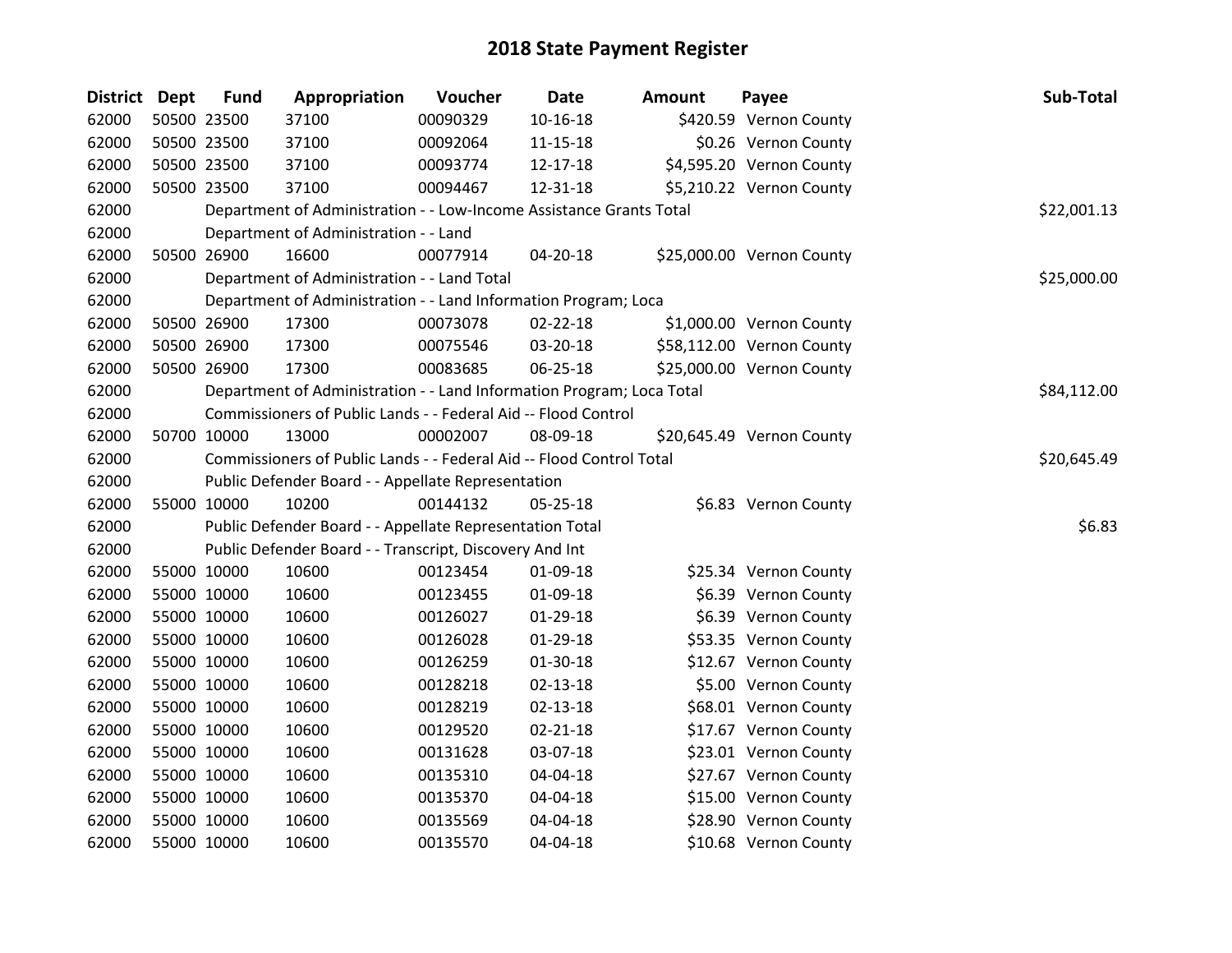| District Dept | <b>Fund</b> | Appropriation                                                         | Voucher  | <b>Date</b>    | <b>Amount</b> | Payee                     | Sub-Total   |
|---------------|-------------|-----------------------------------------------------------------------|----------|----------------|---------------|---------------------------|-------------|
| 62000         | 50500 23500 | 37100                                                                 | 00090329 | $10 - 16 - 18$ |               | \$420.59 Vernon County    |             |
| 62000         | 50500 23500 | 37100                                                                 | 00092064 | 11-15-18       |               | \$0.26 Vernon County      |             |
| 62000         | 50500 23500 | 37100                                                                 | 00093774 | 12-17-18       |               | \$4,595.20 Vernon County  |             |
| 62000         | 50500 23500 | 37100                                                                 | 00094467 | 12-31-18       |               | \$5,210.22 Vernon County  |             |
| 62000         |             | Department of Administration - - Low-Income Assistance Grants Total   |          |                |               |                           | \$22,001.13 |
| 62000         |             | Department of Administration - - Land                                 |          |                |               |                           |             |
| 62000         | 50500 26900 | 16600                                                                 | 00077914 | $04 - 20 - 18$ |               | \$25,000.00 Vernon County |             |
| 62000         |             | Department of Administration - - Land Total                           |          |                |               |                           | \$25,000.00 |
| 62000         |             | Department of Administration - - Land Information Program; Loca       |          |                |               |                           |             |
| 62000         | 50500 26900 | 17300                                                                 | 00073078 | 02-22-18       |               | \$1,000.00 Vernon County  |             |
| 62000         | 50500 26900 | 17300                                                                 | 00075546 | 03-20-18       |               | \$58,112.00 Vernon County |             |
| 62000         | 50500 26900 | 17300                                                                 | 00083685 | 06-25-18       |               | \$25,000.00 Vernon County |             |
| 62000         |             | Department of Administration - - Land Information Program; Loca Total |          |                |               |                           | \$84,112.00 |
| 62000         |             | Commissioners of Public Lands - - Federal Aid -- Flood Control        |          |                |               |                           |             |
| 62000         | 50700 10000 | 13000                                                                 | 00002007 | 08-09-18       |               | \$20,645.49 Vernon County |             |
| 62000         |             | Commissioners of Public Lands - - Federal Aid -- Flood Control Total  |          |                |               |                           | \$20,645.49 |
| 62000         |             | Public Defender Board - - Appellate Representation                    |          |                |               |                           |             |
| 62000         | 55000 10000 | 10200                                                                 | 00144132 | 05-25-18       |               | \$6.83 Vernon County      |             |
| 62000         |             | Public Defender Board - - Appellate Representation Total              |          |                |               |                           | \$6.83      |
| 62000         |             | Public Defender Board - - Transcript, Discovery And Int               |          |                |               |                           |             |
| 62000         | 55000 10000 | 10600                                                                 | 00123454 | 01-09-18       |               | \$25.34 Vernon County     |             |
| 62000         | 55000 10000 | 10600                                                                 | 00123455 | 01-09-18       |               | \$6.39 Vernon County      |             |
| 62000         | 55000 10000 | 10600                                                                 | 00126027 | $01-29-18$     |               | \$6.39 Vernon County      |             |
| 62000         | 55000 10000 | 10600                                                                 | 00126028 | $01-29-18$     |               | \$53.35 Vernon County     |             |
| 62000         | 55000 10000 | 10600                                                                 | 00126259 | $01 - 30 - 18$ |               | \$12.67 Vernon County     |             |
| 62000         | 55000 10000 | 10600                                                                 | 00128218 | $02 - 13 - 18$ |               | \$5.00 Vernon County      |             |
| 62000         | 55000 10000 | 10600                                                                 | 00128219 | $02 - 13 - 18$ |               | \$68.01 Vernon County     |             |
| 62000         | 55000 10000 | 10600                                                                 | 00129520 | $02 - 21 - 18$ |               | \$17.67 Vernon County     |             |
| 62000         | 55000 10000 | 10600                                                                 | 00131628 | 03-07-18       |               | \$23.01 Vernon County     |             |
| 62000         | 55000 10000 | 10600                                                                 | 00135310 | 04-04-18       |               | \$27.67 Vernon County     |             |
| 62000         | 55000 10000 | 10600                                                                 | 00135370 | 04-04-18       |               | \$15.00 Vernon County     |             |
| 62000         | 55000 10000 | 10600                                                                 | 00135569 | 04-04-18       |               | \$28.90 Vernon County     |             |
| 62000         | 55000 10000 | 10600                                                                 | 00135570 | 04-04-18       |               | \$10.68 Vernon County     |             |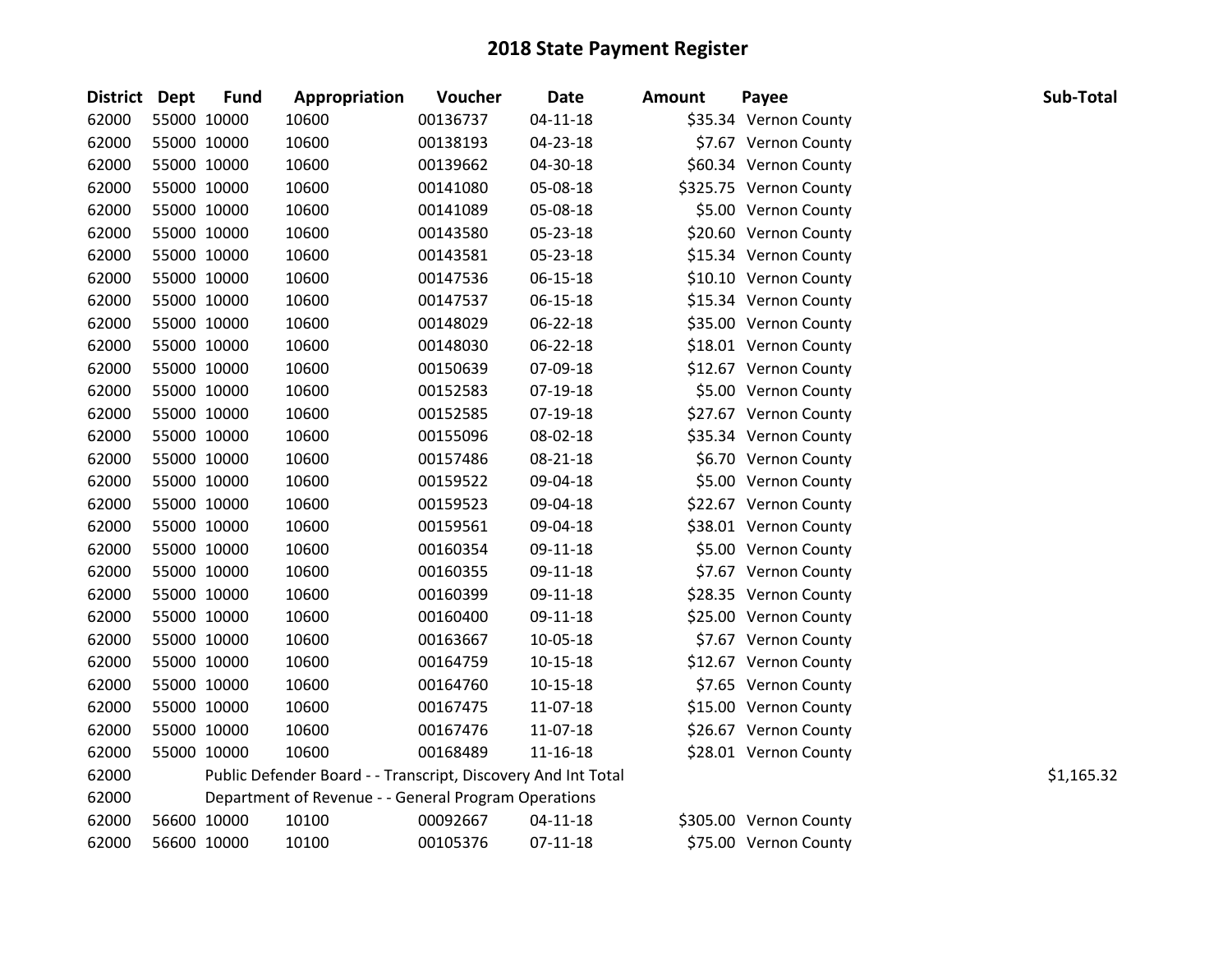| <b>Fund</b>   | Appropriation                                                                                                                                                                                                                                                                                                                                                                                                                                                                 | Voucher  | <b>Date</b>    | <b>Amount</b>                                                                                                         | Payee | Sub-Total                                                                                                                                                                                                                                                                                                                                                                                                                                                                                                                                                                                                                                                                                                                                                                                    |
|---------------|-------------------------------------------------------------------------------------------------------------------------------------------------------------------------------------------------------------------------------------------------------------------------------------------------------------------------------------------------------------------------------------------------------------------------------------------------------------------------------|----------|----------------|-----------------------------------------------------------------------------------------------------------------------|-------|----------------------------------------------------------------------------------------------------------------------------------------------------------------------------------------------------------------------------------------------------------------------------------------------------------------------------------------------------------------------------------------------------------------------------------------------------------------------------------------------------------------------------------------------------------------------------------------------------------------------------------------------------------------------------------------------------------------------------------------------------------------------------------------------|
|               | 10600                                                                                                                                                                                                                                                                                                                                                                                                                                                                         | 00136737 | $04 - 11 - 18$ |                                                                                                                       |       |                                                                                                                                                                                                                                                                                                                                                                                                                                                                                                                                                                                                                                                                                                                                                                                              |
|               | 10600                                                                                                                                                                                                                                                                                                                                                                                                                                                                         | 00138193 | 04-23-18       |                                                                                                                       |       |                                                                                                                                                                                                                                                                                                                                                                                                                                                                                                                                                                                                                                                                                                                                                                                              |
|               | 10600                                                                                                                                                                                                                                                                                                                                                                                                                                                                         | 00139662 | 04-30-18       |                                                                                                                       |       |                                                                                                                                                                                                                                                                                                                                                                                                                                                                                                                                                                                                                                                                                                                                                                                              |
|               | 10600                                                                                                                                                                                                                                                                                                                                                                                                                                                                         | 00141080 | 05-08-18       |                                                                                                                       |       |                                                                                                                                                                                                                                                                                                                                                                                                                                                                                                                                                                                                                                                                                                                                                                                              |
|               | 10600                                                                                                                                                                                                                                                                                                                                                                                                                                                                         | 00141089 | 05-08-18       |                                                                                                                       |       |                                                                                                                                                                                                                                                                                                                                                                                                                                                                                                                                                                                                                                                                                                                                                                                              |
|               | 10600                                                                                                                                                                                                                                                                                                                                                                                                                                                                         | 00143580 | 05-23-18       |                                                                                                                       |       |                                                                                                                                                                                                                                                                                                                                                                                                                                                                                                                                                                                                                                                                                                                                                                                              |
|               | 10600                                                                                                                                                                                                                                                                                                                                                                                                                                                                         | 00143581 | 05-23-18       |                                                                                                                       |       |                                                                                                                                                                                                                                                                                                                                                                                                                                                                                                                                                                                                                                                                                                                                                                                              |
|               | 10600                                                                                                                                                                                                                                                                                                                                                                                                                                                                         | 00147536 | 06-15-18       |                                                                                                                       |       |                                                                                                                                                                                                                                                                                                                                                                                                                                                                                                                                                                                                                                                                                                                                                                                              |
|               | 10600                                                                                                                                                                                                                                                                                                                                                                                                                                                                         | 00147537 | $06 - 15 - 18$ |                                                                                                                       |       |                                                                                                                                                                                                                                                                                                                                                                                                                                                                                                                                                                                                                                                                                                                                                                                              |
|               | 10600                                                                                                                                                                                                                                                                                                                                                                                                                                                                         | 00148029 | 06-22-18       |                                                                                                                       |       |                                                                                                                                                                                                                                                                                                                                                                                                                                                                                                                                                                                                                                                                                                                                                                                              |
|               | 10600                                                                                                                                                                                                                                                                                                                                                                                                                                                                         | 00148030 | 06-22-18       |                                                                                                                       |       |                                                                                                                                                                                                                                                                                                                                                                                                                                                                                                                                                                                                                                                                                                                                                                                              |
|               | 10600                                                                                                                                                                                                                                                                                                                                                                                                                                                                         | 00150639 | 07-09-18       |                                                                                                                       |       |                                                                                                                                                                                                                                                                                                                                                                                                                                                                                                                                                                                                                                                                                                                                                                                              |
|               | 10600                                                                                                                                                                                                                                                                                                                                                                                                                                                                         | 00152583 | 07-19-18       |                                                                                                                       |       |                                                                                                                                                                                                                                                                                                                                                                                                                                                                                                                                                                                                                                                                                                                                                                                              |
|               | 10600                                                                                                                                                                                                                                                                                                                                                                                                                                                                         | 00152585 | 07-19-18       |                                                                                                                       |       |                                                                                                                                                                                                                                                                                                                                                                                                                                                                                                                                                                                                                                                                                                                                                                                              |
|               | 10600                                                                                                                                                                                                                                                                                                                                                                                                                                                                         | 00155096 | 08-02-18       |                                                                                                                       |       |                                                                                                                                                                                                                                                                                                                                                                                                                                                                                                                                                                                                                                                                                                                                                                                              |
|               | 10600                                                                                                                                                                                                                                                                                                                                                                                                                                                                         | 00157486 | 08-21-18       |                                                                                                                       |       |                                                                                                                                                                                                                                                                                                                                                                                                                                                                                                                                                                                                                                                                                                                                                                                              |
|               | 10600                                                                                                                                                                                                                                                                                                                                                                                                                                                                         | 00159522 | 09-04-18       |                                                                                                                       |       |                                                                                                                                                                                                                                                                                                                                                                                                                                                                                                                                                                                                                                                                                                                                                                                              |
|               | 10600                                                                                                                                                                                                                                                                                                                                                                                                                                                                         | 00159523 | 09-04-18       |                                                                                                                       |       |                                                                                                                                                                                                                                                                                                                                                                                                                                                                                                                                                                                                                                                                                                                                                                                              |
|               | 10600                                                                                                                                                                                                                                                                                                                                                                                                                                                                         | 00159561 | 09-04-18       |                                                                                                                       |       |                                                                                                                                                                                                                                                                                                                                                                                                                                                                                                                                                                                                                                                                                                                                                                                              |
|               | 10600                                                                                                                                                                                                                                                                                                                                                                                                                                                                         | 00160354 | 09-11-18       |                                                                                                                       |       |                                                                                                                                                                                                                                                                                                                                                                                                                                                                                                                                                                                                                                                                                                                                                                                              |
|               | 10600                                                                                                                                                                                                                                                                                                                                                                                                                                                                         | 00160355 | 09-11-18       |                                                                                                                       |       |                                                                                                                                                                                                                                                                                                                                                                                                                                                                                                                                                                                                                                                                                                                                                                                              |
|               | 10600                                                                                                                                                                                                                                                                                                                                                                                                                                                                         | 00160399 | 09-11-18       |                                                                                                                       |       |                                                                                                                                                                                                                                                                                                                                                                                                                                                                                                                                                                                                                                                                                                                                                                                              |
|               | 10600                                                                                                                                                                                                                                                                                                                                                                                                                                                                         | 00160400 | 09-11-18       |                                                                                                                       |       |                                                                                                                                                                                                                                                                                                                                                                                                                                                                                                                                                                                                                                                                                                                                                                                              |
|               | 10600                                                                                                                                                                                                                                                                                                                                                                                                                                                                         | 00163667 | 10-05-18       |                                                                                                                       |       |                                                                                                                                                                                                                                                                                                                                                                                                                                                                                                                                                                                                                                                                                                                                                                                              |
|               | 10600                                                                                                                                                                                                                                                                                                                                                                                                                                                                         | 00164759 | $10-15-18$     |                                                                                                                       |       |                                                                                                                                                                                                                                                                                                                                                                                                                                                                                                                                                                                                                                                                                                                                                                                              |
|               | 10600                                                                                                                                                                                                                                                                                                                                                                                                                                                                         | 00164760 | $10 - 15 - 18$ |                                                                                                                       |       |                                                                                                                                                                                                                                                                                                                                                                                                                                                                                                                                                                                                                                                                                                                                                                                              |
|               | 10600                                                                                                                                                                                                                                                                                                                                                                                                                                                                         | 00167475 | 11-07-18       |                                                                                                                       |       |                                                                                                                                                                                                                                                                                                                                                                                                                                                                                                                                                                                                                                                                                                                                                                                              |
|               | 10600                                                                                                                                                                                                                                                                                                                                                                                                                                                                         | 00167476 | 11-07-18       |                                                                                                                       |       |                                                                                                                                                                                                                                                                                                                                                                                                                                                                                                                                                                                                                                                                                                                                                                                              |
|               | 10600                                                                                                                                                                                                                                                                                                                                                                                                                                                                         | 00168489 | 11-16-18       |                                                                                                                       |       |                                                                                                                                                                                                                                                                                                                                                                                                                                                                                                                                                                                                                                                                                                                                                                                              |
|               |                                                                                                                                                                                                                                                                                                                                                                                                                                                                               |          |                |                                                                                                                       |       | \$1,165.32                                                                                                                                                                                                                                                                                                                                                                                                                                                                                                                                                                                                                                                                                                                                                                                   |
|               |                                                                                                                                                                                                                                                                                                                                                                                                                                                                               |          |                |                                                                                                                       |       |                                                                                                                                                                                                                                                                                                                                                                                                                                                                                                                                                                                                                                                                                                                                                                                              |
|               | 10100                                                                                                                                                                                                                                                                                                                                                                                                                                                                         | 00092667 | $04 - 11 - 18$ |                                                                                                                       |       |                                                                                                                                                                                                                                                                                                                                                                                                                                                                                                                                                                                                                                                                                                                                                                                              |
|               | 10100                                                                                                                                                                                                                                                                                                                                                                                                                                                                         | 00105376 | $07-11-18$     |                                                                                                                       |       |                                                                                                                                                                                                                                                                                                                                                                                                                                                                                                                                                                                                                                                                                                                                                                                              |
| District Dept | 55000 10000<br>55000 10000<br>55000 10000<br>55000 10000<br>55000 10000<br>55000 10000<br>55000 10000<br>55000 10000<br>55000 10000<br>55000 10000<br>55000 10000<br>55000 10000<br>55000 10000<br>55000 10000<br>55000 10000<br>55000 10000<br>55000 10000<br>55000 10000<br>55000 10000<br>55000 10000<br>55000 10000<br>55000 10000<br>55000 10000<br>55000 10000<br>55000 10000<br>55000 10000<br>55000 10000<br>55000 10000<br>55000 10000<br>56600 10000<br>56600 10000 |          |                | Public Defender Board - - Transcript, Discovery And Int Total<br>Department of Revenue - - General Program Operations |       | \$35.34 Vernon County<br>\$7.67 Vernon County<br>\$60.34 Vernon County<br>\$325.75 Vernon County<br>\$5.00 Vernon County<br>\$20.60 Vernon County<br>\$15.34 Vernon County<br>\$10.10 Vernon County<br>\$15.34 Vernon County<br>\$35.00 Vernon County<br>\$18.01 Vernon County<br>\$12.67 Vernon County<br>\$5.00 Vernon County<br>\$27.67 Vernon County<br>\$35.34 Vernon County<br>\$6.70 Vernon County<br>\$5.00 Vernon County<br>\$22.67 Vernon County<br>\$38.01 Vernon County<br>\$5.00 Vernon County<br>\$7.67 Vernon County<br>\$28.35 Vernon County<br>\$25.00 Vernon County<br>\$7.67 Vernon County<br>\$12.67 Vernon County<br>\$7.65 Vernon County<br>\$15.00 Vernon County<br>\$26.67 Vernon County<br>\$28.01 Vernon County<br>\$305.00 Vernon County<br>\$75.00 Vernon County |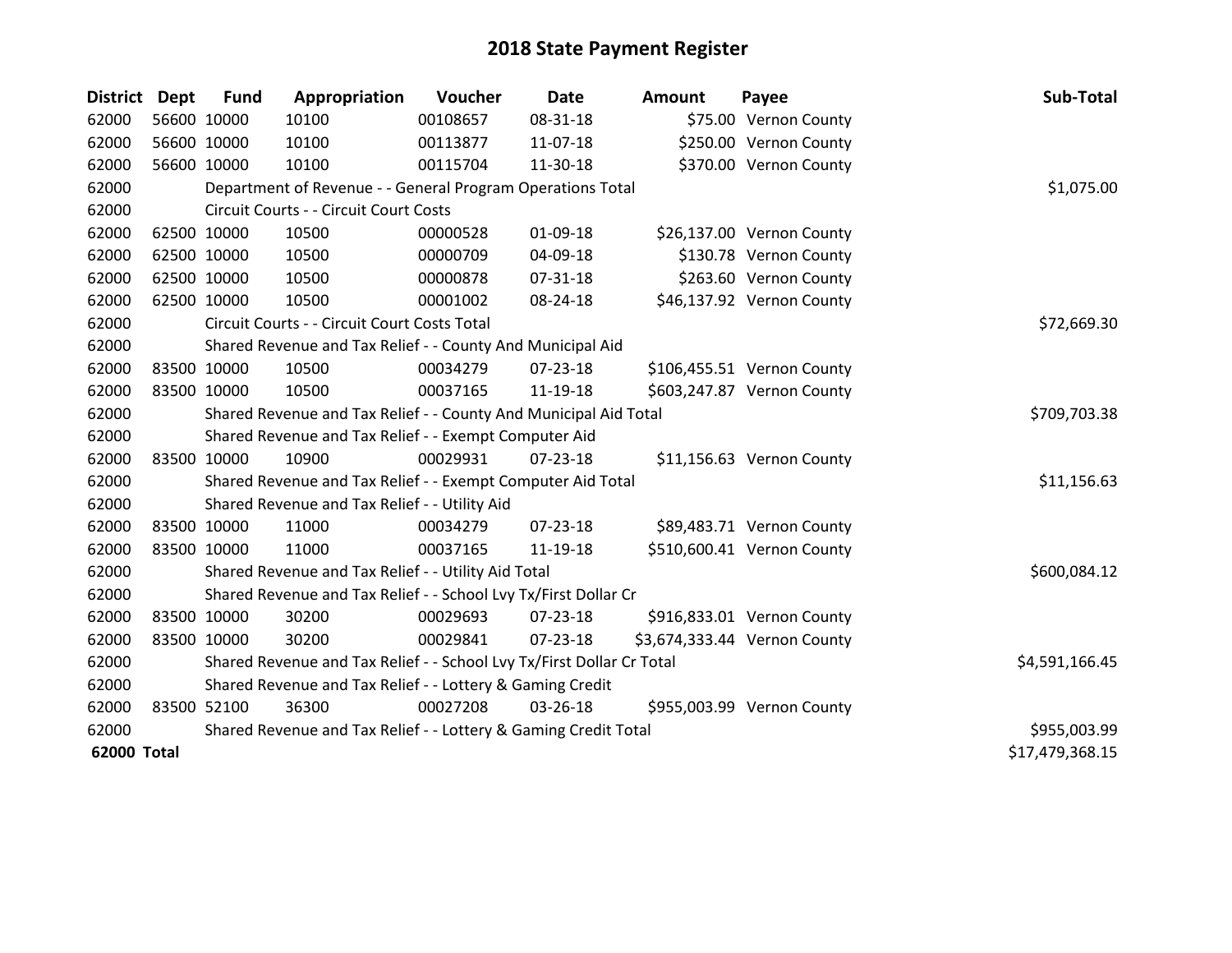| District Dept |             | <b>Fund</b> | Appropriation                                                         | Voucher  | <b>Date</b>    | <b>Amount</b> | Payee                        | Sub-Total       |
|---------------|-------------|-------------|-----------------------------------------------------------------------|----------|----------------|---------------|------------------------------|-----------------|
| 62000         |             | 56600 10000 | 10100                                                                 | 00108657 | 08-31-18       |               | \$75.00 Vernon County        |                 |
| 62000         | 56600 10000 |             | 10100                                                                 | 00113877 | 11-07-18       |               | \$250.00 Vernon County       |                 |
| 62000         | 56600 10000 |             | 10100                                                                 | 00115704 | 11-30-18       |               | \$370.00 Vernon County       |                 |
| 62000         |             |             | Department of Revenue - - General Program Operations Total            |          |                |               |                              | \$1,075.00      |
| 62000         |             |             | Circuit Courts - - Circuit Court Costs                                |          |                |               |                              |                 |
| 62000         | 62500 10000 |             | 10500                                                                 | 00000528 | $01-09-18$     |               | \$26,137.00 Vernon County    |                 |
| 62000         | 62500 10000 |             | 10500                                                                 | 00000709 | 04-09-18       |               | \$130.78 Vernon County       |                 |
| 62000         | 62500 10000 |             | 10500                                                                 | 00000878 | 07-31-18       |               | \$263.60 Vernon County       |                 |
| 62000         | 62500 10000 |             | 10500                                                                 | 00001002 | 08-24-18       |               | \$46,137.92 Vernon County    |                 |
| 62000         |             |             | Circuit Courts - - Circuit Court Costs Total                          |          |                |               |                              | \$72,669.30     |
| 62000         |             |             | Shared Revenue and Tax Relief - - County And Municipal Aid            |          |                |               |                              |                 |
| 62000         | 83500 10000 |             | 10500                                                                 | 00034279 | 07-23-18       |               | \$106,455.51 Vernon County   |                 |
| 62000         | 83500 10000 |             | 10500                                                                 | 00037165 | 11-19-18       |               | \$603,247.87 Vernon County   |                 |
| 62000         |             |             | Shared Revenue and Tax Relief - - County And Municipal Aid Total      |          | \$709,703.38   |               |                              |                 |
| 62000         |             |             | Shared Revenue and Tax Relief - - Exempt Computer Aid                 |          |                |               |                              |                 |
| 62000         | 83500 10000 |             | 10900                                                                 | 00029931 | $07 - 23 - 18$ |               | \$11,156.63 Vernon County    |                 |
| 62000         |             |             | Shared Revenue and Tax Relief - - Exempt Computer Aid Total           |          |                |               |                              | \$11,156.63     |
| 62000         |             |             | Shared Revenue and Tax Relief - - Utility Aid                         |          |                |               |                              |                 |
| 62000         | 83500 10000 |             | 11000                                                                 | 00034279 | $07 - 23 - 18$ |               | \$89,483.71 Vernon County    |                 |
| 62000         | 83500 10000 |             | 11000                                                                 | 00037165 | 11-19-18       |               | \$510,600.41 Vernon County   |                 |
| 62000         |             |             | Shared Revenue and Tax Relief - - Utility Aid Total                   |          |                |               |                              | \$600,084.12    |
| 62000         |             |             | Shared Revenue and Tax Relief - - School Lvy Tx/First Dollar Cr       |          |                |               |                              |                 |
| 62000         | 83500 10000 |             | 30200                                                                 | 00029693 | 07-23-18       |               | \$916,833.01 Vernon County   |                 |
| 62000         | 83500 10000 |             | 30200                                                                 | 00029841 | 07-23-18       |               | \$3,674,333.44 Vernon County |                 |
| 62000         |             |             | Shared Revenue and Tax Relief - - School Lvy Tx/First Dollar Cr Total |          |                |               |                              | \$4,591,166.45  |
| 62000         |             |             | Shared Revenue and Tax Relief - - Lottery & Gaming Credit             |          |                |               |                              |                 |
| 62000         | 83500 52100 |             | 36300                                                                 | 00027208 | 03-26-18       |               | \$955,003.99 Vernon County   |                 |
| 62000         |             |             | Shared Revenue and Tax Relief - - Lottery & Gaming Credit Total       |          | \$955,003.99   |               |                              |                 |
| 62000 Total   |             |             |                                                                       |          |                |               |                              | \$17,479,368.15 |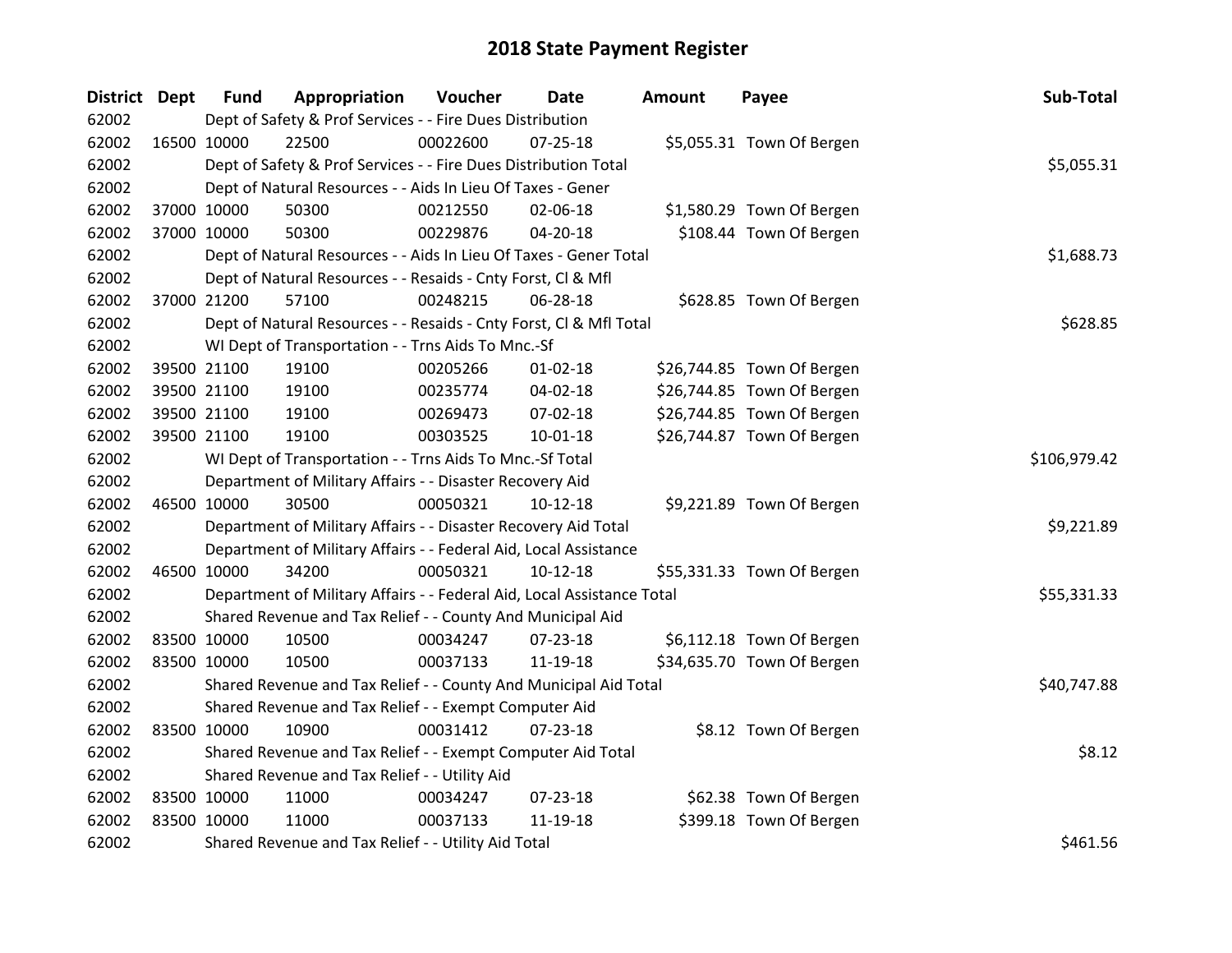| District Dept |             | <b>Fund</b> | Appropriation                                                          | Voucher  | Date           | <b>Amount</b> | Payee                      | Sub-Total    |
|---------------|-------------|-------------|------------------------------------------------------------------------|----------|----------------|---------------|----------------------------|--------------|
| 62002         |             |             | Dept of Safety & Prof Services - - Fire Dues Distribution              |          |                |               |                            |              |
| 62002         | 16500 10000 |             | 22500                                                                  | 00022600 | $07 - 25 - 18$ |               | \$5,055.31 Town Of Bergen  |              |
| 62002         |             |             | Dept of Safety & Prof Services - - Fire Dues Distribution Total        |          |                |               |                            | \$5,055.31   |
| 62002         |             |             | Dept of Natural Resources - - Aids In Lieu Of Taxes - Gener            |          |                |               |                            |              |
| 62002         |             | 37000 10000 | 50300                                                                  | 00212550 | 02-06-18       |               | \$1,580.29 Town Of Bergen  |              |
| 62002         |             | 37000 10000 | 50300                                                                  | 00229876 | 04-20-18       |               | \$108.44 Town Of Bergen    |              |
| 62002         |             |             | Dept of Natural Resources - - Aids In Lieu Of Taxes - Gener Total      |          |                |               |                            | \$1,688.73   |
| 62002         |             |             | Dept of Natural Resources - - Resaids - Cnty Forst, Cl & Mfl           |          |                |               |                            |              |
| 62002         |             | 37000 21200 | 57100                                                                  | 00248215 | 06-28-18       |               | \$628.85 Town Of Bergen    |              |
| 62002         |             |             | Dept of Natural Resources - - Resaids - Cnty Forst, Cl & Mfl Total     |          |                |               |                            | \$628.85     |
| 62002         |             |             | WI Dept of Transportation - - Trns Aids To Mnc.-Sf                     |          |                |               |                            |              |
| 62002         |             | 39500 21100 | 19100                                                                  | 00205266 | $01 - 02 - 18$ |               | \$26,744.85 Town Of Bergen |              |
| 62002         |             | 39500 21100 | 19100                                                                  | 00235774 | 04-02-18       |               | \$26,744.85 Town Of Bergen |              |
| 62002         |             | 39500 21100 | 19100                                                                  | 00269473 | 07-02-18       |               | \$26,744.85 Town Of Bergen |              |
| 62002         |             | 39500 21100 | 19100                                                                  | 00303525 | 10-01-18       |               | \$26,744.87 Town Of Bergen |              |
| 62002         |             |             | WI Dept of Transportation - - Trns Aids To Mnc.-Sf Total               |          |                |               |                            | \$106,979.42 |
| 62002         |             |             | Department of Military Affairs - - Disaster Recovery Aid               |          |                |               |                            |              |
| 62002         | 46500 10000 |             | 30500                                                                  | 00050321 | $10-12-18$     |               | \$9,221.89 Town Of Bergen  |              |
| 62002         |             |             | Department of Military Affairs - - Disaster Recovery Aid Total         |          |                |               |                            | \$9,221.89   |
| 62002         |             |             | Department of Military Affairs - - Federal Aid, Local Assistance       |          |                |               |                            |              |
| 62002         | 46500 10000 |             | 34200                                                                  | 00050321 | $10-12-18$     |               | \$55,331.33 Town Of Bergen |              |
| 62002         |             |             | Department of Military Affairs - - Federal Aid, Local Assistance Total |          |                |               |                            | \$55,331.33  |
| 62002         |             |             | Shared Revenue and Tax Relief - - County And Municipal Aid             |          |                |               |                            |              |
| 62002         |             | 83500 10000 | 10500                                                                  | 00034247 | 07-23-18       |               | \$6,112.18 Town Of Bergen  |              |
| 62002         |             | 83500 10000 | 10500                                                                  | 00037133 | 11-19-18       |               | \$34,635.70 Town Of Bergen |              |
| 62002         |             |             | Shared Revenue and Tax Relief - - County And Municipal Aid Total       |          |                |               |                            | \$40,747.88  |
| 62002         |             |             | Shared Revenue and Tax Relief - - Exempt Computer Aid                  |          |                |               |                            |              |
| 62002         | 83500 10000 |             | 10900                                                                  | 00031412 | $07 - 23 - 18$ |               | \$8.12 Town Of Bergen      |              |
| 62002         |             |             | Shared Revenue and Tax Relief - - Exempt Computer Aid Total            |          |                |               |                            | \$8.12       |
| 62002         |             |             | Shared Revenue and Tax Relief - - Utility Aid                          |          |                |               |                            |              |
| 62002         | 83500 10000 |             | 11000                                                                  | 00034247 | 07-23-18       |               | \$62.38 Town Of Bergen     |              |
| 62002         | 83500 10000 |             | 11000                                                                  | 00037133 | 11-19-18       |               | \$399.18 Town Of Bergen    |              |
| 62002         |             |             | Shared Revenue and Tax Relief - - Utility Aid Total                    |          |                |               |                            | \$461.56     |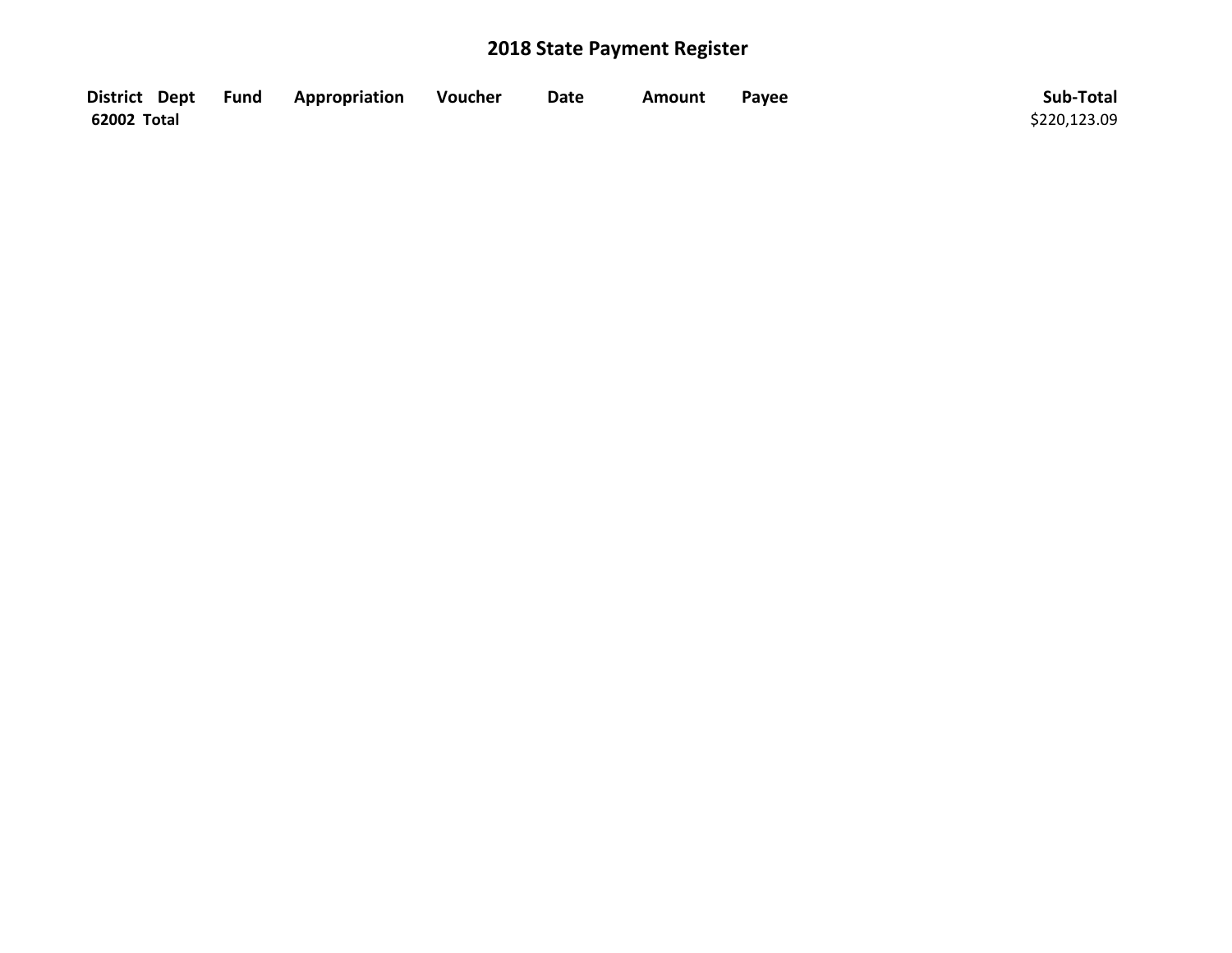|             | District Dept Fund Appropriation | Voucher | <b>Date</b> | <b>Amount</b> | Payee | Sub-Total    |
|-------------|----------------------------------|---------|-------------|---------------|-------|--------------|
| 62002 Total |                                  |         |             |               |       | \$220,123.09 |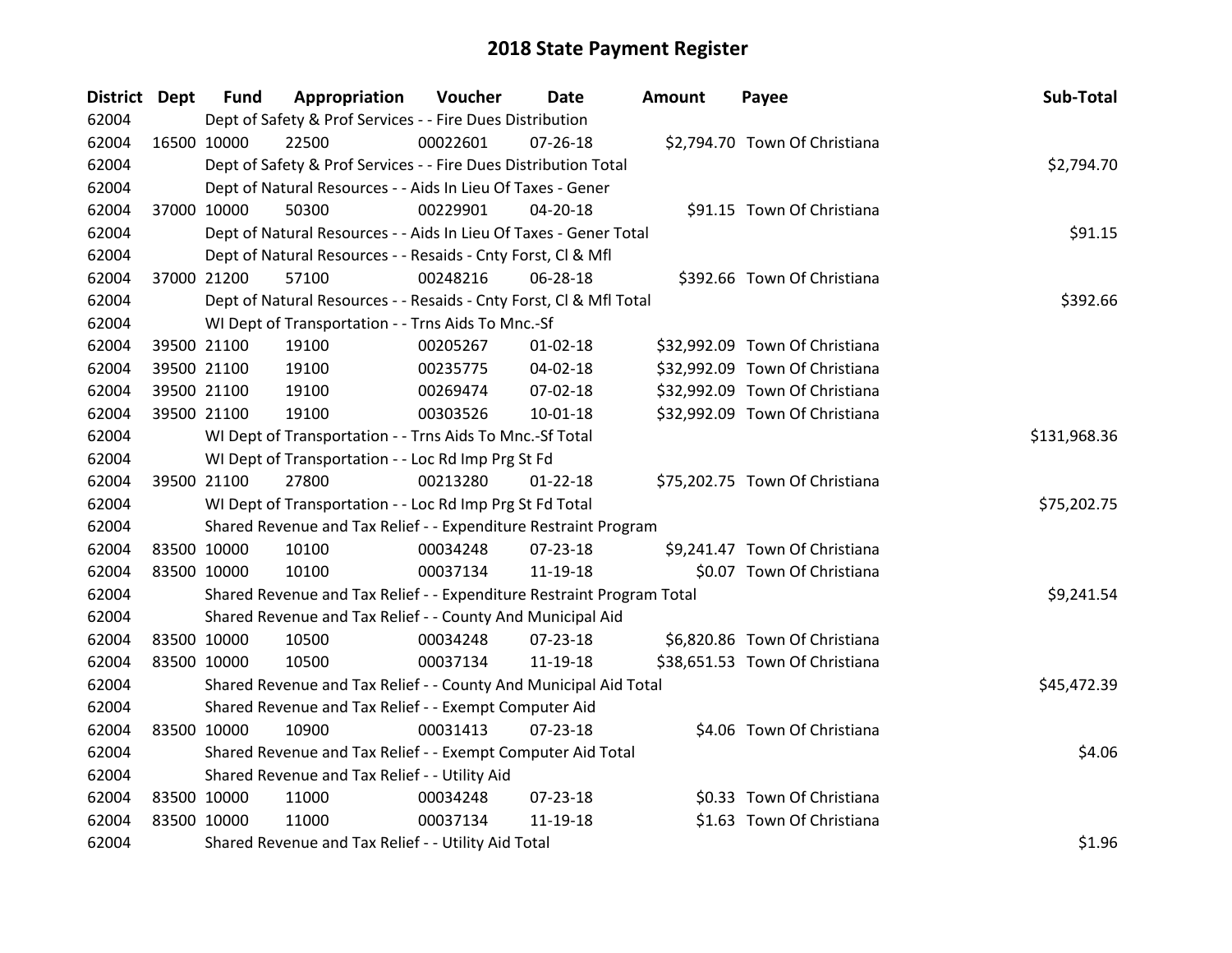| District Dept |             | <b>Fund</b> | Appropriation                                                         | Voucher      | Date           | Amount | Payee                          | Sub-Total   |
|---------------|-------------|-------------|-----------------------------------------------------------------------|--------------|----------------|--------|--------------------------------|-------------|
| 62004         |             |             | Dept of Safety & Prof Services - - Fire Dues Distribution             |              |                |        |                                |             |
| 62004         | 16500 10000 |             | 22500                                                                 | 00022601     | $07 - 26 - 18$ |        | \$2,794.70 Town Of Christiana  |             |
| 62004         |             |             | Dept of Safety & Prof Services - - Fire Dues Distribution Total       |              |                |        |                                | \$2,794.70  |
| 62004         |             |             | Dept of Natural Resources - - Aids In Lieu Of Taxes - Gener           |              |                |        |                                |             |
| 62004         |             | 37000 10000 | 50300                                                                 | 00229901     | 04-20-18       |        | \$91.15 Town Of Christiana     |             |
| 62004         |             |             | Dept of Natural Resources - - Aids In Lieu Of Taxes - Gener Total     |              |                |        |                                | \$91.15     |
| 62004         |             |             | Dept of Natural Resources - - Resaids - Cnty Forst, Cl & Mfl          |              |                |        |                                |             |
| 62004         |             | 37000 21200 | 57100                                                                 | 00248216     | 06-28-18       |        | \$392.66 Town Of Christiana    |             |
| 62004         |             |             | Dept of Natural Resources - - Resaids - Cnty Forst, Cl & Mfl Total    |              |                |        |                                | \$392.66    |
| 62004         |             |             | WI Dept of Transportation - - Trns Aids To Mnc.-Sf                    |              |                |        |                                |             |
| 62004         |             | 39500 21100 | 19100                                                                 | 00205267     | $01 - 02 - 18$ |        | \$32,992.09 Town Of Christiana |             |
| 62004         | 39500 21100 |             | 19100                                                                 | 00235775     | 04-02-18       |        | \$32,992.09 Town Of Christiana |             |
| 62004         | 39500 21100 |             | 19100                                                                 | 00269474     | 07-02-18       |        | \$32,992.09 Town Of Christiana |             |
| 62004         |             | 39500 21100 | 19100                                                                 | 00303526     | 10-01-18       |        | \$32,992.09 Town Of Christiana |             |
| 62004         |             |             | WI Dept of Transportation - - Trns Aids To Mnc.-Sf Total              | \$131,968.36 |                |        |                                |             |
| 62004         |             |             | WI Dept of Transportation - - Loc Rd Imp Prg St Fd                    |              |                |        |                                |             |
| 62004         |             | 39500 21100 | 27800                                                                 | 00213280     | $01 - 22 - 18$ |        | \$75,202.75 Town Of Christiana |             |
| 62004         |             |             | WI Dept of Transportation - - Loc Rd Imp Prg St Fd Total              |              |                |        |                                | \$75,202.75 |
| 62004         |             |             | Shared Revenue and Tax Relief - - Expenditure Restraint Program       |              |                |        |                                |             |
| 62004         | 83500 10000 |             | 10100                                                                 | 00034248     | 07-23-18       |        | \$9,241.47 Town Of Christiana  |             |
| 62004         | 83500 10000 |             | 10100                                                                 | 00037134     | 11-19-18       |        | \$0.07 Town Of Christiana      |             |
| 62004         |             |             | Shared Revenue and Tax Relief - - Expenditure Restraint Program Total |              |                |        |                                | \$9,241.54  |
| 62004         |             |             | Shared Revenue and Tax Relief - - County And Municipal Aid            |              |                |        |                                |             |
| 62004         | 83500 10000 |             | 10500                                                                 | 00034248     | 07-23-18       |        | \$6,820.86 Town Of Christiana  |             |
| 62004         | 83500 10000 |             | 10500                                                                 | 00037134     | 11-19-18       |        | \$38,651.53 Town Of Christiana |             |
| 62004         |             |             | Shared Revenue and Tax Relief - - County And Municipal Aid Total      |              |                |        |                                | \$45,472.39 |
| 62004         |             |             | Shared Revenue and Tax Relief - - Exempt Computer Aid                 |              |                |        |                                |             |
| 62004         |             | 83500 10000 | 10900                                                                 | 00031413     | 07-23-18       |        | \$4.06 Town Of Christiana      |             |
| 62004         |             |             | Shared Revenue and Tax Relief - - Exempt Computer Aid Total           |              |                |        |                                | \$4.06      |
| 62004         |             |             | Shared Revenue and Tax Relief - - Utility Aid                         |              |                |        |                                |             |
| 62004         | 83500 10000 |             | 11000                                                                 | 00034248     | 07-23-18       |        | \$0.33 Town Of Christiana      |             |
| 62004         | 83500 10000 |             | 11000                                                                 | 00037134     | 11-19-18       |        | \$1.63 Town Of Christiana      |             |
| 62004         |             |             | Shared Revenue and Tax Relief - - Utility Aid Total                   |              |                |        |                                | \$1.96      |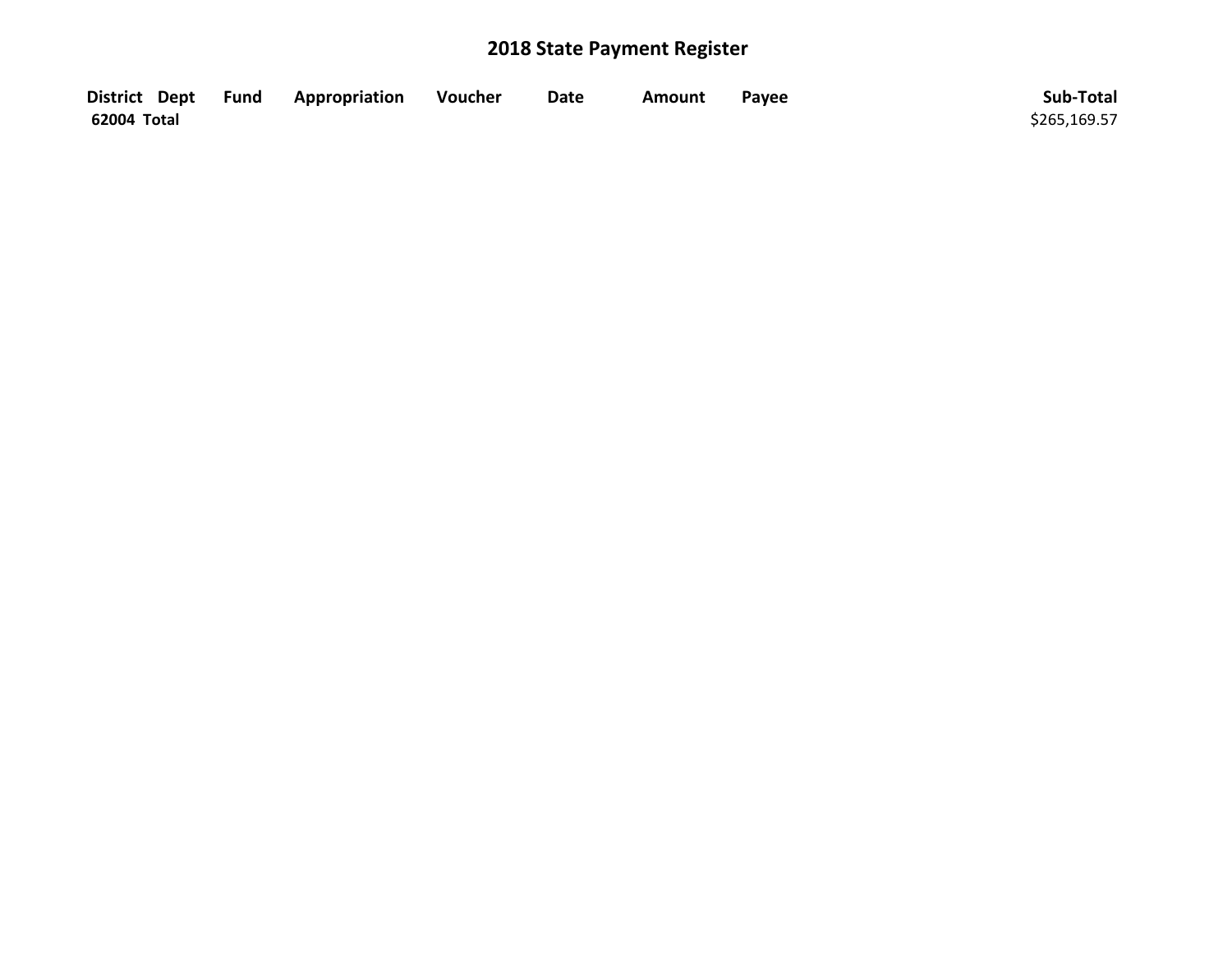|             | District Dept Fund Appropriation | Voucher | <b>Date</b> | Amount | Payee | Sub-Total    |
|-------------|----------------------------------|---------|-------------|--------|-------|--------------|
| 62004 Total |                                  |         |             |        |       | \$265,169.57 |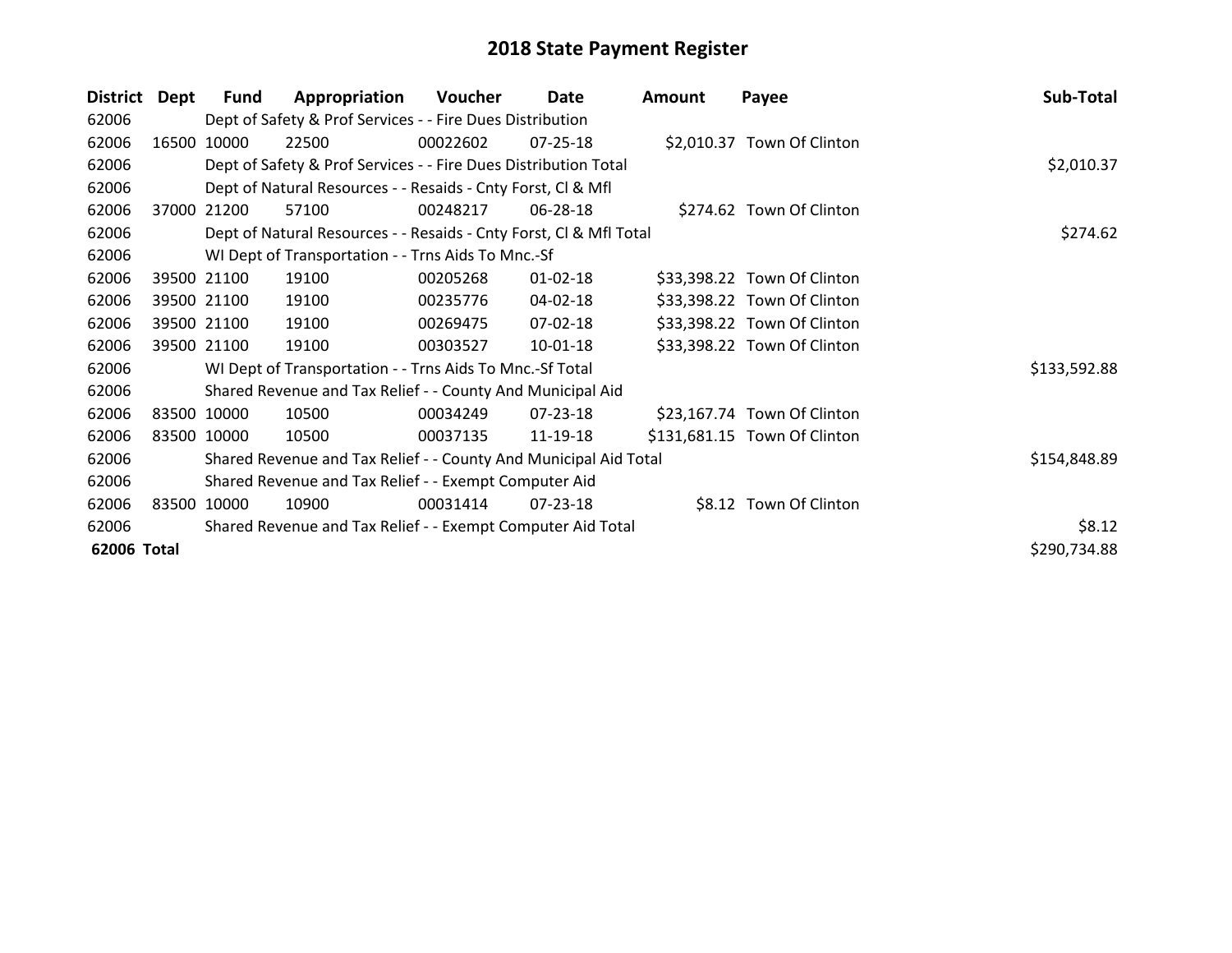| <b>District</b> | Dept  | <b>Fund</b> | Appropriation                                                      | Voucher  | Date           | <b>Amount</b> | Payee                        | Sub-Total    |
|-----------------|-------|-------------|--------------------------------------------------------------------|----------|----------------|---------------|------------------------------|--------------|
| 62006           |       |             | Dept of Safety & Prof Services - - Fire Dues Distribution          |          |                |               |                              |              |
| 62006           | 16500 | 10000       | 22500                                                              | 00022602 | $07 - 25 - 18$ |               | \$2,010.37 Town Of Clinton   |              |
| 62006           |       |             | Dept of Safety & Prof Services - - Fire Dues Distribution Total    |          |                |               |                              | \$2,010.37   |
| 62006           |       |             | Dept of Natural Resources - - Resaids - Cnty Forst, CI & Mfl       |          |                |               |                              |              |
| 62006           | 37000 | 21200       | 57100                                                              | 00248217 | 06-28-18       |               | \$274.62 Town Of Clinton     |              |
| 62006           |       |             | Dept of Natural Resources - - Resaids - Cnty Forst, CI & Mfl Total |          |                |               |                              | \$274.62     |
| 62006           |       |             | WI Dept of Transportation - - Trns Aids To Mnc.-Sf                 |          |                |               |                              |              |
| 62006           |       | 39500 21100 | 19100                                                              | 00205268 | $01 - 02 - 18$ |               | \$33,398.22 Town Of Clinton  |              |
| 62006           |       | 39500 21100 | 19100                                                              | 00235776 | 04-02-18       |               | \$33,398.22 Town Of Clinton  |              |
| 62006           |       | 39500 21100 | 19100                                                              | 00269475 | 07-02-18       |               | \$33,398.22 Town Of Clinton  |              |
| 62006           |       | 39500 21100 | 19100                                                              | 00303527 | 10-01-18       |               | \$33,398.22 Town Of Clinton  |              |
| 62006           |       |             | WI Dept of Transportation - - Trns Aids To Mnc.-Sf Total           |          |                |               |                              | \$133,592.88 |
| 62006           |       |             | Shared Revenue and Tax Relief - - County And Municipal Aid         |          |                |               |                              |              |
| 62006           |       | 83500 10000 | 10500                                                              | 00034249 | $07 - 23 - 18$ |               | \$23,167.74 Town Of Clinton  |              |
| 62006           |       | 83500 10000 | 10500                                                              | 00037135 | 11-19-18       |               | \$131,681.15 Town Of Clinton |              |
| 62006           |       |             | Shared Revenue and Tax Relief - - County And Municipal Aid Total   |          |                |               |                              | \$154,848.89 |
| 62006           |       |             | Shared Revenue and Tax Relief - - Exempt Computer Aid              |          |                |               |                              |              |
| 62006           |       | 83500 10000 | 10900                                                              | 00031414 | 07-23-18       |               | \$8.12 Town Of Clinton       |              |
| 62006           |       |             | Shared Revenue and Tax Relief - - Exempt Computer Aid Total        |          |                |               |                              | \$8.12       |
| 62006 Total     |       |             |                                                                    |          |                |               |                              | \$290,734.88 |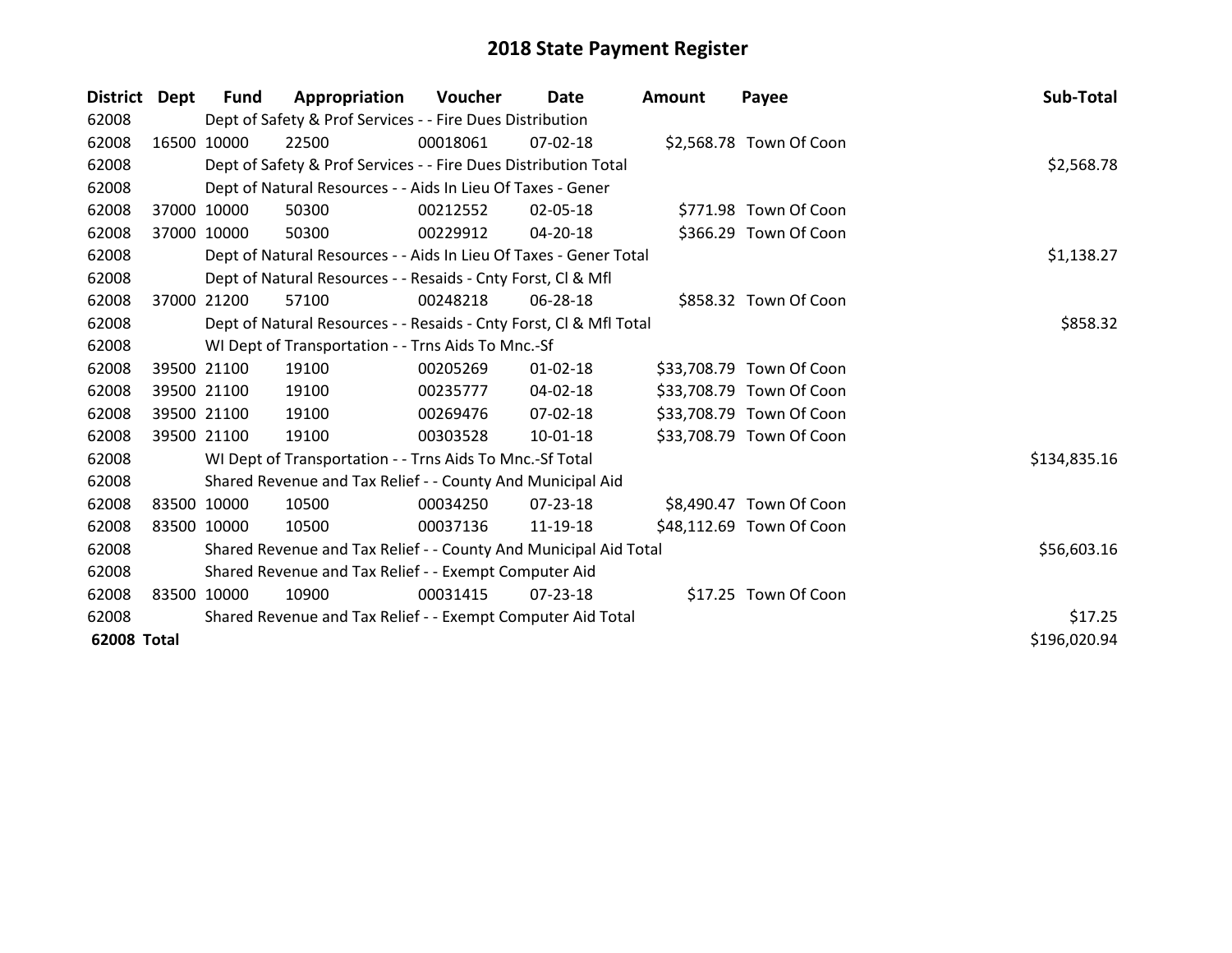| District Dept |       | Fund        | Appropriation                                                      | Voucher  | Date     | <b>Amount</b> | Payee                    | Sub-Total    |
|---------------|-------|-------------|--------------------------------------------------------------------|----------|----------|---------------|--------------------------|--------------|
| 62008         |       |             | Dept of Safety & Prof Services - - Fire Dues Distribution          |          |          |               |                          |              |
| 62008         |       | 16500 10000 | 22500                                                              | 00018061 | 07-02-18 |               | \$2,568.78 Town Of Coon  |              |
| 62008         |       |             | Dept of Safety & Prof Services - - Fire Dues Distribution Total    |          |          |               |                          | \$2,568.78   |
| 62008         |       |             | Dept of Natural Resources - - Aids In Lieu Of Taxes - Gener        |          |          |               |                          |              |
| 62008         |       | 37000 10000 | 50300                                                              | 00212552 | 02-05-18 |               | \$771.98 Town Of Coon    |              |
| 62008         |       | 37000 10000 | 50300                                                              | 00229912 | 04-20-18 |               | \$366.29 Town Of Coon    |              |
| 62008         |       |             | Dept of Natural Resources - - Aids In Lieu Of Taxes - Gener Total  |          |          |               |                          | \$1,138.27   |
| 62008         |       |             | Dept of Natural Resources - - Resaids - Cnty Forst, CI & Mfl       |          |          |               |                          |              |
| 62008         | 37000 | 21200       | 57100                                                              | 00248218 | 06-28-18 |               | \$858.32 Town Of Coon    |              |
| 62008         |       |             | Dept of Natural Resources - - Resaids - Cnty Forst, CI & Mfl Total |          |          |               |                          | \$858.32     |
| 62008         |       |             | WI Dept of Transportation - - Trns Aids To Mnc.-Sf                 |          |          |               |                          |              |
| 62008         |       | 39500 21100 | 19100                                                              | 00205269 | 01-02-18 |               | \$33,708.79 Town Of Coon |              |
| 62008         |       | 39500 21100 | 19100                                                              | 00235777 | 04-02-18 |               | \$33,708.79 Town Of Coon |              |
| 62008         |       | 39500 21100 | 19100                                                              | 00269476 | 07-02-18 |               | \$33,708.79 Town Of Coon |              |
| 62008         |       | 39500 21100 | 19100                                                              | 00303528 | 10-01-18 |               | \$33,708.79 Town Of Coon |              |
| 62008         |       |             | WI Dept of Transportation - - Trns Aids To Mnc.-Sf Total           |          |          |               |                          | \$134,835.16 |
| 62008         |       |             | Shared Revenue and Tax Relief - - County And Municipal Aid         |          |          |               |                          |              |
| 62008         |       | 83500 10000 | 10500                                                              | 00034250 | 07-23-18 |               | \$8,490.47 Town Of Coon  |              |
| 62008         |       | 83500 10000 | 10500                                                              | 00037136 | 11-19-18 |               | \$48,112.69 Town Of Coon |              |
| 62008         |       |             | Shared Revenue and Tax Relief - - County And Municipal Aid Total   |          |          |               |                          | \$56,603.16  |
| 62008         |       |             | Shared Revenue and Tax Relief - - Exempt Computer Aid              |          |          |               |                          |              |
| 62008         |       | 83500 10000 | 10900                                                              | 00031415 | 07-23-18 |               | \$17.25 Town Of Coon     |              |
| 62008         |       |             | Shared Revenue and Tax Relief - - Exempt Computer Aid Total        |          |          |               |                          | \$17.25      |
| 62008 Total   |       |             |                                                                    |          |          |               |                          | \$196,020.94 |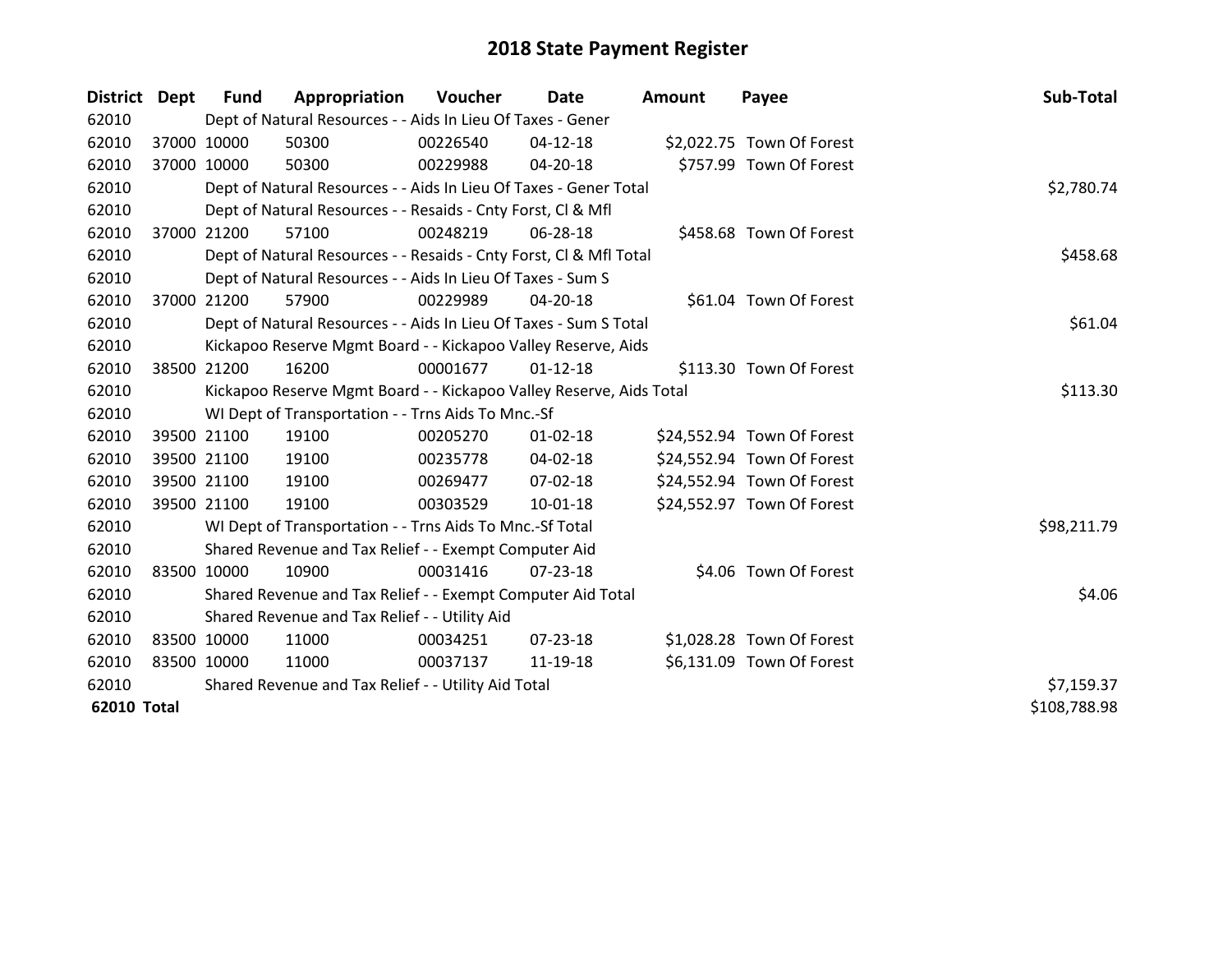| District Dept |       | <b>Fund</b> | Appropriation                                                       | Voucher  | Date           | <b>Amount</b> | Payee                      | Sub-Total    |
|---------------|-------|-------------|---------------------------------------------------------------------|----------|----------------|---------------|----------------------------|--------------|
| 62010         |       |             | Dept of Natural Resources - - Aids In Lieu Of Taxes - Gener         |          |                |               |                            |              |
| 62010         |       | 37000 10000 | 50300                                                               | 00226540 | $04 - 12 - 18$ |               | \$2,022.75 Town Of Forest  |              |
| 62010         |       | 37000 10000 | 50300                                                               | 00229988 | $04 - 20 - 18$ |               | \$757.99 Town Of Forest    |              |
| 62010         |       |             | Dept of Natural Resources - - Aids In Lieu Of Taxes - Gener Total   |          |                |               |                            | \$2,780.74   |
| 62010         |       |             | Dept of Natural Resources - - Resaids - Cnty Forst, CI & Mfl        |          |                |               |                            |              |
| 62010         | 37000 | 21200       | 57100                                                               | 00248219 | 06-28-18       |               | \$458.68 Town Of Forest    |              |
| 62010         |       |             | Dept of Natural Resources - - Resaids - Cnty Forst, Cl & Mfl Total  |          |                |               |                            | \$458.68     |
| 62010         |       |             | Dept of Natural Resources - - Aids In Lieu Of Taxes - Sum S         |          |                |               |                            |              |
| 62010         | 37000 | 21200       | 57900                                                               | 00229989 | 04-20-18       |               | \$61.04 Town Of Forest     |              |
| 62010         |       |             | Dept of Natural Resources - - Aids In Lieu Of Taxes - Sum S Total   |          |                |               |                            | \$61.04      |
| 62010         |       |             | Kickapoo Reserve Mgmt Board - - Kickapoo Valley Reserve, Aids       |          |                |               |                            |              |
| 62010         |       | 38500 21200 | 16200                                                               | 00001677 | $01 - 12 - 18$ |               | \$113.30 Town Of Forest    |              |
| 62010         |       |             | Kickapoo Reserve Mgmt Board - - Kickapoo Valley Reserve, Aids Total |          |                |               |                            | \$113.30     |
| 62010         |       |             | WI Dept of Transportation - - Trns Aids To Mnc.-Sf                  |          |                |               |                            |              |
| 62010         |       | 39500 21100 | 19100                                                               | 00205270 | $01 - 02 - 18$ |               | \$24,552.94 Town Of Forest |              |
| 62010         |       | 39500 21100 | 19100                                                               | 00235778 | 04-02-18       |               | \$24,552.94 Town Of Forest |              |
| 62010         |       | 39500 21100 | 19100                                                               | 00269477 | $07 - 02 - 18$ |               | \$24,552.94 Town Of Forest |              |
| 62010         |       | 39500 21100 | 19100                                                               | 00303529 | $10 - 01 - 18$ |               | \$24,552.97 Town Of Forest |              |
| 62010         |       |             | WI Dept of Transportation - - Trns Aids To Mnc.-Sf Total            |          |                |               |                            | \$98,211.79  |
| 62010         |       |             | Shared Revenue and Tax Relief - - Exempt Computer Aid               |          |                |               |                            |              |
| 62010         |       | 83500 10000 | 10900                                                               | 00031416 | 07-23-18       |               | \$4.06 Town Of Forest      |              |
| 62010         |       |             | Shared Revenue and Tax Relief - - Exempt Computer Aid Total         |          |                |               |                            | \$4.06       |
| 62010         |       |             | Shared Revenue and Tax Relief - - Utility Aid                       |          |                |               |                            |              |
| 62010         |       | 83500 10000 | 11000                                                               | 00034251 | $07 - 23 - 18$ |               | \$1,028.28 Town Of Forest  |              |
| 62010         |       | 83500 10000 | 11000                                                               | 00037137 | 11-19-18       |               | \$6,131.09 Town Of Forest  |              |
| 62010         |       |             | Shared Revenue and Tax Relief - - Utility Aid Total                 |          |                |               |                            | \$7,159.37   |
| 62010 Total   |       |             |                                                                     |          |                |               |                            | \$108,788.98 |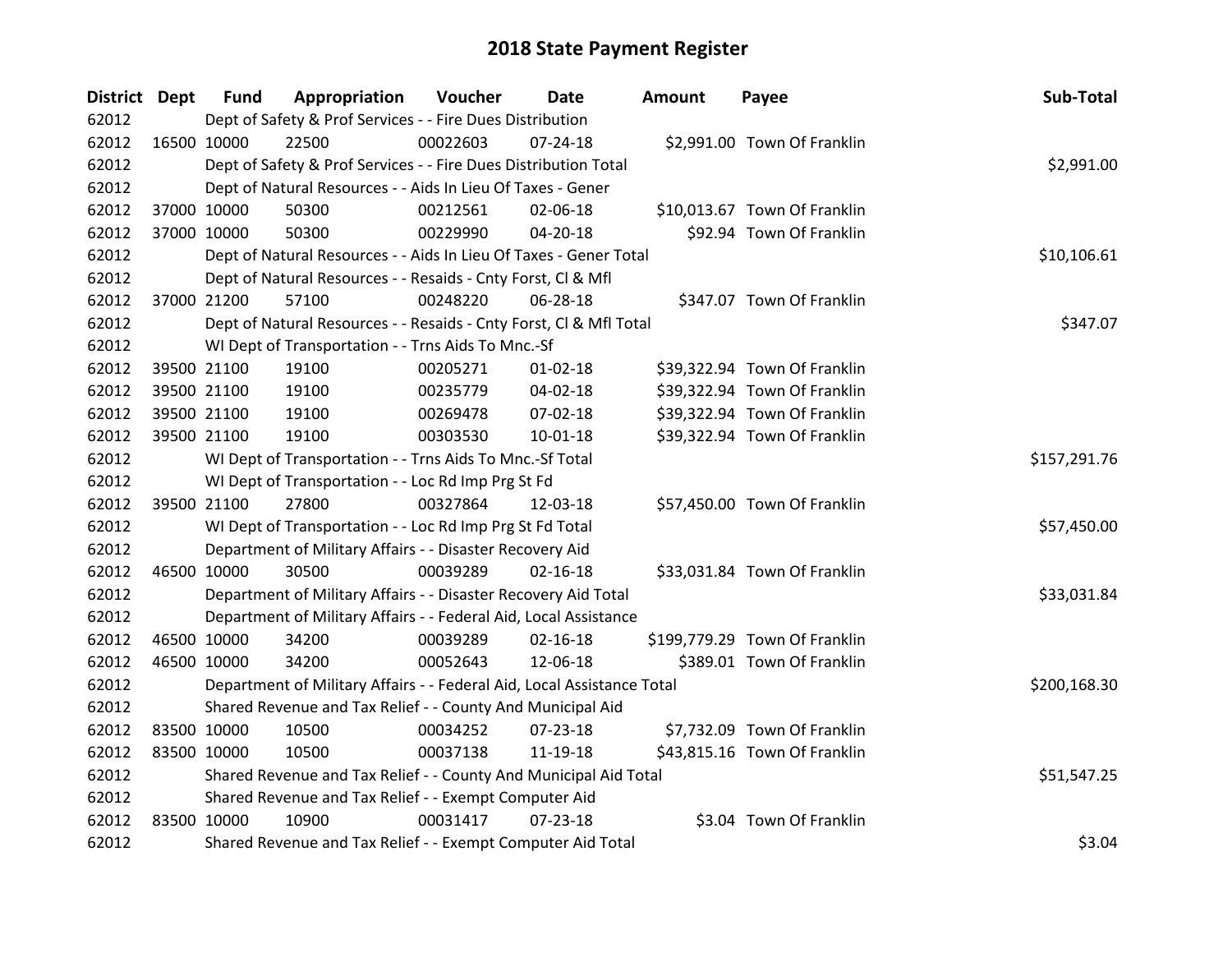| <b>District Dept</b> |             | <b>Fund</b> | Appropriation                                                          | Voucher      | <b>Date</b>    | <b>Amount</b> | Payee                         | Sub-Total    |
|----------------------|-------------|-------------|------------------------------------------------------------------------|--------------|----------------|---------------|-------------------------------|--------------|
| 62012                |             |             | Dept of Safety & Prof Services - - Fire Dues Distribution              |              |                |               |                               |              |
| 62012                | 16500 10000 |             | 22500                                                                  | 00022603     | $07 - 24 - 18$ |               | \$2,991.00 Town Of Franklin   |              |
| 62012                |             |             | Dept of Safety & Prof Services - - Fire Dues Distribution Total        |              |                |               |                               | \$2,991.00   |
| 62012                |             |             | Dept of Natural Resources - - Aids In Lieu Of Taxes - Gener            |              |                |               |                               |              |
| 62012                |             | 37000 10000 | 50300                                                                  | 00212561     | 02-06-18       |               | \$10,013.67 Town Of Franklin  |              |
| 62012                |             | 37000 10000 | 50300                                                                  | 00229990     | $04 - 20 - 18$ |               | \$92.94 Town Of Franklin      |              |
| 62012                |             |             | Dept of Natural Resources - - Aids In Lieu Of Taxes - Gener Total      |              |                |               |                               | \$10,106.61  |
| 62012                |             |             | Dept of Natural Resources - - Resaids - Cnty Forst, Cl & Mfl           |              |                |               |                               |              |
| 62012                |             | 37000 21200 | 57100                                                                  | 00248220     | 06-28-18       |               | \$347.07 Town Of Franklin     |              |
| 62012                |             |             | Dept of Natural Resources - - Resaids - Cnty Forst, CI & Mfl Total     |              |                |               |                               | \$347.07     |
| 62012                |             |             | WI Dept of Transportation - - Trns Aids To Mnc.-Sf                     |              |                |               |                               |              |
| 62012                |             | 39500 21100 | 19100                                                                  | 00205271     | $01 - 02 - 18$ |               | \$39,322.94 Town Of Franklin  |              |
| 62012                |             | 39500 21100 | 19100                                                                  | 00235779     | 04-02-18       |               | \$39,322.94 Town Of Franklin  |              |
| 62012                |             | 39500 21100 | 19100                                                                  | 00269478     | 07-02-18       |               | \$39,322.94 Town Of Franklin  |              |
| 62012                |             | 39500 21100 | 19100                                                                  | 00303530     | 10-01-18       |               | \$39,322.94 Town Of Franklin  |              |
| 62012                |             |             | WI Dept of Transportation - - Trns Aids To Mnc.-Sf Total               | \$157,291.76 |                |               |                               |              |
| 62012                |             |             | WI Dept of Transportation - - Loc Rd Imp Prg St Fd                     |              |                |               |                               |              |
| 62012                |             | 39500 21100 | 27800                                                                  | 00327864     | 12-03-18       |               | \$57,450.00 Town Of Franklin  |              |
| 62012                |             |             | WI Dept of Transportation - - Loc Rd Imp Prg St Fd Total               |              |                |               |                               | \$57,450.00  |
| 62012                |             |             | Department of Military Affairs - - Disaster Recovery Aid               |              |                |               |                               |              |
| 62012                |             | 46500 10000 | 30500                                                                  | 00039289     | $02 - 16 - 18$ |               | \$33,031.84 Town Of Franklin  |              |
| 62012                |             |             | Department of Military Affairs - - Disaster Recovery Aid Total         |              |                |               |                               | \$33,031.84  |
| 62012                |             |             | Department of Military Affairs - - Federal Aid, Local Assistance       |              |                |               |                               |              |
| 62012                |             | 46500 10000 | 34200                                                                  | 00039289     | $02 - 16 - 18$ |               | \$199,779.29 Town Of Franklin |              |
| 62012                |             | 46500 10000 | 34200                                                                  | 00052643     | 12-06-18       |               | \$389.01 Town Of Franklin     |              |
| 62012                |             |             | Department of Military Affairs - - Federal Aid, Local Assistance Total |              |                |               |                               | \$200,168.30 |
| 62012                |             |             | Shared Revenue and Tax Relief - - County And Municipal Aid             |              |                |               |                               |              |
| 62012                |             | 83500 10000 | 10500                                                                  | 00034252     | 07-23-18       |               | \$7,732.09 Town Of Franklin   |              |
| 62012                |             | 83500 10000 | 10500                                                                  | 00037138     | 11-19-18       |               | \$43,815.16 Town Of Franklin  |              |
| 62012                |             |             | Shared Revenue and Tax Relief - - County And Municipal Aid Total       |              |                |               |                               | \$51,547.25  |
| 62012                |             |             | Shared Revenue and Tax Relief - - Exempt Computer Aid                  |              |                |               |                               |              |
| 62012                | 83500 10000 |             | 10900                                                                  | 00031417     | $07 - 23 - 18$ |               | \$3.04 Town Of Franklin       |              |
| 62012                |             |             | Shared Revenue and Tax Relief - - Exempt Computer Aid Total            |              |                |               |                               | \$3.04       |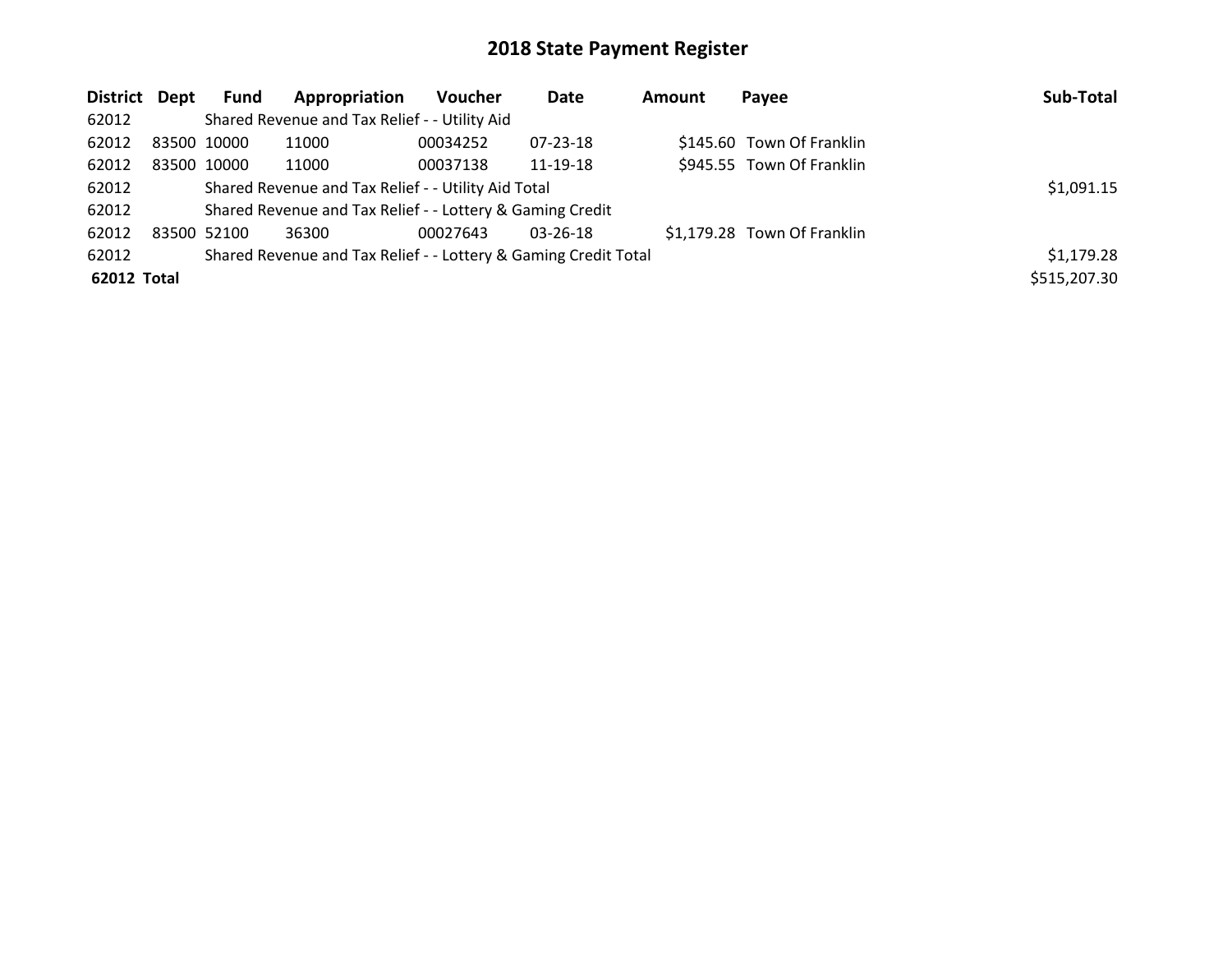| District Dept |             | <b>Fund</b>                                         | Appropriation                                                   | <b>Voucher</b> | Date           | <b>Amount</b> | Payee                       | Sub-Total    |
|---------------|-------------|-----------------------------------------------------|-----------------------------------------------------------------|----------------|----------------|---------------|-----------------------------|--------------|
| 62012         |             |                                                     | Shared Revenue and Tax Relief - - Utility Aid                   |                |                |               |                             |              |
| 62012         | 83500 10000 |                                                     | 11000                                                           | 00034252       | 07-23-18       |               | \$145.60 Town Of Franklin   |              |
| 62012         | 83500 10000 |                                                     | 11000                                                           | 00037138       | 11-19-18       |               | \$945.55 Town Of Franklin   |              |
| 62012         |             | Shared Revenue and Tax Relief - - Utility Aid Total | \$1,091.15                                                      |                |                |               |                             |              |
| 62012         |             |                                                     | Shared Revenue and Tax Relief - - Lottery & Gaming Credit       |                |                |               |                             |              |
| 62012         | 83500 52100 |                                                     | 36300                                                           | 00027643       | $03 - 26 - 18$ |               | \$1,179.28 Town Of Franklin |              |
| 62012         |             |                                                     | Shared Revenue and Tax Relief - - Lottery & Gaming Credit Total |                |                |               |                             | \$1,179.28   |
| 62012 Total   |             |                                                     |                                                                 |                |                |               |                             | \$515,207.30 |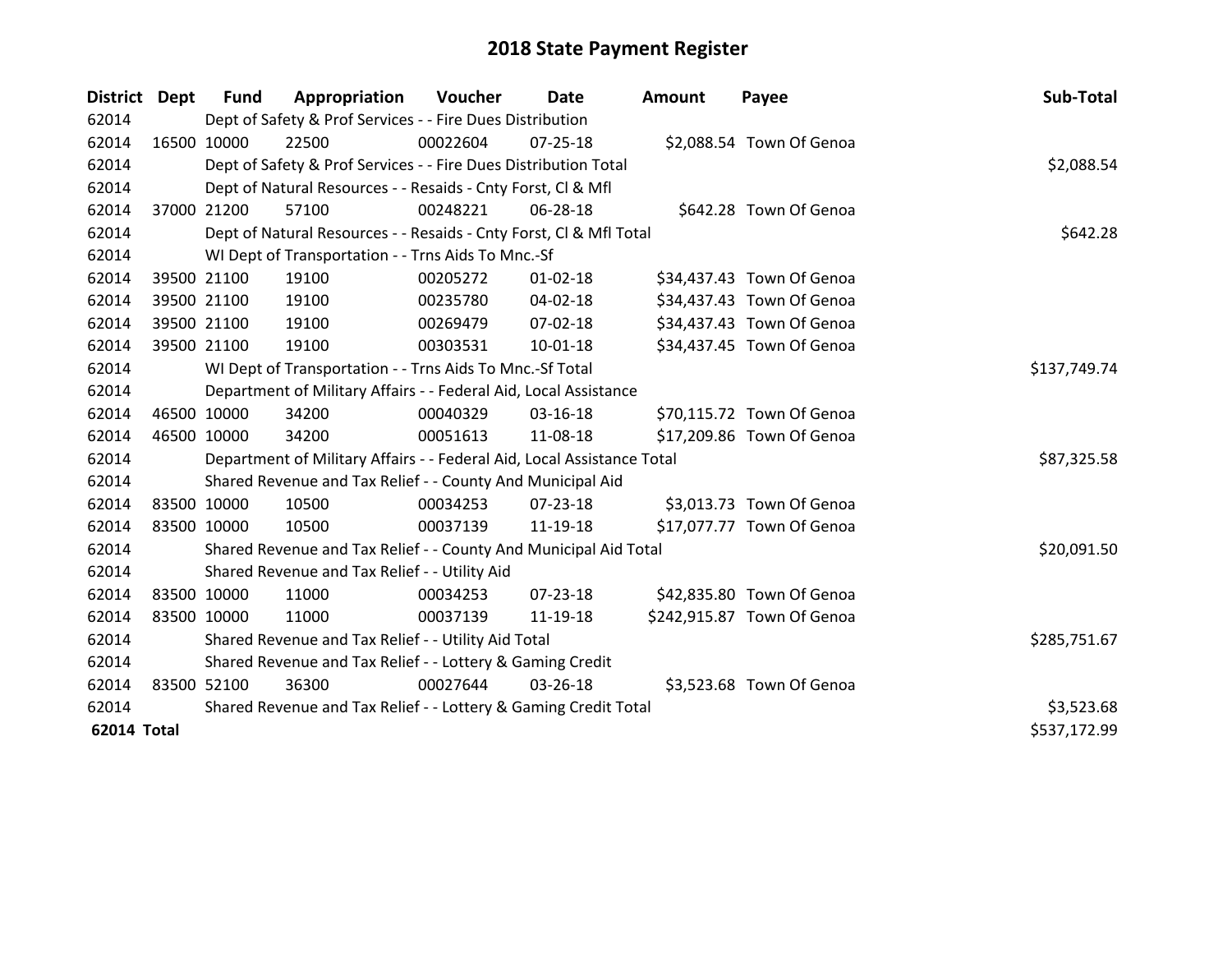| District Dept      |             | Fund        | Appropriation                                                          | Voucher  | Date           | Amount | Payee                      | Sub-Total    |
|--------------------|-------------|-------------|------------------------------------------------------------------------|----------|----------------|--------|----------------------------|--------------|
| 62014              |             |             | Dept of Safety & Prof Services - - Fire Dues Distribution              |          |                |        |                            |              |
| 62014              |             | 16500 10000 | 22500                                                                  | 00022604 | 07-25-18       |        | \$2,088.54 Town Of Genoa   |              |
| 62014              |             |             | Dept of Safety & Prof Services - - Fire Dues Distribution Total        |          |                |        |                            | \$2,088.54   |
| 62014              |             |             | Dept of Natural Resources - - Resaids - Cnty Forst, CI & Mfl           |          |                |        |                            |              |
| 62014              | 37000 21200 |             | 57100                                                                  | 00248221 | 06-28-18       |        | \$642.28 Town Of Genoa     |              |
| 62014              |             |             | Dept of Natural Resources - - Resaids - Cnty Forst, Cl & Mfl Total     |          |                |        |                            | \$642.28     |
| 62014              |             |             | WI Dept of Transportation - - Trns Aids To Mnc.-Sf                     |          |                |        |                            |              |
| 62014              |             | 39500 21100 | 19100                                                                  | 00205272 | $01 - 02 - 18$ |        | \$34,437.43 Town Of Genoa  |              |
| 62014              |             | 39500 21100 | 19100                                                                  | 00235780 | 04-02-18       |        | \$34,437.43 Town Of Genoa  |              |
| 62014              |             | 39500 21100 | 19100                                                                  | 00269479 | 07-02-18       |        | \$34,437.43 Town Of Genoa  |              |
| 62014              | 39500 21100 |             | 19100                                                                  | 00303531 | 10-01-18       |        | \$34,437.45 Town Of Genoa  |              |
| 62014              |             |             | WI Dept of Transportation - - Trns Aids To Mnc.-Sf Total               |          |                |        |                            | \$137,749.74 |
| 62014              |             |             | Department of Military Affairs - - Federal Aid, Local Assistance       |          |                |        |                            |              |
| 62014              | 46500 10000 |             | 34200                                                                  | 00040329 | 03-16-18       |        | \$70,115.72 Town Of Genoa  |              |
| 62014              | 46500 10000 |             | 34200                                                                  | 00051613 | 11-08-18       |        | \$17,209.86 Town Of Genoa  |              |
| 62014              |             |             | Department of Military Affairs - - Federal Aid, Local Assistance Total |          |                |        |                            | \$87,325.58  |
| 62014              |             |             | Shared Revenue and Tax Relief - - County And Municipal Aid             |          |                |        |                            |              |
| 62014              |             | 83500 10000 | 10500                                                                  | 00034253 | 07-23-18       |        | \$3,013.73 Town Of Genoa   |              |
| 62014              | 83500 10000 |             | 10500                                                                  | 00037139 | 11-19-18       |        | \$17,077.77 Town Of Genoa  |              |
| 62014              |             |             | Shared Revenue and Tax Relief - - County And Municipal Aid Total       |          |                |        |                            | \$20,091.50  |
| 62014              |             |             | Shared Revenue and Tax Relief - - Utility Aid                          |          |                |        |                            |              |
| 62014              | 83500 10000 |             | 11000                                                                  | 00034253 | 07-23-18       |        | \$42,835.80 Town Of Genoa  |              |
| 62014              | 83500 10000 |             | 11000                                                                  | 00037139 | 11-19-18       |        | \$242,915.87 Town Of Genoa |              |
| 62014              |             |             | Shared Revenue and Tax Relief - - Utility Aid Total                    |          |                |        |                            | \$285,751.67 |
| 62014              |             |             | Shared Revenue and Tax Relief - - Lottery & Gaming Credit              |          |                |        |                            |              |
| 62014              | 83500 52100 |             | 36300                                                                  | 00027644 | 03-26-18       |        | \$3,523.68 Town Of Genoa   |              |
| 62014              |             |             | Shared Revenue and Tax Relief - - Lottery & Gaming Credit Total        |          |                |        |                            | \$3,523.68   |
| <b>62014 Total</b> |             |             |                                                                        |          |                |        |                            | \$537,172.99 |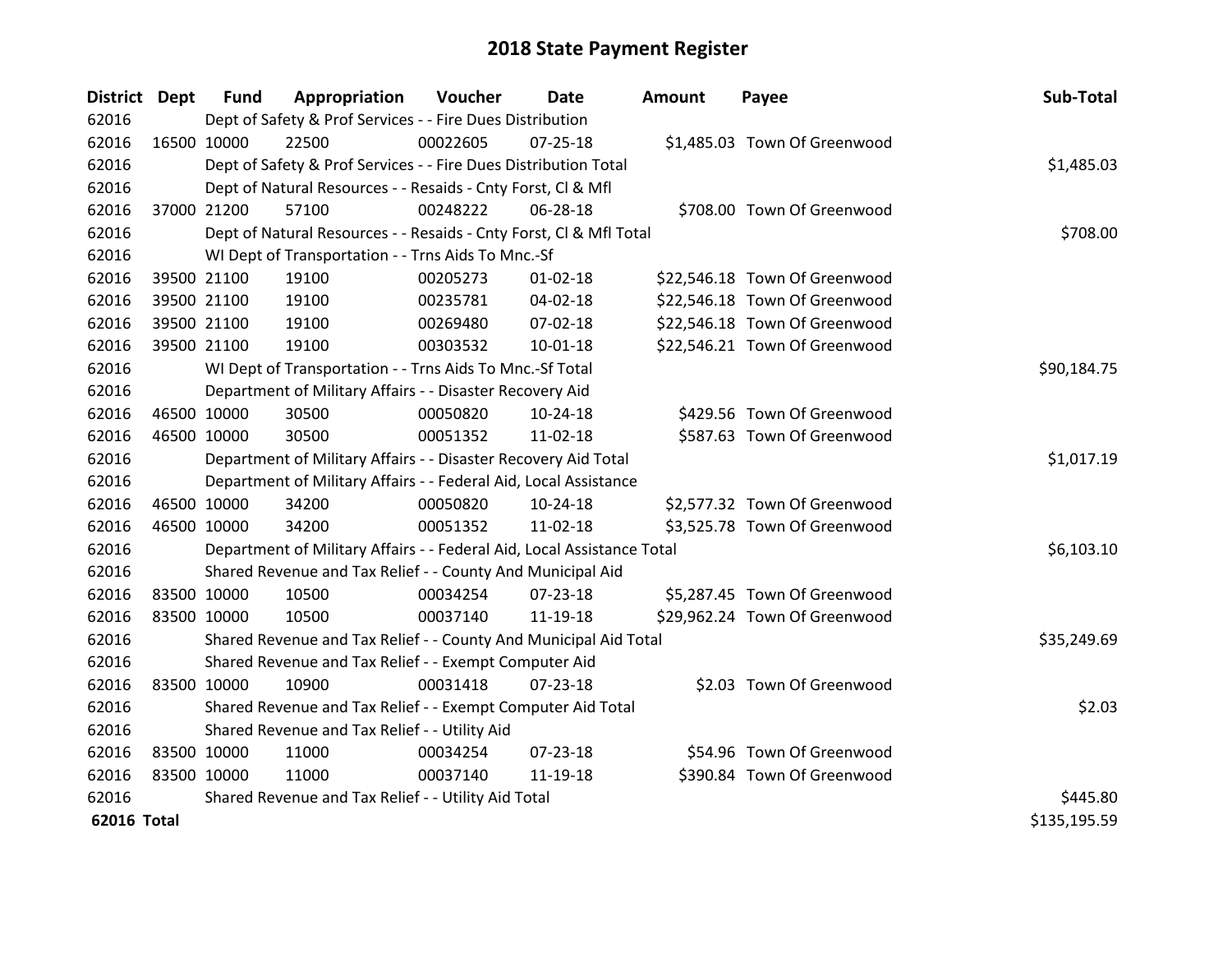| District Dept      | <b>Fund</b> | Appropriation                                                          | Voucher  | <b>Date</b>    | <b>Amount</b> | Payee                         | Sub-Total    |
|--------------------|-------------|------------------------------------------------------------------------|----------|----------------|---------------|-------------------------------|--------------|
| 62016              |             | Dept of Safety & Prof Services - - Fire Dues Distribution              |          |                |               |                               |              |
| 62016              | 16500 10000 | 22500                                                                  | 00022605 | $07 - 25 - 18$ |               | \$1,485.03 Town Of Greenwood  |              |
| 62016              |             | Dept of Safety & Prof Services - - Fire Dues Distribution Total        |          |                |               |                               | \$1,485.03   |
| 62016              |             | Dept of Natural Resources - - Resaids - Cnty Forst, Cl & Mfl           |          |                |               |                               |              |
| 62016              | 37000 21200 | 57100                                                                  | 00248222 | 06-28-18       |               | \$708.00 Town Of Greenwood    |              |
| 62016              |             | Dept of Natural Resources - - Resaids - Cnty Forst, Cl & Mfl Total     |          |                |               |                               | \$708.00     |
| 62016              |             | WI Dept of Transportation - - Trns Aids To Mnc.-Sf                     |          |                |               |                               |              |
| 62016              | 39500 21100 | 19100                                                                  | 00205273 | $01 - 02 - 18$ |               | \$22,546.18 Town Of Greenwood |              |
| 62016              | 39500 21100 | 19100                                                                  | 00235781 | 04-02-18       |               | \$22,546.18 Town Of Greenwood |              |
| 62016              | 39500 21100 | 19100                                                                  | 00269480 | 07-02-18       |               | \$22,546.18 Town Of Greenwood |              |
| 62016              | 39500 21100 | 19100                                                                  | 00303532 | $10 - 01 - 18$ |               | \$22,546.21 Town Of Greenwood |              |
| 62016              |             | WI Dept of Transportation - - Trns Aids To Mnc.-Sf Total               |          | \$90,184.75    |               |                               |              |
| 62016              |             | Department of Military Affairs - - Disaster Recovery Aid               |          |                |               |                               |              |
| 62016              | 46500 10000 | 30500                                                                  | 00050820 | $10-24-18$     |               | \$429.56 Town Of Greenwood    |              |
| 62016              | 46500 10000 | 30500                                                                  | 00051352 | 11-02-18       |               | \$587.63 Town Of Greenwood    |              |
| 62016              |             | Department of Military Affairs - - Disaster Recovery Aid Total         |          |                |               |                               | \$1,017.19   |
| 62016              |             | Department of Military Affairs - - Federal Aid, Local Assistance       |          |                |               |                               |              |
| 62016              | 46500 10000 | 34200                                                                  | 00050820 | $10-24-18$     |               | \$2,577.32 Town Of Greenwood  |              |
| 62016              | 46500 10000 | 34200                                                                  | 00051352 | 11-02-18       |               | \$3,525.78 Town Of Greenwood  |              |
| 62016              |             | Department of Military Affairs - - Federal Aid, Local Assistance Total |          |                |               |                               | \$6,103.10   |
| 62016              |             | Shared Revenue and Tax Relief - - County And Municipal Aid             |          |                |               |                               |              |
| 62016              | 83500 10000 | 10500                                                                  | 00034254 | $07 - 23 - 18$ |               | \$5,287.45 Town Of Greenwood  |              |
| 62016              | 83500 10000 | 10500                                                                  | 00037140 | 11-19-18       |               | \$29,962.24 Town Of Greenwood |              |
| 62016              |             | Shared Revenue and Tax Relief - - County And Municipal Aid Total       |          |                |               |                               | \$35,249.69  |
| 62016              |             | Shared Revenue and Tax Relief - - Exempt Computer Aid                  |          |                |               |                               |              |
| 62016              | 83500 10000 | 10900                                                                  | 00031418 | $07 - 23 - 18$ |               | \$2.03 Town Of Greenwood      |              |
| 62016              |             | Shared Revenue and Tax Relief - - Exempt Computer Aid Total            |          |                |               |                               | \$2.03       |
| 62016              |             | Shared Revenue and Tax Relief - - Utility Aid                          |          |                |               |                               |              |
| 62016              | 83500 10000 | 11000                                                                  | 00034254 | 07-23-18       |               | \$54.96 Town Of Greenwood     |              |
| 62016              | 83500 10000 | 11000                                                                  | 00037140 | 11-19-18       |               | \$390.84 Town Of Greenwood    |              |
| 62016              |             | Shared Revenue and Tax Relief - - Utility Aid Total                    |          |                |               |                               | \$445.80     |
| <b>62016 Total</b> |             |                                                                        |          |                |               |                               | \$135,195.59 |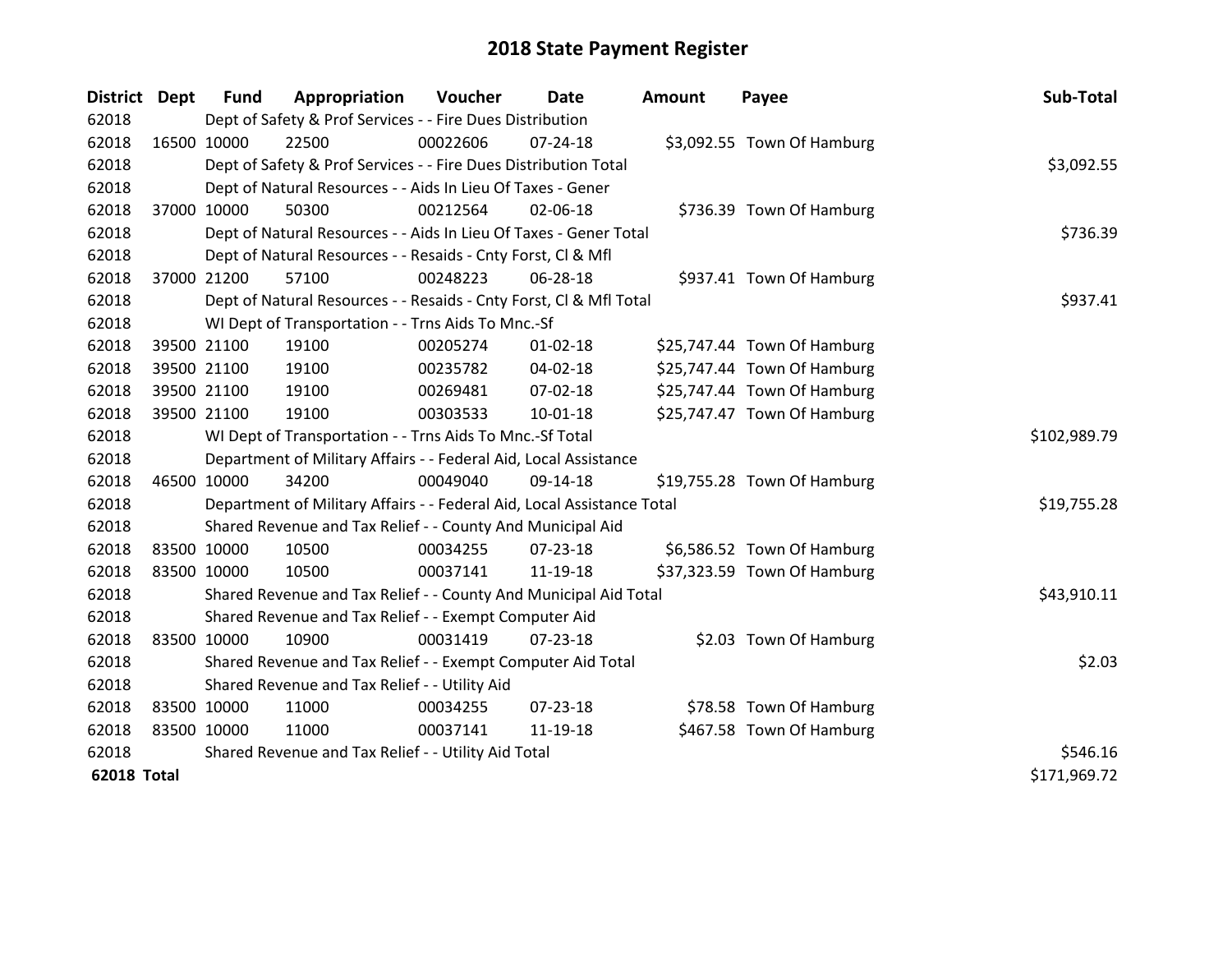| District Dept      |             | <b>Fund</b> | Appropriation                                                          | Voucher  | Date           | <b>Amount</b> | Payee                       | Sub-Total    |
|--------------------|-------------|-------------|------------------------------------------------------------------------|----------|----------------|---------------|-----------------------------|--------------|
| 62018              |             |             | Dept of Safety & Prof Services - - Fire Dues Distribution              |          |                |               |                             |              |
| 62018              | 16500 10000 |             | 22500                                                                  | 00022606 | 07-24-18       |               | \$3,092.55 Town Of Hamburg  |              |
| 62018              |             |             | Dept of Safety & Prof Services - - Fire Dues Distribution Total        |          |                |               |                             | \$3,092.55   |
| 62018              |             |             | Dept of Natural Resources - - Aids In Lieu Of Taxes - Gener            |          |                |               |                             |              |
| 62018              |             | 37000 10000 | 50300                                                                  | 00212564 | 02-06-18       |               | \$736.39 Town Of Hamburg    |              |
| 62018              |             |             | Dept of Natural Resources - - Aids In Lieu Of Taxes - Gener Total      |          |                |               |                             | \$736.39     |
| 62018              |             |             | Dept of Natural Resources - - Resaids - Cnty Forst, CI & Mfl           |          |                |               |                             |              |
| 62018              |             | 37000 21200 | 57100                                                                  | 00248223 | 06-28-18       |               | \$937.41 Town Of Hamburg    |              |
| 62018              |             |             | Dept of Natural Resources - - Resaids - Cnty Forst, CI & Mfl Total     |          |                |               |                             | \$937.41     |
| 62018              |             |             | WI Dept of Transportation - - Trns Aids To Mnc.-Sf                     |          |                |               |                             |              |
| 62018              |             | 39500 21100 | 19100                                                                  | 00205274 | $01 - 02 - 18$ |               | \$25,747.44 Town Of Hamburg |              |
| 62018              |             | 39500 21100 | 19100                                                                  | 00235782 | 04-02-18       |               | \$25,747.44 Town Of Hamburg |              |
| 62018              |             | 39500 21100 | 19100                                                                  | 00269481 | 07-02-18       |               | \$25,747.44 Town Of Hamburg |              |
| 62018              |             | 39500 21100 | 19100                                                                  | 00303533 | $10 - 01 - 18$ |               | \$25,747.47 Town Of Hamburg |              |
| 62018              |             |             | WI Dept of Transportation - - Trns Aids To Mnc.-Sf Total               |          |                |               |                             | \$102,989.79 |
| 62018              |             |             | Department of Military Affairs - - Federal Aid, Local Assistance       |          |                |               |                             |              |
| 62018              | 46500 10000 |             | 34200                                                                  | 00049040 | 09-14-18       |               | \$19,755.28 Town Of Hamburg |              |
| 62018              |             |             | Department of Military Affairs - - Federal Aid, Local Assistance Total |          |                |               |                             | \$19,755.28  |
| 62018              |             |             | Shared Revenue and Tax Relief - - County And Municipal Aid             |          |                |               |                             |              |
| 62018              | 83500 10000 |             | 10500                                                                  | 00034255 | $07 - 23 - 18$ |               | \$6,586.52 Town Of Hamburg  |              |
| 62018              | 83500 10000 |             | 10500                                                                  | 00037141 | 11-19-18       |               | \$37,323.59 Town Of Hamburg |              |
| 62018              |             |             | Shared Revenue and Tax Relief - - County And Municipal Aid Total       |          |                |               |                             | \$43,910.11  |
| 62018              |             |             | Shared Revenue and Tax Relief - - Exempt Computer Aid                  |          |                |               |                             |              |
| 62018              | 83500 10000 |             | 10900                                                                  | 00031419 | $07 - 23 - 18$ |               | \$2.03 Town Of Hamburg      |              |
| 62018              |             |             | Shared Revenue and Tax Relief - - Exempt Computer Aid Total            |          |                |               |                             | \$2.03       |
| 62018              |             |             | Shared Revenue and Tax Relief - - Utility Aid                          |          |                |               |                             |              |
| 62018              | 83500 10000 |             | 11000                                                                  | 00034255 | 07-23-18       |               | \$78.58 Town Of Hamburg     |              |
| 62018              | 83500 10000 |             | 11000                                                                  | 00037141 | 11-19-18       |               | \$467.58 Town Of Hamburg    |              |
| 62018              |             |             | Shared Revenue and Tax Relief - - Utility Aid Total                    |          |                |               |                             | \$546.16     |
| <b>62018 Total</b> |             |             |                                                                        |          |                |               |                             | \$171,969.72 |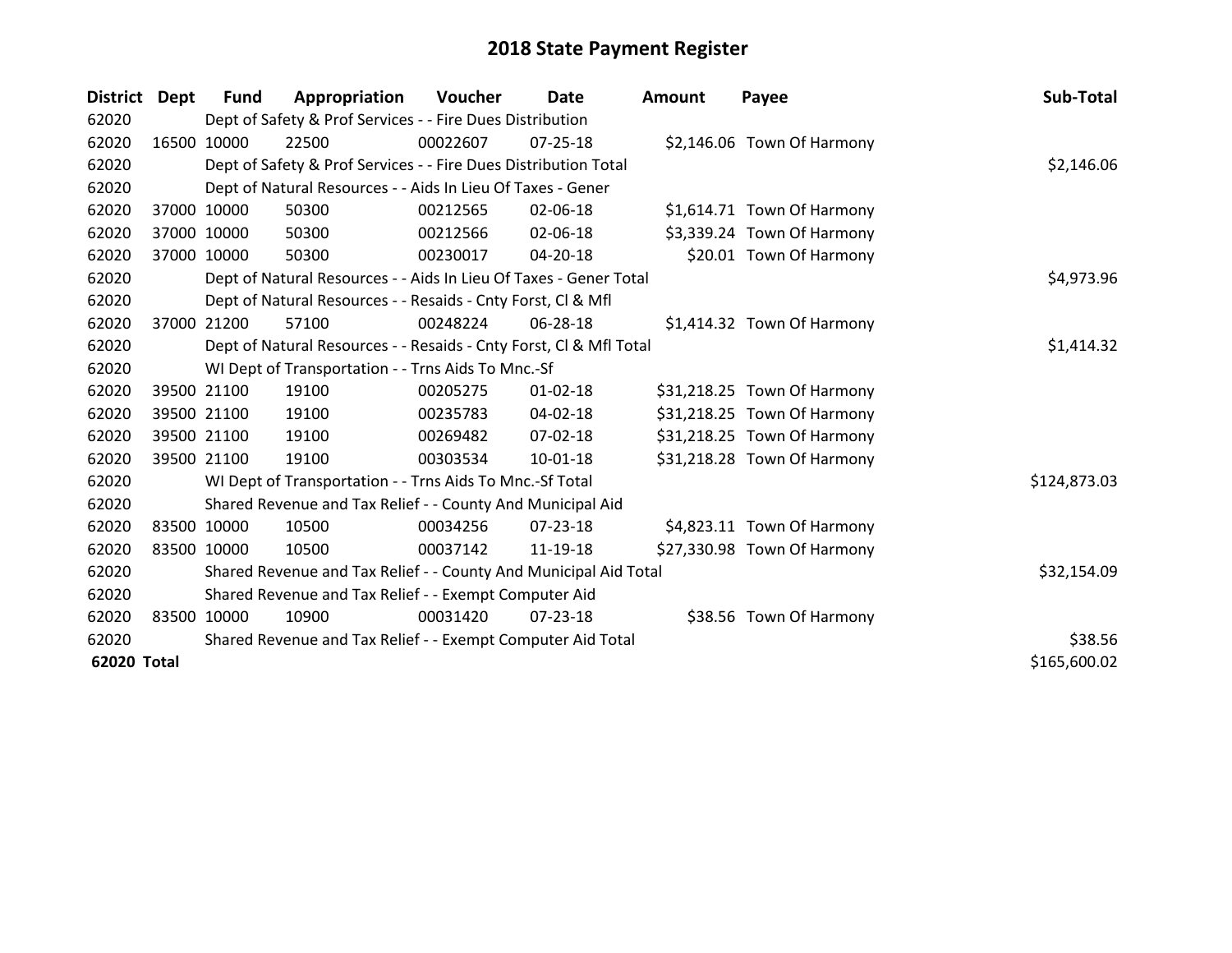| District Dept |       | Fund        | Appropriation                                                      | Voucher  | Date           | <b>Amount</b> | Payee                       | Sub-Total    |
|---------------|-------|-------------|--------------------------------------------------------------------|----------|----------------|---------------|-----------------------------|--------------|
| 62020         |       |             | Dept of Safety & Prof Services - - Fire Dues Distribution          |          |                |               |                             |              |
| 62020         |       | 16500 10000 | 22500                                                              | 00022607 | $07 - 25 - 18$ |               | \$2,146.06 Town Of Harmony  |              |
| 62020         |       |             | Dept of Safety & Prof Services - - Fire Dues Distribution Total    |          |                |               |                             | \$2,146.06   |
| 62020         |       |             | Dept of Natural Resources - - Aids In Lieu Of Taxes - Gener        |          |                |               |                             |              |
| 62020         |       | 37000 10000 | 50300                                                              | 00212565 | 02-06-18       |               | \$1,614.71 Town Of Harmony  |              |
| 62020         |       | 37000 10000 | 50300                                                              | 00212566 | 02-06-18       |               | \$3,339.24 Town Of Harmony  |              |
| 62020         | 37000 | 10000       | 50300                                                              | 00230017 | 04-20-18       |               | \$20.01 Town Of Harmony     |              |
| 62020         |       |             | Dept of Natural Resources - - Aids In Lieu Of Taxes - Gener Total  |          | \$4,973.96     |               |                             |              |
| 62020         |       |             | Dept of Natural Resources - - Resaids - Cnty Forst, CI & Mfl       |          |                |               |                             |              |
| 62020         |       | 37000 21200 | 57100                                                              | 00248224 | 06-28-18       |               | \$1,414.32 Town Of Harmony  |              |
| 62020         |       |             | Dept of Natural Resources - - Resaids - Cnty Forst, CI & Mfl Total |          |                |               |                             | \$1,414.32   |
| 62020         |       |             | WI Dept of Transportation - - Trns Aids To Mnc.-Sf                 |          |                |               |                             |              |
| 62020         |       | 39500 21100 | 19100                                                              | 00205275 | $01 - 02 - 18$ |               | \$31,218.25 Town Of Harmony |              |
| 62020         |       | 39500 21100 | 19100                                                              | 00235783 | $04 - 02 - 18$ |               | \$31,218.25 Town Of Harmony |              |
| 62020         |       | 39500 21100 | 19100                                                              | 00269482 | $07 - 02 - 18$ |               | \$31,218.25 Town Of Harmony |              |
| 62020         |       | 39500 21100 | 19100                                                              | 00303534 | $10 - 01 - 18$ |               | \$31,218.28 Town Of Harmony |              |
| 62020         |       |             | WI Dept of Transportation - - Trns Aids To Mnc.-Sf Total           |          |                |               |                             | \$124,873.03 |
| 62020         |       |             | Shared Revenue and Tax Relief - - County And Municipal Aid         |          |                |               |                             |              |
| 62020         |       | 83500 10000 | 10500                                                              | 00034256 | $07 - 23 - 18$ |               | \$4,823.11 Town Of Harmony  |              |
| 62020         |       | 83500 10000 | 10500                                                              | 00037142 | 11-19-18       |               | \$27,330.98 Town Of Harmony |              |
| 62020         |       |             | Shared Revenue and Tax Relief - - County And Municipal Aid Total   |          |                |               |                             | \$32,154.09  |
| 62020         |       |             | Shared Revenue and Tax Relief - - Exempt Computer Aid              |          |                |               |                             |              |
| 62020         |       | 83500 10000 | 10900                                                              | 00031420 | 07-23-18       |               | \$38.56 Town Of Harmony     |              |
| 62020         |       |             | Shared Revenue and Tax Relief - - Exempt Computer Aid Total        |          |                |               |                             | \$38.56      |
| 62020 Total   |       |             |                                                                    |          |                |               |                             | \$165,600.02 |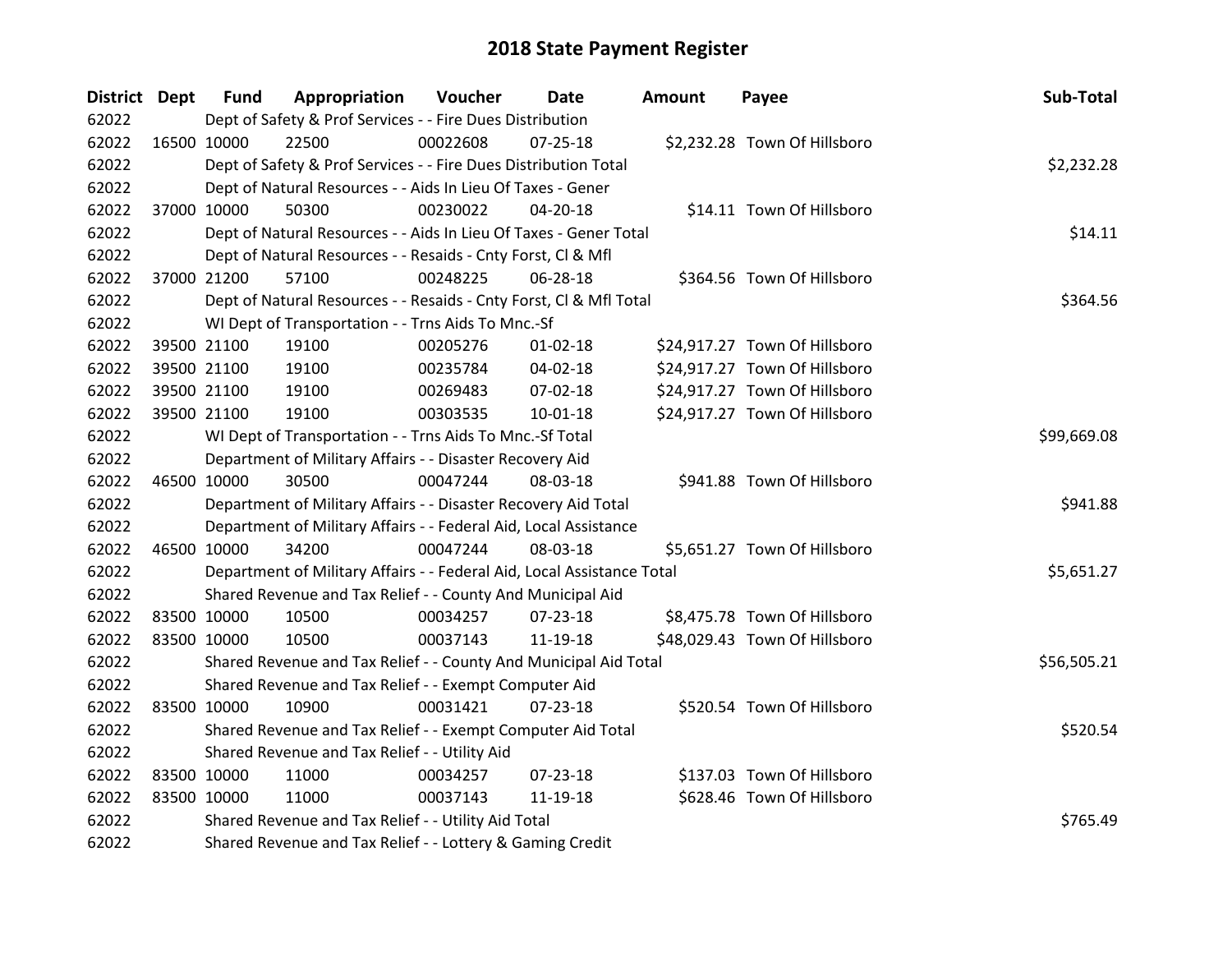| District Dept | <b>Fund</b> | Appropriation                                                          | Voucher  | <b>Date</b>    | <b>Amount</b> | Payee                         | Sub-Total   |
|---------------|-------------|------------------------------------------------------------------------|----------|----------------|---------------|-------------------------------|-------------|
| 62022         |             | Dept of Safety & Prof Services - - Fire Dues Distribution              |          |                |               |                               |             |
| 62022         | 16500 10000 | 22500                                                                  | 00022608 | 07-25-18       |               | \$2,232.28 Town Of Hillsboro  |             |
| 62022         |             | Dept of Safety & Prof Services - - Fire Dues Distribution Total        |          |                |               |                               | \$2,232.28  |
| 62022         |             | Dept of Natural Resources - - Aids In Lieu Of Taxes - Gener            |          |                |               |                               |             |
| 62022         | 37000 10000 | 50300                                                                  | 00230022 | 04-20-18       |               | \$14.11 Town Of Hillsboro     |             |
| 62022         |             | Dept of Natural Resources - - Aids In Lieu Of Taxes - Gener Total      |          |                |               |                               | \$14.11     |
| 62022         |             | Dept of Natural Resources - - Resaids - Cnty Forst, Cl & Mfl           |          |                |               |                               |             |
| 62022         | 37000 21200 | 57100                                                                  | 00248225 | 06-28-18       |               | \$364.56 Town Of Hillsboro    |             |
| 62022         |             | Dept of Natural Resources - - Resaids - Cnty Forst, Cl & Mfl Total     |          |                |               |                               | \$364.56    |
| 62022         |             | WI Dept of Transportation - - Trns Aids To Mnc.-Sf                     |          |                |               |                               |             |
| 62022         | 39500 21100 | 19100                                                                  | 00205276 | $01 - 02 - 18$ |               | \$24,917.27 Town Of Hillsboro |             |
| 62022         | 39500 21100 | 19100                                                                  | 00235784 | 04-02-18       |               | \$24,917.27 Town Of Hillsboro |             |
| 62022         | 39500 21100 | 19100                                                                  | 00269483 | 07-02-18       |               | \$24,917.27 Town Of Hillsboro |             |
| 62022         | 39500 21100 | 19100                                                                  | 00303535 | 10-01-18       |               | \$24,917.27 Town Of Hillsboro |             |
| 62022         |             | WI Dept of Transportation - - Trns Aids To Mnc.-Sf Total               |          |                |               |                               | \$99,669.08 |
| 62022         |             | Department of Military Affairs - - Disaster Recovery Aid               |          |                |               |                               |             |
| 62022         | 46500 10000 | 30500                                                                  | 00047244 | 08-03-18       |               | \$941.88 Town Of Hillsboro    |             |
| 62022         |             | Department of Military Affairs - - Disaster Recovery Aid Total         |          |                |               |                               | \$941.88    |
| 62022         |             | Department of Military Affairs - - Federal Aid, Local Assistance       |          |                |               |                               |             |
| 62022         | 46500 10000 | 34200                                                                  | 00047244 | 08-03-18       |               | \$5,651.27 Town Of Hillsboro  |             |
| 62022         |             | Department of Military Affairs - - Federal Aid, Local Assistance Total |          |                |               |                               | \$5,651.27  |
| 62022         |             | Shared Revenue and Tax Relief - - County And Municipal Aid             |          |                |               |                               |             |
| 62022         | 83500 10000 | 10500                                                                  | 00034257 | $07 - 23 - 18$ |               | \$8,475.78 Town Of Hillsboro  |             |
| 62022         | 83500 10000 | 10500                                                                  | 00037143 | 11-19-18       |               | \$48,029.43 Town Of Hillsboro |             |
| 62022         |             | Shared Revenue and Tax Relief - - County And Municipal Aid Total       |          |                |               |                               | \$56,505.21 |
| 62022         |             | Shared Revenue and Tax Relief - - Exempt Computer Aid                  |          |                |               |                               |             |
| 62022         | 83500 10000 | 10900                                                                  | 00031421 | $07 - 23 - 18$ |               | \$520.54 Town Of Hillsboro    |             |
| 62022         |             | Shared Revenue and Tax Relief - - Exempt Computer Aid Total            |          |                |               |                               | \$520.54    |
| 62022         |             | Shared Revenue and Tax Relief - - Utility Aid                          |          |                |               |                               |             |
| 62022         | 83500 10000 | 11000                                                                  | 00034257 | $07 - 23 - 18$ |               | \$137.03 Town Of Hillsboro    |             |
| 62022         | 83500 10000 | 11000                                                                  | 00037143 | 11-19-18       |               | \$628.46 Town Of Hillsboro    |             |
| 62022         |             | Shared Revenue and Tax Relief - - Utility Aid Total                    |          |                |               |                               | \$765.49    |
| 62022         |             | Shared Revenue and Tax Relief - - Lottery & Gaming Credit              |          |                |               |                               |             |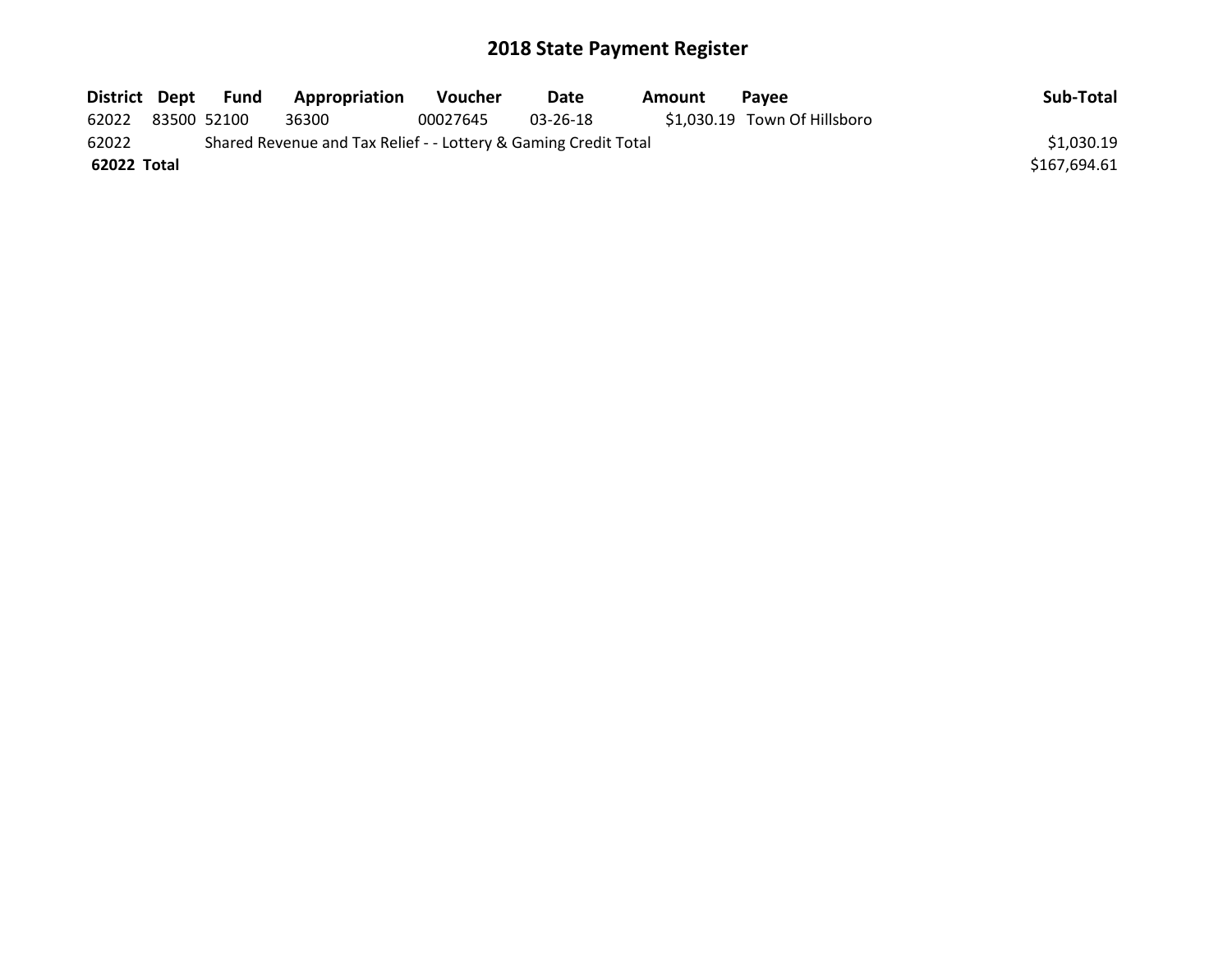| District Dept                                                            |  | Fund        | Appropriation | Voucher  | Date     | Amount | Pavee                        | Sub-Total    |
|--------------------------------------------------------------------------|--|-------------|---------------|----------|----------|--------|------------------------------|--------------|
| 62022                                                                    |  | 83500 52100 | 36300         | 00027645 | 03-26-18 |        | \$1,030.19 Town Of Hillsboro |              |
| 62022<br>Shared Revenue and Tax Relief - - Lottery & Gaming Credit Total |  |             |               |          |          |        |                              | \$1,030.19   |
| 62022 Total                                                              |  |             |               |          |          |        |                              | \$167,694.61 |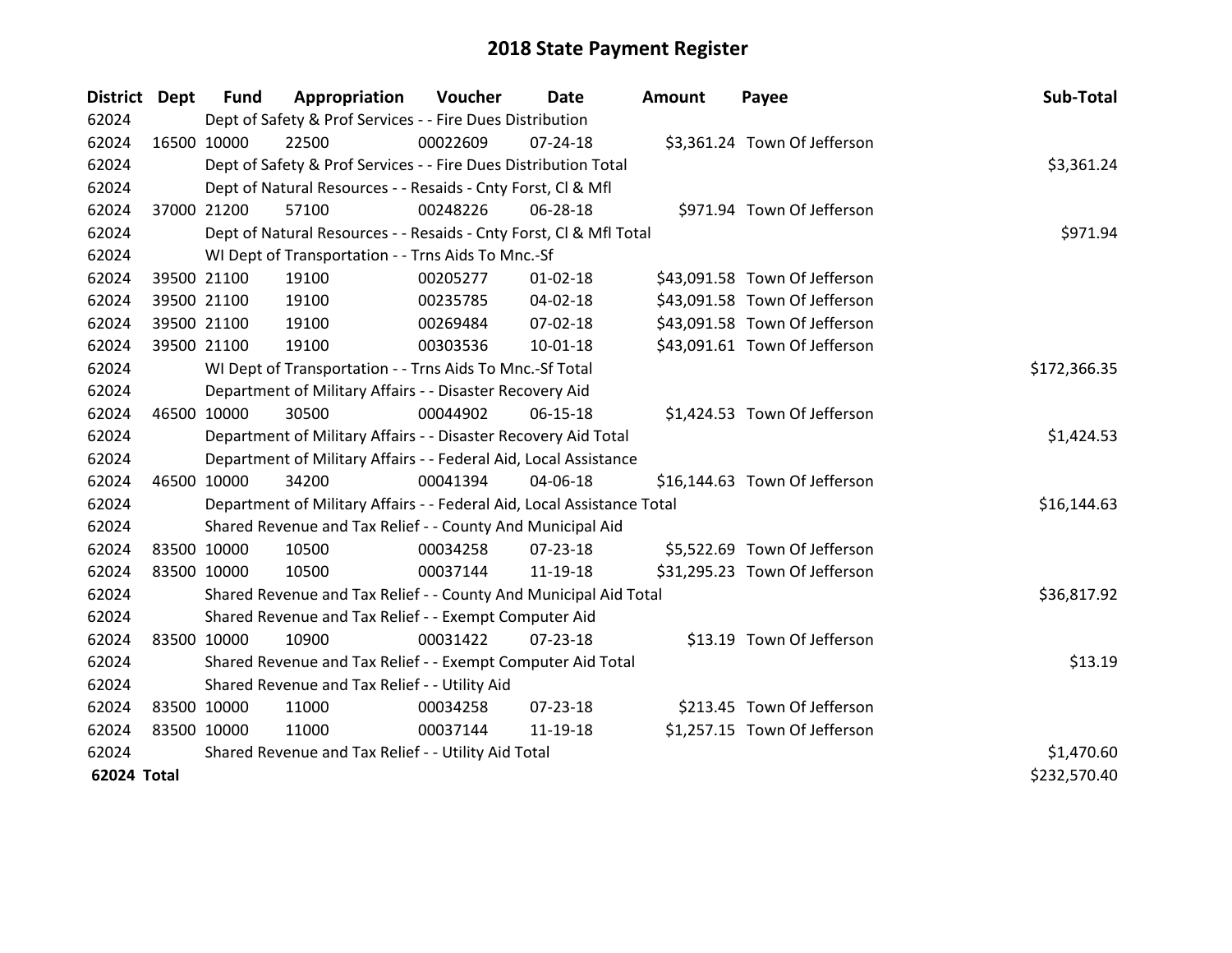| District Dept |             | <b>Fund</b> | Appropriation                                                          | Voucher  | Date           | <b>Amount</b> | Payee                         | Sub-Total    |
|---------------|-------------|-------------|------------------------------------------------------------------------|----------|----------------|---------------|-------------------------------|--------------|
| 62024         |             |             | Dept of Safety & Prof Services - - Fire Dues Distribution              |          |                |               |                               |              |
| 62024         | 16500 10000 |             | 22500                                                                  | 00022609 | $07 - 24 - 18$ |               | \$3,361.24 Town Of Jefferson  |              |
| 62024         |             |             | Dept of Safety & Prof Services - - Fire Dues Distribution Total        |          |                |               |                               | \$3,361.24   |
| 62024         |             |             | Dept of Natural Resources - - Resaids - Cnty Forst, Cl & Mfl           |          |                |               |                               |              |
| 62024         |             | 37000 21200 | 57100                                                                  | 00248226 | 06-28-18       |               | \$971.94 Town Of Jefferson    |              |
| 62024         |             |             | Dept of Natural Resources - - Resaids - Cnty Forst, Cl & Mfl Total     |          | \$971.94       |               |                               |              |
| 62024         |             |             | WI Dept of Transportation - - Trns Aids To Mnc.-Sf                     |          |                |               |                               |              |
| 62024         |             | 39500 21100 | 19100                                                                  | 00205277 | $01 - 02 - 18$ |               | \$43,091.58 Town Of Jefferson |              |
| 62024         |             | 39500 21100 | 19100                                                                  | 00235785 | 04-02-18       |               | \$43,091.58 Town Of Jefferson |              |
| 62024         |             | 39500 21100 | 19100                                                                  | 00269484 | 07-02-18       |               | \$43,091.58 Town Of Jefferson |              |
| 62024         |             | 39500 21100 | 19100                                                                  | 00303536 | $10-01-18$     |               | \$43,091.61 Town Of Jefferson |              |
| 62024         |             |             | WI Dept of Transportation - - Trns Aids To Mnc.-Sf Total               |          |                |               |                               | \$172,366.35 |
| 62024         |             |             | Department of Military Affairs - - Disaster Recovery Aid               |          |                |               |                               |              |
| 62024         | 46500 10000 |             | 30500                                                                  | 00044902 | 06-15-18       |               | \$1,424.53 Town Of Jefferson  |              |
| 62024         |             |             | Department of Military Affairs - - Disaster Recovery Aid Total         |          |                |               |                               | \$1,424.53   |
| 62024         |             |             | Department of Military Affairs - - Federal Aid, Local Assistance       |          |                |               |                               |              |
| 62024         | 46500 10000 |             | 34200                                                                  | 00041394 | 04-06-18       |               | \$16,144.63 Town Of Jefferson |              |
| 62024         |             |             | Department of Military Affairs - - Federal Aid, Local Assistance Total |          |                |               |                               | \$16,144.63  |
| 62024         |             |             | Shared Revenue and Tax Relief - - County And Municipal Aid             |          |                |               |                               |              |
| 62024         | 83500 10000 |             | 10500                                                                  | 00034258 | $07 - 23 - 18$ |               | \$5,522.69 Town Of Jefferson  |              |
| 62024         | 83500 10000 |             | 10500                                                                  | 00037144 | 11-19-18       |               | \$31,295.23 Town Of Jefferson |              |
| 62024         |             |             | Shared Revenue and Tax Relief - - County And Municipal Aid Total       |          |                |               |                               | \$36,817.92  |
| 62024         |             |             | Shared Revenue and Tax Relief - - Exempt Computer Aid                  |          |                |               |                               |              |
| 62024         | 83500 10000 |             | 10900                                                                  | 00031422 | $07 - 23 - 18$ |               | \$13.19 Town Of Jefferson     |              |
| 62024         |             |             | Shared Revenue and Tax Relief - - Exempt Computer Aid Total            |          |                |               |                               | \$13.19      |
| 62024         |             |             | Shared Revenue and Tax Relief - - Utility Aid                          |          |                |               |                               |              |
| 62024         | 83500 10000 |             | 11000                                                                  | 00034258 | 07-23-18       |               | \$213.45 Town Of Jefferson    |              |
| 62024         | 83500 10000 |             | 11000                                                                  | 00037144 | 11-19-18       |               | \$1,257.15 Town Of Jefferson  |              |
| 62024         |             |             | Shared Revenue and Tax Relief - - Utility Aid Total                    |          |                |               |                               | \$1,470.60   |
| 62024 Total   |             |             |                                                                        |          |                |               |                               | \$232,570.40 |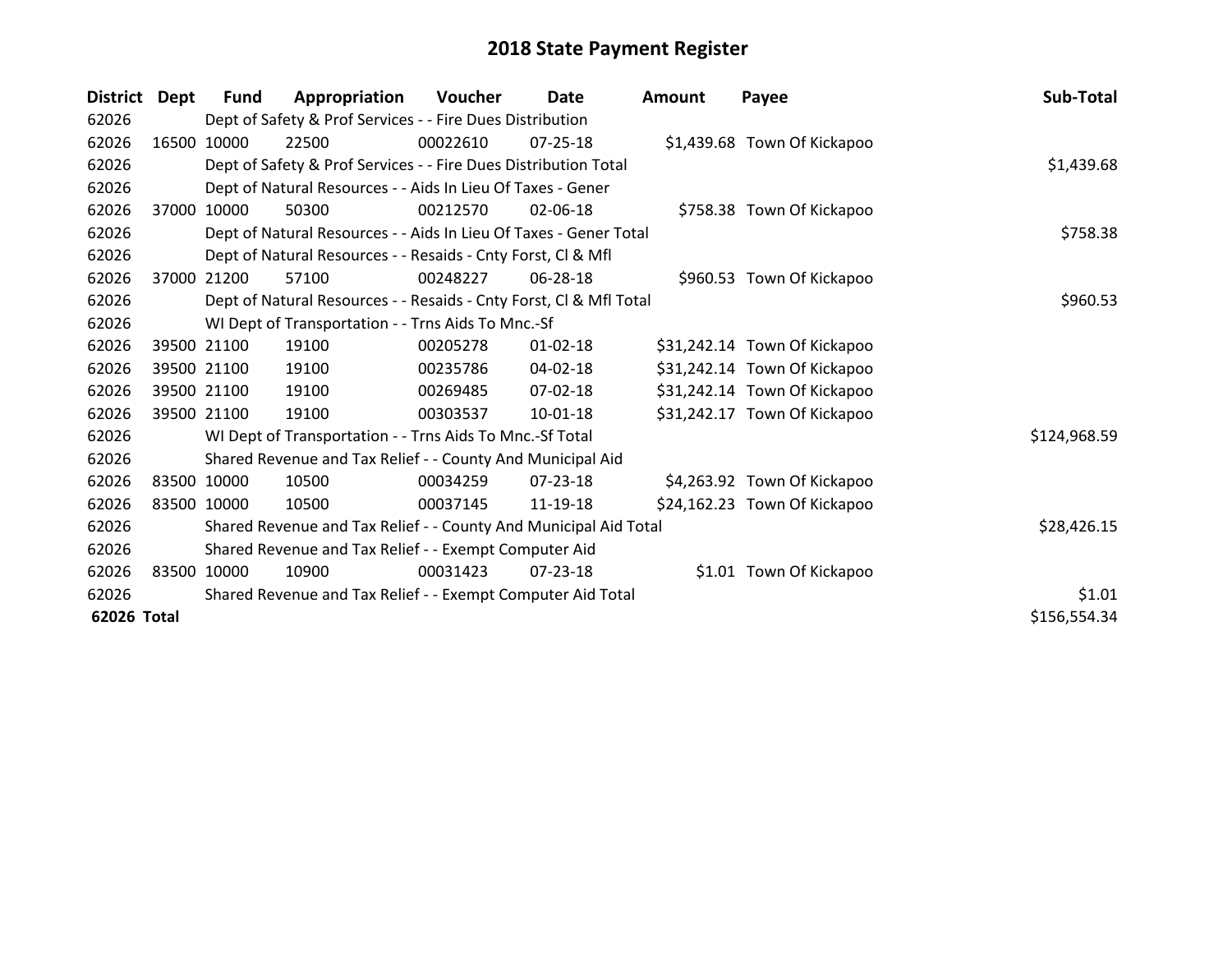| <b>District</b> | Dept  | <b>Fund</b> | Appropriation                                                      | Voucher  | Date           | <b>Amount</b> | Payee                        | Sub-Total    |
|-----------------|-------|-------------|--------------------------------------------------------------------|----------|----------------|---------------|------------------------------|--------------|
| 62026           |       |             | Dept of Safety & Prof Services - - Fire Dues Distribution          |          |                |               |                              |              |
| 62026           |       | 16500 10000 | 22500                                                              | 00022610 | $07 - 25 - 18$ |               | \$1,439.68 Town Of Kickapoo  |              |
| 62026           |       |             | Dept of Safety & Prof Services - - Fire Dues Distribution Total    |          |                |               |                              | \$1,439.68   |
| 62026           |       |             | Dept of Natural Resources - - Aids In Lieu Of Taxes - Gener        |          |                |               |                              |              |
| 62026           | 37000 | 10000       | 50300                                                              | 00212570 | 02-06-18       |               | \$758.38 Town Of Kickapoo    |              |
| 62026           |       |             | Dept of Natural Resources - - Aids In Lieu Of Taxes - Gener Total  |          |                |               |                              | \$758.38     |
| 62026           |       |             | Dept of Natural Resources - - Resaids - Cnty Forst, CI & Mfl       |          |                |               |                              |              |
| 62026           | 37000 | 21200       | 57100                                                              | 00248227 | 06-28-18       |               | \$960.53 Town Of Kickapoo    |              |
| 62026           |       |             | Dept of Natural Resources - - Resaids - Cnty Forst, Cl & Mfl Total |          |                |               |                              | \$960.53     |
| 62026           |       |             | WI Dept of Transportation - - Trns Aids To Mnc.-Sf                 |          |                |               |                              |              |
| 62026           |       | 39500 21100 | 19100                                                              | 00205278 | $01 - 02 - 18$ |               | \$31,242.14 Town Of Kickapoo |              |
| 62026           |       | 39500 21100 | 19100                                                              | 00235786 | 04-02-18       |               | \$31,242.14 Town Of Kickapoo |              |
| 62026           |       | 39500 21100 | 19100                                                              | 00269485 | 07-02-18       |               | \$31,242.14 Town Of Kickapoo |              |
| 62026           |       | 39500 21100 | 19100                                                              | 00303537 | $10 - 01 - 18$ |               | \$31,242.17 Town Of Kickapoo |              |
| 62026           |       |             | WI Dept of Transportation - - Trns Aids To Mnc.-Sf Total           |          |                |               |                              | \$124,968.59 |
| 62026           |       |             | Shared Revenue and Tax Relief - - County And Municipal Aid         |          |                |               |                              |              |
| 62026           |       | 83500 10000 | 10500                                                              | 00034259 | 07-23-18       |               | \$4,263.92 Town Of Kickapoo  |              |
| 62026           |       | 83500 10000 | 10500                                                              | 00037145 | 11-19-18       |               | \$24,162.23 Town Of Kickapoo |              |
| 62026           |       |             | Shared Revenue and Tax Relief - - County And Municipal Aid Total   |          |                |               |                              | \$28,426.15  |
| 62026           |       |             | Shared Revenue and Tax Relief - - Exempt Computer Aid              |          |                |               |                              |              |
| 62026           |       | 83500 10000 | 10900                                                              | 00031423 | 07-23-18       |               | \$1.01 Town Of Kickapoo      |              |
| 62026           |       |             | Shared Revenue and Tax Relief - - Exempt Computer Aid Total        |          |                |               |                              | \$1.01       |
| 62026 Total     |       |             |                                                                    |          |                |               |                              | \$156,554.34 |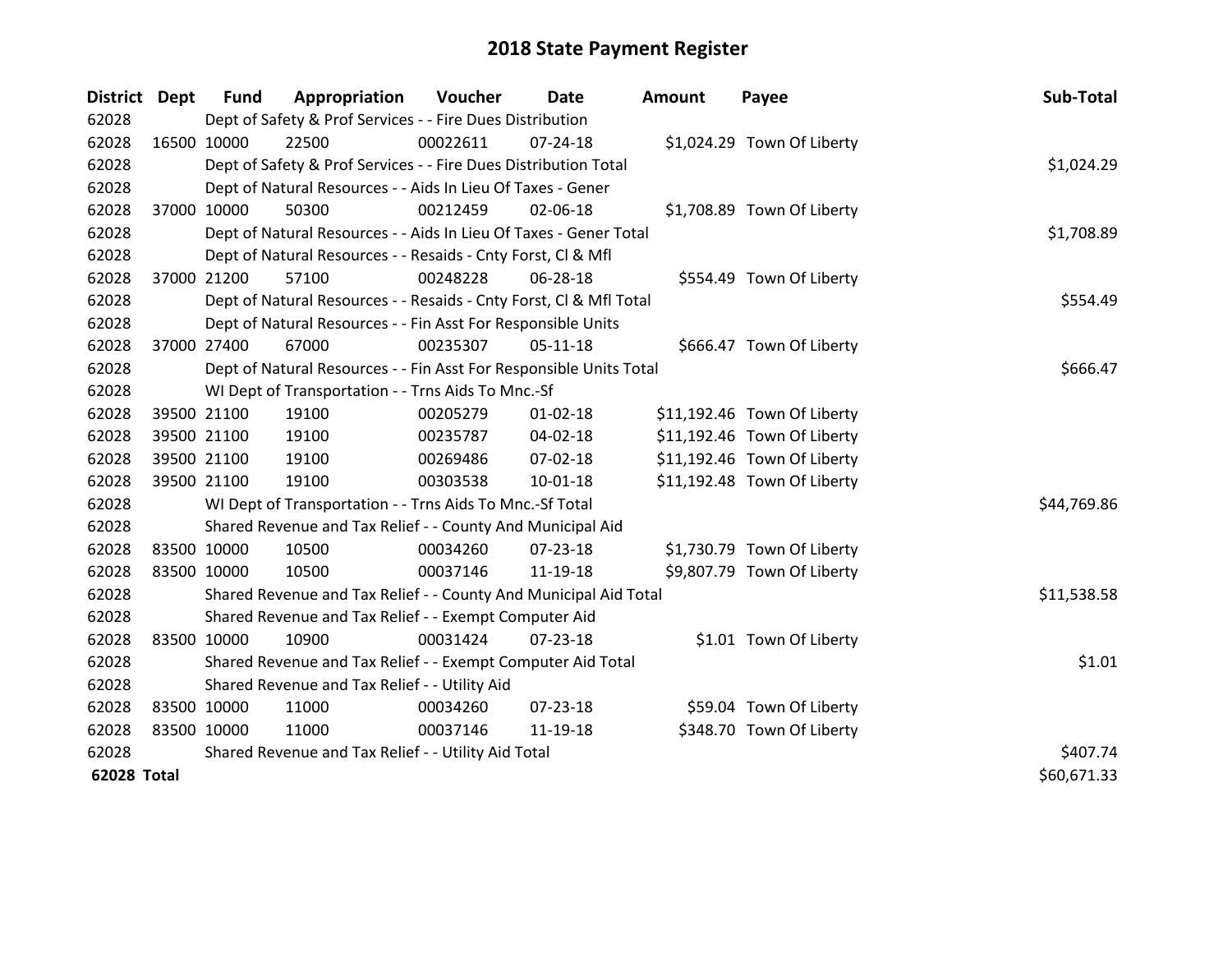| <b>District</b>    | Dept        | <b>Fund</b> | Appropriation                                                      | Voucher  | Date           | <b>Amount</b> | Payee                       | Sub-Total   |
|--------------------|-------------|-------------|--------------------------------------------------------------------|----------|----------------|---------------|-----------------------------|-------------|
| 62028              |             |             | Dept of Safety & Prof Services - - Fire Dues Distribution          |          |                |               |                             |             |
| 62028              |             | 16500 10000 | 22500                                                              | 00022611 | $07 - 24 - 18$ |               | \$1,024.29 Town Of Liberty  |             |
| 62028              |             |             | Dept of Safety & Prof Services - - Fire Dues Distribution Total    |          |                |               |                             | \$1,024.29  |
| 62028              |             |             | Dept of Natural Resources - - Aids In Lieu Of Taxes - Gener        |          |                |               |                             |             |
| 62028              |             | 37000 10000 | 50300                                                              | 00212459 | 02-06-18       |               | \$1,708.89 Town Of Liberty  |             |
| 62028              |             |             | Dept of Natural Resources - - Aids In Lieu Of Taxes - Gener Total  |          | \$1,708.89     |               |                             |             |
| 62028              |             |             | Dept of Natural Resources - - Resaids - Cnty Forst, CI & Mfl       |          |                |               |                             |             |
| 62028              |             | 37000 21200 | 57100                                                              | 00248228 | 06-28-18       |               | \$554.49 Town Of Liberty    |             |
| 62028              |             |             | Dept of Natural Resources - - Resaids - Cnty Forst, CI & Mfl Total |          |                |               |                             | \$554.49    |
| 62028              |             |             | Dept of Natural Resources - - Fin Asst For Responsible Units       |          |                |               |                             |             |
| 62028              |             | 37000 27400 | 67000                                                              | 00235307 | $05-11-18$     |               | \$666.47 Town Of Liberty    |             |
| 62028              |             |             | Dept of Natural Resources - - Fin Asst For Responsible Units Total |          |                |               |                             | \$666.47    |
| 62028              |             |             | WI Dept of Transportation - - Trns Aids To Mnc.-Sf                 |          |                |               |                             |             |
| 62028              |             | 39500 21100 | 19100                                                              | 00205279 | $01 - 02 - 18$ |               | \$11,192.46 Town Of Liberty |             |
| 62028              |             | 39500 21100 | 19100                                                              | 00235787 | 04-02-18       |               | \$11,192.46 Town Of Liberty |             |
| 62028              |             | 39500 21100 | 19100                                                              | 00269486 | 07-02-18       |               | \$11,192.46 Town Of Liberty |             |
| 62028              |             | 39500 21100 | 19100                                                              | 00303538 | 10-01-18       |               | \$11,192.48 Town Of Liberty |             |
| 62028              |             |             | WI Dept of Transportation - - Trns Aids To Mnc.-Sf Total           |          |                |               |                             | \$44,769.86 |
| 62028              |             |             | Shared Revenue and Tax Relief - - County And Municipal Aid         |          |                |               |                             |             |
| 62028              |             | 83500 10000 | 10500                                                              | 00034260 | 07-23-18       |               | \$1,730.79 Town Of Liberty  |             |
| 62028              |             | 83500 10000 | 10500                                                              | 00037146 | 11-19-18       |               | \$9,807.79 Town Of Liberty  |             |
| 62028              |             |             | Shared Revenue and Tax Relief - - County And Municipal Aid Total   |          |                |               |                             | \$11,538.58 |
| 62028              |             |             | Shared Revenue and Tax Relief - - Exempt Computer Aid              |          |                |               |                             |             |
| 62028              |             | 83500 10000 | 10900                                                              | 00031424 | $07 - 23 - 18$ |               | \$1.01 Town Of Liberty      |             |
| 62028              |             |             | Shared Revenue and Tax Relief - - Exempt Computer Aid Total        |          |                |               |                             | \$1.01      |
| 62028              |             |             | Shared Revenue and Tax Relief - - Utility Aid                      |          |                |               |                             |             |
| 62028              |             | 83500 10000 | 11000                                                              | 00034260 | 07-23-18       |               | \$59.04 Town Of Liberty     |             |
| 62028              | 83500 10000 |             | 11000                                                              | 00037146 | 11-19-18       |               | \$348.70 Town Of Liberty    |             |
| 62028              |             |             | Shared Revenue and Tax Relief - - Utility Aid Total                |          |                |               |                             | \$407.74    |
| <b>62028 Total</b> |             |             |                                                                    |          |                |               |                             | \$60,671.33 |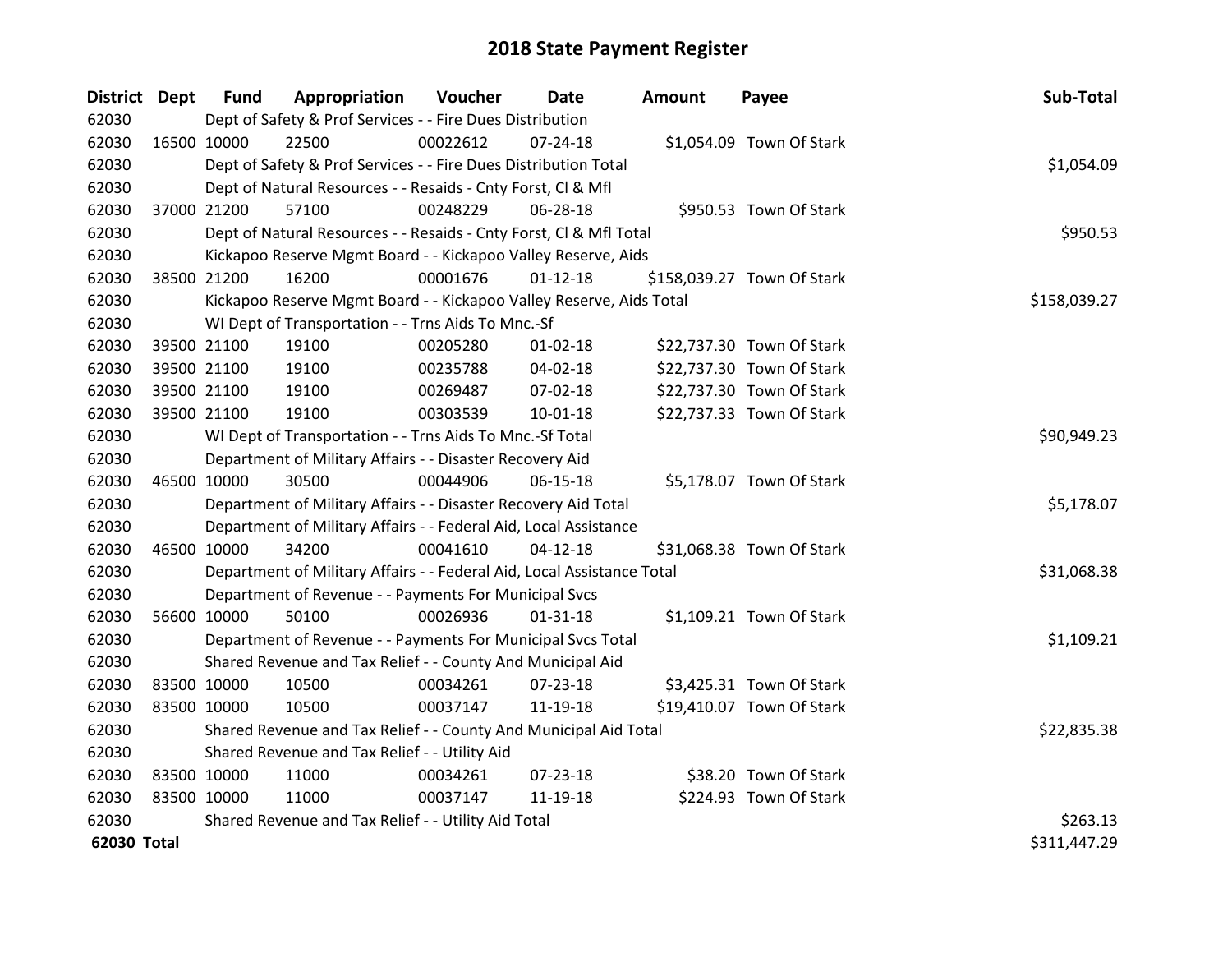| <b>District Dept</b> |             | <b>Fund</b> | Appropriation                                                          | Voucher      | Date           | Amount | Payee                      | Sub-Total    |
|----------------------|-------------|-------------|------------------------------------------------------------------------|--------------|----------------|--------|----------------------------|--------------|
| 62030                |             |             | Dept of Safety & Prof Services - - Fire Dues Distribution              |              |                |        |                            |              |
| 62030                | 16500 10000 |             | 22500                                                                  | 00022612     | $07 - 24 - 18$ |        | \$1,054.09 Town Of Stark   |              |
| 62030                |             |             | Dept of Safety & Prof Services - - Fire Dues Distribution Total        |              |                |        |                            | \$1,054.09   |
| 62030                |             |             | Dept of Natural Resources - - Resaids - Cnty Forst, Cl & Mfl           |              |                |        |                            |              |
| 62030                |             | 37000 21200 | 57100                                                                  | 00248229     | 06-28-18       |        | \$950.53 Town Of Stark     |              |
| 62030                |             |             | Dept of Natural Resources - - Resaids - Cnty Forst, CI & Mfl Total     |              | \$950.53       |        |                            |              |
| 62030                |             |             | Kickapoo Reserve Mgmt Board - - Kickapoo Valley Reserve, Aids          |              |                |        |                            |              |
| 62030                |             | 38500 21200 | 16200                                                                  | 00001676     | $01-12-18$     |        | \$158,039.27 Town Of Stark |              |
| 62030                |             |             | Kickapoo Reserve Mgmt Board - - Kickapoo Valley Reserve, Aids Total    | \$158,039.27 |                |        |                            |              |
| 62030                |             |             | WI Dept of Transportation - - Trns Aids To Mnc.-Sf                     |              |                |        |                            |              |
| 62030                |             | 39500 21100 | 19100                                                                  | 00205280     | $01 - 02 - 18$ |        | \$22,737.30 Town Of Stark  |              |
| 62030                |             | 39500 21100 | 19100                                                                  | 00235788     | 04-02-18       |        | \$22,737.30 Town Of Stark  |              |
| 62030                |             | 39500 21100 | 19100                                                                  | 00269487     | 07-02-18       |        | \$22,737.30 Town Of Stark  |              |
| 62030                |             | 39500 21100 | 19100                                                                  | 00303539     | 10-01-18       |        | \$22,737.33 Town Of Stark  |              |
| 62030                |             |             | WI Dept of Transportation - - Trns Aids To Mnc.-Sf Total               | \$90,949.23  |                |        |                            |              |
| 62030                |             |             | Department of Military Affairs - - Disaster Recovery Aid               |              |                |        |                            |              |
| 62030                | 46500 10000 |             | 30500                                                                  | 00044906     | 06-15-18       |        | \$5,178.07 Town Of Stark   |              |
| 62030                |             |             | Department of Military Affairs - - Disaster Recovery Aid Total         |              |                |        |                            | \$5,178.07   |
| 62030                |             |             | Department of Military Affairs - - Federal Aid, Local Assistance       |              |                |        |                            |              |
| 62030                |             | 46500 10000 | 34200                                                                  | 00041610     | $04 - 12 - 18$ |        | \$31,068.38 Town Of Stark  |              |
| 62030                |             |             | Department of Military Affairs - - Federal Aid, Local Assistance Total |              |                |        |                            | \$31,068.38  |
| 62030                |             |             | Department of Revenue - - Payments For Municipal Svcs                  |              |                |        |                            |              |
| 62030                |             | 56600 10000 | 50100                                                                  | 00026936     | $01 - 31 - 18$ |        | \$1,109.21 Town Of Stark   |              |
| 62030                |             |             | Department of Revenue - - Payments For Municipal Svcs Total            |              |                |        |                            | \$1,109.21   |
| 62030                |             |             | Shared Revenue and Tax Relief - - County And Municipal Aid             |              |                |        |                            |              |
| 62030                | 83500 10000 |             | 10500                                                                  | 00034261     | 07-23-18       |        | \$3,425.31 Town Of Stark   |              |
| 62030                | 83500 10000 |             | 10500                                                                  | 00037147     | 11-19-18       |        | \$19,410.07 Town Of Stark  |              |
| 62030                |             |             | Shared Revenue and Tax Relief - - County And Municipal Aid Total       |              |                |        |                            | \$22,835.38  |
| 62030                |             |             | Shared Revenue and Tax Relief - - Utility Aid                          |              |                |        |                            |              |
| 62030                | 83500 10000 |             | 11000                                                                  | 00034261     | $07 - 23 - 18$ |        | \$38.20 Town Of Stark      |              |
| 62030                | 83500 10000 |             | 11000                                                                  | 00037147     | 11-19-18       |        | \$224.93 Town Of Stark     |              |
| 62030                |             |             | Shared Revenue and Tax Relief - - Utility Aid Total                    |              |                |        |                            | \$263.13     |
| 62030 Total          |             |             |                                                                        |              |                |        |                            | \$311,447.29 |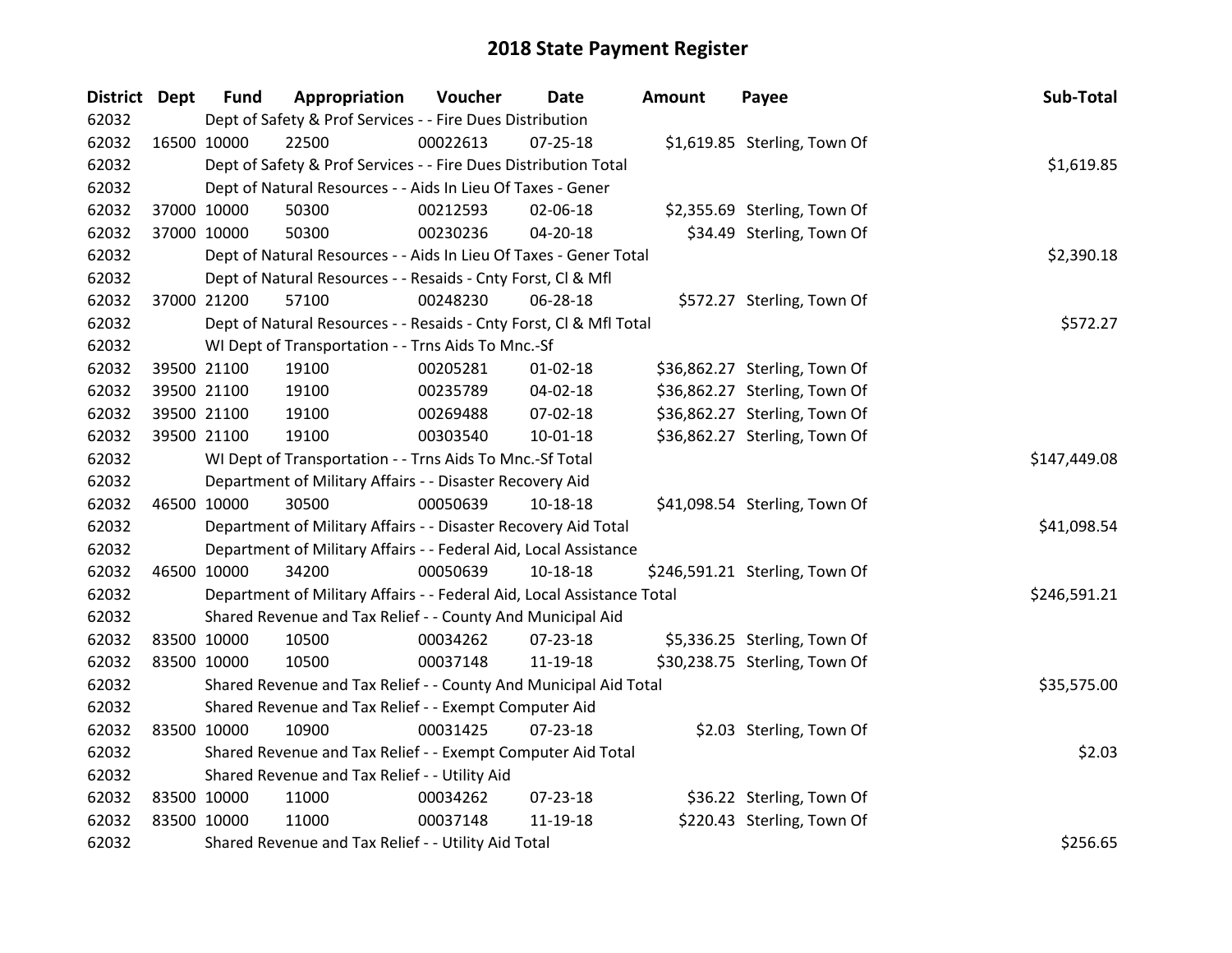| District Dept |             | <b>Fund</b> | Appropriation                                                          | Voucher  | <b>Date</b>    | Amount | Payee                          | Sub-Total    |
|---------------|-------------|-------------|------------------------------------------------------------------------|----------|----------------|--------|--------------------------------|--------------|
| 62032         |             |             | Dept of Safety & Prof Services - - Fire Dues Distribution              |          |                |        |                                |              |
| 62032         |             | 16500 10000 | 22500                                                                  | 00022613 | $07 - 25 - 18$ |        | \$1,619.85 Sterling, Town Of   |              |
| 62032         |             |             | Dept of Safety & Prof Services - - Fire Dues Distribution Total        |          |                |        |                                | \$1,619.85   |
| 62032         |             |             | Dept of Natural Resources - - Aids In Lieu Of Taxes - Gener            |          |                |        |                                |              |
| 62032         |             | 37000 10000 | 50300                                                                  | 00212593 | 02-06-18       |        | \$2,355.69 Sterling, Town Of   |              |
| 62032         |             | 37000 10000 | 50300                                                                  | 00230236 | $04 - 20 - 18$ |        | \$34.49 Sterling, Town Of      |              |
| 62032         |             |             | Dept of Natural Resources - - Aids In Lieu Of Taxes - Gener Total      |          |                |        |                                | \$2,390.18   |
| 62032         |             |             | Dept of Natural Resources - - Resaids - Cnty Forst, Cl & Mfl           |          |                |        |                                |              |
| 62032         |             | 37000 21200 | 57100                                                                  | 00248230 | 06-28-18       |        | \$572.27 Sterling, Town Of     |              |
| 62032         |             |             | Dept of Natural Resources - - Resaids - Cnty Forst, Cl & Mfl Total     |          |                |        |                                | \$572.27     |
| 62032         |             |             | WI Dept of Transportation - - Trns Aids To Mnc.-Sf                     |          |                |        |                                |              |
| 62032         |             | 39500 21100 | 19100                                                                  | 00205281 | $01 - 02 - 18$ |        | \$36,862.27 Sterling, Town Of  |              |
| 62032         |             | 39500 21100 | 19100                                                                  | 00235789 | 04-02-18       |        | \$36,862.27 Sterling, Town Of  |              |
| 62032         |             | 39500 21100 | 19100                                                                  | 00269488 | 07-02-18       |        | \$36,862.27 Sterling, Town Of  |              |
| 62032         |             | 39500 21100 | 19100                                                                  | 00303540 | 10-01-18       |        | \$36,862.27 Sterling, Town Of  |              |
| 62032         |             |             | WI Dept of Transportation - - Trns Aids To Mnc.-Sf Total               |          |                |        |                                | \$147,449.08 |
| 62032         |             |             | Department of Military Affairs - - Disaster Recovery Aid               |          |                |        |                                |              |
| 62032         | 46500 10000 |             | 30500                                                                  | 00050639 | 10-18-18       |        | \$41,098.54 Sterling, Town Of  |              |
| 62032         |             |             | Department of Military Affairs - - Disaster Recovery Aid Total         |          |                |        |                                | \$41,098.54  |
| 62032         |             |             | Department of Military Affairs - - Federal Aid, Local Assistance       |          |                |        |                                |              |
| 62032         |             | 46500 10000 | 34200                                                                  | 00050639 | 10-18-18       |        | \$246,591.21 Sterling, Town Of |              |
| 62032         |             |             | Department of Military Affairs - - Federal Aid, Local Assistance Total |          |                |        |                                | \$246,591.21 |
| 62032         |             |             | Shared Revenue and Tax Relief - - County And Municipal Aid             |          |                |        |                                |              |
| 62032         |             | 83500 10000 | 10500                                                                  | 00034262 | 07-23-18       |        | \$5,336.25 Sterling, Town Of   |              |
| 62032         |             | 83500 10000 | 10500                                                                  | 00037148 | 11-19-18       |        | \$30,238.75 Sterling, Town Of  |              |
| 62032         |             |             | Shared Revenue and Tax Relief - - County And Municipal Aid Total       |          |                |        |                                | \$35,575.00  |
| 62032         |             |             | Shared Revenue and Tax Relief - - Exempt Computer Aid                  |          |                |        |                                |              |
| 62032         | 83500 10000 |             | 10900                                                                  | 00031425 | $07 - 23 - 18$ |        | \$2.03 Sterling, Town Of       |              |
| 62032         |             |             | Shared Revenue and Tax Relief - - Exempt Computer Aid Total            |          |                |        |                                | \$2.03       |
| 62032         |             |             | Shared Revenue and Tax Relief - - Utility Aid                          |          |                |        |                                |              |
| 62032         | 83500 10000 |             | 11000                                                                  | 00034262 | 07-23-18       |        | \$36.22 Sterling, Town Of      |              |
| 62032         | 83500 10000 |             | 11000                                                                  | 00037148 | 11-19-18       |        | \$220.43 Sterling, Town Of     |              |
| 62032         |             |             | Shared Revenue and Tax Relief - - Utility Aid Total                    |          |                |        |                                | \$256.65     |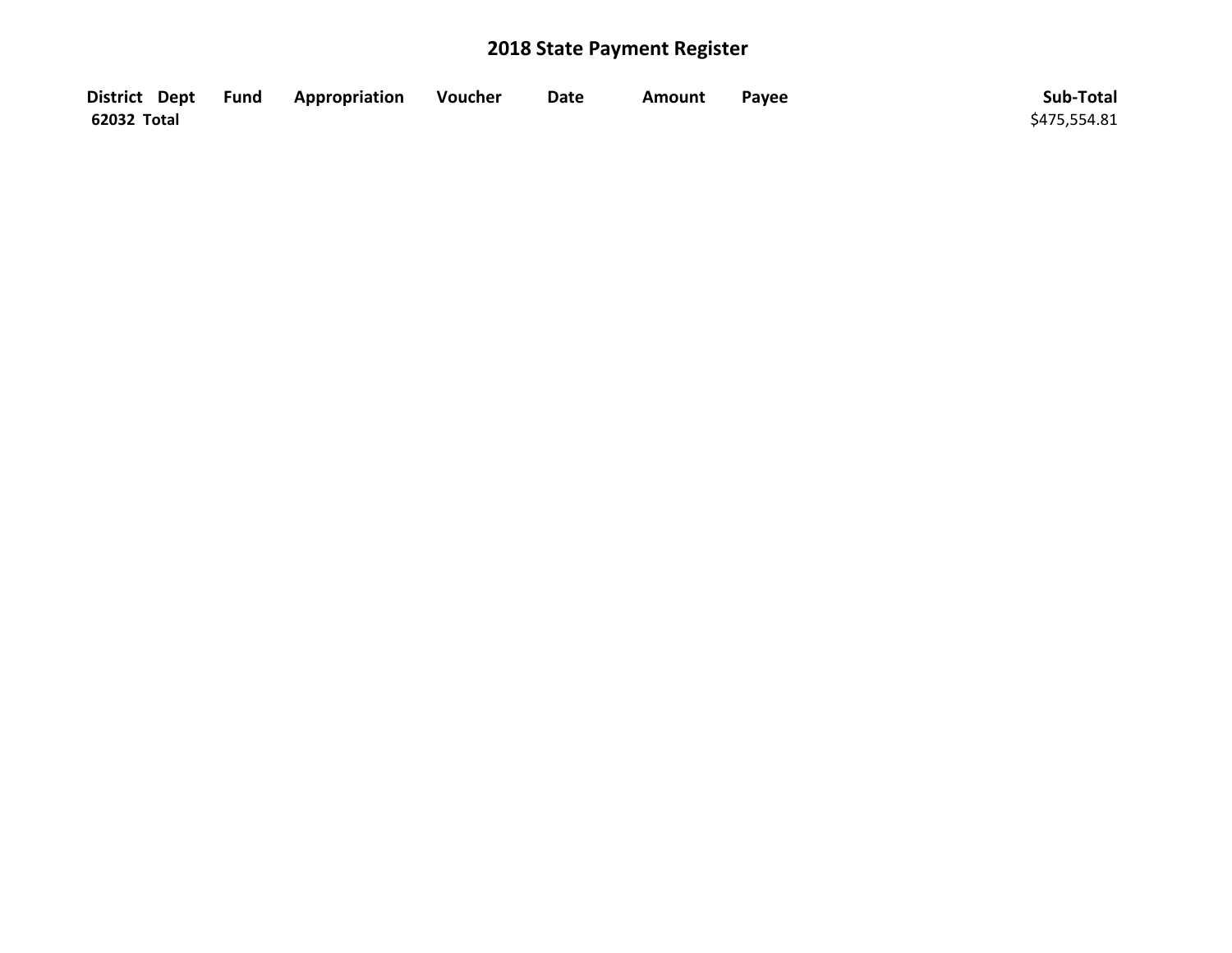|             | District Dept Fund Appropriation | <b>Noucher</b> | <b>Date</b> | Amount | Payee | Sub-Total    |
|-------------|----------------------------------|----------------|-------------|--------|-------|--------------|
| 62032 Total |                                  |                |             |        |       | \$475,554.81 |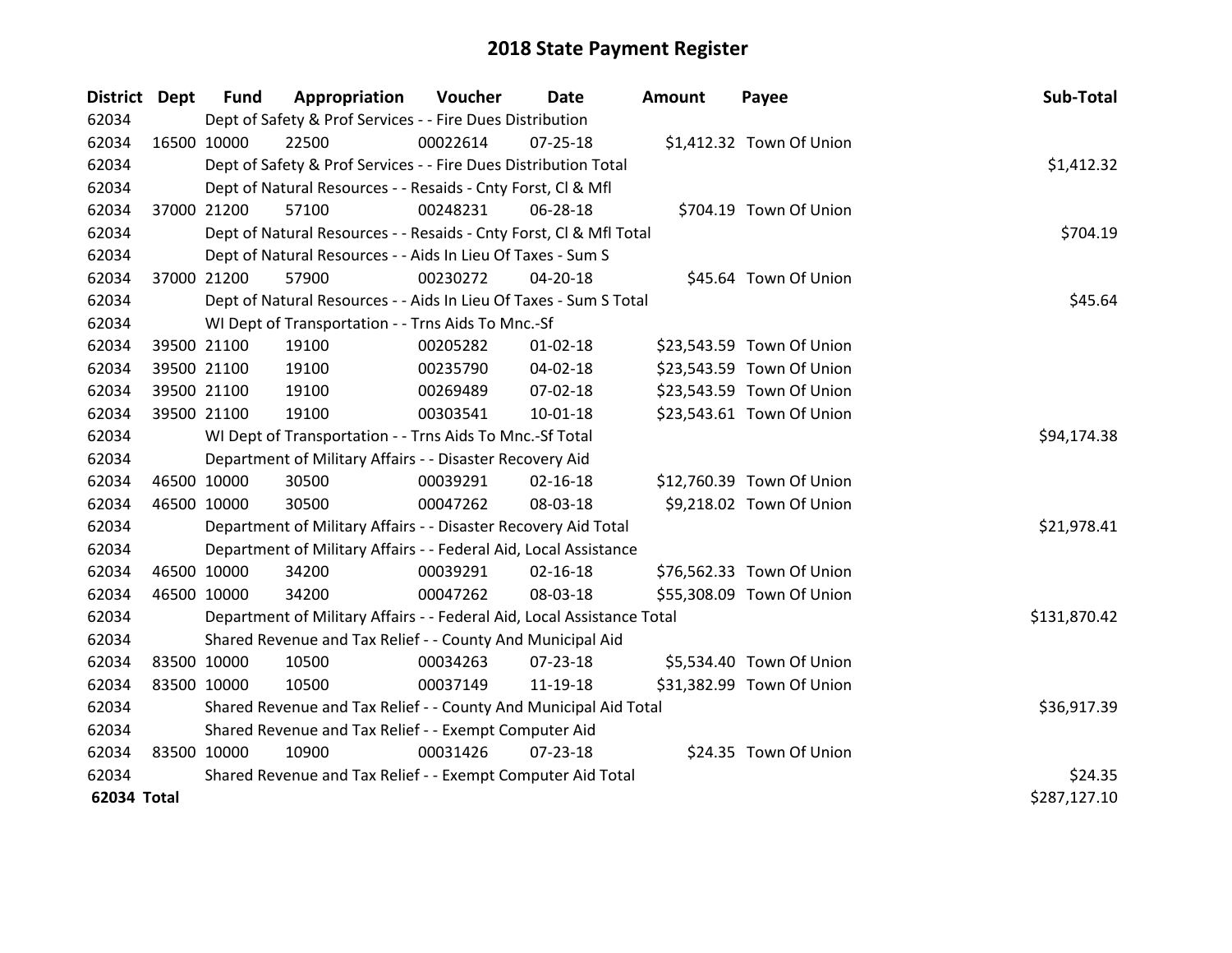| District Dept |             | <b>Fund</b> | Appropriation                                                          | <b>Voucher</b> | Date           | <b>Amount</b> | Payee                     | Sub-Total    |
|---------------|-------------|-------------|------------------------------------------------------------------------|----------------|----------------|---------------|---------------------------|--------------|
| 62034         |             |             | Dept of Safety & Prof Services - - Fire Dues Distribution              |                |                |               |                           |              |
| 62034         | 16500 10000 |             | 22500                                                                  | 00022614       | 07-25-18       |               | \$1,412.32 Town Of Union  |              |
| 62034         |             |             | Dept of Safety & Prof Services - - Fire Dues Distribution Total        |                |                |               |                           | \$1,412.32   |
| 62034         |             |             | Dept of Natural Resources - - Resaids - Cnty Forst, Cl & Mfl           |                |                |               |                           |              |
| 62034         |             | 37000 21200 | 57100                                                                  | 00248231       | 06-28-18       |               | \$704.19 Town Of Union    |              |
| 62034         |             |             | Dept of Natural Resources - - Resaids - Cnty Forst, Cl & Mfl Total     |                |                |               |                           | \$704.19     |
| 62034         |             |             | Dept of Natural Resources - - Aids In Lieu Of Taxes - Sum S            |                |                |               |                           |              |
| 62034         |             | 37000 21200 | 57900                                                                  | 00230272       | 04-20-18       |               | \$45.64 Town Of Union     |              |
| 62034         |             |             | Dept of Natural Resources - - Aids In Lieu Of Taxes - Sum S Total      |                |                |               |                           | \$45.64      |
| 62034         |             |             | WI Dept of Transportation - - Trns Aids To Mnc.-Sf                     |                |                |               |                           |              |
| 62034         |             | 39500 21100 | 19100                                                                  | 00205282       | $01 - 02 - 18$ |               | \$23,543.59 Town Of Union |              |
| 62034         |             | 39500 21100 | 19100                                                                  | 00235790       | 04-02-18       |               | \$23,543.59 Town Of Union |              |
| 62034         |             | 39500 21100 | 19100                                                                  | 00269489       | 07-02-18       |               | \$23,543.59 Town Of Union |              |
| 62034         | 39500 21100 |             | 19100                                                                  | 00303541       | 10-01-18       |               | \$23,543.61 Town Of Union |              |
| 62034         |             |             | WI Dept of Transportation - - Trns Aids To Mnc.-Sf Total               |                |                |               |                           | \$94,174.38  |
| 62034         |             |             | Department of Military Affairs - - Disaster Recovery Aid               |                |                |               |                           |              |
| 62034         |             | 46500 10000 | 30500                                                                  | 00039291       | $02 - 16 - 18$ |               | \$12,760.39 Town Of Union |              |
| 62034         |             | 46500 10000 | 30500                                                                  | 00047262       | 08-03-18       |               | \$9,218.02 Town Of Union  |              |
| 62034         |             |             | Department of Military Affairs - - Disaster Recovery Aid Total         |                |                |               |                           | \$21,978.41  |
| 62034         |             |             | Department of Military Affairs - - Federal Aid, Local Assistance       |                |                |               |                           |              |
| 62034         |             | 46500 10000 | 34200                                                                  | 00039291       | $02 - 16 - 18$ |               | \$76,562.33 Town Of Union |              |
| 62034         |             | 46500 10000 | 34200                                                                  | 00047262       | 08-03-18       |               | \$55,308.09 Town Of Union |              |
| 62034         |             |             | Department of Military Affairs - - Federal Aid, Local Assistance Total |                |                |               |                           | \$131,870.42 |
| 62034         |             |             | Shared Revenue and Tax Relief - - County And Municipal Aid             |                |                |               |                           |              |
| 62034         |             | 83500 10000 | 10500                                                                  | 00034263       | $07 - 23 - 18$ |               | \$5,534.40 Town Of Union  |              |
| 62034         |             | 83500 10000 | 10500                                                                  | 00037149       | 11-19-18       |               | \$31,382.99 Town Of Union |              |
| 62034         |             |             | Shared Revenue and Tax Relief - - County And Municipal Aid Total       |                |                |               |                           | \$36,917.39  |
| 62034         |             |             | Shared Revenue and Tax Relief - - Exempt Computer Aid                  |                |                |               |                           |              |
| 62034         | 83500 10000 |             | 10900                                                                  | 00031426       | $07 - 23 - 18$ |               | \$24.35 Town Of Union     |              |
| 62034         |             |             | Shared Revenue and Tax Relief - - Exempt Computer Aid Total            |                |                |               |                           | \$24.35      |
| 62034 Total   |             |             |                                                                        |                |                |               |                           | \$287,127.10 |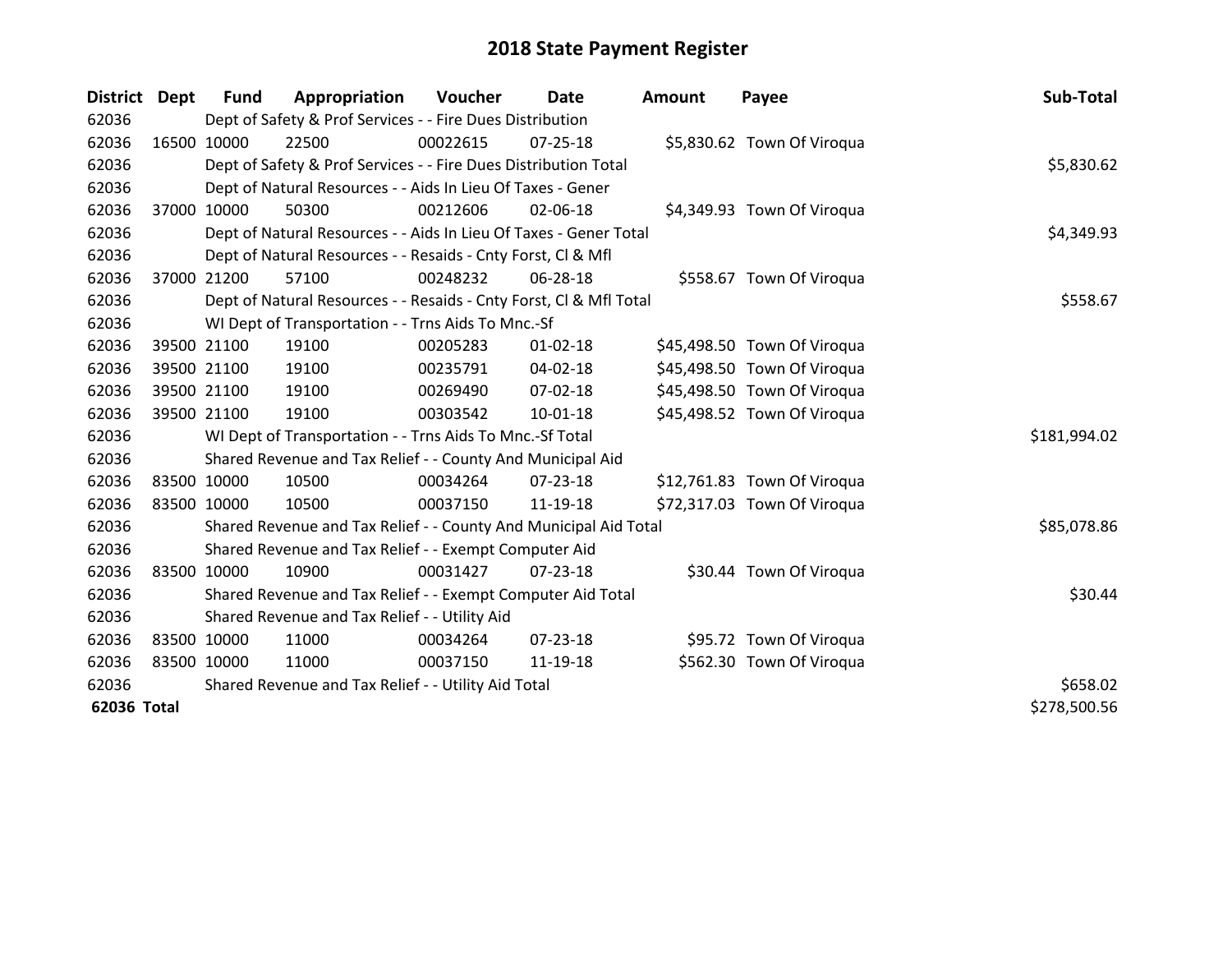| District Dept |             | <b>Fund</b> | Appropriation                                                      | Voucher  | Date           | <b>Amount</b> | Payee                       | Sub-Total    |
|---------------|-------------|-------------|--------------------------------------------------------------------|----------|----------------|---------------|-----------------------------|--------------|
| 62036         |             |             | Dept of Safety & Prof Services - - Fire Dues Distribution          |          |                |               |                             |              |
| 62036         | 16500 10000 |             | 22500                                                              | 00022615 | $07 - 25 - 18$ |               | \$5,830.62 Town Of Viroqua  |              |
| 62036         |             |             | Dept of Safety & Prof Services - - Fire Dues Distribution Total    |          |                |               |                             | \$5,830.62   |
| 62036         |             |             | Dept of Natural Resources - - Aids In Lieu Of Taxes - Gener        |          |                |               |                             |              |
| 62036         |             | 37000 10000 | 50300                                                              | 00212606 | 02-06-18       |               | \$4,349.93 Town Of Viroqua  |              |
| 62036         |             |             | Dept of Natural Resources - - Aids In Lieu Of Taxes - Gener Total  |          |                |               |                             | \$4,349.93   |
| 62036         |             |             | Dept of Natural Resources - - Resaids - Cnty Forst, Cl & Mfl       |          |                |               |                             |              |
| 62036         |             | 37000 21200 | 57100                                                              | 00248232 | 06-28-18       |               | \$558.67 Town Of Viroqua    |              |
| 62036         |             |             | Dept of Natural Resources - - Resaids - Cnty Forst, Cl & Mfl Total |          |                |               |                             | \$558.67     |
| 62036         |             |             | WI Dept of Transportation - - Trns Aids To Mnc.-Sf                 |          |                |               |                             |              |
| 62036         |             | 39500 21100 | 19100                                                              | 00205283 | $01 - 02 - 18$ |               | \$45,498.50 Town Of Viroqua |              |
| 62036         |             | 39500 21100 | 19100                                                              | 00235791 | $04 - 02 - 18$ |               | \$45,498.50 Town Of Viroqua |              |
| 62036         |             | 39500 21100 | 19100                                                              | 00269490 | 07-02-18       |               | \$45,498.50 Town Of Viroqua |              |
| 62036         |             | 39500 21100 | 19100                                                              | 00303542 | $10 - 01 - 18$ |               | \$45,498.52 Town Of Viroqua |              |
| 62036         |             |             | WI Dept of Transportation - - Trns Aids To Mnc.-Sf Total           |          |                |               |                             | \$181,994.02 |
| 62036         |             |             | Shared Revenue and Tax Relief - - County And Municipal Aid         |          |                |               |                             |              |
| 62036         |             | 83500 10000 | 10500                                                              | 00034264 | $07 - 23 - 18$ |               | \$12,761.83 Town Of Viroqua |              |
| 62036         |             | 83500 10000 | 10500                                                              | 00037150 | 11-19-18       |               | \$72,317.03 Town Of Viroqua |              |
| 62036         |             |             | Shared Revenue and Tax Relief - - County And Municipal Aid Total   |          |                |               |                             | \$85,078.86  |
| 62036         |             |             | Shared Revenue and Tax Relief - - Exempt Computer Aid              |          |                |               |                             |              |
| 62036         |             | 83500 10000 | 10900                                                              | 00031427 | $07 - 23 - 18$ |               | \$30.44 Town Of Viroqua     |              |
| 62036         |             |             | Shared Revenue and Tax Relief - - Exempt Computer Aid Total        |          |                |               |                             | \$30.44      |
| 62036         |             |             | Shared Revenue and Tax Relief - - Utility Aid                      |          |                |               |                             |              |
| 62036         | 83500 10000 |             | 11000                                                              | 00034264 | $07 - 23 - 18$ |               | \$95.72 Town Of Viroqua     |              |
| 62036         | 83500 10000 |             | 11000                                                              | 00037150 | 11-19-18       |               | \$562.30 Town Of Viroqua    |              |
| 62036         |             |             | Shared Revenue and Tax Relief - - Utility Aid Total                |          |                |               |                             | \$658.02     |
| 62036 Total   |             |             |                                                                    |          |                |               |                             | \$278,500.56 |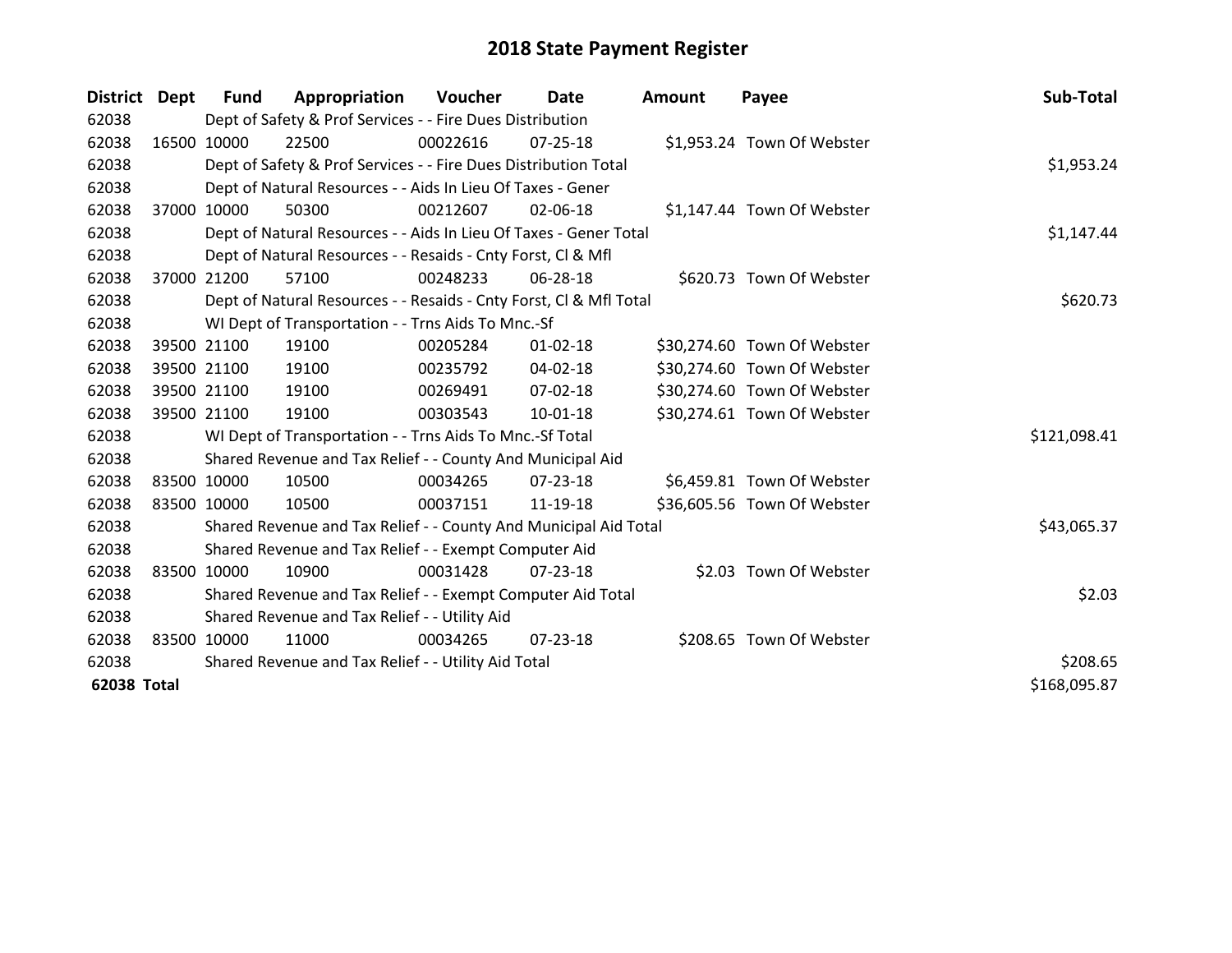| District Dept |             | <b>Fund</b> | Appropriation                                                      | Voucher  | Date           | <b>Amount</b> | Payee                       | Sub-Total    |
|---------------|-------------|-------------|--------------------------------------------------------------------|----------|----------------|---------------|-----------------------------|--------------|
| 62038         |             |             | Dept of Safety & Prof Services - - Fire Dues Distribution          |          |                |               |                             |              |
| 62038         | 16500 10000 |             | 22500                                                              | 00022616 | $07 - 25 - 18$ |               | \$1,953.24 Town Of Webster  |              |
| 62038         |             |             | Dept of Safety & Prof Services - - Fire Dues Distribution Total    |          |                |               |                             | \$1,953.24   |
| 62038         |             |             | Dept of Natural Resources - - Aids In Lieu Of Taxes - Gener        |          |                |               |                             |              |
| 62038         | 37000 10000 |             | 50300                                                              | 00212607 | 02-06-18       |               | \$1,147.44 Town Of Webster  |              |
| 62038         |             |             | Dept of Natural Resources - - Aids In Lieu Of Taxes - Gener Total  |          |                |               |                             | \$1,147.44   |
| 62038         |             |             | Dept of Natural Resources - - Resaids - Cnty Forst, Cl & Mfl       |          |                |               |                             |              |
| 62038         | 37000       | 21200       | 57100                                                              | 00248233 | 06-28-18       |               | \$620.73 Town Of Webster    |              |
| 62038         |             |             | Dept of Natural Resources - - Resaids - Cnty Forst, CI & Mfl Total |          |                |               |                             | \$620.73     |
| 62038         |             |             | WI Dept of Transportation - - Trns Aids To Mnc.-Sf                 |          |                |               |                             |              |
| 62038         | 39500 21100 |             | 19100                                                              | 00205284 | $01 - 02 - 18$ |               | \$30,274.60 Town Of Webster |              |
| 62038         |             | 39500 21100 | 19100                                                              | 00235792 | 04-02-18       |               | \$30,274.60 Town Of Webster |              |
| 62038         |             | 39500 21100 | 19100                                                              | 00269491 | 07-02-18       |               | \$30,274.60 Town Of Webster |              |
| 62038         | 39500 21100 |             | 19100                                                              | 00303543 | 10-01-18       |               | \$30,274.61 Town Of Webster |              |
| 62038         |             |             | WI Dept of Transportation - - Trns Aids To Mnc.-Sf Total           |          |                |               |                             | \$121,098.41 |
| 62038         |             |             | Shared Revenue and Tax Relief - - County And Municipal Aid         |          |                |               |                             |              |
| 62038         | 83500 10000 |             | 10500                                                              | 00034265 | $07 - 23 - 18$ |               | \$6,459.81 Town Of Webster  |              |
| 62038         | 83500 10000 |             | 10500                                                              | 00037151 | 11-19-18       |               | \$36,605.56 Town Of Webster |              |
| 62038         |             |             | Shared Revenue and Tax Relief - - County And Municipal Aid Total   |          |                |               |                             | \$43,065.37  |
| 62038         |             |             | Shared Revenue and Tax Relief - - Exempt Computer Aid              |          |                |               |                             |              |
| 62038         | 83500 10000 |             | 10900                                                              | 00031428 | $07 - 23 - 18$ |               | \$2.03 Town Of Webster      |              |
| 62038         |             |             | Shared Revenue and Tax Relief - - Exempt Computer Aid Total        |          |                |               |                             | \$2.03       |
| 62038         |             |             | Shared Revenue and Tax Relief - - Utility Aid                      |          |                |               |                             |              |
| 62038         | 83500 10000 |             | 11000                                                              | 00034265 | 07-23-18       |               | \$208.65 Town Of Webster    |              |
| 62038         |             |             | Shared Revenue and Tax Relief - - Utility Aid Total                |          | \$208.65       |               |                             |              |
| 62038 Total   |             |             |                                                                    |          |                |               |                             | \$168,095.87 |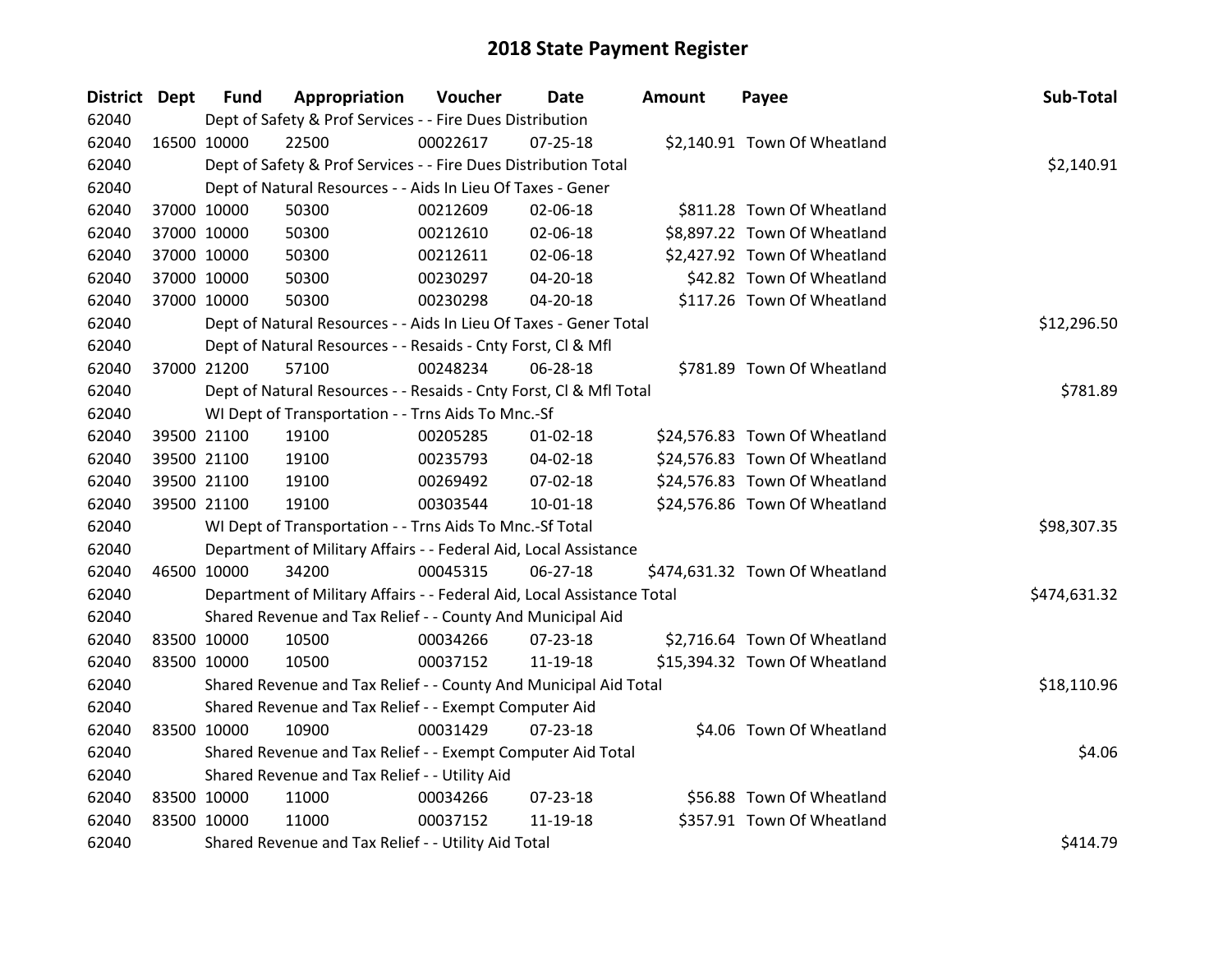| District Dept |             | <b>Fund</b> | Appropriation                                                          | Voucher  | <b>Date</b>    | <b>Amount</b> | Payee                          | Sub-Total    |
|---------------|-------------|-------------|------------------------------------------------------------------------|----------|----------------|---------------|--------------------------------|--------------|
| 62040         |             |             | Dept of Safety & Prof Services - - Fire Dues Distribution              |          |                |               |                                |              |
| 62040         |             | 16500 10000 | 22500                                                                  | 00022617 | $07 - 25 - 18$ |               | \$2,140.91 Town Of Wheatland   |              |
| 62040         |             |             | Dept of Safety & Prof Services - - Fire Dues Distribution Total        |          |                |               |                                | \$2,140.91   |
| 62040         |             |             | Dept of Natural Resources - - Aids In Lieu Of Taxes - Gener            |          |                |               |                                |              |
| 62040         |             | 37000 10000 | 50300                                                                  | 00212609 | 02-06-18       |               | \$811.28 Town Of Wheatland     |              |
| 62040         |             | 37000 10000 | 50300                                                                  | 00212610 | 02-06-18       |               | \$8,897.22 Town Of Wheatland   |              |
| 62040         |             | 37000 10000 | 50300                                                                  | 00212611 | 02-06-18       |               | \$2,427.92 Town Of Wheatland   |              |
| 62040         |             | 37000 10000 | 50300                                                                  | 00230297 | 04-20-18       |               | \$42.82 Town Of Wheatland      |              |
| 62040         |             | 37000 10000 | 50300                                                                  | 00230298 | 04-20-18       |               | \$117.26 Town Of Wheatland     |              |
| 62040         |             |             | Dept of Natural Resources - - Aids In Lieu Of Taxes - Gener Total      |          |                |               |                                | \$12,296.50  |
| 62040         |             |             | Dept of Natural Resources - - Resaids - Cnty Forst, Cl & Mfl           |          |                |               |                                |              |
| 62040         |             | 37000 21200 | 57100                                                                  | 00248234 | 06-28-18       |               | \$781.89 Town Of Wheatland     |              |
| 62040         |             |             | Dept of Natural Resources - - Resaids - Cnty Forst, Cl & Mfl Total     |          |                |               |                                | \$781.89     |
| 62040         |             |             | WI Dept of Transportation - - Trns Aids To Mnc.-Sf                     |          |                |               |                                |              |
| 62040         |             | 39500 21100 | 19100                                                                  | 00205285 | $01 - 02 - 18$ |               | \$24,576.83 Town Of Wheatland  |              |
| 62040         |             | 39500 21100 | 19100                                                                  | 00235793 | 04-02-18       |               | \$24,576.83 Town Of Wheatland  |              |
| 62040         |             | 39500 21100 | 19100                                                                  | 00269492 | 07-02-18       |               | \$24,576.83 Town Of Wheatland  |              |
| 62040         |             | 39500 21100 | 19100                                                                  | 00303544 | 10-01-18       |               | \$24,576.86 Town Of Wheatland  |              |
| 62040         |             |             | WI Dept of Transportation - - Trns Aids To Mnc.-Sf Total               |          |                |               |                                | \$98,307.35  |
| 62040         |             |             | Department of Military Affairs - - Federal Aid, Local Assistance       |          |                |               |                                |              |
| 62040         |             | 46500 10000 | 34200                                                                  | 00045315 | $06 - 27 - 18$ |               | \$474,631.32 Town Of Wheatland |              |
| 62040         |             |             | Department of Military Affairs - - Federal Aid, Local Assistance Total |          |                |               |                                | \$474,631.32 |
| 62040         |             |             | Shared Revenue and Tax Relief - - County And Municipal Aid             |          |                |               |                                |              |
| 62040         |             | 83500 10000 | 10500                                                                  | 00034266 | 07-23-18       |               | \$2,716.64 Town Of Wheatland   |              |
| 62040         |             | 83500 10000 | 10500                                                                  | 00037152 | 11-19-18       |               | \$15,394.32 Town Of Wheatland  |              |
| 62040         |             |             | Shared Revenue and Tax Relief - - County And Municipal Aid Total       |          |                |               |                                | \$18,110.96  |
| 62040         |             |             | Shared Revenue and Tax Relief - - Exempt Computer Aid                  |          |                |               |                                |              |
| 62040         |             | 83500 10000 | 10900                                                                  | 00031429 | $07 - 23 - 18$ |               | \$4.06 Town Of Wheatland       |              |
| 62040         |             |             | Shared Revenue and Tax Relief - - Exempt Computer Aid Total            |          |                |               |                                | \$4.06       |
| 62040         |             |             | Shared Revenue and Tax Relief - - Utility Aid                          |          |                |               |                                |              |
| 62040         | 83500 10000 |             | 11000                                                                  | 00034266 | 07-23-18       |               | \$56.88 Town Of Wheatland      |              |
| 62040         | 83500 10000 |             | 11000                                                                  | 00037152 | 11-19-18       |               | \$357.91 Town Of Wheatland     |              |
| 62040         |             |             | Shared Revenue and Tax Relief - - Utility Aid Total                    |          |                |               |                                | \$414.79     |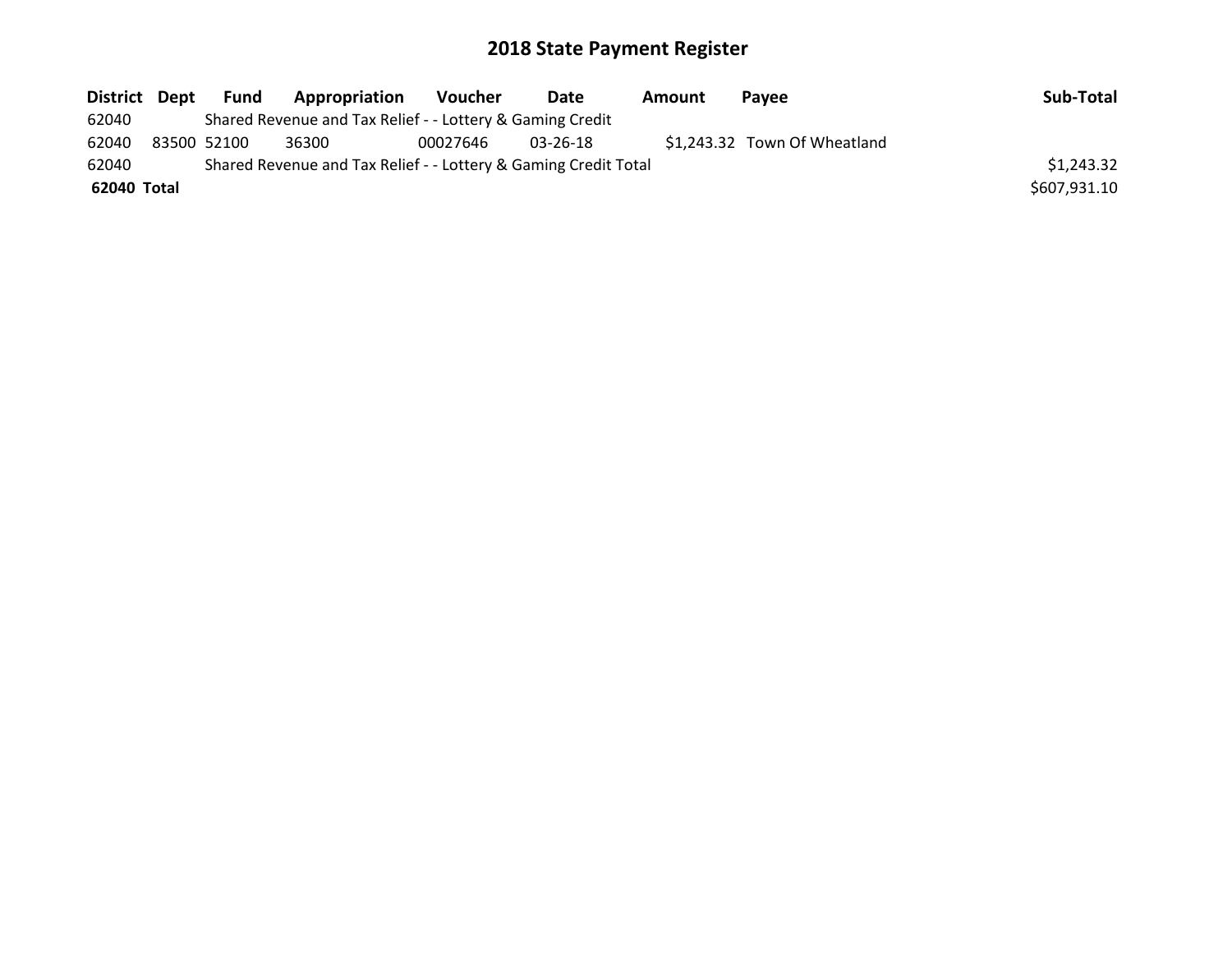| District Dept | Fund        | Appropriation                                                   | Voucher  | Date     | Amount | <b>Pavee</b>                 | Sub-Total    |
|---------------|-------------|-----------------------------------------------------------------|----------|----------|--------|------------------------------|--------------|
| 62040         |             | Shared Revenue and Tax Relief - - Lottery & Gaming Credit       |          |          |        |                              |              |
| 62040         | 83500 52100 | 36300                                                           | 00027646 | 03-26-18 |        | \$1,243.32 Town Of Wheatland |              |
| 62040         |             | Shared Revenue and Tax Relief - - Lottery & Gaming Credit Total |          |          |        |                              | \$1,243.32   |
| 62040 Total   |             |                                                                 |          |          |        |                              | \$607,931.10 |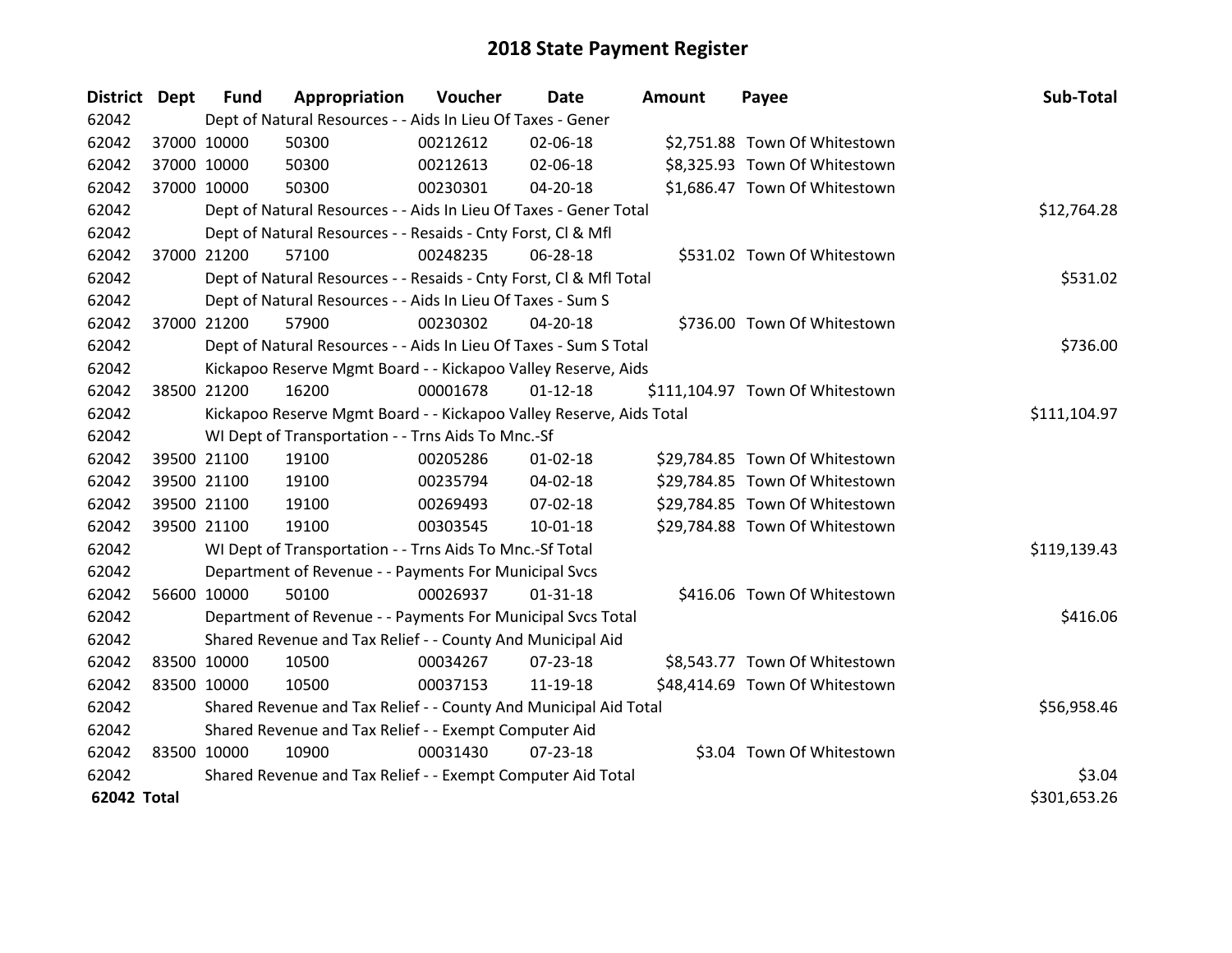| District Dept |             | <b>Fund</b> | Appropriation                                                       | Voucher  | <b>Date</b>    | <b>Amount</b> | Payee                           | Sub-Total    |
|---------------|-------------|-------------|---------------------------------------------------------------------|----------|----------------|---------------|---------------------------------|--------------|
| 62042         |             |             | Dept of Natural Resources - - Aids In Lieu Of Taxes - Gener         |          |                |               |                                 |              |
| 62042         | 37000 10000 |             | 50300                                                               | 00212612 | 02-06-18       |               | \$2,751.88 Town Of Whitestown   |              |
| 62042         | 37000 10000 |             | 50300                                                               | 00212613 | 02-06-18       |               | \$8,325.93 Town Of Whitestown   |              |
| 62042         | 37000 10000 |             | 50300                                                               | 00230301 | 04-20-18       |               | \$1,686.47 Town Of Whitestown   |              |
| 62042         |             |             | Dept of Natural Resources - - Aids In Lieu Of Taxes - Gener Total   |          |                |               |                                 | \$12,764.28  |
| 62042         |             |             | Dept of Natural Resources - - Resaids - Cnty Forst, Cl & Mfl        |          |                |               |                                 |              |
| 62042         | 37000 21200 |             | 57100                                                               | 00248235 | 06-28-18       |               | \$531.02 Town Of Whitestown     |              |
| 62042         |             |             | Dept of Natural Resources - - Resaids - Cnty Forst, CI & Mfl Total  |          |                |               |                                 | \$531.02     |
| 62042         |             |             | Dept of Natural Resources - - Aids In Lieu Of Taxes - Sum S         |          |                |               |                                 |              |
| 62042         | 37000 21200 |             | 57900                                                               | 00230302 | $04 - 20 - 18$ |               | \$736.00 Town Of Whitestown     |              |
| 62042         |             |             | Dept of Natural Resources - - Aids In Lieu Of Taxes - Sum S Total   |          |                |               |                                 | \$736.00     |
| 62042         |             |             | Kickapoo Reserve Mgmt Board - - Kickapoo Valley Reserve, Aids       |          |                |               |                                 |              |
| 62042         | 38500 21200 |             | 16200                                                               | 00001678 | $01 - 12 - 18$ |               | \$111,104.97 Town Of Whitestown |              |
| 62042         |             |             | Kickapoo Reserve Mgmt Board - - Kickapoo Valley Reserve, Aids Total |          |                |               |                                 | \$111,104.97 |
| 62042         |             |             | WI Dept of Transportation - - Trns Aids To Mnc.-Sf                  |          |                |               |                                 |              |
| 62042         | 39500 21100 |             | 19100                                                               | 00205286 | $01 - 02 - 18$ |               | \$29,784.85 Town Of Whitestown  |              |
| 62042         |             | 39500 21100 | 19100                                                               | 00235794 | 04-02-18       |               | \$29,784.85 Town Of Whitestown  |              |
| 62042         |             | 39500 21100 | 19100                                                               | 00269493 | 07-02-18       |               | \$29,784.85 Town Of Whitestown  |              |
| 62042         | 39500 21100 |             | 19100                                                               | 00303545 | $10-01-18$     |               | \$29,784.88 Town Of Whitestown  |              |
| 62042         |             |             | WI Dept of Transportation - - Trns Aids To Mnc.-Sf Total            |          |                |               |                                 | \$119,139.43 |
| 62042         |             |             | Department of Revenue - - Payments For Municipal Svcs               |          |                |               |                                 |              |
| 62042         | 56600 10000 |             | 50100                                                               | 00026937 | $01 - 31 - 18$ |               | \$416.06 Town Of Whitestown     |              |
| 62042         |             |             | Department of Revenue - - Payments For Municipal Svcs Total         |          |                |               |                                 | \$416.06     |
| 62042         |             |             | Shared Revenue and Tax Relief - - County And Municipal Aid          |          |                |               |                                 |              |
| 62042         | 83500 10000 |             | 10500                                                               | 00034267 | $07 - 23 - 18$ |               | \$8,543.77 Town Of Whitestown   |              |
| 62042         | 83500 10000 |             | 10500                                                               | 00037153 | 11-19-18       |               | \$48,414.69 Town Of Whitestown  |              |
| 62042         |             |             | Shared Revenue and Tax Relief - - County And Municipal Aid Total    |          |                |               |                                 | \$56,958.46  |
| 62042         |             |             | Shared Revenue and Tax Relief - - Exempt Computer Aid               |          |                |               |                                 |              |
| 62042         | 83500 10000 |             | 10900                                                               | 00031430 | $07 - 23 - 18$ |               | \$3.04 Town Of Whitestown       |              |
| 62042         |             |             | Shared Revenue and Tax Relief - - Exempt Computer Aid Total         |          |                |               |                                 | \$3.04       |
| 62042 Total   |             |             |                                                                     |          |                |               |                                 | \$301,653.26 |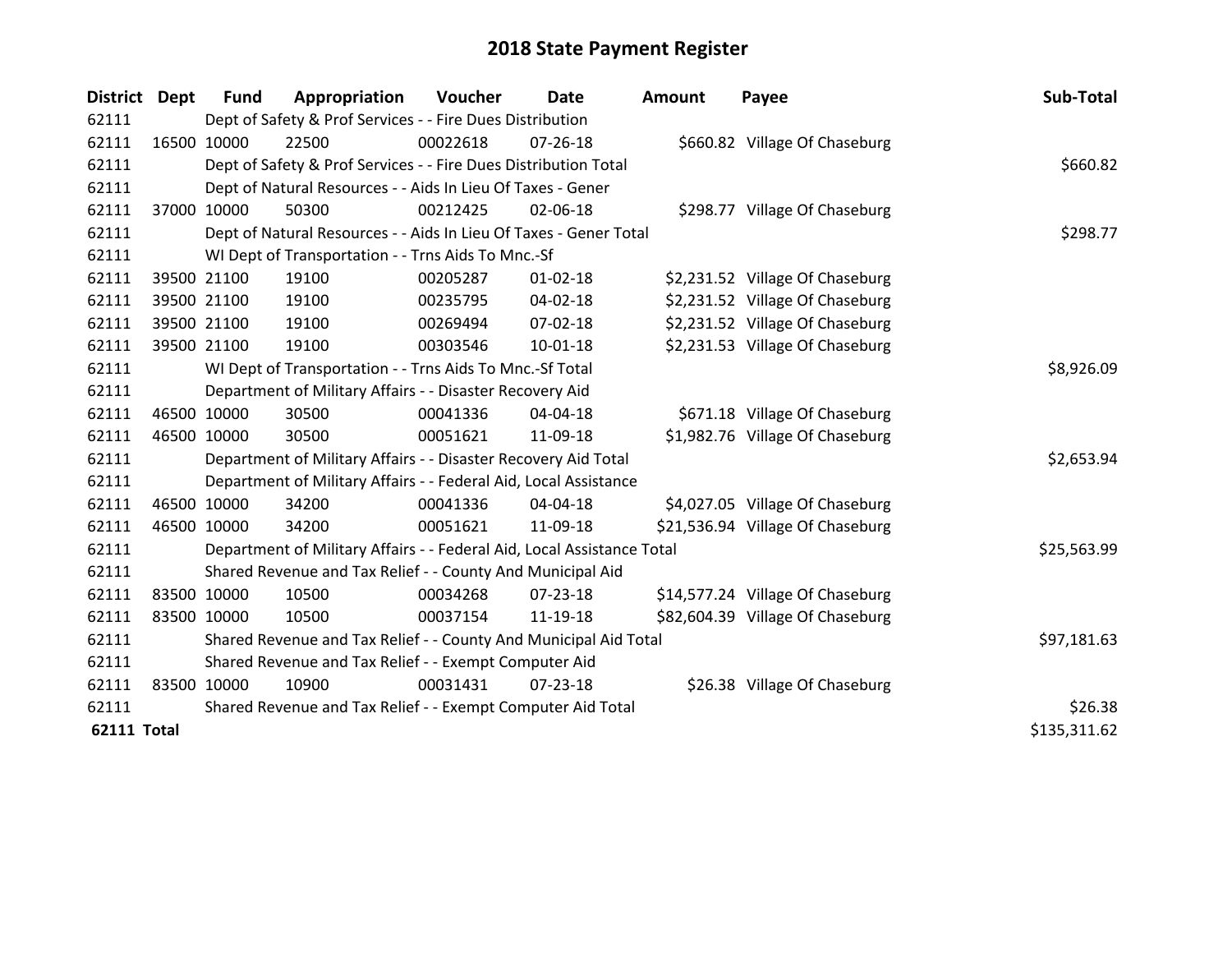| <b>District</b>    | Dept        | <b>Fund</b>                                           | Appropriation                                                          | Voucher  | Date           | <b>Amount</b> | Payee                            | Sub-Total    |
|--------------------|-------------|-------------------------------------------------------|------------------------------------------------------------------------|----------|----------------|---------------|----------------------------------|--------------|
| 62111              |             |                                                       | Dept of Safety & Prof Services - - Fire Dues Distribution              |          |                |               |                                  |              |
| 62111              | 16500 10000 |                                                       | 22500                                                                  | 00022618 | $07 - 26 - 18$ |               | \$660.82 Village Of Chaseburg    |              |
| 62111              |             |                                                       | Dept of Safety & Prof Services - - Fire Dues Distribution Total        |          |                |               |                                  | \$660.82     |
| 62111              |             |                                                       | Dept of Natural Resources - - Aids In Lieu Of Taxes - Gener            |          |                |               |                                  |              |
| 62111              |             | 37000 10000                                           | 50300                                                                  | 00212425 | 02-06-18       |               | \$298.77 Village Of Chaseburg    |              |
| 62111              |             |                                                       | Dept of Natural Resources - - Aids In Lieu Of Taxes - Gener Total      |          |                |               |                                  | \$298.77     |
| 62111              |             |                                                       | WI Dept of Transportation - - Trns Aids To Mnc.-Sf                     |          |                |               |                                  |              |
| 62111              |             | 39500 21100                                           | 19100                                                                  | 00205287 | $01 - 02 - 18$ |               | \$2,231.52 Village Of Chaseburg  |              |
| 62111              |             | 39500 21100                                           | 19100                                                                  | 00235795 | 04-02-18       |               | \$2,231.52 Village Of Chaseburg  |              |
| 62111              |             | 39500 21100                                           | 19100                                                                  | 00269494 | $07 - 02 - 18$ |               | \$2,231.52 Village Of Chaseburg  |              |
| 62111              |             | 39500 21100                                           | 19100                                                                  | 00303546 | 10-01-18       |               | \$2,231.53 Village Of Chaseburg  |              |
| 62111              |             |                                                       | WI Dept of Transportation - - Trns Aids To Mnc.-Sf Total               |          |                |               |                                  | \$8,926.09   |
| 62111              |             |                                                       | Department of Military Affairs - - Disaster Recovery Aid               |          |                |               |                                  |              |
| 62111              |             | 46500 10000                                           | 30500                                                                  | 00041336 | 04-04-18       |               | \$671.18 Village Of Chaseburg    |              |
| 62111              | 46500 10000 |                                                       | 30500                                                                  | 00051621 | 11-09-18       |               | \$1,982.76 Village Of Chaseburg  |              |
| 62111              |             |                                                       | Department of Military Affairs - - Disaster Recovery Aid Total         |          |                |               |                                  | \$2,653.94   |
| 62111              |             |                                                       | Department of Military Affairs - - Federal Aid, Local Assistance       |          |                |               |                                  |              |
| 62111              |             | 46500 10000                                           | 34200                                                                  | 00041336 | 04-04-18       |               | \$4,027.05 Village Of Chaseburg  |              |
| 62111              |             | 46500 10000                                           | 34200                                                                  | 00051621 | 11-09-18       |               | \$21,536.94 Village Of Chaseburg |              |
| 62111              |             |                                                       | Department of Military Affairs - - Federal Aid, Local Assistance Total |          |                |               |                                  | \$25,563.99  |
| 62111              |             |                                                       | Shared Revenue and Tax Relief - - County And Municipal Aid             |          |                |               |                                  |              |
| 62111              | 83500 10000 |                                                       | 10500                                                                  | 00034268 | 07-23-18       |               | \$14,577.24 Village Of Chaseburg |              |
| 62111              | 83500 10000 |                                                       | 10500                                                                  | 00037154 | 11-19-18       |               | \$82,604.39 Village Of Chaseburg |              |
| 62111              |             |                                                       | Shared Revenue and Tax Relief - - County And Municipal Aid Total       |          |                |               |                                  | \$97,181.63  |
| 62111              |             | Shared Revenue and Tax Relief - - Exempt Computer Aid |                                                                        |          |                |               |                                  |              |
| 62111              | 83500 10000 |                                                       | 10900                                                                  | 00031431 | $07 - 23 - 18$ |               | \$26.38 Village Of Chaseburg     |              |
| 62111              |             |                                                       | Shared Revenue and Tax Relief - - Exempt Computer Aid Total            |          | \$26.38        |               |                                  |              |
| <b>62111 Total</b> |             |                                                       |                                                                        |          |                |               |                                  | \$135,311.62 |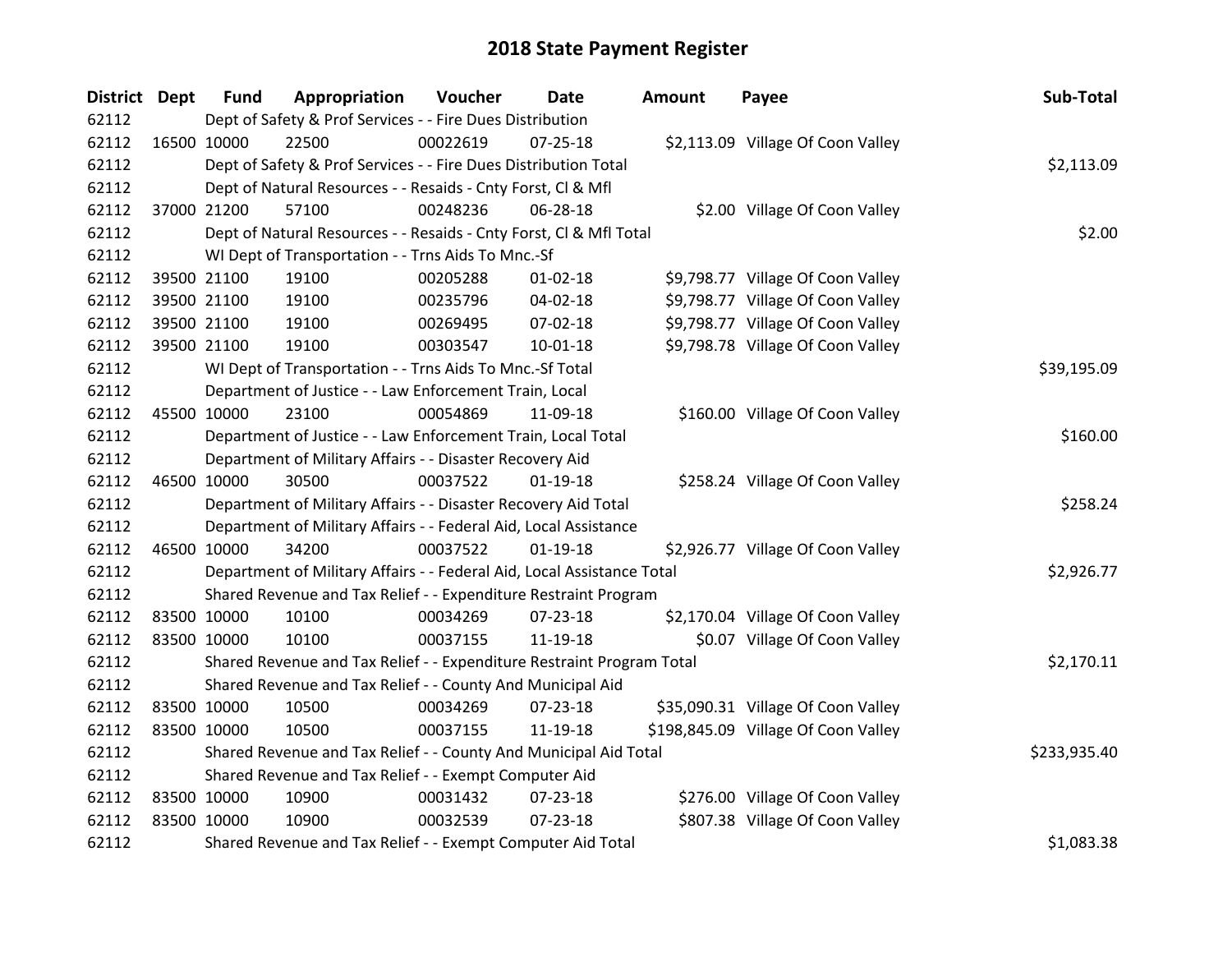| <b>District Dept</b> | <b>Fund</b> | Appropriation                                                          | Voucher  | <b>Date</b>    | Amount | Payee                               | Sub-Total    |
|----------------------|-------------|------------------------------------------------------------------------|----------|----------------|--------|-------------------------------------|--------------|
| 62112                |             | Dept of Safety & Prof Services - - Fire Dues Distribution              |          |                |        |                                     |              |
| 62112                | 16500 10000 | 22500                                                                  | 00022619 | $07 - 25 - 18$ |        | \$2,113.09 Village Of Coon Valley   |              |
| 62112                |             | Dept of Safety & Prof Services - - Fire Dues Distribution Total        |          |                |        |                                     | \$2,113.09   |
| 62112                |             | Dept of Natural Resources - - Resaids - Cnty Forst, CI & Mfl           |          |                |        |                                     |              |
| 62112                | 37000 21200 | 57100                                                                  | 00248236 | 06-28-18       |        | \$2.00 Village Of Coon Valley       |              |
| 62112                |             | Dept of Natural Resources - - Resaids - Cnty Forst, CI & Mfl Total     |          |                |        |                                     | \$2.00       |
| 62112                |             | WI Dept of Transportation - - Trns Aids To Mnc.-Sf                     |          |                |        |                                     |              |
| 62112                | 39500 21100 | 19100                                                                  | 00205288 | $01 - 02 - 18$ |        | \$9,798.77 Village Of Coon Valley   |              |
| 62112                | 39500 21100 | 19100                                                                  | 00235796 | 04-02-18       |        | \$9,798.77 Village Of Coon Valley   |              |
| 62112                | 39500 21100 | 19100                                                                  | 00269495 | 07-02-18       |        | \$9,798.77 Village Of Coon Valley   |              |
| 62112                | 39500 21100 | 19100                                                                  | 00303547 | 10-01-18       |        | \$9,798.78 Village Of Coon Valley   |              |
| 62112                |             | WI Dept of Transportation - - Trns Aids To Mnc.-Sf Total               |          |                |        |                                     | \$39,195.09  |
| 62112                |             | Department of Justice - - Law Enforcement Train, Local                 |          |                |        |                                     |              |
| 62112                | 45500 10000 | 23100                                                                  | 00054869 | 11-09-18       |        | \$160.00 Village Of Coon Valley     |              |
| 62112                |             | Department of Justice - - Law Enforcement Train, Local Total           |          |                |        |                                     | \$160.00     |
| 62112                |             | Department of Military Affairs - - Disaster Recovery Aid               |          |                |        |                                     |              |
| 62112                | 46500 10000 | 30500                                                                  | 00037522 | $01-19-18$     |        | \$258.24 Village Of Coon Valley     |              |
| 62112                |             | Department of Military Affairs - - Disaster Recovery Aid Total         |          |                |        |                                     | \$258.24     |
| 62112                |             | Department of Military Affairs - - Federal Aid, Local Assistance       |          |                |        |                                     |              |
| 62112                | 46500 10000 | 34200                                                                  | 00037522 | $01-19-18$     |        | \$2,926.77 Village Of Coon Valley   |              |
| 62112                |             | Department of Military Affairs - - Federal Aid, Local Assistance Total |          |                |        |                                     | \$2,926.77   |
| 62112                |             | Shared Revenue and Tax Relief - - Expenditure Restraint Program        |          |                |        |                                     |              |
| 62112                | 83500 10000 | 10100                                                                  | 00034269 | $07 - 23 - 18$ |        | \$2,170.04 Village Of Coon Valley   |              |
| 62112                | 83500 10000 | 10100                                                                  | 00037155 | 11-19-18       |        | \$0.07 Village Of Coon Valley       |              |
| 62112                |             | Shared Revenue and Tax Relief - - Expenditure Restraint Program Total  |          |                |        |                                     | \$2,170.11   |
| 62112                |             | Shared Revenue and Tax Relief - - County And Municipal Aid             |          |                |        |                                     |              |
| 62112                | 83500 10000 | 10500                                                                  | 00034269 | 07-23-18       |        | \$35,090.31 Village Of Coon Valley  |              |
| 62112                | 83500 10000 | 10500                                                                  | 00037155 | 11-19-18       |        | \$198,845.09 Village Of Coon Valley |              |
| 62112                |             | Shared Revenue and Tax Relief - - County And Municipal Aid Total       |          |                |        |                                     | \$233,935.40 |
| 62112                |             | Shared Revenue and Tax Relief - - Exempt Computer Aid                  |          |                |        |                                     |              |
| 62112                | 83500 10000 | 10900                                                                  | 00031432 | 07-23-18       |        | \$276.00 Village Of Coon Valley     |              |
| 62112                | 83500 10000 | 10900                                                                  | 00032539 | $07 - 23 - 18$ |        | \$807.38 Village Of Coon Valley     |              |
| 62112                |             | Shared Revenue and Tax Relief - - Exempt Computer Aid Total            |          |                |        |                                     | \$1,083.38   |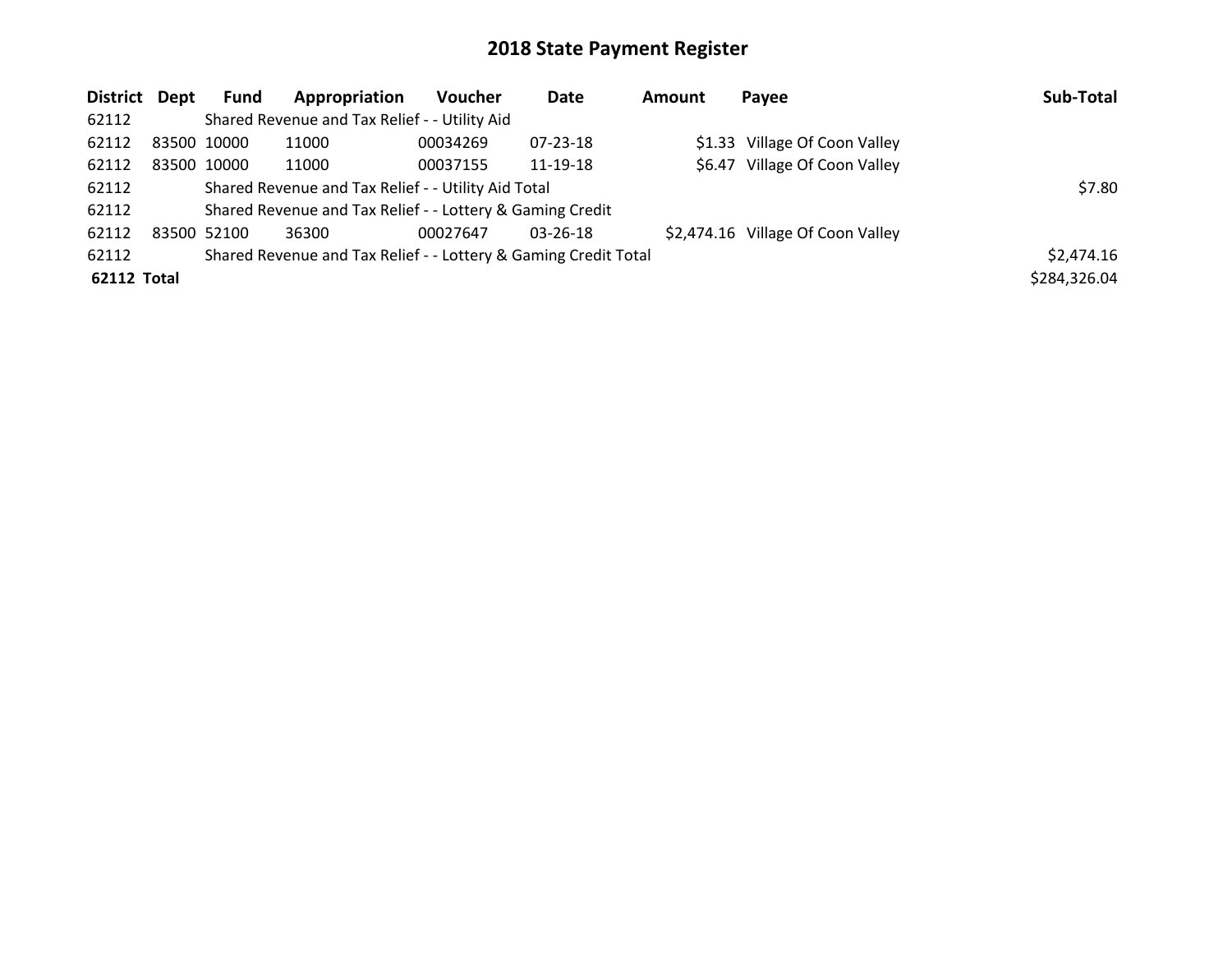| District Dept      | <b>Fund</b> | Appropriation                                                   | <b>Voucher</b> | Date           | Amount | Payee                             | Sub-Total    |
|--------------------|-------------|-----------------------------------------------------------------|----------------|----------------|--------|-----------------------------------|--------------|
| 62112              |             | Shared Revenue and Tax Relief - - Utility Aid                   |                |                |        |                                   |              |
| 62112              | 83500 10000 | 11000                                                           | 00034269       | 07-23-18       |        | \$1.33 Village Of Coon Valley     |              |
| 62112              | 83500 10000 | 11000                                                           | 00037155       | 11-19-18       |        | \$6.47 Village Of Coon Valley     |              |
| 62112              |             | Shared Revenue and Tax Relief - - Utility Aid Total             |                |                |        |                                   | \$7.80       |
| 62112              |             | Shared Revenue and Tax Relief - - Lottery & Gaming Credit       |                |                |        |                                   |              |
| 62112              | 83500 52100 | 36300                                                           | 00027647       | $03 - 26 - 18$ |        | \$2,474.16 Village Of Coon Valley |              |
| 62112              |             | Shared Revenue and Tax Relief - - Lottery & Gaming Credit Total |                |                |        |                                   | \$2,474.16   |
| <b>62112 Total</b> |             |                                                                 |                |                |        |                                   | \$284,326.04 |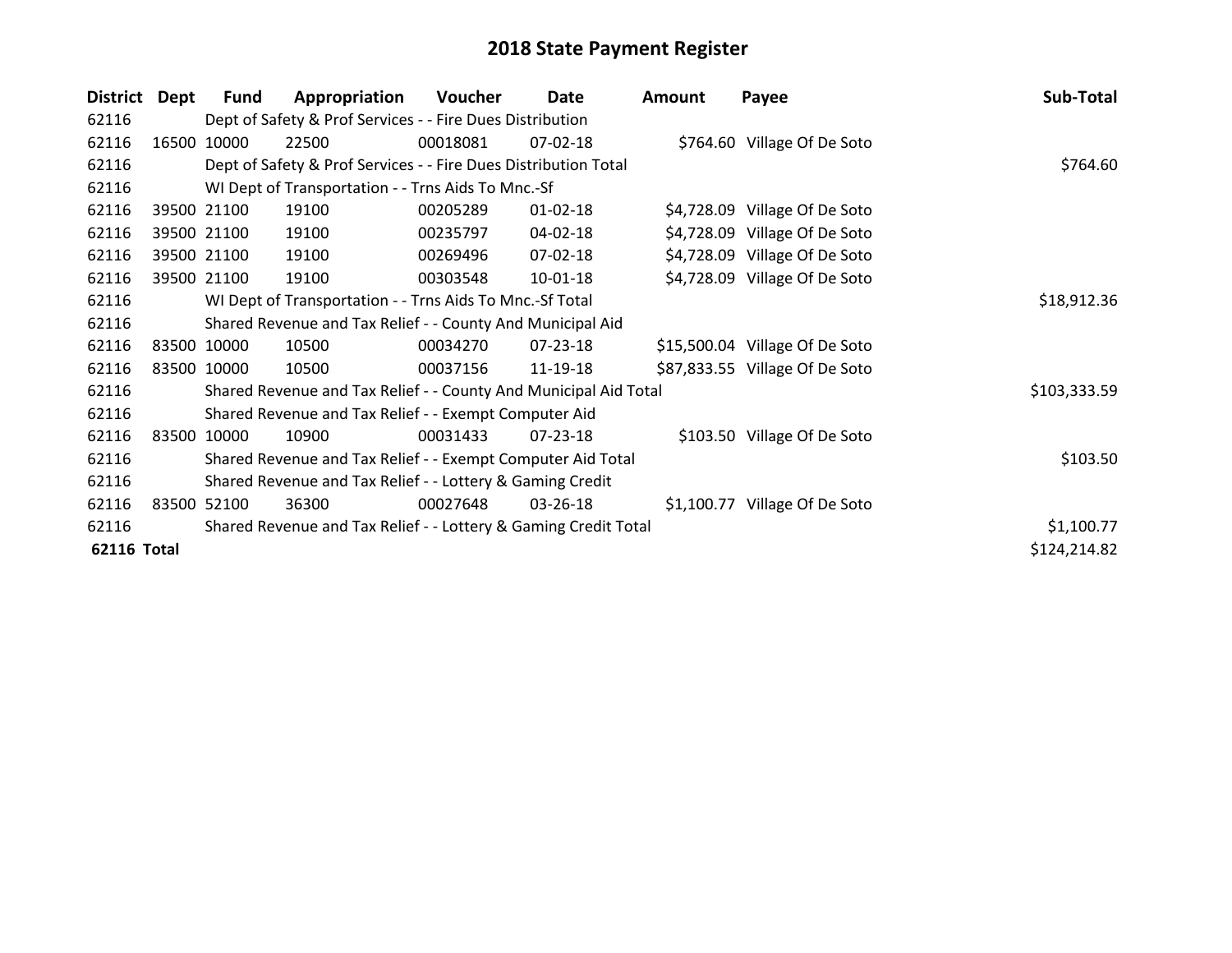| <b>District</b> | Dept        | Fund        | Appropriation                                                    | Voucher  | Date           | <b>Amount</b> | Payee                          | Sub-Total    |
|-----------------|-------------|-------------|------------------------------------------------------------------|----------|----------------|---------------|--------------------------------|--------------|
| 62116           |             |             | Dept of Safety & Prof Services - - Fire Dues Distribution        |          |                |               |                                |              |
| 62116           | 16500 10000 |             | 22500                                                            | 00018081 | 07-02-18       |               | \$764.60 Village Of De Soto    |              |
| 62116           |             |             | Dept of Safety & Prof Services - - Fire Dues Distribution Total  |          |                |               |                                | \$764.60     |
| 62116           |             |             | WI Dept of Transportation - - Trns Aids To Mnc.-Sf               |          |                |               |                                |              |
| 62116           |             | 39500 21100 | 19100                                                            | 00205289 | $01 - 02 - 18$ |               | \$4,728.09 Village Of De Soto  |              |
| 62116           |             | 39500 21100 | 19100                                                            | 00235797 | 04-02-18       |               | \$4,728.09 Village Of De Soto  |              |
| 62116           |             | 39500 21100 | 19100                                                            | 00269496 | 07-02-18       |               | \$4,728.09 Village Of De Soto  |              |
| 62116           |             | 39500 21100 | 19100                                                            | 00303548 | 10-01-18       |               | \$4,728.09 Village Of De Soto  |              |
| 62116           |             |             | WI Dept of Transportation - - Trns Aids To Mnc.-Sf Total         |          |                |               |                                | \$18,912.36  |
| 62116           |             |             | Shared Revenue and Tax Relief - - County And Municipal Aid       |          |                |               |                                |              |
| 62116           |             | 83500 10000 | 10500                                                            | 00034270 | 07-23-18       |               | \$15,500.04 Village Of De Soto |              |
| 62116           | 83500 10000 |             | 10500                                                            | 00037156 | 11-19-18       |               | \$87,833.55 Village Of De Soto |              |
| 62116           |             |             | Shared Revenue and Tax Relief - - County And Municipal Aid Total |          |                |               |                                | \$103,333.59 |
| 62116           |             |             | Shared Revenue and Tax Relief - - Exempt Computer Aid            |          |                |               |                                |              |
| 62116           | 83500 10000 |             | 10900                                                            | 00031433 | $07 - 23 - 18$ |               | \$103.50 Village Of De Soto    |              |
| 62116           |             |             | Shared Revenue and Tax Relief - - Exempt Computer Aid Total      |          |                |               |                                | \$103.50     |
| 62116           |             |             | Shared Revenue and Tax Relief - - Lottery & Gaming Credit        |          |                |               |                                |              |
| 62116           |             | 83500 52100 | 36300                                                            | 00027648 | 03-26-18       |               | \$1,100.77 Village Of De Soto  |              |
| 62116           |             |             | Shared Revenue and Tax Relief - - Lottery & Gaming Credit Total  |          |                |               |                                | \$1,100.77   |
| 62116 Total     |             |             |                                                                  |          |                |               |                                | \$124,214.82 |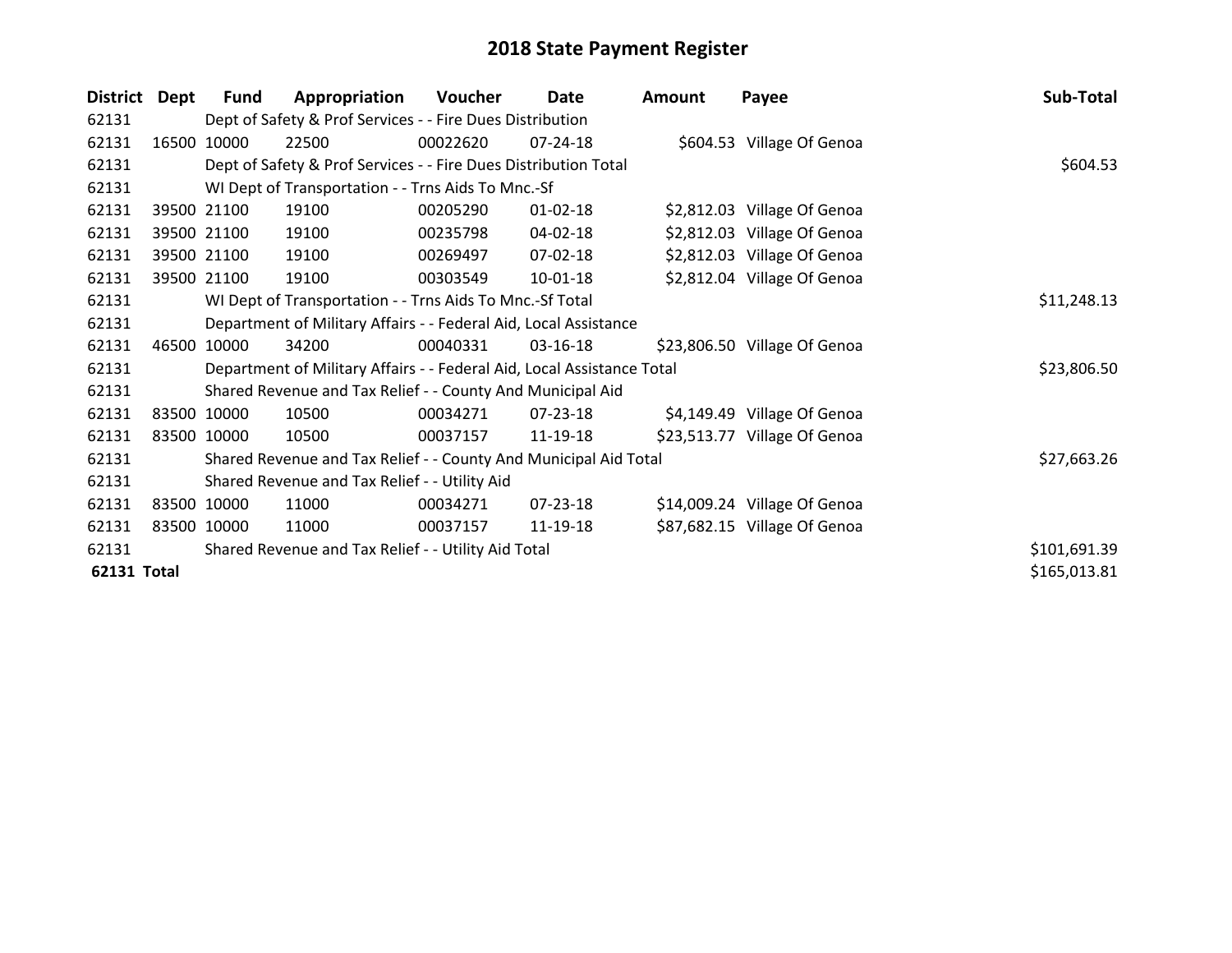| <b>District</b> | Dept  | Fund        | Appropriation                                                          | Voucher     | Date           | <b>Amount</b> | Payee                        | Sub-Total    |
|-----------------|-------|-------------|------------------------------------------------------------------------|-------------|----------------|---------------|------------------------------|--------------|
| 62131           |       |             | Dept of Safety & Prof Services - - Fire Dues Distribution              |             |                |               |                              |              |
| 62131           | 16500 | 10000       | 22500                                                                  | 00022620    | 07-24-18       |               | \$604.53 Village Of Genoa    |              |
| 62131           |       |             | Dept of Safety & Prof Services - - Fire Dues Distribution Total        |             |                |               |                              | \$604.53     |
| 62131           |       |             | WI Dept of Transportation - - Trns Aids To Mnc.-Sf                     |             |                |               |                              |              |
| 62131           |       | 39500 21100 | 19100                                                                  | 00205290    | $01 - 02 - 18$ |               | \$2,812.03 Village Of Genoa  |              |
| 62131           |       | 39500 21100 | 19100                                                                  | 00235798    | 04-02-18       |               | \$2,812.03 Village Of Genoa  |              |
| 62131           |       | 39500 21100 | 19100                                                                  | 00269497    | 07-02-18       |               | \$2,812.03 Village Of Genoa  |              |
| 62131           |       | 39500 21100 | 19100                                                                  | 00303549    | $10-01-18$     |               | \$2,812.04 Village Of Genoa  |              |
| 62131           |       |             | WI Dept of Transportation - - Trns Aids To Mnc.-Sf Total               | \$11,248.13 |                |               |                              |              |
| 62131           |       |             | Department of Military Affairs - - Federal Aid, Local Assistance       |             |                |               |                              |              |
| 62131           |       | 46500 10000 | 34200                                                                  | 00040331    | 03-16-18       |               | \$23,806.50 Village Of Genoa |              |
| 62131           |       |             | Department of Military Affairs - - Federal Aid, Local Assistance Total |             |                |               |                              | \$23,806.50  |
| 62131           |       |             | Shared Revenue and Tax Relief - - County And Municipal Aid             |             |                |               |                              |              |
| 62131           |       | 83500 10000 | 10500                                                                  | 00034271    | 07-23-18       |               | \$4,149.49 Village Of Genoa  |              |
| 62131           |       | 83500 10000 | 10500                                                                  | 00037157    | 11-19-18       |               | \$23,513.77 Village Of Genoa |              |
| 62131           |       |             | Shared Revenue and Tax Relief - - County And Municipal Aid Total       |             |                |               |                              | \$27,663.26  |
| 62131           |       |             | Shared Revenue and Tax Relief - - Utility Aid                          |             |                |               |                              |              |
| 62131           |       | 83500 10000 | 11000                                                                  | 00034271    | 07-23-18       |               | \$14,009.24 Village Of Genoa |              |
| 62131           |       | 83500 10000 | 11000                                                                  | 00037157    | 11-19-18       |               | \$87,682.15 Village Of Genoa |              |
| 62131           |       |             | Shared Revenue and Tax Relief - - Utility Aid Total                    |             |                |               |                              | \$101,691.39 |
| 62131 Total     |       |             |                                                                        |             |                |               |                              | \$165,013.81 |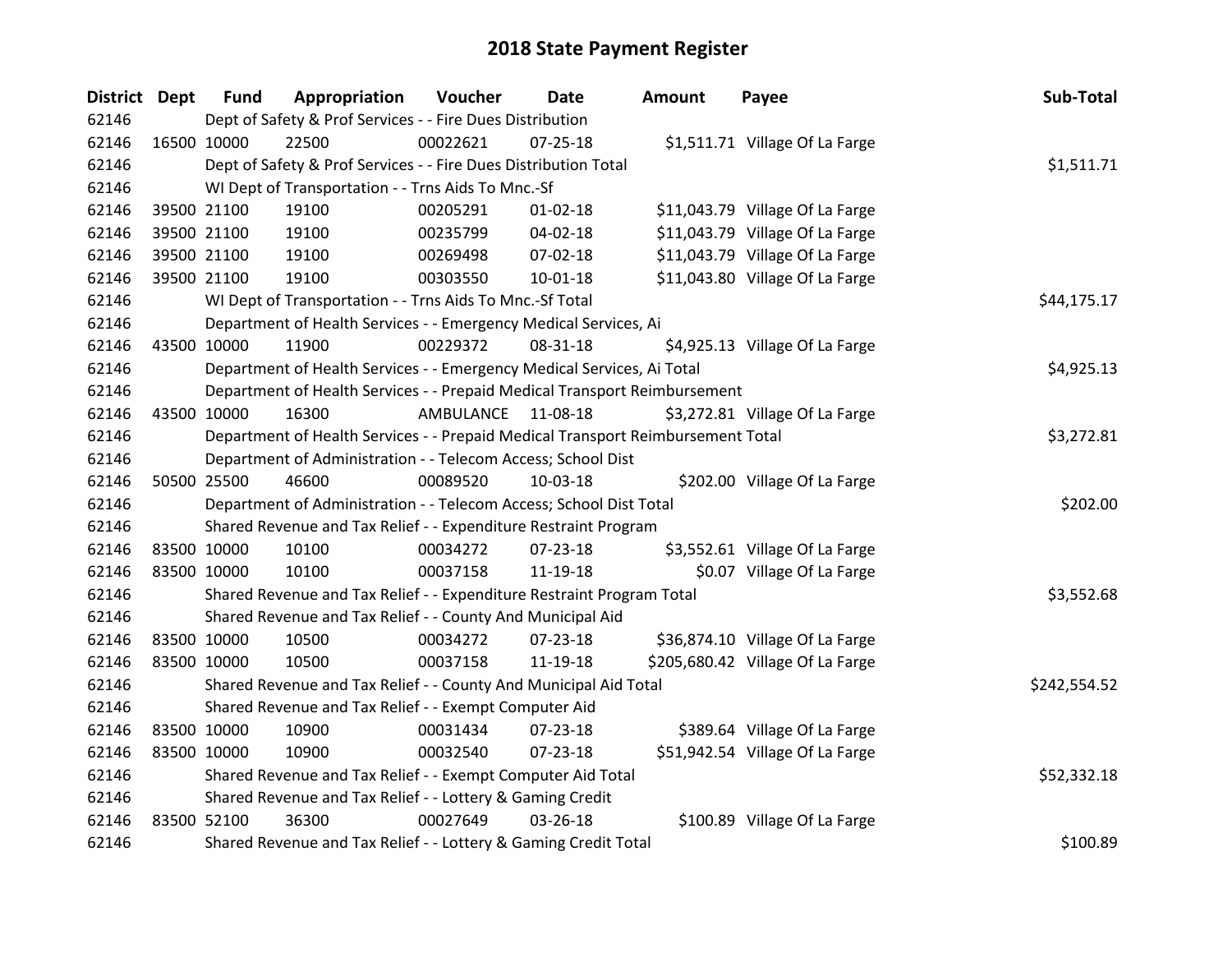| District Dept |             | <b>Fund</b> | Appropriation                                                                   | Voucher    | Date           | <b>Amount</b> | Payee                            | Sub-Total    |
|---------------|-------------|-------------|---------------------------------------------------------------------------------|------------|----------------|---------------|----------------------------------|--------------|
| 62146         |             |             | Dept of Safety & Prof Services - - Fire Dues Distribution                       |            |                |               |                                  |              |
| 62146         | 16500 10000 |             | 22500                                                                           | 00022621   | $07 - 25 - 18$ |               | \$1,511.71 Village Of La Farge   |              |
| 62146         |             |             | Dept of Safety & Prof Services - - Fire Dues Distribution Total                 |            |                |               |                                  | \$1,511.71   |
| 62146         |             |             | WI Dept of Transportation - - Trns Aids To Mnc.-Sf                              |            |                |               |                                  |              |
| 62146         |             | 39500 21100 | 19100                                                                           | 00205291   | $01 - 02 - 18$ |               | \$11,043.79 Village Of La Farge  |              |
| 62146         |             | 39500 21100 | 19100                                                                           | 00235799   | 04-02-18       |               | \$11,043.79 Village Of La Farge  |              |
| 62146         |             | 39500 21100 | 19100                                                                           | 00269498   | 07-02-18       |               | \$11,043.79 Village Of La Farge  |              |
| 62146         |             | 39500 21100 | 19100                                                                           | 00303550   | $10 - 01 - 18$ |               | \$11,043.80 Village Of La Farge  |              |
| 62146         |             |             | WI Dept of Transportation - - Trns Aids To Mnc.-Sf Total                        |            |                |               |                                  | \$44,175.17  |
| 62146         |             |             | Department of Health Services - - Emergency Medical Services, Ai                |            |                |               |                                  |              |
| 62146         | 43500 10000 |             | 11900                                                                           | 00229372   | 08-31-18       |               | \$4,925.13 Village Of La Farge   |              |
| 62146         |             |             | Department of Health Services - - Emergency Medical Services, Ai Total          |            |                |               |                                  | \$4,925.13   |
| 62146         |             |             | Department of Health Services - - Prepaid Medical Transport Reimbursement       |            |                |               |                                  |              |
| 62146         | 43500 10000 |             | 16300                                                                           | AMBULANCE  | 11-08-18       |               | \$3,272.81 Village Of La Farge   |              |
| 62146         |             |             | Department of Health Services - - Prepaid Medical Transport Reimbursement Total | \$3,272.81 |                |               |                                  |              |
| 62146         |             |             | Department of Administration - - Telecom Access; School Dist                    |            |                |               |                                  |              |
| 62146         | 50500 25500 |             | 46600                                                                           | 00089520   | 10-03-18       |               | \$202.00 Village Of La Farge     |              |
| 62146         |             |             | Department of Administration - - Telecom Access; School Dist Total              |            |                |               |                                  | \$202.00     |
| 62146         |             |             | Shared Revenue and Tax Relief - - Expenditure Restraint Program                 |            |                |               |                                  |              |
| 62146         |             | 83500 10000 | 10100                                                                           | 00034272   | $07 - 23 - 18$ |               | \$3,552.61 Village Of La Farge   |              |
| 62146         | 83500 10000 |             | 10100                                                                           | 00037158   | 11-19-18       |               | \$0.07 Village Of La Farge       |              |
| 62146         |             |             | Shared Revenue and Tax Relief - - Expenditure Restraint Program Total           |            |                |               |                                  | \$3,552.68   |
| 62146         |             |             | Shared Revenue and Tax Relief - - County And Municipal Aid                      |            |                |               |                                  |              |
| 62146         | 83500 10000 |             | 10500                                                                           | 00034272   | 07-23-18       |               | \$36,874.10 Village Of La Farge  |              |
| 62146         | 83500 10000 |             | 10500                                                                           | 00037158   | 11-19-18       |               | \$205,680.42 Village Of La Farge |              |
| 62146         |             |             | Shared Revenue and Tax Relief - - County And Municipal Aid Total                |            |                |               |                                  | \$242,554.52 |
| 62146         |             |             | Shared Revenue and Tax Relief - - Exempt Computer Aid                           |            |                |               |                                  |              |
| 62146         | 83500 10000 |             | 10900                                                                           | 00031434   | 07-23-18       |               | \$389.64 Village Of La Farge     |              |
| 62146         | 83500 10000 |             | 10900                                                                           | 00032540   | $07 - 23 - 18$ |               | \$51,942.54 Village Of La Farge  |              |
| 62146         |             |             | Shared Revenue and Tax Relief - - Exempt Computer Aid Total                     |            |                |               |                                  | \$52,332.18  |
| 62146         |             |             | Shared Revenue and Tax Relief - - Lottery & Gaming Credit                       |            |                |               |                                  |              |
| 62146         | 83500 52100 |             | 36300                                                                           | 00027649   | 03-26-18       |               | \$100.89 Village Of La Farge     |              |
| 62146         |             |             | Shared Revenue and Tax Relief - - Lottery & Gaming Credit Total                 |            |                |               |                                  | \$100.89     |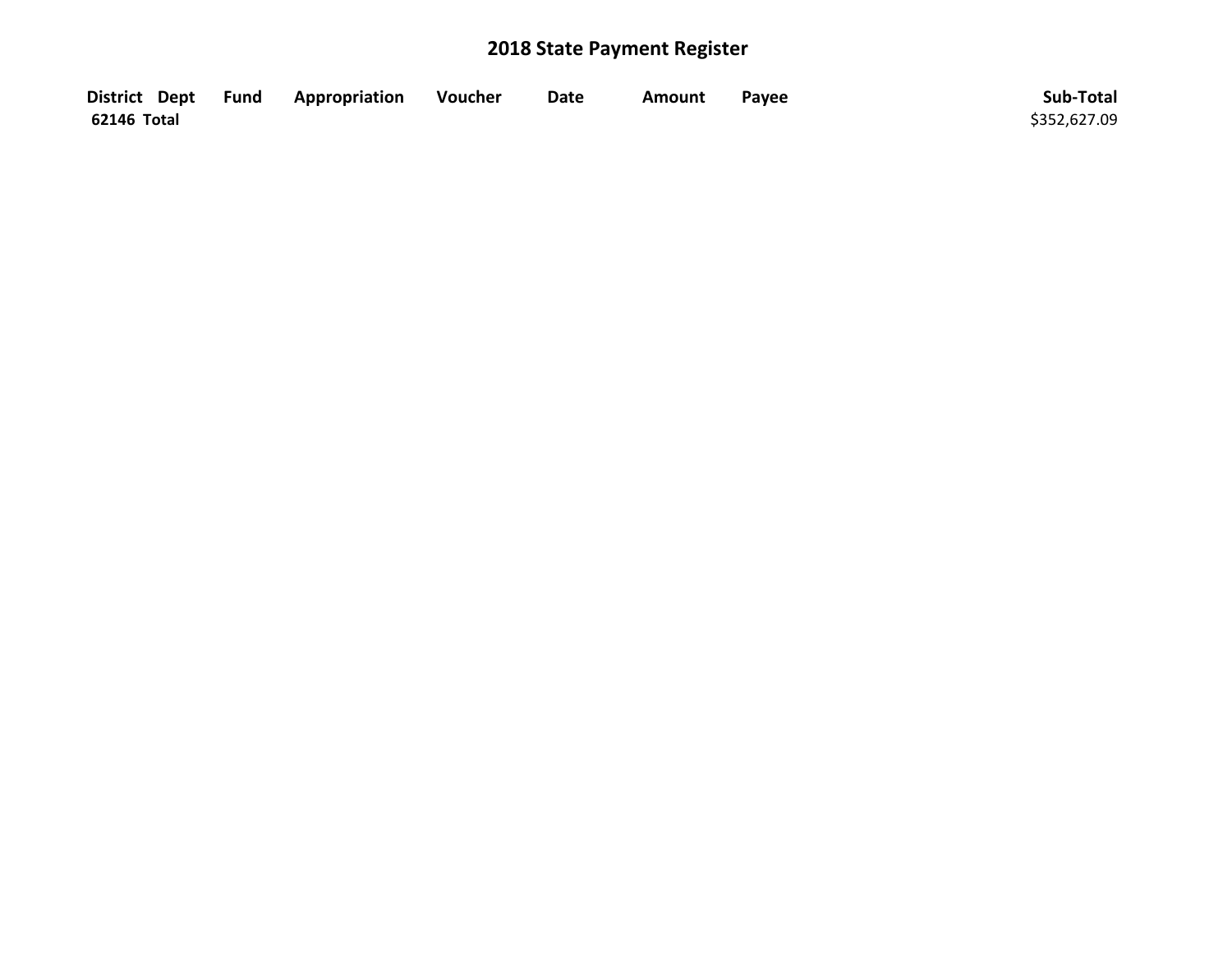|             | District Dept Fund Appropriation | Voucher | <b>Date</b> | <b>Amount</b> | Payee | Sub-Total    |
|-------------|----------------------------------|---------|-------------|---------------|-------|--------------|
| 62146 Total |                                  |         |             |               |       | \$352,627.09 |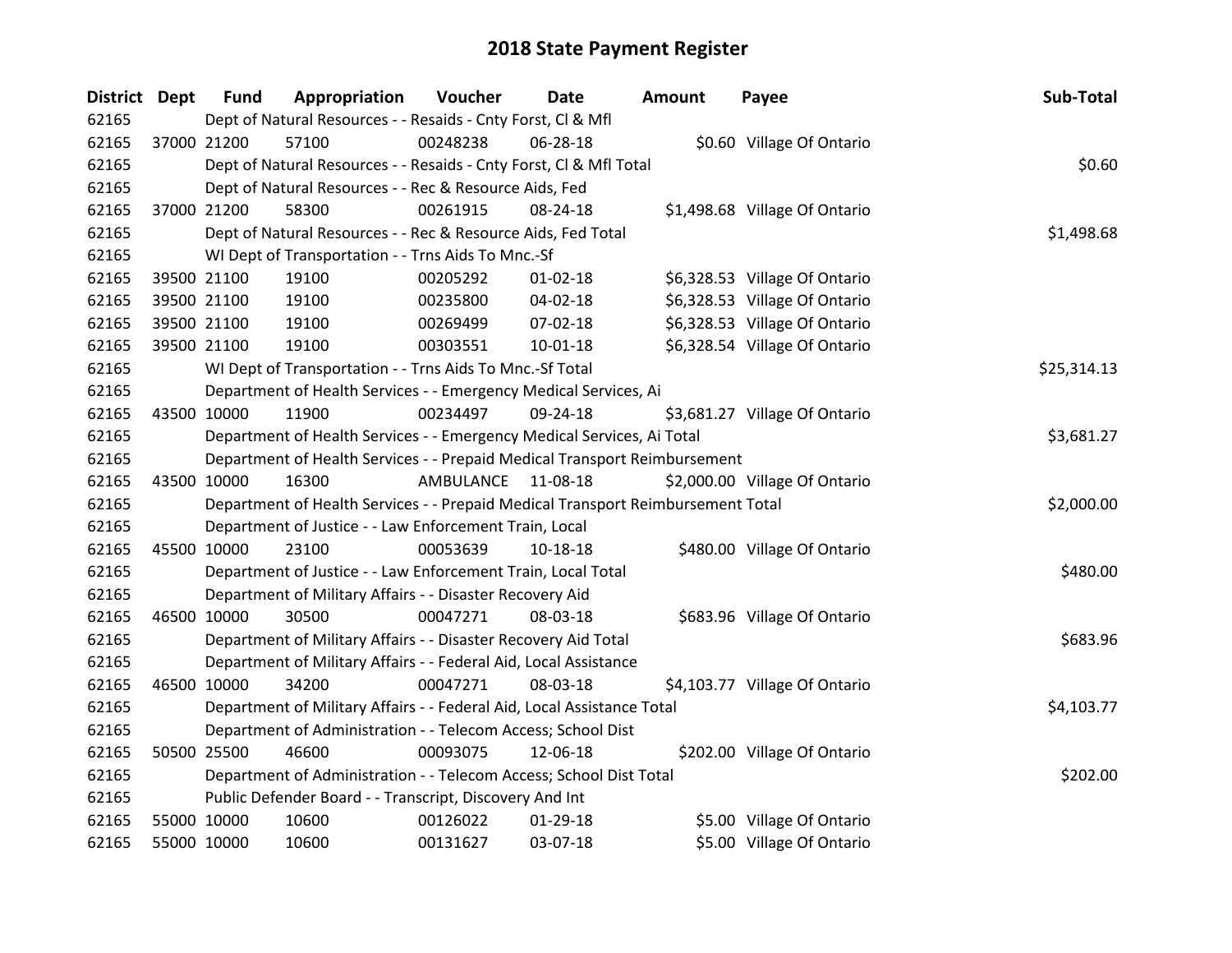| District Dept | <b>Fund</b> | Appropriation                                                                   | Voucher    | <b>Date</b>    | <b>Amount</b> | Payee                         | Sub-Total   |
|---------------|-------------|---------------------------------------------------------------------------------|------------|----------------|---------------|-------------------------------|-------------|
| 62165         |             | Dept of Natural Resources - - Resaids - Cnty Forst, Cl & Mfl                    |            |                |               |                               |             |
| 62165         | 37000 21200 | 57100                                                                           | 00248238   | 06-28-18       |               | \$0.60 Village Of Ontario     |             |
| 62165         |             | Dept of Natural Resources - - Resaids - Cnty Forst, Cl & Mfl Total              |            |                |               |                               | \$0.60      |
| 62165         |             | Dept of Natural Resources - - Rec & Resource Aids, Fed                          |            |                |               |                               |             |
| 62165         | 37000 21200 | 58300                                                                           | 00261915   | 08-24-18       |               | \$1,498.68 Village Of Ontario |             |
| 62165         |             | Dept of Natural Resources - - Rec & Resource Aids, Fed Total                    |            |                |               |                               | \$1,498.68  |
| 62165         |             | WI Dept of Transportation - - Trns Aids To Mnc.-Sf                              |            |                |               |                               |             |
| 62165         | 39500 21100 | 19100                                                                           | 00205292   | $01 - 02 - 18$ |               | \$6,328.53 Village Of Ontario |             |
| 62165         | 39500 21100 | 19100                                                                           | 00235800   | $04 - 02 - 18$ |               | \$6,328.53 Village Of Ontario |             |
| 62165         | 39500 21100 | 19100                                                                           | 00269499   | 07-02-18       |               | \$6,328.53 Village Of Ontario |             |
| 62165         | 39500 21100 | 19100                                                                           | 00303551   | 10-01-18       |               | \$6,328.54 Village Of Ontario |             |
| 62165         |             | WI Dept of Transportation - - Trns Aids To Mnc.-Sf Total                        |            |                |               |                               | \$25,314.13 |
| 62165         |             | Department of Health Services - - Emergency Medical Services, Ai                |            |                |               |                               |             |
| 62165         | 43500 10000 | 11900                                                                           | 00234497   | 09-24-18       |               | \$3,681.27 Village Of Ontario |             |
| 62165         |             | Department of Health Services - - Emergency Medical Services, Ai Total          | \$3,681.27 |                |               |                               |             |
| 62165         |             | Department of Health Services - - Prepaid Medical Transport Reimbursement       |            |                |               |                               |             |
| 62165         | 43500 10000 | 16300                                                                           | AMBULANCE  | 11-08-18       |               | \$2,000.00 Village Of Ontario |             |
| 62165         |             | Department of Health Services - - Prepaid Medical Transport Reimbursement Total |            |                |               |                               | \$2,000.00  |
| 62165         |             | Department of Justice - - Law Enforcement Train, Local                          |            |                |               |                               |             |
| 62165         | 45500 10000 | 23100                                                                           | 00053639   | 10-18-18       |               | \$480.00 Village Of Ontario   |             |
| 62165         |             | Department of Justice - - Law Enforcement Train, Local Total                    |            |                |               |                               | \$480.00    |
| 62165         |             | Department of Military Affairs - - Disaster Recovery Aid                        |            |                |               |                               |             |
| 62165         | 46500 10000 | 30500                                                                           | 00047271   | 08-03-18       |               | \$683.96 Village Of Ontario   |             |
| 62165         |             | Department of Military Affairs - - Disaster Recovery Aid Total                  |            |                |               |                               | \$683.96    |
| 62165         |             | Department of Military Affairs - - Federal Aid, Local Assistance                |            |                |               |                               |             |
| 62165         | 46500 10000 | 34200                                                                           | 00047271   | 08-03-18       |               | \$4,103.77 Village Of Ontario |             |
| 62165         |             | Department of Military Affairs - - Federal Aid, Local Assistance Total          |            |                |               |                               | \$4,103.77  |
| 62165         |             | Department of Administration - - Telecom Access; School Dist                    |            |                |               |                               |             |
| 62165         | 50500 25500 | 46600                                                                           | 00093075   | 12-06-18       |               | \$202.00 Village Of Ontario   |             |
| 62165         |             | Department of Administration - - Telecom Access; School Dist Total              |            |                |               |                               | \$202.00    |
| 62165         |             | Public Defender Board - - Transcript, Discovery And Int                         |            |                |               |                               |             |
| 62165         | 55000 10000 | 10600                                                                           | 00126022   | $01-29-18$     |               | \$5.00 Village Of Ontario     |             |
| 62165         | 55000 10000 | 10600                                                                           | 00131627   | 03-07-18       |               | \$5.00 Village Of Ontario     |             |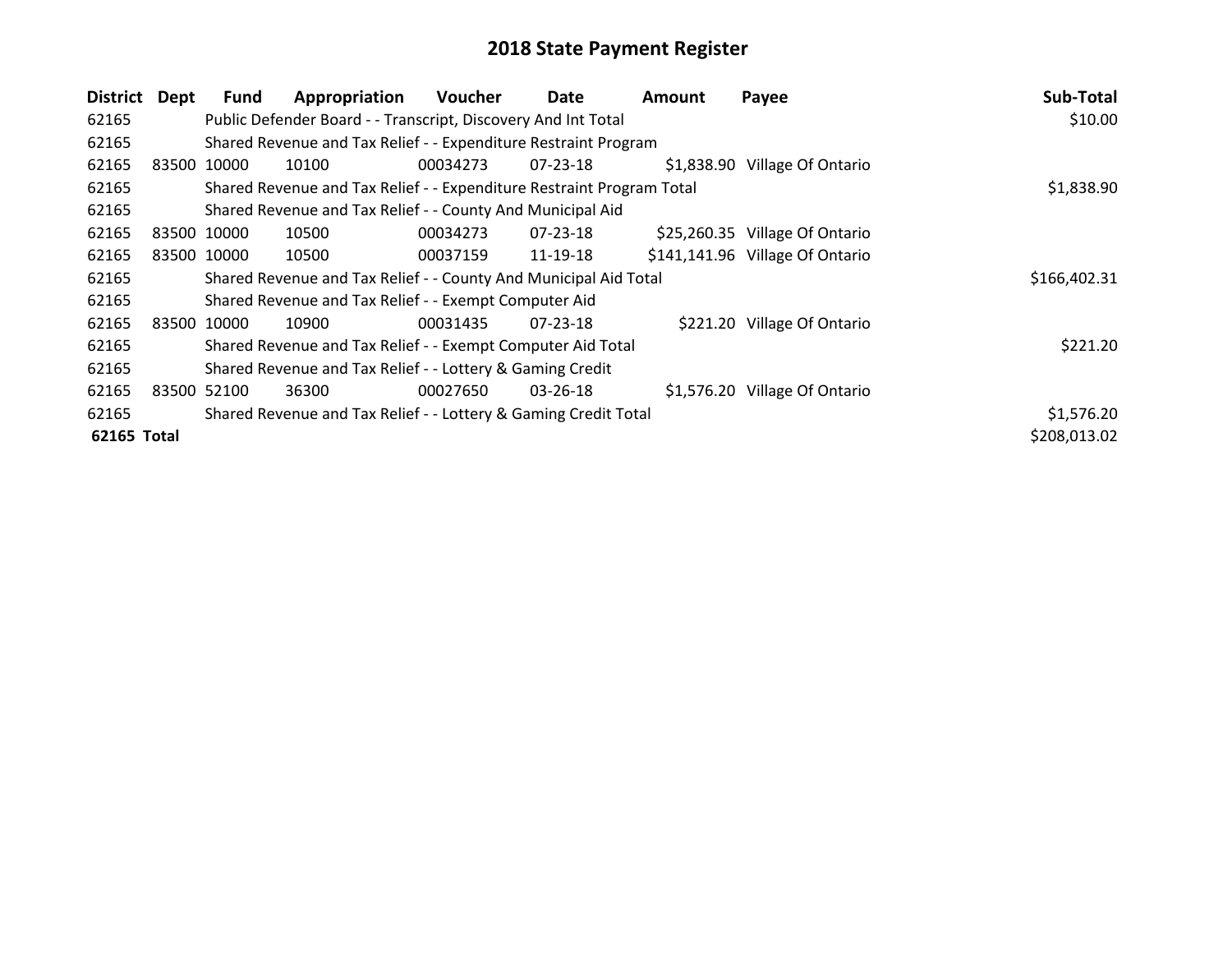| <b>District</b> | Dept  | <b>Fund</b> | Appropriation                                                         | Voucher  | Date           | Amount | Payee                           | Sub-Total    |
|-----------------|-------|-------------|-----------------------------------------------------------------------|----------|----------------|--------|---------------------------------|--------------|
| 62165           |       |             | Public Defender Board - - Transcript, Discovery And Int Total         |          |                |        |                                 | \$10.00      |
| 62165           |       |             | Shared Revenue and Tax Relief - - Expenditure Restraint Program       |          |                |        |                                 |              |
| 62165           | 83500 | 10000       | 10100                                                                 | 00034273 | $07 - 23 - 18$ |        | \$1,838.90 Village Of Ontario   |              |
| 62165           |       |             | Shared Revenue and Tax Relief - - Expenditure Restraint Program Total |          |                |        |                                 | \$1,838.90   |
| 62165           |       |             | Shared Revenue and Tax Relief - - County And Municipal Aid            |          |                |        |                                 |              |
| 62165           |       | 83500 10000 | 10500                                                                 | 00034273 | 07-23-18       |        | \$25,260.35 Village Of Ontario  |              |
| 62165           |       | 83500 10000 | 10500                                                                 | 00037159 | 11-19-18       |        | \$141,141.96 Village Of Ontario |              |
| 62165           |       |             | Shared Revenue and Tax Relief - - County And Municipal Aid Total      |          |                |        |                                 | \$166,402.31 |
| 62165           |       |             | Shared Revenue and Tax Relief - - Exempt Computer Aid                 |          |                |        |                                 |              |
| 62165           |       | 83500 10000 | 10900                                                                 | 00031435 | $07 - 23 - 18$ |        | \$221.20 Village Of Ontario     |              |
| 62165           |       |             | Shared Revenue and Tax Relief - - Exempt Computer Aid Total           |          |                |        |                                 | \$221.20     |
| 62165           |       |             | Shared Revenue and Tax Relief - - Lottery & Gaming Credit             |          |                |        |                                 |              |
| 62165           |       | 83500 52100 | 36300                                                                 | 00027650 | $03 - 26 - 18$ |        | \$1,576.20 Village Of Ontario   |              |
| 62165           |       |             | Shared Revenue and Tax Relief - - Lottery & Gaming Credit Total       |          |                |        |                                 | \$1,576.20   |
| 62165 Total     |       |             |                                                                       |          |                |        |                                 | \$208,013.02 |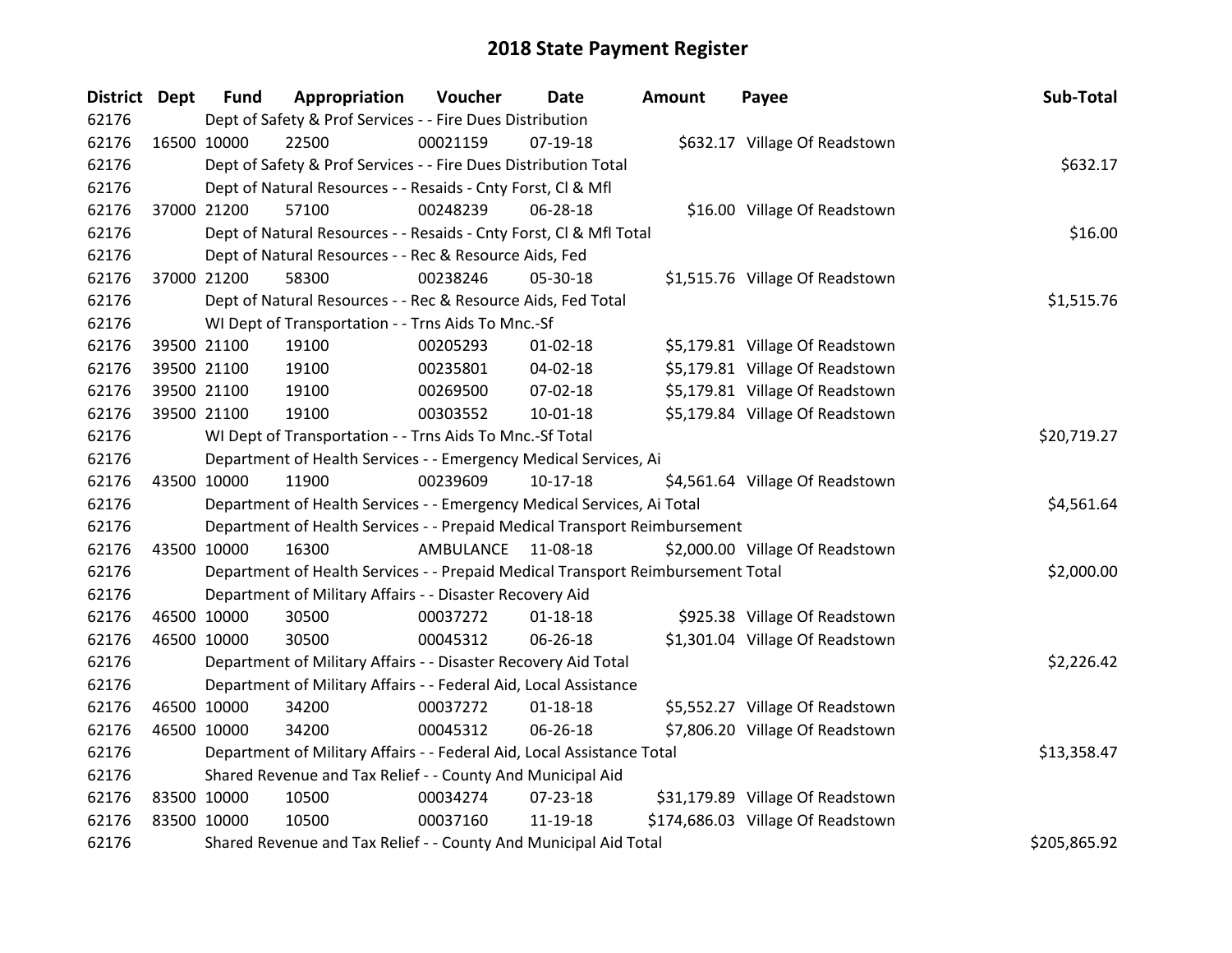| District Dept |             | <b>Fund</b> | Appropriation                                                                   | Voucher     | <b>Date</b>    | <b>Amount</b> | Payee                             | Sub-Total    |
|---------------|-------------|-------------|---------------------------------------------------------------------------------|-------------|----------------|---------------|-----------------------------------|--------------|
| 62176         |             |             | Dept of Safety & Prof Services - - Fire Dues Distribution                       |             |                |               |                                   |              |
| 62176         |             | 16500 10000 | 22500                                                                           | 00021159    | $07-19-18$     |               | \$632.17 Village Of Readstown     |              |
| 62176         |             |             | Dept of Safety & Prof Services - - Fire Dues Distribution Total                 |             |                |               |                                   | \$632.17     |
| 62176         |             |             | Dept of Natural Resources - - Resaids - Cnty Forst, CI & Mfl                    |             |                |               |                                   |              |
| 62176         |             | 37000 21200 | 57100                                                                           | 00248239    | 06-28-18       |               | \$16.00 Village Of Readstown      |              |
| 62176         |             |             | Dept of Natural Resources - - Resaids - Cnty Forst, Cl & Mfl Total              |             |                |               |                                   | \$16.00      |
| 62176         |             |             | Dept of Natural Resources - - Rec & Resource Aids, Fed                          |             |                |               |                                   |              |
| 62176         |             | 37000 21200 | 58300                                                                           | 00238246    | 05-30-18       |               | \$1,515.76 Village Of Readstown   |              |
| 62176         |             |             | Dept of Natural Resources - - Rec & Resource Aids, Fed Total                    |             |                |               |                                   | \$1,515.76   |
| 62176         |             |             | WI Dept of Transportation - - Trns Aids To Mnc.-Sf                              |             |                |               |                                   |              |
| 62176         |             | 39500 21100 | 19100                                                                           | 00205293    | $01 - 02 - 18$ |               | \$5,179.81 Village Of Readstown   |              |
| 62176         |             | 39500 21100 | 19100                                                                           | 00235801    | 04-02-18       |               | \$5,179.81 Village Of Readstown   |              |
| 62176         |             | 39500 21100 | 19100                                                                           | 00269500    | 07-02-18       |               | \$5,179.81 Village Of Readstown   |              |
| 62176         |             | 39500 21100 | 19100                                                                           | 00303552    | 10-01-18       |               | \$5,179.84 Village Of Readstown   |              |
| 62176         |             |             | WI Dept of Transportation - - Trns Aids To Mnc.-Sf Total                        | \$20,719.27 |                |               |                                   |              |
| 62176         |             |             | Department of Health Services - - Emergency Medical Services, Ai                |             |                |               |                                   |              |
| 62176         | 43500 10000 |             | 11900                                                                           | 00239609    | $10-17-18$     |               | \$4,561.64 Village Of Readstown   |              |
| 62176         |             |             | Department of Health Services - - Emergency Medical Services, Ai Total          |             |                |               |                                   | \$4,561.64   |
| 62176         |             |             | Department of Health Services - - Prepaid Medical Transport Reimbursement       |             |                |               |                                   |              |
| 62176         | 43500 10000 |             | 16300                                                                           | AMBULANCE   | 11-08-18       |               | \$2,000.00 Village Of Readstown   |              |
| 62176         |             |             | Department of Health Services - - Prepaid Medical Transport Reimbursement Total |             |                |               |                                   | \$2,000.00   |
| 62176         |             |             | Department of Military Affairs - - Disaster Recovery Aid                        |             |                |               |                                   |              |
| 62176         |             | 46500 10000 | 30500                                                                           | 00037272    | $01 - 18 - 18$ |               | \$925.38 Village Of Readstown     |              |
| 62176         |             | 46500 10000 | 30500                                                                           | 00045312    | 06-26-18       |               | \$1,301.04 Village Of Readstown   |              |
| 62176         |             |             | Department of Military Affairs - - Disaster Recovery Aid Total                  |             |                |               |                                   | \$2,226.42   |
| 62176         |             |             | Department of Military Affairs - - Federal Aid, Local Assistance                |             |                |               |                                   |              |
| 62176         | 46500 10000 |             | 34200                                                                           | 00037272    | $01 - 18 - 18$ |               | \$5,552.27 Village Of Readstown   |              |
| 62176         |             | 46500 10000 | 34200                                                                           | 00045312    | 06-26-18       |               | \$7,806.20 Village Of Readstown   |              |
| 62176         |             |             | Department of Military Affairs - - Federal Aid, Local Assistance Total          |             |                |               |                                   | \$13,358.47  |
| 62176         |             |             | Shared Revenue and Tax Relief - - County And Municipal Aid                      |             |                |               |                                   |              |
| 62176         | 83500 10000 |             | 10500                                                                           | 00034274    | 07-23-18       |               | \$31,179.89 Village Of Readstown  |              |
| 62176         |             | 83500 10000 | 10500                                                                           | 00037160    | 11-19-18       |               | \$174,686.03 Village Of Readstown |              |
| 62176         |             |             | Shared Revenue and Tax Relief - - County And Municipal Aid Total                |             |                |               |                                   | \$205,865.92 |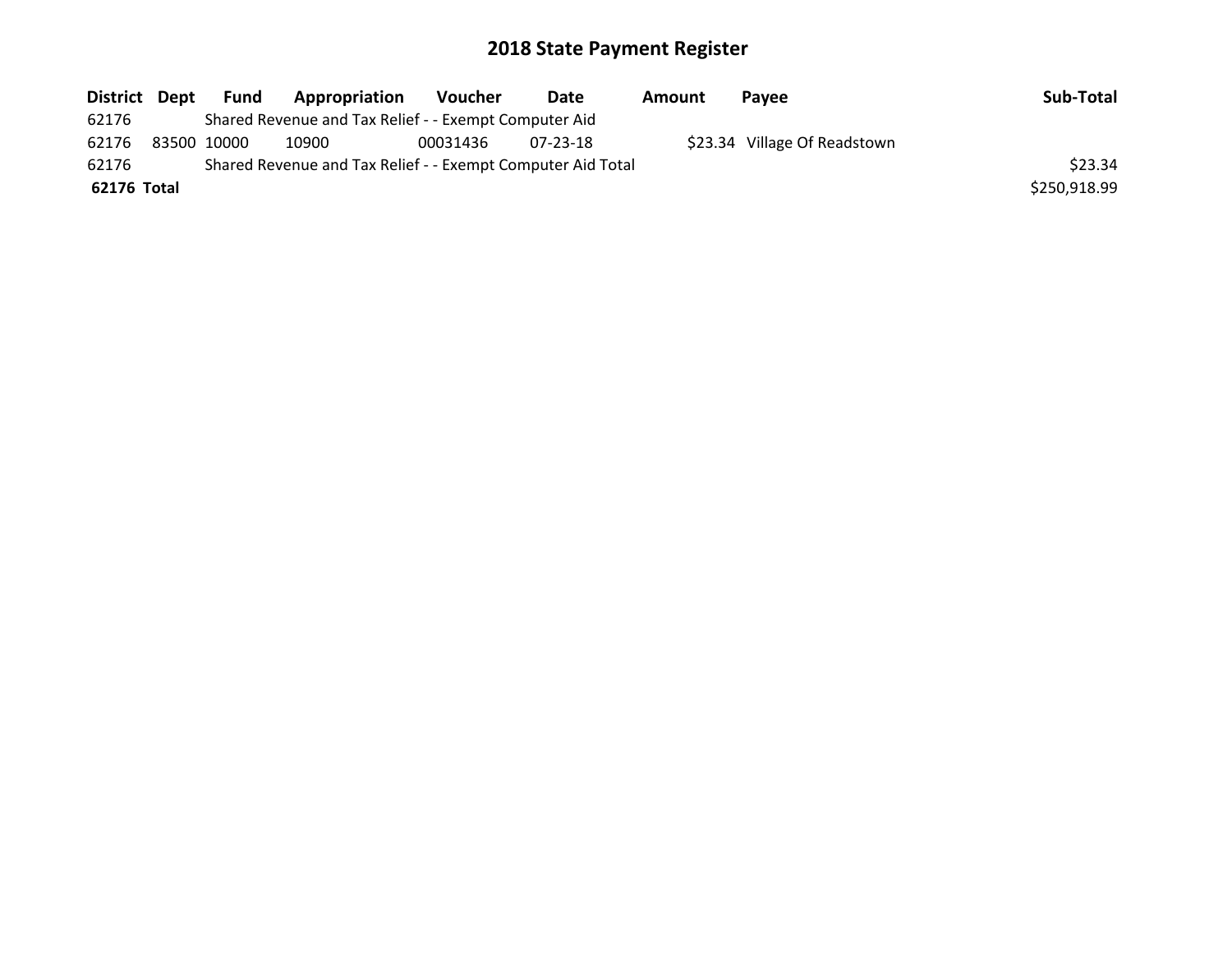| District Dept |             | Fund | <b>Appropriation</b>                                        | Voucher  | Date     | Amount | <b>Pavee</b>                 | Sub-Total    |
|---------------|-------------|------|-------------------------------------------------------------|----------|----------|--------|------------------------------|--------------|
| 62176         |             |      | Shared Revenue and Tax Relief - - Exempt Computer Aid       |          |          |        |                              |              |
| 62176         | 83500 10000 |      | 10900                                                       | 00031436 | 07-23-18 |        | \$23.34 Village Of Readstown |              |
| 62176         |             |      | Shared Revenue and Tax Relief - - Exempt Computer Aid Total |          |          |        |                              | \$23.34      |
| 62176 Total   |             |      |                                                             |          |          |        |                              | \$250,918.99 |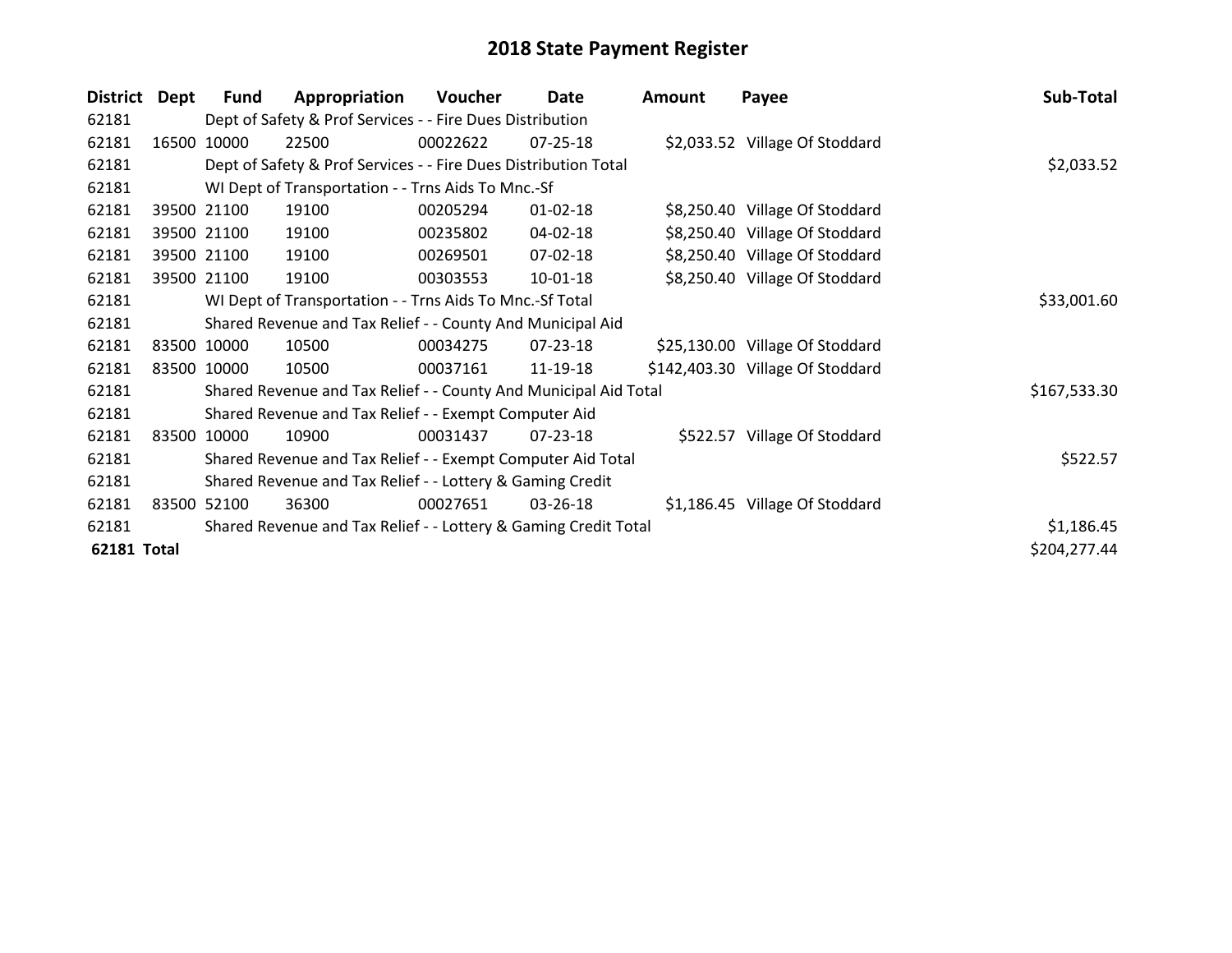| <b>District</b> | Dept | <b>Fund</b>                                              | Appropriation                                                    | Voucher  | Date           | Amount | Payee                            | Sub-Total    |
|-----------------|------|----------------------------------------------------------|------------------------------------------------------------------|----------|----------------|--------|----------------------------------|--------------|
| 62181           |      |                                                          | Dept of Safety & Prof Services - - Fire Dues Distribution        |          |                |        |                                  |              |
| 62181           |      | 16500 10000                                              | 22500                                                            | 00022622 | $07 - 25 - 18$ |        | \$2,033.52 Village Of Stoddard   |              |
| 62181           |      |                                                          | Dept of Safety & Prof Services - - Fire Dues Distribution Total  |          |                |        |                                  | \$2,033.52   |
| 62181           |      |                                                          | WI Dept of Transportation - - Trns Aids To Mnc.-Sf               |          |                |        |                                  |              |
| 62181           |      | 39500 21100                                              | 19100                                                            | 00205294 | $01 - 02 - 18$ |        | \$8,250.40 Village Of Stoddard   |              |
| 62181           |      | 39500 21100                                              | 19100                                                            | 00235802 | 04-02-18       |        | \$8,250.40 Village Of Stoddard   |              |
| 62181           |      | 39500 21100                                              | 19100                                                            | 00269501 | 07-02-18       |        | \$8,250.40 Village Of Stoddard   |              |
| 62181           |      | 39500 21100                                              | 19100                                                            | 00303553 | 10-01-18       |        | \$8,250.40 Village Of Stoddard   |              |
| 62181           |      | WI Dept of Transportation - - Trns Aids To Mnc.-Sf Total | \$33,001.60                                                      |          |                |        |                                  |              |
| 62181           |      |                                                          | Shared Revenue and Tax Relief - - County And Municipal Aid       |          |                |        |                                  |              |
| 62181           |      | 83500 10000                                              | 10500                                                            | 00034275 | 07-23-18       |        | \$25,130.00 Village Of Stoddard  |              |
| 62181           |      | 83500 10000                                              | 10500                                                            | 00037161 | 11-19-18       |        | \$142,403.30 Village Of Stoddard |              |
| 62181           |      |                                                          | Shared Revenue and Tax Relief - - County And Municipal Aid Total |          |                |        |                                  | \$167,533.30 |
| 62181           |      |                                                          | Shared Revenue and Tax Relief - - Exempt Computer Aid            |          |                |        |                                  |              |
| 62181           |      | 83500 10000                                              | 10900                                                            | 00031437 | 07-23-18       |        | \$522.57 Village Of Stoddard     |              |
| 62181           |      |                                                          | Shared Revenue and Tax Relief - - Exempt Computer Aid Total      |          |                |        |                                  | \$522.57     |
| 62181           |      |                                                          | Shared Revenue and Tax Relief - - Lottery & Gaming Credit        |          |                |        |                                  |              |
| 62181           |      | 83500 52100                                              | 36300                                                            | 00027651 | 03-26-18       |        | \$1,186.45 Village Of Stoddard   |              |
| 62181           |      |                                                          | Shared Revenue and Tax Relief - - Lottery & Gaming Credit Total  |          |                |        |                                  | \$1,186.45   |
| 62181 Total     |      |                                                          |                                                                  |          |                |        |                                  | \$204,277.44 |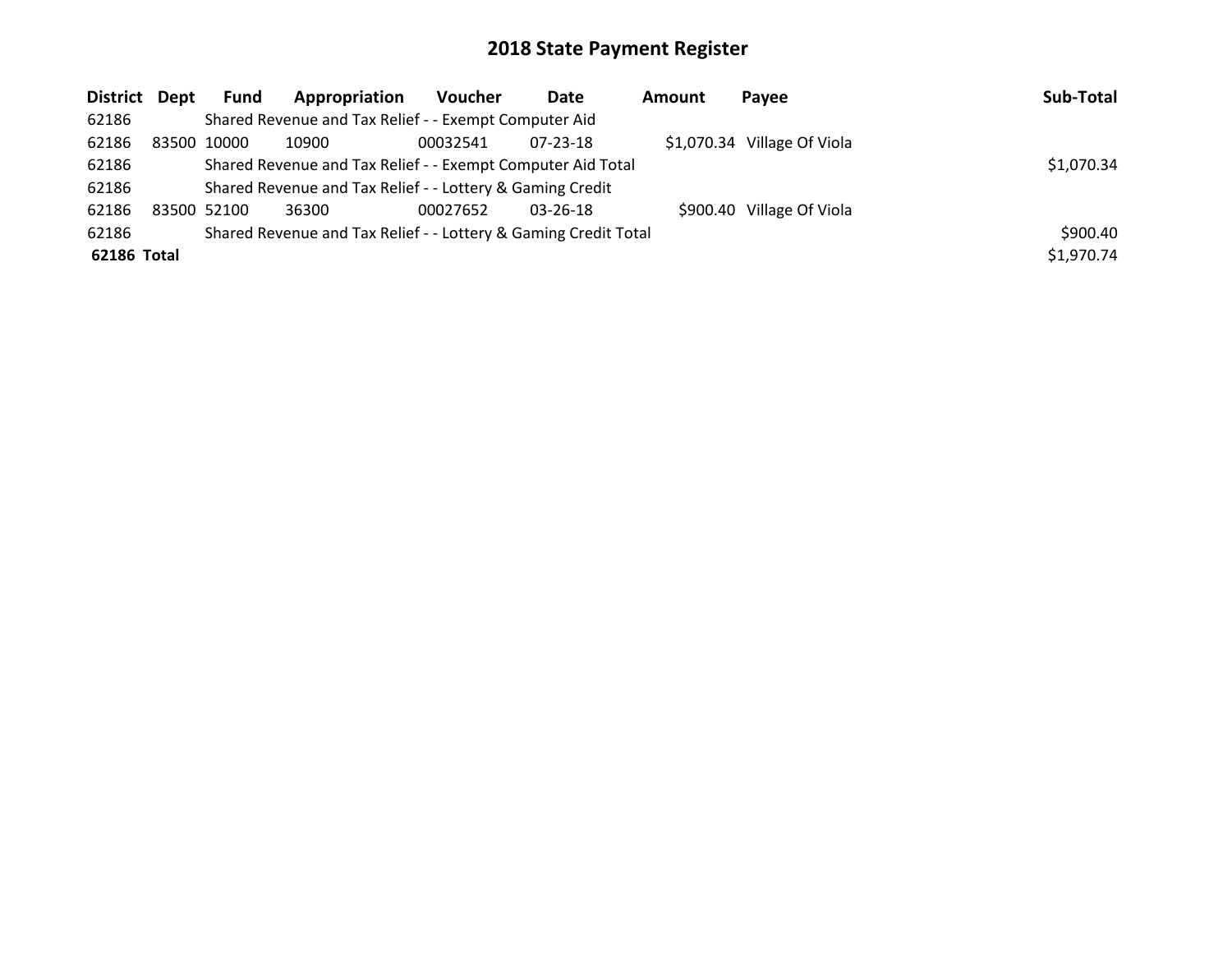| District Dept |             | Fund                                                        | Appropriation                                                   | <b>Voucher</b> | Date     | Amount | Payee                       | Sub-Total  |
|---------------|-------------|-------------------------------------------------------------|-----------------------------------------------------------------|----------------|----------|--------|-----------------------------|------------|
| 62186         |             |                                                             | Shared Revenue and Tax Relief - - Exempt Computer Aid           |                |          |        |                             |            |
| 62186         | 83500 10000 |                                                             | 10900                                                           | 00032541       | 07-23-18 |        | \$1,070.34 Village Of Viola |            |
| 62186         |             | Shared Revenue and Tax Relief - - Exempt Computer Aid Total | \$1,070.34                                                      |                |          |        |                             |            |
| 62186         |             |                                                             | Shared Revenue and Tax Relief - - Lottery & Gaming Credit       |                |          |        |                             |            |
| 62186         | 83500 52100 |                                                             | 36300                                                           | 00027652       | 03-26-18 |        | \$900.40 Village Of Viola   |            |
| 62186         |             |                                                             | Shared Revenue and Tax Relief - - Lottery & Gaming Credit Total |                |          |        |                             | \$900.40   |
| 62186 Total   |             |                                                             |                                                                 |                |          |        |                             | \$1,970.74 |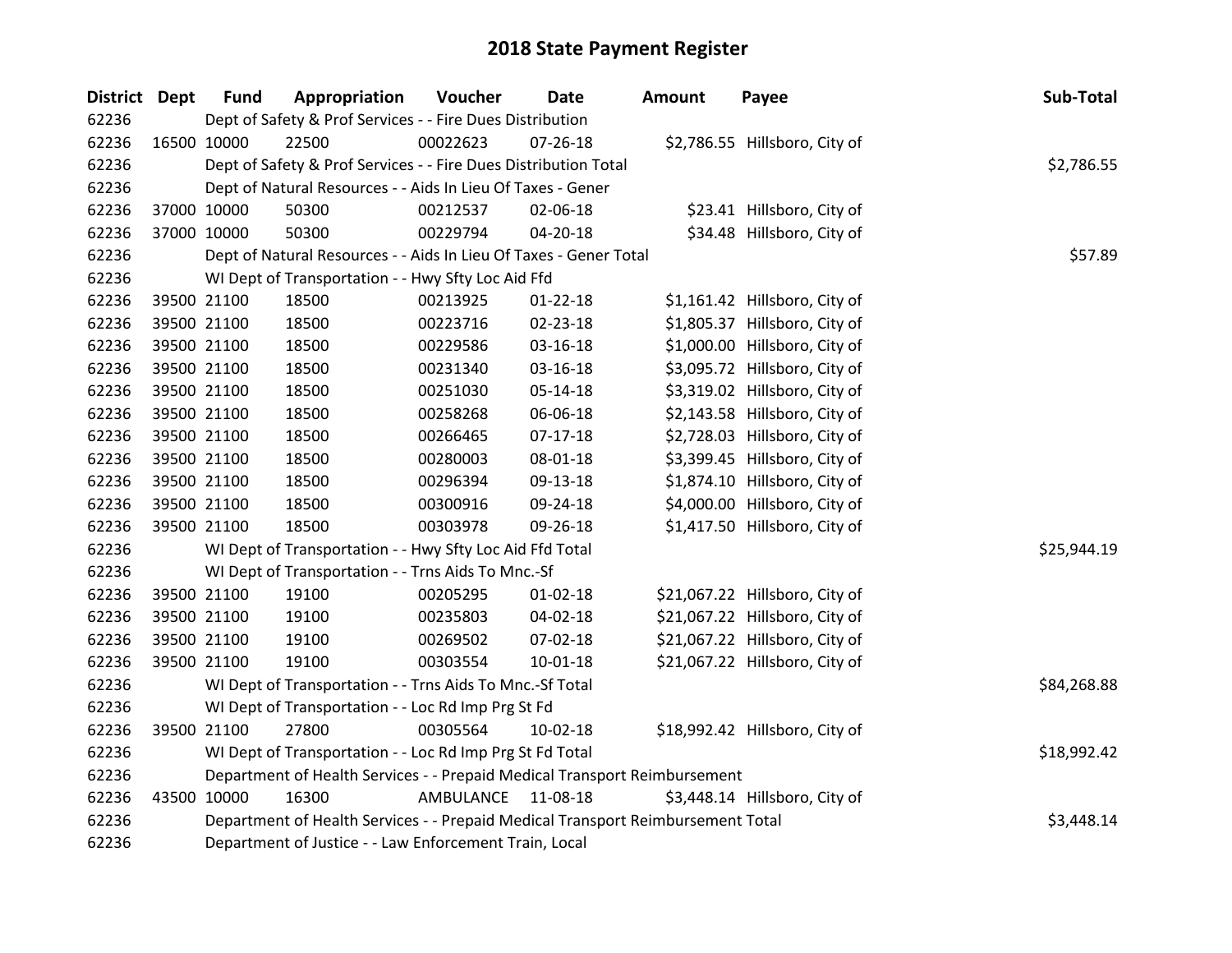| District Dept |             | <b>Fund</b> | Appropriation                                                                   | Voucher   | Date           | Amount | Payee                          | Sub-Total   |
|---------------|-------------|-------------|---------------------------------------------------------------------------------|-----------|----------------|--------|--------------------------------|-------------|
| 62236         |             |             | Dept of Safety & Prof Services - - Fire Dues Distribution                       |           |                |        |                                |             |
| 62236         | 16500 10000 |             | 22500                                                                           | 00022623  | 07-26-18       |        | \$2,786.55 Hillsboro, City of  |             |
| 62236         |             |             | Dept of Safety & Prof Services - - Fire Dues Distribution Total                 |           |                |        |                                | \$2,786.55  |
| 62236         |             |             | Dept of Natural Resources - - Aids In Lieu Of Taxes - Gener                     |           |                |        |                                |             |
| 62236         | 37000 10000 |             | 50300                                                                           | 00212537  | 02-06-18       |        | \$23.41 Hillsboro, City of     |             |
| 62236         | 37000 10000 |             | 50300                                                                           | 00229794  | 04-20-18       |        | \$34.48 Hillsboro, City of     |             |
| 62236         |             |             | Dept of Natural Resources - - Aids In Lieu Of Taxes - Gener Total               |           |                |        |                                | \$57.89     |
| 62236         |             |             | WI Dept of Transportation - - Hwy Sfty Loc Aid Ffd                              |           |                |        |                                |             |
| 62236         |             | 39500 21100 | 18500                                                                           | 00213925  | $01 - 22 - 18$ |        | \$1,161.42 Hillsboro, City of  |             |
| 62236         |             | 39500 21100 | 18500                                                                           | 00223716  | 02-23-18       |        | \$1,805.37 Hillsboro, City of  |             |
| 62236         |             | 39500 21100 | 18500                                                                           | 00229586  | 03-16-18       |        | \$1,000.00 Hillsboro, City of  |             |
| 62236         | 39500 21100 |             | 18500                                                                           | 00231340  | 03-16-18       |        | \$3,095.72 Hillsboro, City of  |             |
| 62236         | 39500 21100 |             | 18500                                                                           | 00251030  | 05-14-18       |        | \$3,319.02 Hillsboro, City of  |             |
| 62236         |             | 39500 21100 | 18500                                                                           | 00258268  | 06-06-18       |        | \$2,143.58 Hillsboro, City of  |             |
| 62236         |             | 39500 21100 | 18500                                                                           | 00266465  | $07-17-18$     |        | \$2,728.03 Hillsboro, City of  |             |
| 62236         |             | 39500 21100 | 18500                                                                           | 00280003  | 08-01-18       |        | \$3,399.45 Hillsboro, City of  |             |
| 62236         | 39500 21100 |             | 18500                                                                           | 00296394  | 09-13-18       |        | \$1,874.10 Hillsboro, City of  |             |
| 62236         | 39500 21100 |             | 18500                                                                           | 00300916  | 09-24-18       |        | \$4,000.00 Hillsboro, City of  |             |
| 62236         | 39500 21100 |             | 18500                                                                           | 00303978  | 09-26-18       |        | \$1,417.50 Hillsboro, City of  |             |
| 62236         |             |             | WI Dept of Transportation - - Hwy Sfty Loc Aid Ffd Total                        |           |                |        |                                | \$25,944.19 |
| 62236         |             |             | WI Dept of Transportation - - Trns Aids To Mnc.-Sf                              |           |                |        |                                |             |
| 62236         |             | 39500 21100 | 19100                                                                           | 00205295  | $01 - 02 - 18$ |        | \$21,067.22 Hillsboro, City of |             |
| 62236         |             | 39500 21100 | 19100                                                                           | 00235803  | 04-02-18       |        | \$21,067.22 Hillsboro, City of |             |
| 62236         |             | 39500 21100 | 19100                                                                           | 00269502  | 07-02-18       |        | \$21,067.22 Hillsboro, City of |             |
| 62236         |             | 39500 21100 | 19100                                                                           | 00303554  | $10 - 01 - 18$ |        | \$21,067.22 Hillsboro, City of |             |
| 62236         |             |             | WI Dept of Transportation - - Trns Aids To Mnc.-Sf Total                        |           |                |        |                                | \$84,268.88 |
| 62236         |             |             | WI Dept of Transportation - - Loc Rd Imp Prg St Fd                              |           |                |        |                                |             |
| 62236         |             | 39500 21100 | 27800                                                                           | 00305564  | $10-02-18$     |        | \$18,992.42 Hillsboro, City of |             |
| 62236         |             |             | WI Dept of Transportation - - Loc Rd Imp Prg St Fd Total                        |           |                |        |                                | \$18,992.42 |
| 62236         |             |             | Department of Health Services - - Prepaid Medical Transport Reimbursement       |           |                |        |                                |             |
| 62236         | 43500 10000 |             | 16300                                                                           | AMBULANCE | 11-08-18       |        | \$3,448.14 Hillsboro, City of  |             |
| 62236         |             |             | Department of Health Services - - Prepaid Medical Transport Reimbursement Total |           |                |        |                                | \$3,448.14  |
| 62236         |             |             | Department of Justice - - Law Enforcement Train, Local                          |           |                |        |                                |             |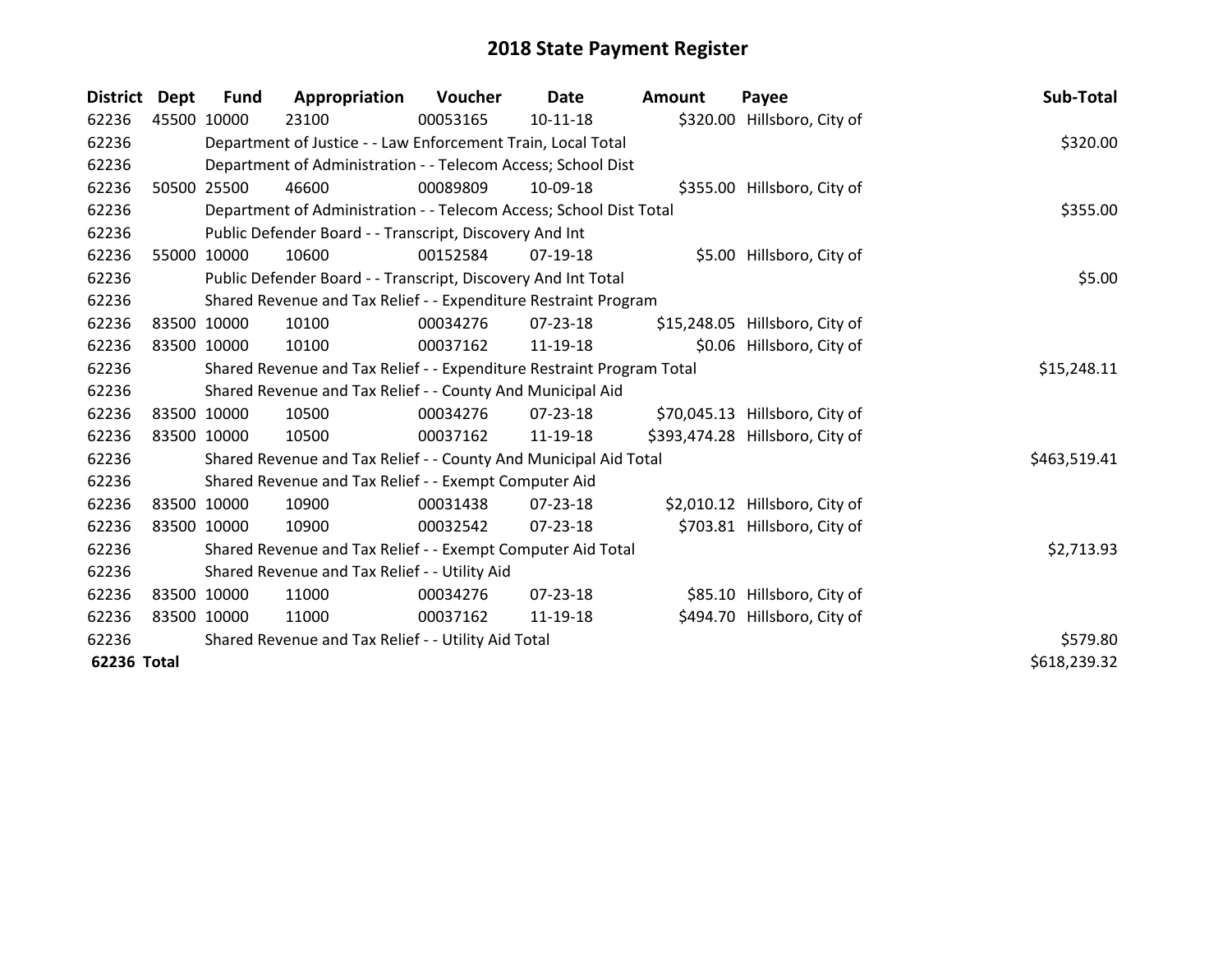| <b>District</b> | Dept        | Fund        | Appropriation                                                         | <b>Voucher</b> | Date       | Amount | Payee                           | Sub-Total    |
|-----------------|-------------|-------------|-----------------------------------------------------------------------|----------------|------------|--------|---------------------------------|--------------|
| 62236           |             | 45500 10000 | 23100                                                                 | 00053165       | $10-11-18$ |        | \$320.00 Hillsboro, City of     |              |
| 62236           |             |             | Department of Justice - - Law Enforcement Train, Local Total          |                |            |        |                                 | \$320.00     |
| 62236           |             |             | Department of Administration - - Telecom Access; School Dist          |                |            |        |                                 |              |
| 62236           |             | 50500 25500 | 46600                                                                 | 00089809       | 10-09-18   |        | \$355.00 Hillsboro, City of     |              |
| 62236           |             |             | Department of Administration - - Telecom Access; School Dist Total    |                |            |        |                                 | \$355.00     |
| 62236           |             |             | Public Defender Board - - Transcript, Discovery And Int               |                |            |        |                                 |              |
| 62236           | 55000       | 10000       | 10600                                                                 | 00152584       | 07-19-18   |        | \$5.00 Hillsboro, City of       |              |
| 62236           |             |             | Public Defender Board - - Transcript, Discovery And Int Total         |                |            | \$5.00 |                                 |              |
| 62236           |             |             | Shared Revenue and Tax Relief - - Expenditure Restraint Program       |                |            |        |                                 |              |
| 62236           |             | 83500 10000 | 10100                                                                 | 00034276       | 07-23-18   |        | \$15,248.05 Hillsboro, City of  |              |
| 62236           | 83500 10000 |             | 10100                                                                 | 00037162       | 11-19-18   |        | \$0.06 Hillsboro, City of       |              |
| 62236           |             |             | Shared Revenue and Tax Relief - - Expenditure Restraint Program Total | \$15,248.11    |            |        |                                 |              |
| 62236           |             |             | Shared Revenue and Tax Relief - - County And Municipal Aid            |                |            |        |                                 |              |
| 62236           |             | 83500 10000 | 10500                                                                 | 00034276       | 07-23-18   |        | \$70,045.13 Hillsboro, City of  |              |
| 62236           |             | 83500 10000 | 10500                                                                 | 00037162       | 11-19-18   |        | \$393,474.28 Hillsboro, City of |              |
| 62236           |             |             | Shared Revenue and Tax Relief - - County And Municipal Aid Total      |                |            |        |                                 | \$463,519.41 |
| 62236           |             |             | Shared Revenue and Tax Relief - - Exempt Computer Aid                 |                |            |        |                                 |              |
| 62236           |             | 83500 10000 | 10900                                                                 | 00031438       | 07-23-18   |        | \$2,010.12 Hillsboro, City of   |              |
| 62236           |             | 83500 10000 | 10900                                                                 | 00032542       | 07-23-18   |        | \$703.81 Hillsboro, City of     |              |
| 62236           |             |             | Shared Revenue and Tax Relief - - Exempt Computer Aid Total           |                |            |        |                                 | \$2,713.93   |
| 62236           |             |             | Shared Revenue and Tax Relief - - Utility Aid                         |                |            |        |                                 |              |
| 62236           |             | 83500 10000 | 11000                                                                 | 00034276       | 07-23-18   |        | \$85.10 Hillsboro, City of      |              |
| 62236           |             | 83500 10000 | 11000                                                                 | 00037162       | 11-19-18   |        | \$494.70 Hillsboro, City of     |              |
| 62236           |             |             | Shared Revenue and Tax Relief - - Utility Aid Total                   |                |            |        |                                 | \$579.80     |
| 62236 Total     |             |             |                                                                       |                |            |        |                                 | \$618,239.32 |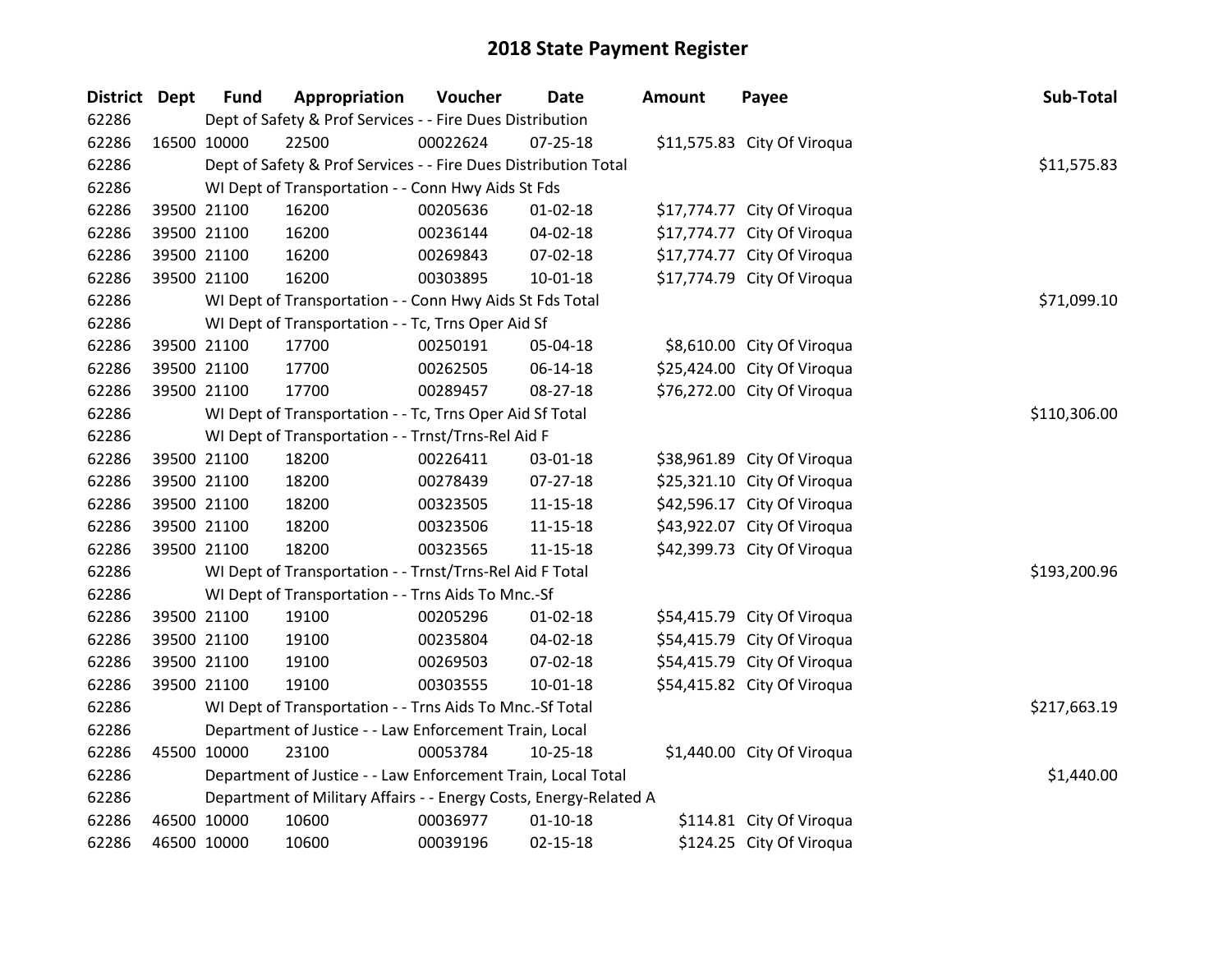| District Dept |             | <b>Fund</b> | Appropriation                                                     | Voucher  | <b>Date</b>    | Amount | Payee                       | Sub-Total    |
|---------------|-------------|-------------|-------------------------------------------------------------------|----------|----------------|--------|-----------------------------|--------------|
| 62286         |             |             | Dept of Safety & Prof Services - - Fire Dues Distribution         |          |                |        |                             |              |
| 62286         |             | 16500 10000 | 22500                                                             | 00022624 | $07 - 25 - 18$ |        | \$11,575.83 City Of Viroqua |              |
| 62286         |             |             | Dept of Safety & Prof Services - - Fire Dues Distribution Total   |          |                |        |                             | \$11,575.83  |
| 62286         |             |             | WI Dept of Transportation - - Conn Hwy Aids St Fds                |          |                |        |                             |              |
| 62286         |             | 39500 21100 | 16200                                                             | 00205636 | $01 - 02 - 18$ |        | \$17,774.77 City Of Viroqua |              |
| 62286         |             | 39500 21100 | 16200                                                             | 00236144 | 04-02-18       |        | \$17,774.77 City Of Viroqua |              |
| 62286         |             | 39500 21100 | 16200                                                             | 00269843 | 07-02-18       |        | \$17,774.77 City Of Viroqua |              |
| 62286         |             | 39500 21100 | 16200                                                             | 00303895 | 10-01-18       |        | \$17,774.79 City Of Viroqua |              |
| 62286         |             |             | WI Dept of Transportation - - Conn Hwy Aids St Fds Total          |          |                |        |                             | \$71,099.10  |
| 62286         |             |             | WI Dept of Transportation - - Tc, Trns Oper Aid Sf                |          |                |        |                             |              |
| 62286         |             | 39500 21100 | 17700                                                             | 00250191 | 05-04-18       |        | \$8,610.00 City Of Viroqua  |              |
| 62286         |             | 39500 21100 | 17700                                                             | 00262505 | 06-14-18       |        | \$25,424.00 City Of Viroqua |              |
| 62286         |             | 39500 21100 | 17700                                                             | 00289457 | 08-27-18       |        | \$76,272.00 City Of Viroqua |              |
| 62286         |             |             | WI Dept of Transportation - - Tc, Trns Oper Aid Sf Total          |          |                |        |                             | \$110,306.00 |
| 62286         |             |             | WI Dept of Transportation - - Trnst/Trns-Rel Aid F                |          |                |        |                             |              |
| 62286         |             | 39500 21100 | 18200                                                             | 00226411 | 03-01-18       |        | \$38,961.89 City Of Viroqua |              |
| 62286         |             | 39500 21100 | 18200                                                             | 00278439 | $07-27-18$     |        | \$25,321.10 City Of Viroqua |              |
| 62286         |             | 39500 21100 | 18200                                                             | 00323505 | $11 - 15 - 18$ |        | \$42,596.17 City Of Viroqua |              |
| 62286         |             | 39500 21100 | 18200                                                             | 00323506 | 11-15-18       |        | \$43,922.07 City Of Viroqua |              |
| 62286         |             | 39500 21100 | 18200                                                             | 00323565 | $11 - 15 - 18$ |        | \$42,399.73 City Of Viroqua |              |
| 62286         |             |             | WI Dept of Transportation - - Trnst/Trns-Rel Aid F Total          |          |                |        |                             | \$193,200.96 |
| 62286         |             |             | WI Dept of Transportation - - Trns Aids To Mnc.-Sf                |          |                |        |                             |              |
| 62286         |             | 39500 21100 | 19100                                                             | 00205296 | $01 - 02 - 18$ |        | \$54,415.79 City Of Viroqua |              |
| 62286         |             | 39500 21100 | 19100                                                             | 00235804 | 04-02-18       |        | \$54,415.79 City Of Viroqua |              |
| 62286         |             | 39500 21100 | 19100                                                             | 00269503 | 07-02-18       |        | \$54,415.79 City Of Viroqua |              |
| 62286         |             | 39500 21100 | 19100                                                             | 00303555 | $10 - 01 - 18$ |        | \$54,415.82 City Of Viroqua |              |
| 62286         |             |             | WI Dept of Transportation - - Trns Aids To Mnc.-Sf Total          |          |                |        |                             | \$217,663.19 |
| 62286         |             |             | Department of Justice - - Law Enforcement Train, Local            |          |                |        |                             |              |
| 62286         | 45500 10000 |             | 23100                                                             | 00053784 | $10 - 25 - 18$ |        | \$1,440.00 City Of Viroqua  |              |
| 62286         |             |             | Department of Justice - - Law Enforcement Train, Local Total      |          |                |        |                             | \$1,440.00   |
| 62286         |             |             | Department of Military Affairs - - Energy Costs, Energy-Related A |          |                |        |                             |              |
| 62286         |             | 46500 10000 | 10600                                                             | 00036977 | $01 - 10 - 18$ |        | \$114.81 City Of Viroqua    |              |
| 62286         | 46500 10000 |             | 10600                                                             | 00039196 | $02 - 15 - 18$ |        | \$124.25 City Of Viroqua    |              |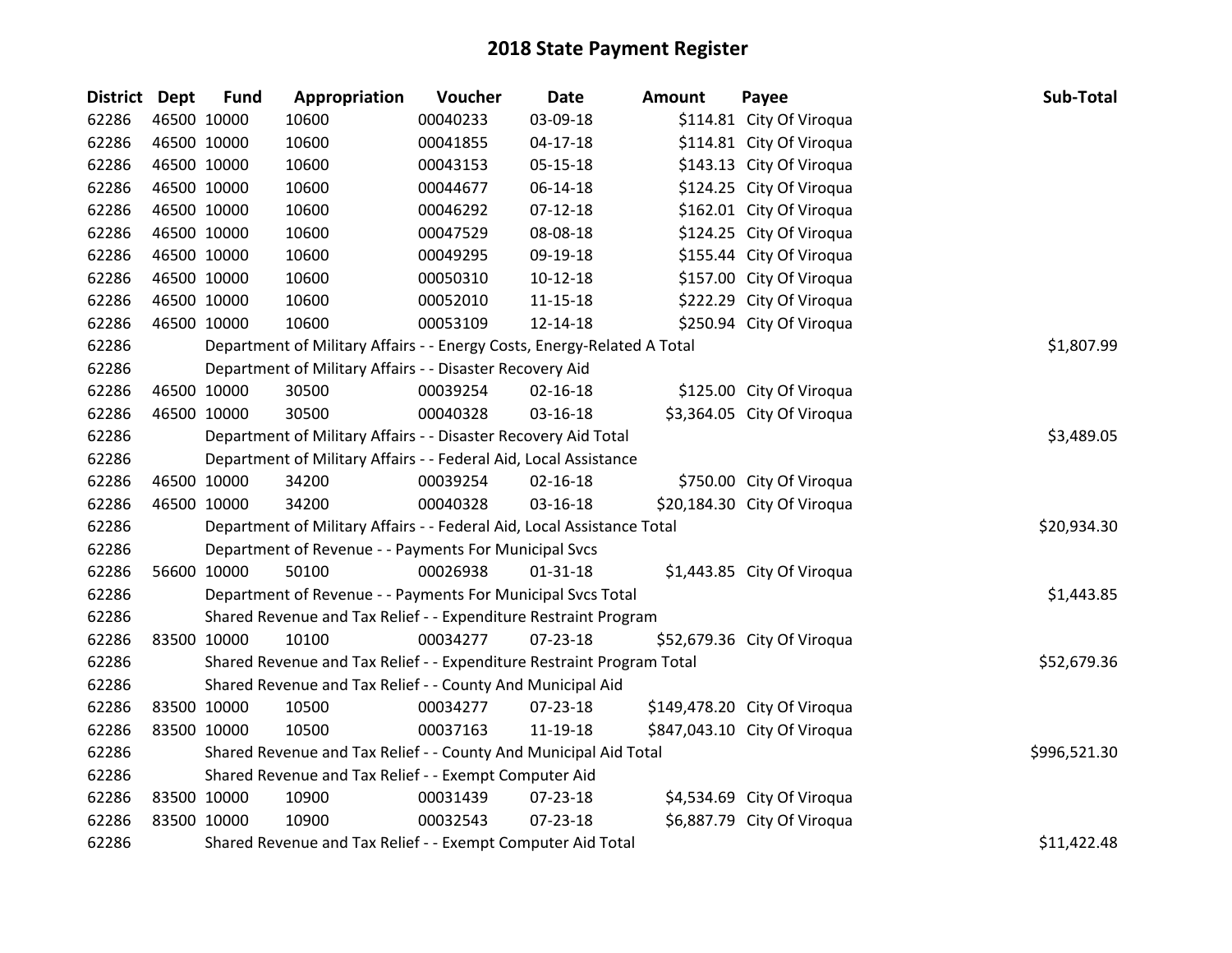| District Dept |             | <b>Fund</b>                                                           | Appropriation                                                           | Voucher      | <b>Date</b>    | <b>Amount</b> | Payee                        | Sub-Total   |
|---------------|-------------|-----------------------------------------------------------------------|-------------------------------------------------------------------------|--------------|----------------|---------------|------------------------------|-------------|
| 62286         |             | 46500 10000                                                           | 10600                                                                   | 00040233     | 03-09-18       |               | \$114.81 City Of Viroqua     |             |
| 62286         |             | 46500 10000                                                           | 10600                                                                   | 00041855     | $04 - 17 - 18$ |               | \$114.81 City Of Viroqua     |             |
| 62286         | 46500 10000 |                                                                       | 10600                                                                   | 00043153     | 05-15-18       |               | \$143.13 City Of Viroqua     |             |
| 62286         | 46500 10000 |                                                                       | 10600                                                                   | 00044677     | 06-14-18       |               | \$124.25 City Of Viroqua     |             |
| 62286         |             | 46500 10000                                                           | 10600                                                                   | 00046292     | $07-12-18$     |               | \$162.01 City Of Viroqua     |             |
| 62286         |             | 46500 10000                                                           | 10600                                                                   | 00047529     | 08-08-18       |               | \$124.25 City Of Viroqua     |             |
| 62286         |             | 46500 10000                                                           | 10600                                                                   | 00049295     | 09-19-18       |               | \$155.44 City Of Viroqua     |             |
| 62286         | 46500 10000 |                                                                       | 10600                                                                   | 00050310     | $10-12-18$     |               | \$157.00 City Of Viroqua     |             |
| 62286         | 46500 10000 |                                                                       | 10600                                                                   | 00052010     | $11 - 15 - 18$ |               | \$222.29 City Of Viroqua     |             |
| 62286         |             | 46500 10000                                                           | 10600                                                                   | 00053109     | 12-14-18       |               | \$250.94 City Of Viroqua     |             |
| 62286         |             |                                                                       | Department of Military Affairs - - Energy Costs, Energy-Related A Total |              |                |               |                              | \$1,807.99  |
| 62286         |             |                                                                       | Department of Military Affairs - - Disaster Recovery Aid                |              |                |               |                              |             |
| 62286         | 46500 10000 |                                                                       | 30500                                                                   | 00039254     | $02 - 16 - 18$ |               | \$125.00 City Of Viroqua     |             |
| 62286         |             | 46500 10000                                                           | 30500                                                                   | 00040328     | 03-16-18       |               | \$3,364.05 City Of Viroqua   |             |
| 62286         |             | Department of Military Affairs - - Disaster Recovery Aid Total        | \$3,489.05                                                              |              |                |               |                              |             |
| 62286         |             |                                                                       | Department of Military Affairs - - Federal Aid, Local Assistance        |              |                |               |                              |             |
| 62286         |             | 46500 10000                                                           | 34200                                                                   | 00039254     | $02 - 16 - 18$ |               | \$750.00 City Of Viroqua     |             |
| 62286         |             | 46500 10000                                                           | 34200                                                                   | 00040328     | 03-16-18       |               | \$20,184.30 City Of Viroqua  |             |
| 62286         |             |                                                                       | Department of Military Affairs - - Federal Aid, Local Assistance Total  |              |                |               |                              | \$20,934.30 |
| 62286         |             | Department of Revenue - - Payments For Municipal Svcs                 |                                                                         |              |                |               |                              |             |
| 62286         |             | 56600 10000                                                           | 50100                                                                   | 00026938     | $01 - 31 - 18$ |               | \$1,443.85 City Of Viroqua   |             |
| 62286         |             | Department of Revenue - - Payments For Municipal Svcs Total           | \$1,443.85                                                              |              |                |               |                              |             |
| 62286         |             | Shared Revenue and Tax Relief - - Expenditure Restraint Program       |                                                                         |              |                |               |                              |             |
| 62286         | 83500 10000 |                                                                       | 10100                                                                   | 00034277     | 07-23-18       |               | \$52,679.36 City Of Viroqua  |             |
| 62286         |             | Shared Revenue and Tax Relief - - Expenditure Restraint Program Total | \$52,679.36                                                             |              |                |               |                              |             |
| 62286         |             |                                                                       | Shared Revenue and Tax Relief - - County And Municipal Aid              |              |                |               |                              |             |
| 62286         |             | 83500 10000                                                           | 10500                                                                   | 00034277     | 07-23-18       |               | \$149,478.20 City Of Viroqua |             |
| 62286         |             | 83500 10000                                                           | 10500                                                                   | 00037163     | 11-19-18       |               | \$847,043.10 City Of Viroqua |             |
| 62286         |             |                                                                       | Shared Revenue and Tax Relief - - County And Municipal Aid Total        | \$996,521.30 |                |               |                              |             |
| 62286         |             |                                                                       | Shared Revenue and Tax Relief - - Exempt Computer Aid                   |              |                |               |                              |             |
| 62286         | 83500 10000 |                                                                       | 10900                                                                   | 00031439     | 07-23-18       |               | \$4,534.69 City Of Viroqua   |             |
| 62286         | 83500 10000 |                                                                       | 10900                                                                   | 00032543     | 07-23-18       |               | \$6,887.79 City Of Viroqua   |             |
| 62286         |             |                                                                       | Shared Revenue and Tax Relief - - Exempt Computer Aid Total             |              |                |               |                              | \$11,422.48 |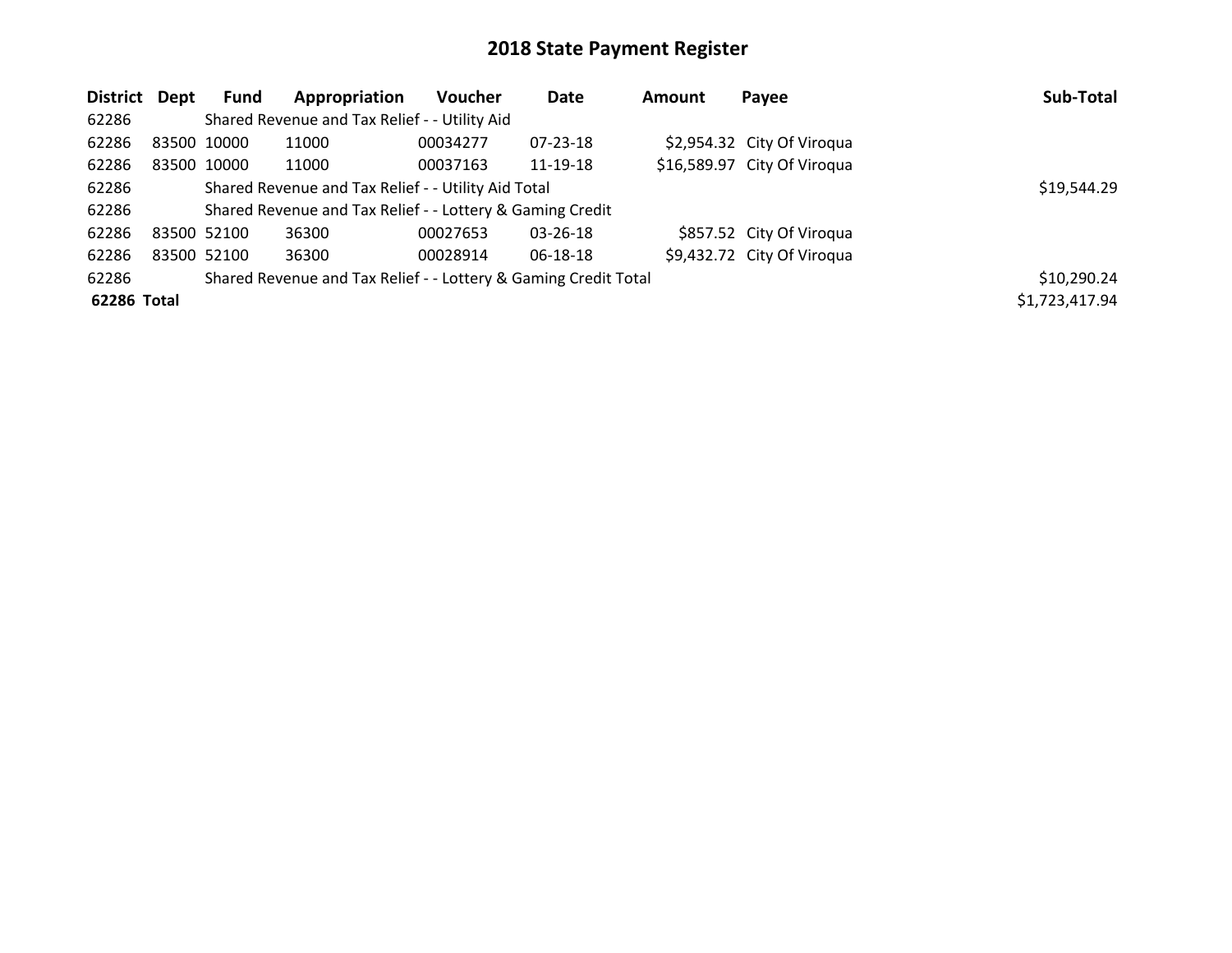| District Dept |             | <b>Fund</b>                                   | Appropriation | <b>Voucher</b> | Date           | <b>Amount</b> | Payee                       | Sub-Total      |
|---------------|-------------|-----------------------------------------------|---------------|----------------|----------------|---------------|-----------------------------|----------------|
| 62286         |             | Shared Revenue and Tax Relief - - Utility Aid |               |                |                |               |                             |                |
| 62286         | 83500 10000 |                                               | 11000         | 00034277       | 07-23-18       |               | \$2,954.32 City Of Viroqua  |                |
| 62286         |             | 83500 10000                                   | 11000         | 00037163       | 11-19-18       |               | \$16,589.97 City Of Viroqua |                |
| 62286         |             | \$19,544.29                                   |               |                |                |               |                             |                |
| 62286         |             |                                               |               |                |                |               |                             |                |
| 62286         | 83500 52100 |                                               | 36300         | 00027653       | $03 - 26 - 18$ |               | \$857.52 City Of Viroqua    |                |
| 62286         | 83500 52100 |                                               | 36300         | 00028914       | 06-18-18       |               | \$9,432.72 City Of Viroqua  |                |
| 62286         |             | \$10,290.24                                   |               |                |                |               |                             |                |
| 62286 Total   |             |                                               |               |                |                |               |                             | \$1,723,417.94 |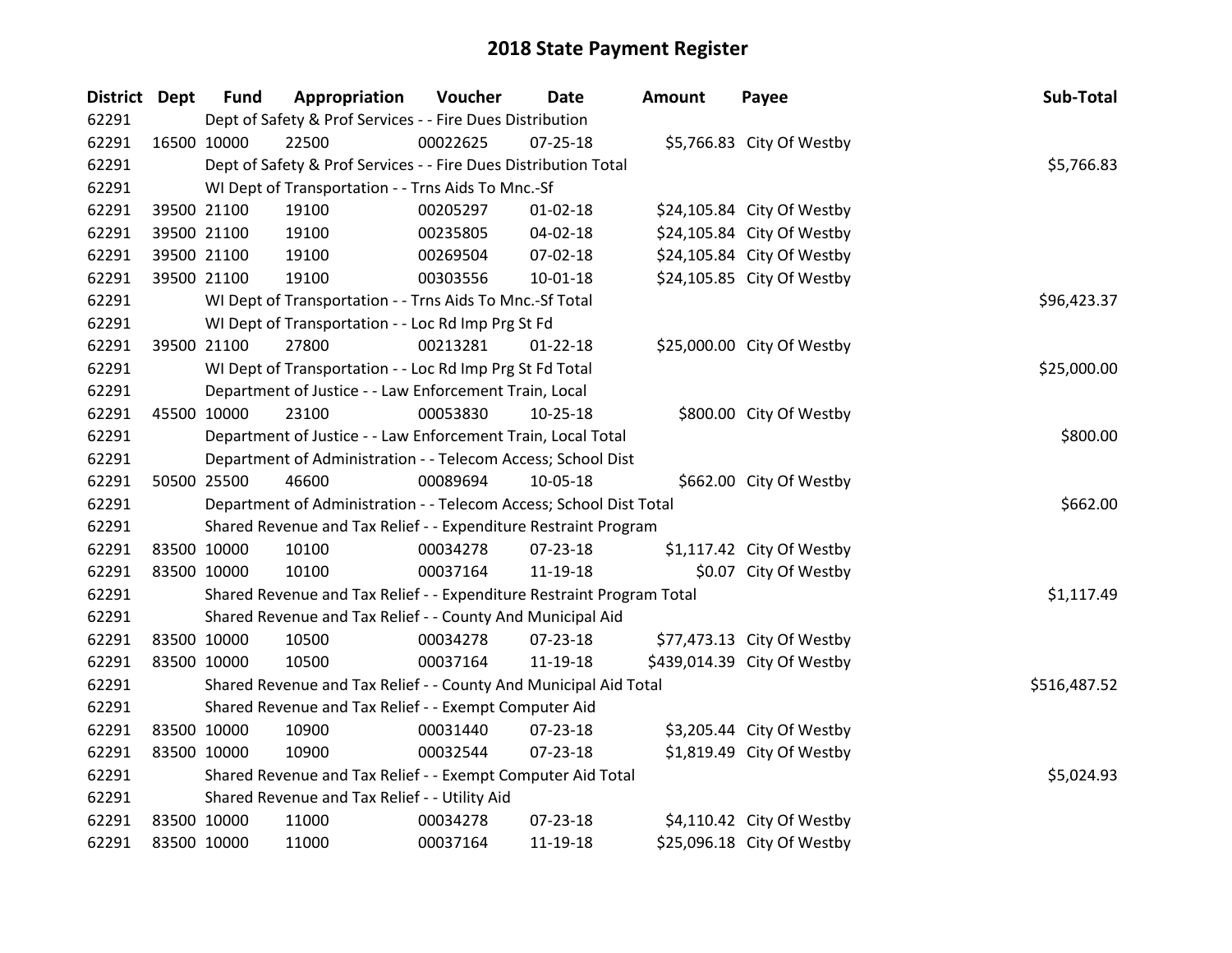| District Dept |             | <b>Fund</b>                                                           | Appropriation                                                   | Voucher  | <b>Date</b>    | <b>Amount</b> | Payee                       | Sub-Total   |
|---------------|-------------|-----------------------------------------------------------------------|-----------------------------------------------------------------|----------|----------------|---------------|-----------------------------|-------------|
| 62291         |             | Dept of Safety & Prof Services - - Fire Dues Distribution             |                                                                 |          |                |               |                             |             |
| 62291         |             | 16500 10000                                                           | 22500                                                           | 00022625 | $07 - 25 - 18$ |               | \$5,766.83 City Of Westby   |             |
| 62291         |             | Dept of Safety & Prof Services - - Fire Dues Distribution Total       | \$5,766.83                                                      |          |                |               |                             |             |
| 62291         |             | WI Dept of Transportation - - Trns Aids To Mnc.-Sf                    |                                                                 |          |                |               |                             |             |
| 62291         |             | 39500 21100                                                           | 19100                                                           | 00205297 | $01 - 02 - 18$ |               | \$24,105.84 City Of Westby  |             |
| 62291         |             | 39500 21100                                                           | 19100                                                           | 00235805 | 04-02-18       |               | \$24,105.84 City Of Westby  |             |
| 62291         |             | 39500 21100                                                           | 19100                                                           | 00269504 | $07 - 02 - 18$ |               | \$24,105.84 City Of Westby  |             |
| 62291         |             | 39500 21100                                                           | 19100                                                           | 00303556 | $10 - 01 - 18$ |               | \$24,105.85 City Of Westby  |             |
| 62291         |             |                                                                       | WI Dept of Transportation - - Trns Aids To Mnc.-Sf Total        |          |                |               |                             | \$96,423.37 |
| 62291         |             |                                                                       | WI Dept of Transportation - - Loc Rd Imp Prg St Fd              |          |                |               |                             |             |
| 62291         |             | 39500 21100                                                           | 27800                                                           | 00213281 | $01 - 22 - 18$ |               | \$25,000.00 City Of Westby  |             |
| 62291         |             |                                                                       | WI Dept of Transportation - - Loc Rd Imp Prg St Fd Total        |          |                |               |                             | \$25,000.00 |
| 62291         |             |                                                                       | Department of Justice - - Law Enforcement Train, Local          |          |                |               |                             |             |
| 62291         |             | 45500 10000                                                           | 23100                                                           | 00053830 | 10-25-18       |               | \$800.00 City Of Westby     |             |
| 62291         |             | Department of Justice - - Law Enforcement Train, Local Total          | \$800.00                                                        |          |                |               |                             |             |
| 62291         |             |                                                                       | Department of Administration - - Telecom Access; School Dist    |          |                |               |                             |             |
| 62291         |             | 50500 25500                                                           | 46600                                                           | 00089694 | 10-05-18       |               | \$662.00 City Of Westby     |             |
| 62291         |             | Department of Administration - - Telecom Access; School Dist Total    | \$662.00                                                        |          |                |               |                             |             |
| 62291         |             |                                                                       | Shared Revenue and Tax Relief - - Expenditure Restraint Program |          |                |               |                             |             |
| 62291         |             | 83500 10000                                                           | 10100                                                           | 00034278 | 07-23-18       |               | \$1,117.42 City Of Westby   |             |
| 62291         |             | 83500 10000                                                           | 10100                                                           | 00037164 | 11-19-18       |               | \$0.07 City Of Westby       |             |
| 62291         |             | Shared Revenue and Tax Relief - - Expenditure Restraint Program Total |                                                                 |          |                |               |                             |             |
| 62291         |             | Shared Revenue and Tax Relief - - County And Municipal Aid            |                                                                 |          |                |               |                             |             |
| 62291         | 83500 10000 |                                                                       | 10500                                                           | 00034278 | 07-23-18       |               | \$77,473.13 City Of Westby  |             |
| 62291         |             | 83500 10000                                                           | 10500                                                           | 00037164 | 11-19-18       |               | \$439,014.39 City Of Westby |             |
| 62291         |             | Shared Revenue and Tax Relief - - County And Municipal Aid Total      | \$516,487.52                                                    |          |                |               |                             |             |
| 62291         |             | Shared Revenue and Tax Relief - - Exempt Computer Aid                 |                                                                 |          |                |               |                             |             |
| 62291         | 83500 10000 |                                                                       | 10900                                                           | 00031440 | 07-23-18       |               | \$3,205.44 City Of Westby   |             |
| 62291         | 83500 10000 |                                                                       | 10900                                                           | 00032544 | 07-23-18       |               | \$1,819.49 City Of Westby   |             |
| 62291         |             | Shared Revenue and Tax Relief - - Exempt Computer Aid Total           | \$5,024.93                                                      |          |                |               |                             |             |
| 62291         |             | Shared Revenue and Tax Relief - - Utility Aid                         |                                                                 |          |                |               |                             |             |
| 62291         | 83500 10000 |                                                                       | 11000                                                           | 00034278 | 07-23-18       |               | \$4,110.42 City Of Westby   |             |
| 62291         |             | 83500 10000                                                           | 11000                                                           | 00037164 | 11-19-18       |               | \$25,096.18 City Of Westby  |             |